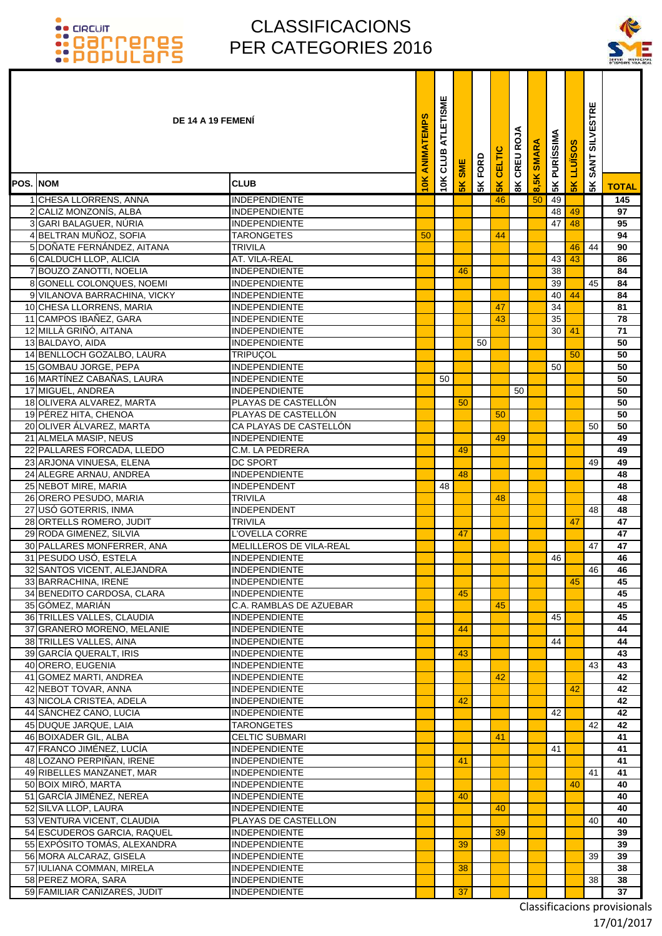### CLASSIFICACIONS PER CATEGORIES 2016

ī ٦ ٦



|          |                                                           | DE 14 A 19 FEMENI                            | <b>ANIMATEMPS</b> | ATLETISME<br>10K CLUB | <b>SME</b> | FORD | <b>SK CELTIC</b> | CREU ROJA               | <b>SMARA</b> | <b>5K PURÍSSIMA</b> | LLUÏSOS       | <b>SILVESTRE</b><br>SANT: |              |
|----------|-----------------------------------------------------------|----------------------------------------------|-------------------|-----------------------|------------|------|------------------|-------------------------|--------------|---------------------|---------------|---------------------------|--------------|
| POS. NOM |                                                           | <b>CLUB</b>                                  | 10K               |                       | <b>5K</b>  | 5K   |                  | $\overline{\mathbf{g}}$ | 8,5K         |                     | $\frac{8}{5}$ | 5K                        | <b>TOTAL</b> |
|          | 1 CHESA LLORRENS, ANNA                                    | <b>INDEPENDIENTE</b>                         |                   |                       |            |      | 46               |                         | 50           | 49                  |               |                           | 145          |
| 2        | CALIZ MONZONÍS, ALBA                                      | <b>INDEPENDIENTE</b>                         |                   |                       |            |      |                  |                         |              | 48                  | 49            |                           | 97           |
|          | 3 GARI BALAGUER, NÚRIA                                    | <b>INDEPENDIENTE</b>                         |                   |                       |            |      |                  |                         |              | 47                  | 48            |                           | 95           |
|          | 4 BELTRAN MUÑOZ, SOFIA                                    | <b>TARONGETES</b>                            | 50                |                       |            |      | 44               |                         |              |                     |               |                           | 94           |
|          | 5 DOÑATE FERNÁNDEZ, AITANA                                | TRIVILA                                      |                   |                       |            |      |                  |                         |              |                     | 46            | 44                        | 90           |
|          | 6 CALDUCH LLOP, ALICIA                                    | AT. VILA-REAL                                |                   |                       |            |      |                  |                         |              | 43                  | 43            |                           | 86           |
|          | 7 BOUZO ZANOTTI, NOELIA                                   | <b>INDEPENDIENTE</b>                         |                   |                       | 46         |      |                  |                         |              | 38                  |               |                           | 84           |
|          | 8 GONELL COLONQUES, NOEMI<br>9 VILANOVA BARRACHINA, VICKY | <b>INDEPENDIENTE</b><br><b>INDEPENDIENTE</b> |                   |                       |            |      |                  |                         |              | 39<br>40            | 44            | 45                        | 84<br>84     |
|          | 10 CHESA LLORRENS, MARIA                                  | <b>INDEPENDIENTE</b>                         |                   |                       |            |      | 47               |                         |              | 34                  |               |                           | 81           |
|          | 11 CAMPOS IBAÑEZ, GARA                                    | <b>INDEPENDIENTE</b>                         |                   |                       |            |      | 43               |                         |              | 35                  |               |                           | 78           |
|          | 12 MILLÀ GRIÑÓ, AITANA                                    | <b>INDEPENDIENTE</b>                         |                   |                       |            |      |                  |                         |              | 30 <sup>1</sup>     | 41            |                           | 71           |
|          | 13 BALDAYO, AIDA                                          | <b>INDEPENDIENTE</b>                         |                   |                       |            | 50   |                  |                         |              |                     |               |                           | 50           |
|          | 14 BENLLOCH GOZALBO, LAURA                                | <b>TRIPUCOL</b>                              |                   |                       |            |      |                  |                         |              |                     | 50            |                           | 50           |
|          | 15 GOMBAU JORGE, PEPA                                     | <b>INDEPENDIENTE</b>                         |                   |                       |            |      |                  |                         |              | 50                  |               |                           | 50           |
|          | 16 MARTÍNEZ CABAÑAS, LAURA                                | <b>INDEPENDIENTE</b>                         |                   | 50                    |            |      |                  |                         |              |                     |               |                           | 50           |
|          | 17 MIGUEL, ANDREA                                         | <b>INDEPENDIENTE</b>                         |                   |                       |            |      |                  | 50                      |              |                     |               |                           | 50           |
|          | 18 OLIVERA ALVAREZ, MARTA                                 | PLAYAS DE CASTELLÓN                          |                   |                       | 50         |      |                  |                         |              |                     |               |                           | 50           |
|          | 19 PÉREZ HITA, CHENOA                                     | PLAYAS DE CASTELLÓN                          |                   |                       |            |      | 50               |                         |              |                     |               |                           | 50           |
|          | 20 OLIVER ÁLVAREZ, MARTA                                  | CA PLAYAS DE CASTELLÓN                       |                   |                       |            |      |                  |                         |              |                     |               | 50                        | 50           |
|          | 21 ALMELA MASIP, NEUS<br>22 PALLARES FORCADA, LLEDO       | INDEPENDIENTE<br>C.M. LA PEDRERA             |                   |                       | 49         |      | 49               |                         |              |                     |               |                           | 49<br>49     |
|          | 23 ARJONA VINUESA, ELENA                                  | <b>DC SPORT</b>                              |                   |                       |            |      |                  |                         |              |                     |               | 49                        | 49           |
|          | 24 ALEGRE ARNAU, ANDREA                                   | <b>INDEPENDIENTE</b>                         |                   |                       | 48         |      |                  |                         |              |                     |               |                           | 48           |
|          | 25 NEBOT MIRE, MARIA                                      | <b>INDEPENDENT</b>                           |                   | 48                    |            |      |                  |                         |              |                     |               |                           | 48           |
|          | 26 ORERO PESUDO, MARIA                                    | <b>TRIVILA</b>                               |                   |                       |            |      | 48               |                         |              |                     |               |                           | 48           |
|          | 27 USÓ GOTERRIS, INMA                                     | INDEPENDENT                                  |                   |                       |            |      |                  |                         |              |                     |               | 48                        | 48           |
|          | 28 ORTELLS ROMERO, JUDIT                                  | <b>TRIVILA</b>                               |                   |                       |            |      |                  |                         |              |                     | 47            |                           | 47           |
|          | 29 RODA GIMENEZ, SILVIA                                   | L'OVELLA CORRE                               |                   |                       | 47         |      |                  |                         |              |                     |               |                           | 47           |
|          | 30 PALLARES MONFERRER, ANA                                | MELILLEROS DE VILA-REAL                      |                   |                       |            |      |                  |                         |              |                     |               | 47                        | 47           |
|          | 31 PESUDO USÓ, ESTELA                                     | <b>INDEPENDIENTE</b>                         |                   |                       |            |      |                  |                         |              | 46                  |               |                           | 46           |
|          | 32 SANTOS VICENT, ALEJANDRA                               | <b>INDEPENDIENTE</b>                         |                   |                       |            |      |                  |                         |              |                     |               | 46                        | 46           |
|          | 33 BARRACHINA, IRENE<br>34 BENEDITO CARDOSA, CLARA        | INDEPENDIENTE<br>INDEPENDIENTE               |                   |                       | 45         |      |                  |                         |              |                     | 45            |                           | 45<br>45     |
|          | 35 GOMEZ, MARIAN                                          | C.A. RAMBLAS DE AZUEBAR                      |                   |                       |            |      | 45               |                         |              |                     |               |                           | 45           |
|          | 36 TRILLES VALLES, CLAUDIA                                | <b>INDEPENDIENTE</b>                         |                   |                       |            |      |                  |                         |              | 45                  |               |                           | 45           |
|          | 37 GRANERO MORENO, MELANIE                                | <b>INDEPENDIENTE</b>                         |                   |                       | 44         |      |                  |                         |              |                     |               |                           | 44           |
|          | 38 TRILLES VALLES, AINA                                   | <b>INDEPENDIENTE</b>                         |                   |                       |            |      |                  |                         |              | 44                  |               |                           | 44           |
|          | 39 GARCÍA QUERALT, IRIS                                   | <b>INDEPENDIENTE</b>                         |                   |                       | 43         |      |                  |                         |              |                     |               |                           | 43           |
|          | 40 ORERO, EUGENIA                                         | INDEPENDIENTE                                |                   |                       |            |      |                  |                         |              |                     |               | 43                        | 43           |
|          | 41 GOMEZ MARTI, ANDREA                                    | <b>INDEPENDIENTE</b>                         |                   |                       |            |      | 42               |                         |              |                     |               |                           | 42           |
|          | 42 NEBOT TOVAR, ANNA                                      | <b>INDEPENDIENTE</b>                         |                   |                       |            |      |                  |                         |              |                     | 42            |                           | 42           |
|          | 43 NICOLA CRISTEA, ADELA                                  | <b>INDEPENDIENTE</b>                         |                   |                       | 42         |      |                  |                         |              |                     |               |                           | 42           |
|          | 44 SÁNCHEZ CANO, LUCIA                                    | <b>INDEPENDIENTE</b>                         |                   |                       |            |      |                  |                         |              | 42                  |               |                           | 42<br>42     |
|          | 45 DUQUE JARQUE, LAIA                                     | <b>TARONGETES</b><br><b>CELTIC SUBMARI</b>   |                   |                       |            |      | 41               |                         |              |                     |               | 42                        | 41           |
|          | 46 BOIXADER GIL, ALBA<br>47 FRANCO JIMÉNEZ, LUCÍA         | <b>INDEPENDIENTE</b>                         |                   |                       |            |      |                  |                         |              | 41                  |               |                           | 41           |
|          | 48 LOZANO PERPIÑAN, IRENE                                 | <b>INDEPENDIENTE</b>                         |                   |                       | 41         |      |                  |                         |              |                     |               |                           | 41           |
|          | 49 RIBELLES MANZANET, MAR                                 | <b>INDEPENDIENTE</b>                         |                   |                       |            |      |                  |                         |              |                     |               | 41                        | 41           |
|          | 50 BOIX MIRÓ, MARTA                                       | <b>INDEPENDIENTE</b>                         |                   |                       |            |      |                  |                         |              |                     | 40            |                           | 40           |
|          | 51 GARCÍA JIMÉNEZ, NEREA                                  | <b>INDEPENDIENTE</b>                         |                   |                       | 40         |      |                  |                         |              |                     |               |                           | 40           |
|          | 52 SILVA LLOP, LAURA                                      | <b>INDEPENDIENTE</b>                         |                   |                       |            |      | 40               |                         |              |                     |               |                           | 40           |
|          | 53 VENTURA VICENT, CLAUDIA                                | PLAYAS DE CASTELLON                          |                   |                       |            |      |                  |                         |              |                     |               | 40                        | 40           |
|          | 54 ESCUDEROS GARCIA, RAQUEL                               | <b>INDEPENDIENTE</b>                         |                   |                       |            |      | 39               |                         |              |                     |               |                           | 39           |
|          | 55 EXPÓSITO TOMÁS, ALEXANDRA                              | <b>INDEPENDIENTE</b>                         |                   |                       | 39         |      |                  |                         |              |                     |               |                           | 39           |
|          | 56 MORA ALCARAZ, GISELA                                   | INDEPENDIENTE                                |                   |                       |            |      |                  |                         |              |                     |               | 39                        | 39           |
|          | 57 IULIANA COMMAN, MIRELA<br>58 PEREZ MORA, SARA          | <b>INDEPENDIENTE</b><br><b>INDEPENDIENTE</b> |                   |                       | 38         |      |                  |                         |              |                     |               | 38                        | 38<br>38     |
|          | 59 FAMILIAR CAÑIZARES, JUDIT                              | <b>INDEPENDIENTE</b>                         |                   |                       | 37         |      |                  |                         |              |                     |               |                           | 37           |
|          |                                                           |                                              |                   |                       |            |      |                  |                         |              |                     |               |                           |              |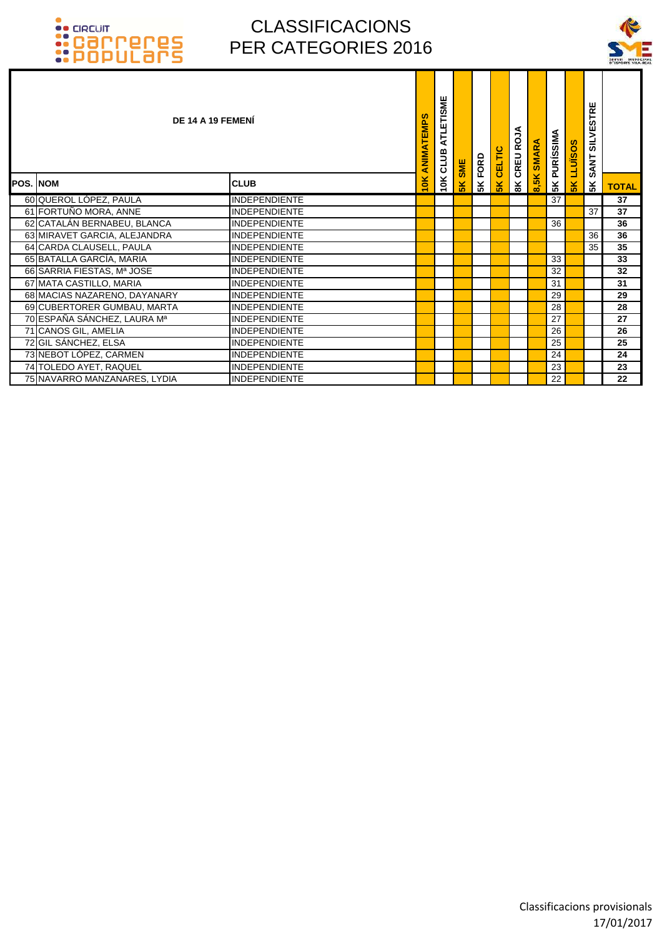

|                 | DE 14 A 19 FEMENÍ            |                      | ANIMATEMPS    | ATLETISME<br>10K CLUB | <b>SME</b>     | FORD | CELTIC        | CREU ROJA     | <b>SMARA</b> | PURÍSSIMA       | <b>LLUISOS</b> | <b>SILVESTRE</b><br><b>SANT</b> |                 |
|-----------------|------------------------------|----------------------|---------------|-----------------------|----------------|------|---------------|---------------|--------------|-----------------|----------------|---------------------------------|-----------------|
| <b>POS. NOM</b> |                              | <b>CLUB</b>          | $\frac{1}{2}$ |                       | 5 <sup>K</sup> | 5K   | $\frac{8}{5}$ | $\frac{8}{3}$ | 8,5K         | 5K              | 5K             | 5K                              | <b>TOTAL</b>    |
|                 | 60 QUEROL LÓPEZ, PAULA       | <b>INDEPENDIENTE</b> |               |                       |                |      |               |               |              | $\overline{37}$ |                |                                 | $\overline{37}$ |
|                 | 61 FORTUÑO MORA, ANNE        | <b>INDEPENDIENTE</b> |               |                       |                |      |               |               |              |                 |                | 37                              | 37              |
|                 | 62 CATALÁN BERNABEU, BLANCA  | <b>INDEPENDIENTE</b> |               |                       |                |      |               |               |              | 36              |                |                                 | 36              |
|                 | 63 MIRAVET GARCIA, ALEJANDRA | <b>INDEPENDIENTE</b> |               |                       |                |      |               |               |              |                 |                | 36                              | 36              |
|                 | 64 CARDA CLAUSELL, PAULA     | <b>INDEPENDIENTE</b> |               |                       |                |      |               |               |              |                 |                | 35                              | $\overline{35}$ |
|                 | 65 BATALLA GARCÍA, MARIA     | <b>INDEPENDIENTE</b> |               |                       |                |      |               |               |              | 33              |                |                                 | 33              |
|                 | 66 SARRIA FIESTAS, Mª JOSE   | <b>INDEPENDIENTE</b> |               |                       |                |      |               |               |              | 32              |                |                                 | 32              |
|                 | 67 MATA CASTILLO, MARIA      | <b>INDEPENDIENTE</b> |               |                       |                |      |               |               |              | 31              |                |                                 | 31              |
|                 | 68 MACIAS NAZARENO, DAYANARY | <b>INDEPENDIENTE</b> |               |                       |                |      |               |               |              | 29              |                |                                 | 29              |
|                 | 69 CUBERTORER GUMBAU, MARTA  | <b>INDEPENDIENTE</b> |               |                       |                |      |               |               |              | 28              |                |                                 | 28              |
|                 | 70 ESPAÑA SÁNCHEZ, LAURA Mª  | <b>INDEPENDIENTE</b> |               |                       |                |      |               |               |              | 27              |                |                                 | 27              |
|                 | 71 CANOS GIL, AMELIA         | <b>INDEPENDIENTE</b> |               |                       |                |      |               |               |              | 26              |                |                                 | 26              |
|                 | 72 GIL SÁNCHEZ, ELSA         | <b>INDEPENDIENTE</b> |               |                       |                |      |               |               |              | 25              |                |                                 | 25              |
|                 | 73 NEBOT LÓPEZ, CARMEN       | <b>INDEPENDIENTE</b> |               |                       |                |      |               |               |              | 24              |                |                                 | 24              |
|                 | 74 TOLEDO AYET, RAQUEL       | <b>INDEPENDIENTE</b> |               |                       |                |      |               |               |              | 23              |                |                                 | 23              |
|                 | 75 NAVARRO MANZANARES, LYDIA | <b>INDEPENDIENTE</b> |               |                       |                |      |               |               |              | 22              |                |                                 | 22              |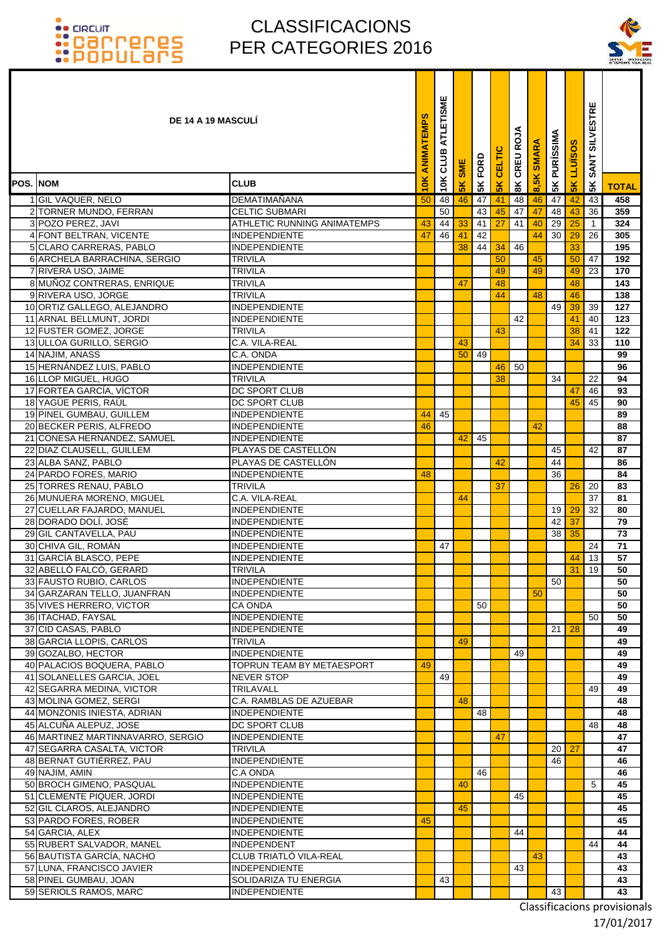T

### CLASSIFICACIONS PER CATEGORIES 2016



|                 | <b>DE 14 A 19 MASCULI</b>                             |                                       | ANIMATEMPS | ATLETISME<br>CLUB | SME           | 5K FORD | CELTIC        | <b>8K CREU ROJA</b> | <b>SMAR</b> | PURÍSSIMA       | <b>SOSINT1</b>  | <b>SILVESTRE</b><br><b>SANT</b> |                       |
|-----------------|-------------------------------------------------------|---------------------------------------|------------|-------------------|---------------|---------|---------------|---------------------|-------------|-----------------|-----------------|---------------------------------|-----------------------|
| <b>POS. NOM</b> |                                                       | <b>CLUB</b>                           | 10K        | 10K               | $\frac{2}{5}$ |         | $\frac{1}{5}$ |                     | 8,5K        | 5K              | 5 <sub>K</sub>  | 5K                              | <b>TOTAL</b>          |
|                 | 1 GIL VAQUER, NELO                                    | <b>DEMATIMAÑANA</b>                   | 50         | 48                | 46            | 47      | 41            | 48                  | 46          | 47              | 42              | 43                              | 458                   |
|                 | 2 TORNER MUNDO, FERRAN                                | <b>CELTIC SUBMARI</b>                 |            | 50                |               | 43      | 45            | 47                  | 47          | 48              | 43              | 36                              | 359                   |
|                 | 3 POZO PEREZ, JAVI                                    | <b>ATHLETIC RUNNING ANIMATEMPS</b>    | 43         | 44                | 33            | 41      | 27            | 41                  | 40          | 29              | 25              | $\mathbf{1}$                    | 324                   |
|                 | 4 FONT BELTRAN, VICENTE                               | <b>INDEPENDIENTE</b>                  | 47         | 46                | 41            | 42      |               |                     | 44          | 30              | 29              | 26                              | 305                   |
|                 | 5 CLARO CARRERAS, PABLO                               | <b>INDEPENDIENTE</b>                  |            |                   | 38            | 44      | 34            | 46                  |             |                 | 33              |                                 | 195                   |
|                 | 6 ARCHELA BARRACHINA, SERGIO                          | <b>TRIVILA</b>                        |            |                   |               |         | 50            |                     | 45          |                 | 50              | 47                              | 192                   |
|                 | 7 RIVERA USO, JAIME                                   | <b>TRIVILA</b>                        |            |                   |               |         | 49            |                     | 49          |                 | 49              | 23                              | 170                   |
|                 | 8 MUÑOZ CONTRERAS, ENRIQUE                            | TRIVILA                               |            |                   | 47            |         | 48            |                     |             |                 | 48              |                                 | 143                   |
|                 | 9 RIVERA USO, JORGE                                   | <b>TRIVILA</b>                        |            |                   |               |         | 44            |                     | 48          |                 | 46              |                                 | 138                   |
|                 | 10 ORTIZ GALLEGO, ALEJANDRO                           | <b>INDEPENDIENTE</b>                  |            |                   |               |         |               |                     |             | 49              | 39              | 39                              | 127                   |
|                 | 11 ARNAL BELLMUNT, JORDI                              | <b>INDEPENDIENTE</b>                  |            |                   |               |         |               | 42                  |             |                 | 41              | 40                              | 123                   |
|                 | 12 FUSTER GOMEZ, JORGE                                | TRIVILA                               |            |                   |               |         | 43            |                     |             |                 | 38              | 41                              | 122                   |
|                 | 13 ULLOA GURILLO, SERGIO                              | C.A. VILA-REAL                        |            |                   | 43            |         |               |                     |             |                 | 34              | 33                              | 110                   |
|                 | 14 NAJIM, ANASS<br>15 HERNÁNDEZ LUIS, PABLO           | C.A. ONDA<br><b>INDEPENDIENTE</b>     |            |                   | 50            | 49      |               |                     |             |                 |                 |                                 | 99                    |
|                 | 16 LLOP MIGUEL, HUGO                                  | <b>TRIVILA</b>                        |            |                   |               |         | 46<br>38      | 50                  |             | 34              |                 | 22                              | 96<br>94              |
|                 | 17 FORTEA GARCÍA, VÍCTOR                              | DC SPORT CLUB                         |            |                   |               |         |               |                     |             |                 | 47              | 46                              | 93                    |
|                 | 18 YAGÜE PERIS, RAÚL                                  | DC SPORT CLUB                         |            |                   |               |         |               |                     |             |                 | 45              | 45                              | 90                    |
|                 | 19 PINEL GUMBAU, GUILLEM                              | INDEPENDIENTE                         | 44         | 45                |               |         |               |                     |             |                 |                 |                                 | 89                    |
|                 | 20 BECKER PERIS, ALFREDO                              | <b>INDEPENDIENTE</b>                  | 46         |                   |               |         |               |                     | 42          |                 |                 |                                 | 88                    |
|                 | 21 CONESA HERNANDEZ, SAMUEL                           | <b>INDEPENDIENTE</b>                  |            |                   | 42            | 45      |               |                     |             |                 |                 |                                 | 87                    |
|                 | 22 DIAZ CLAUSELL, GUILLEM                             | PLAYAS DE CASTELLÓN                   |            |                   |               |         |               |                     |             | 45              |                 | 42                              | 87                    |
|                 | 23 ALBA SANZ, PABLO                                   | PLAYAS DE CASTELLÓN                   |            |                   |               |         | 42            |                     |             | 44              |                 |                                 | 86                    |
|                 | 24 PARDO FORES, MARIO                                 | <b>INDEPENDIENTE</b>                  | 48         |                   |               |         |               |                     |             | 36              |                 |                                 | 84                    |
|                 | 25 TORRES RENAU, PABLO                                | <b>TRIVILA</b>                        |            |                   |               |         | 37            |                     |             |                 | 26              | 20                              | 83                    |
|                 | 26 MUNUERA MORENO, MIGUEL                             | C.A. VILA-REAL                        |            |                   | 44            |         |               |                     |             |                 |                 | 37                              | 81                    |
|                 | 27 CUELLAR FAJARDO, MANUEL                            | INDEPENDIENTE                         |            |                   |               |         |               |                     |             | 19              | 29              | 32                              | 80                    |
|                 | 28 DORADO DOLÍ, JOSÉ                                  | <b>INDEPENDIENTE</b>                  |            |                   |               |         |               |                     |             | 42              | 37              |                                 | $\overline{79}$       |
|                 | 29 GIL CANTAVELLA, PAU                                | <b>INDEPENDIENTE</b>                  |            |                   |               |         |               |                     |             | 38              | 35              |                                 | 73                    |
|                 | 30 CHIVA GIL, ROMÁN                                   | <b>INDEPENDIENTE</b>                  |            | 47                |               |         |               |                     |             |                 |                 | 24                              | 71                    |
|                 | 31 GARCÍA BLASCO, PEPE                                | <b>INDEPENDIENTE</b>                  |            |                   |               |         |               |                     |             |                 | 44              | 13                              | 57                    |
|                 | 32 ABELLO FALCO. GERARD<br>33 FAUSTO RUBIO, CARLOS    | TRIVILA<br><b>INDEPENDIENTE</b>       |            |                   |               |         |               |                     |             | 50              | 31 <sup>2</sup> | 19                              | 50<br>50              |
|                 | 34 GARZARAN TELLO, JUANFRAN                           | <b>INDEPENDIENTE</b>                  |            |                   |               |         |               |                     | 50          |                 |                 |                                 | 50                    |
|                 | 35 VIVES HERRERO, VICTOR                              | CA ONDA                               |            |                   |               | 50      |               |                     |             |                 |                 |                                 | 50                    |
|                 | 36 ITACHAD, FAYSAL                                    | <b>INDEPENDIENTE</b>                  |            |                   |               |         |               |                     |             |                 |                 | 50                              | 50                    |
|                 | 37 CID CASAS, PABLO                                   | <b>INDEPENDIENTE</b>                  |            |                   |               |         |               |                     |             | 21 <sup>1</sup> | 28              |                                 | 49                    |
|                 | 38 GARCIA LLOPIS, CARLOS                              | TRIVILA                               |            |                   | 49            |         |               |                     |             |                 |                 |                                 | 49                    |
|                 | 39 GOZALBO, HECTOR                                    | <b>INDEPENDIENTE</b>                  |            |                   |               |         |               | 49                  |             |                 |                 |                                 | 49                    |
|                 | 40 PALACIOS BOQUERA, PABLO                            | <b>TOPRUN TEAM BY METAESPORT</b>      | 49         |                   |               |         |               |                     |             |                 |                 |                                 | 49                    |
|                 | 41 SOLANELLES GARCIA, JOEL                            | <b>NEVER STOP</b>                     |            | 49                |               |         |               |                     |             |                 |                 |                                 | 49                    |
|                 | 42 SEGARRA MEDINA, VICTOR                             | TRILAVALL                             |            |                   |               |         |               |                     |             |                 |                 | 49                              | 49                    |
|                 | 43 MOLINA GOMEZ, SERGI                                | C.A. RAMBLAS DE AZUEBAR               |            |                   | 48            |         |               |                     |             |                 |                 |                                 | 48                    |
|                 | 44 MONZONIS INIESTA, ADRIAN<br>45 ALCUÑA ALEPUZ, JOSE | <b>INDEPENDIENTE</b><br>DC SPORT CLUB |            |                   |               | 48      |               |                     |             |                 |                 | 48                              | 48<br>48              |
|                 | 46 MARTINEZ MARTINNAVARRO, SERGIO                     | <b>INDEPENDIENTE</b>                  |            |                   |               |         | 47            |                     |             |                 |                 |                                 | 47                    |
|                 | 47 SEGARRA CASALTA, VICTOR                            | <b>TRIVILA</b>                        |            |                   |               |         |               |                     |             | 20 <sup>1</sup> | 27              |                                 | 47                    |
|                 | 48 BERNAT GUTIÉRREZ, PAU                              | <b>INDEPENDIENTE</b>                  |            |                   |               |         |               |                     |             | 46              |                 |                                 | 46                    |
|                 | 49 NAJIM, AMIN                                        | C.A ONDA                              |            |                   |               | 46      |               |                     |             |                 |                 |                                 | 46                    |
|                 | 50 BROCH GIMENO, PASQUAL                              | <b>INDEPENDIENTE</b>                  |            |                   | 40            |         |               |                     |             |                 |                 | 5                               | 45                    |
|                 | 51 CLEMENTE PIQUER, JORDI                             | <b>INDEPENDIENTE</b>                  |            |                   |               |         |               | 45                  |             |                 |                 |                                 | 45                    |
|                 | 52 GIL CLAROS, ALEJANDRO                              | <b>INDEPENDIENTE</b>                  |            |                   | 45            |         |               |                     |             |                 |                 |                                 | 45                    |
|                 | 53 PARDO FORES, ROBER                                 | <b>INDEPENDIENTE</b>                  | 45         |                   |               |         |               |                     |             |                 |                 |                                 | 45                    |
|                 | 54 GARCIA, ALEX                                       | <b>INDEPENDIENTE</b>                  |            |                   |               |         |               | 44                  |             |                 |                 |                                 | 44                    |
|                 | 55 RUBERT SALVADOR, MANEL                             | <b>INDEPENDENT</b>                    |            |                   |               |         |               |                     |             |                 |                 | 44                              | 44                    |
|                 | 56 BAUTISTA GARCÍA, NACHO                             | CLUB TRIATLÓ VILA-REAL                |            |                   |               |         |               |                     | 43          |                 |                 |                                 | 43                    |
|                 | 57 LUNA, FRANCISCO JAVIER                             | <b>INDEPENDIENTE</b>                  |            |                   |               |         |               | 43                  |             |                 |                 |                                 | 43                    |
|                 | 58 PINEL GUMBAU, JOAN                                 | SOLIDARIZA TU ENERGIA                 |            | 43                |               |         |               |                     |             |                 |                 |                                 | 43<br>$\overline{43}$ |
|                 | 59 SERIOLS RAMOS, MARC                                | <b>INDEPENDIENTE</b>                  |            |                   |               |         |               |                     |             | 43              |                 |                                 |                       |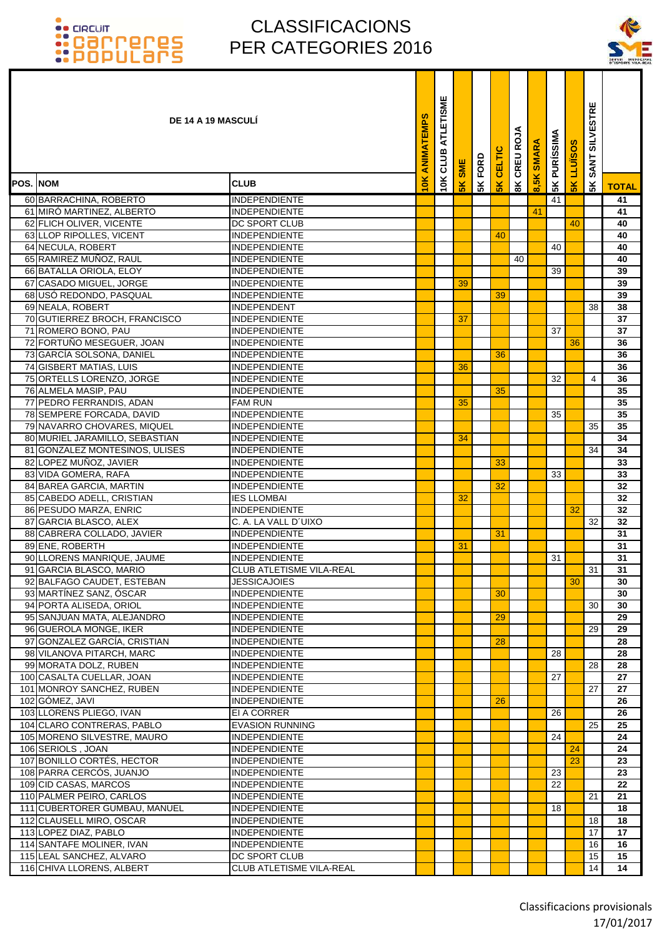### CLASSIFICACIONS PER CATEGORIES 2016

T T



|          | <b>DE 14 A 19 MASCULI</b>                             |                                              | ANIMATEMPS | ATLETISME<br>CLUB | <b>SME</b> | FORD | CELTIC        | CREU ROJA     | <b>SMARA</b>         | <b>PURÍSSIMA</b> | LLUÏSOS         | <b>SILVESTRE</b><br><b>SANT</b> |              |
|----------|-------------------------------------------------------|----------------------------------------------|------------|-------------------|------------|------|---------------|---------------|----------------------|------------------|-----------------|---------------------------------|--------------|
| POS. NOM |                                                       | <b>CLUB</b>                                  | 10K        | 10K               | 5K         | 5K   | $\frac{1}{5}$ | $\frac{8}{3}$ | $\frac{8}{15}$<br>ၹႜ | 5K               | $\frac{1}{2}$   | 5 <sup>K</sup>                  | <b>TOTAL</b> |
|          | 60 BARRACHINA, ROBERTO                                | <b>INDEPENDIENTE</b>                         |            |                   |            |      |               |               |                      | 41               |                 |                                 | 41           |
|          | 61 MIRÓ MARTINEZ, ALBERTO                             | <b>INDEPENDIENTE</b>                         |            |                   |            |      |               |               | 41                   |                  |                 |                                 | 41           |
|          | 62 FLICH OLIVER, VICENTE                              | <b>DC SPORT CLUB</b>                         |            |                   |            |      |               |               |                      |                  | 40              |                                 | 40           |
|          | 63 LLOP RIPOLLES, VICENT                              | <b>INDEPENDIENTE</b>                         |            |                   |            |      | 40            |               |                      |                  |                 |                                 | 40           |
|          | 64 NECULA, ROBERT                                     | <b>INDEPENDIENTE</b>                         |            |                   |            |      |               |               |                      | 40               |                 |                                 | 40           |
|          | 65 RAMIREZ MUÑOZ, RAUL                                | <b>INDEPENDIENTE</b>                         |            |                   |            |      |               | 40            |                      |                  |                 |                                 | 40           |
|          | 66 BATALLA ORIOLA, ELOY                               | <b>INDEPENDIENTE</b>                         |            |                   |            |      |               |               |                      | 39               |                 |                                 | 39           |
|          | 67 CASADO MIGUEL, JORGE                               | <b>INDEPENDIENTE</b>                         |            |                   | 39         |      |               |               |                      |                  |                 |                                 | 39           |
|          | 68 USÓ REDONDO, PASQUAL                               | <b>INDEPENDIENTE</b>                         |            |                   |            |      | 39            |               |                      |                  |                 |                                 | 39           |
|          | 69 NEALA, ROBERT                                      | <b>INDEPENDENT</b>                           |            |                   |            |      |               |               |                      |                  |                 | 38                              | 38           |
|          | 70 GUTIERREZ BROCH, FRANCISCO                         | <b>INDEPENDIENTE</b>                         |            |                   | 37         |      |               |               |                      |                  |                 |                                 | 37           |
|          | 71 ROMERO BONO, PAU                                   | <b>INDEPENDIENTE</b>                         |            |                   |            |      |               |               |                      | 37               |                 |                                 | 37           |
|          | 72 FORTUÑO MESEGUER, JOAN                             | <b>INDEPENDIENTE</b>                         |            |                   |            |      |               |               |                      |                  | 36              |                                 | 36           |
|          | 73 GARCÍA SOLSONA, DANIEL                             | <b>INDEPENDIENTE</b>                         |            |                   |            |      | 36            |               |                      |                  |                 |                                 | 36           |
|          | 74 GISBERT MATIAS, LUIS                               | <b>INDEPENDIENTE</b>                         |            |                   | 36         |      |               |               |                      |                  |                 |                                 | 36           |
|          | 75 ORTELLS LORENZO, JORGE                             | <b>INDEPENDIENTE</b>                         |            |                   |            |      |               |               |                      | 32               |                 | 4                               | 36           |
|          | 76 ALMELA MASIP, PAU                                  | <b>INDEPENDIENTE</b>                         |            |                   | 35         |      | 35            |               |                      |                  |                 |                                 | 35           |
|          | 77 PEDRO FERRANDIS, ADAN<br>78 SEMPERE FORCADA, DAVID | <b>FAM RUN</b><br><b>INDEPENDIENTE</b>       |            |                   |            |      |               |               |                      | 35               |                 |                                 | 35<br>35     |
|          | 79 NAVARRO CHOVARES, MIQUEL                           | <b>INDEPENDIENTE</b>                         |            |                   |            |      |               |               |                      |                  |                 | 35                              | 35           |
|          | 80 MURIEL JARAMILLO, SEBASTIAN                        | <b>INDEPENDIENTE</b>                         |            |                   | 34         |      |               |               |                      |                  |                 |                                 | 34           |
|          | 81 GONZALEZ MONTESINOS, ULISES                        | <b>INDEPENDIENTE</b>                         |            |                   |            |      |               |               |                      |                  |                 | 34                              | 34           |
|          | 82 LOPEZ MUÑOZ, JAVIER                                | <b>INDEPENDIENTE</b>                         |            |                   |            |      | 33            |               |                      |                  |                 |                                 | 33           |
|          | 83 VIDA GOMERA, RAFA                                  | <b>INDEPENDIENTE</b>                         |            |                   |            |      |               |               |                      | 33               |                 |                                 | 33           |
|          | 84 BAREA GARCIA, MARTIN                               | <b>INDEPENDIENTE</b>                         |            |                   |            |      | 32            |               |                      |                  |                 |                                 | 32           |
|          | 85 CABEDO ADELL, CRISTIAN                             | <b>IES LLOMBAI</b>                           |            |                   | 32         |      |               |               |                      |                  |                 |                                 | 32           |
|          | 86 PESUDO MARZA, ENRIC                                | <b>INDEPENDIENTE</b>                         |            |                   |            |      |               |               |                      |                  | 32              |                                 | 32           |
|          | 87 GARCIA BLASCO, ALEX                                | C. A. LA VALL D'UIXO                         |            |                   |            |      |               |               |                      |                  |                 | 32                              | 32           |
|          | 88 CABRERA COLLADO, JAVIER                            | <b>INDEPENDIENTE</b>                         |            |                   |            |      | 31            |               |                      |                  |                 |                                 | 31           |
|          | 89 ENE, ROBERTH                                       | <b>INDEPENDIENTE</b>                         |            |                   | 31         |      |               |               |                      |                  |                 |                                 | 31           |
|          | 90 LLORENS MANRIQUE, JAUME                            | <b>INDEPENDIENTE</b>                         |            |                   |            |      |               |               |                      | 31               |                 |                                 | 31           |
|          | 91 GARCIA BLASCO, MARIO                               | <b>CLUB ATLETISME VILA-REAL</b>              |            |                   |            |      |               |               |                      |                  |                 | 31                              | 31           |
|          | 92 BALFAGO CAUDET, ESTEBAN                            | <b>JESSICAJOIES</b>                          |            |                   |            |      |               |               |                      |                  | 30 <sup>°</sup> |                                 | 30           |
|          | 93 MARTÍNEZ SANZ, ÓSCAR                               | <b>INDEPENDIENTE</b>                         |            |                   |            |      | 30            |               |                      |                  |                 |                                 | 30           |
|          | 94 PORTA ALISEDA, ORIOL                               | <b>INDEPENDIENTE</b>                         |            |                   |            |      |               |               |                      |                  |                 | 30                              | 30           |
|          | 95 SANJUAN MATA, ALEJANDRO                            | <b>INDEPENDIENTE</b>                         |            |                   |            |      | 29            |               |                      |                  |                 |                                 | 29           |
|          | 96 GUEROLA MONGE, IKER                                | <b>INDEPENDIENTE</b>                         |            |                   |            |      |               |               |                      |                  |                 | 29                              | 29           |
|          | 97 GONZALEZ GARCÍA, CRISTIAN                          | <b>INDEPENDIENTE</b>                         |            |                   |            |      | 28            |               |                      |                  |                 |                                 | 28           |
|          | 98 VILANOVA PITARCH, MARC<br>99 MORATA DOLZ, RUBEN    | <b>INDEPENDIENTE</b><br><b>INDEPENDIENTE</b> |            |                   |            |      |               |               |                      | 28               |                 | 28                              | 28<br>28     |
|          | 100 CASALTA CUELLAR, JOAN                             | <b>INDEPENDIENTE</b>                         |            |                   |            |      |               |               |                      | 27               |                 |                                 | 27           |
|          | 101 MONROY SANCHEZ, RUBEN                             | <b>INDEPENDIENTE</b>                         |            |                   |            |      |               |               |                      |                  |                 | 27                              | 27           |
|          | 102 GÓMEZ, JAVI                                       | <b>INDEPENDIENTE</b>                         |            |                   |            |      | 26            |               |                      |                  |                 |                                 | 26           |
|          | 103 LLORENS PLIEGO, IVAN                              | EI A CORRER                                  |            |                   |            |      |               |               |                      | 26               |                 |                                 | 26           |
|          | 104 CLARO CONTRERAS, PABLO                            | <b>EVASION RUNNING</b>                       |            |                   |            |      |               |               |                      |                  |                 | 25                              | 25           |
|          | 105 MORENO SILVESTRE, MAURO                           | <b>INDEPENDIENTE</b>                         |            |                   |            |      |               |               |                      | 24               |                 |                                 | 24           |
|          | 106 SERIOLS, JOAN                                     | <b>INDEPENDIENTE</b>                         |            |                   |            |      |               |               |                      |                  | 24              |                                 | 24           |
|          | 107 BONILLO CORTÉS, HECTOR                            | <b>INDEPENDIENTE</b>                         |            |                   |            |      |               |               |                      |                  | 23              |                                 | 23           |
|          | 108 PARRA CERCÓS, JUANJO                              | <b>INDEPENDIENTE</b>                         |            |                   |            |      |               |               |                      | 23               |                 |                                 | 23           |
|          | 109 CID CASAS, MARCOS                                 | <b>INDEPENDIENTE</b>                         |            |                   |            |      |               |               |                      | 22               |                 |                                 | 22           |
|          | 110 PALMER PEIRO, CARLOS                              | <b>INDEPENDIENTE</b>                         |            |                   |            |      |               |               |                      |                  |                 | 21                              | 21           |
|          | 111 CUBERTORER GUMBAU, MANUEL                         | <b>INDEPENDIENTE</b>                         |            |                   |            |      |               |               |                      | 18               |                 |                                 | 18           |
|          | 112 CLAUSELL MIRO, OSCAR                              | <b>INDEPENDIENTE</b>                         |            |                   |            |      |               |               |                      |                  |                 | 18                              | 18           |
|          | 113 LOPEZ DIAZ, PABLO                                 | <b>INDEPENDIENTE</b>                         |            |                   |            |      |               |               |                      |                  |                 | 17                              | 17           |
|          | 114 SANTAFE MOLINER, IVAN                             | <b>INDEPENDIENTE</b>                         |            |                   |            |      |               |               |                      |                  |                 | 16                              | 16           |
|          | 115 LEAL SANCHEZ, ALVARO                              | <b>DC SPORT CLUB</b>                         |            |                   |            |      |               |               |                      |                  |                 | 15                              | 15           |
|          | 116 CHIVA LLORENS, ALBERT                             | CLUB ATLETISME VILA-REAL                     |            |                   |            |      |               |               |                      |                  |                 | 14                              | 14           |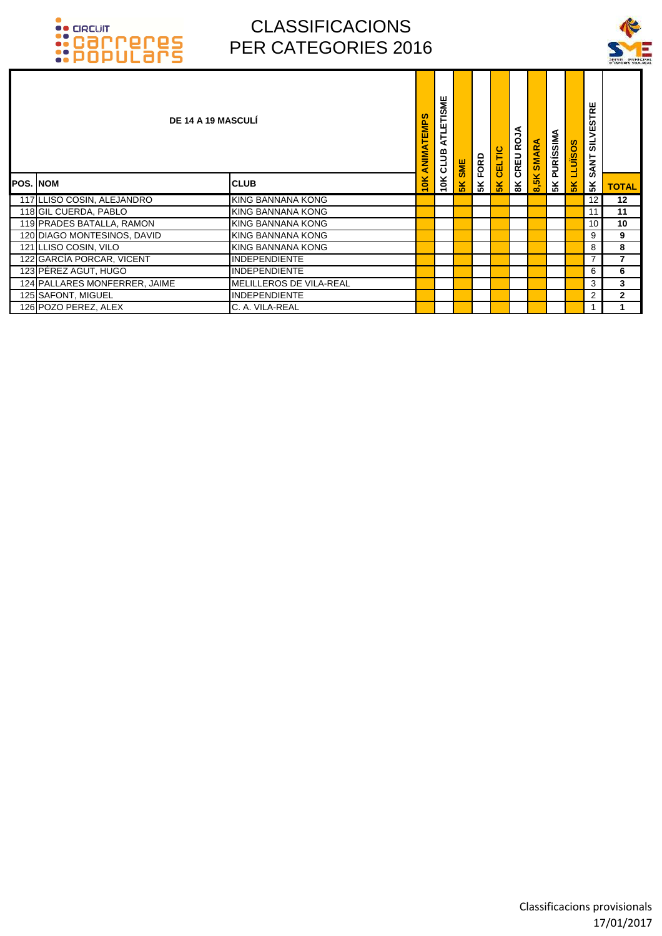

| DE 14 A 19 MASCULÍ            |                         | TEMPS<br>ANIMA | ATLETISME<br>10K CLUB | <b>SK SME</b> | FORD | CELTIC | CREU ROJA      | <b>SMARA</b> | <b>5K PURÍSSIMA</b> | <b>SOSINTI</b> | <b>SILVESTRE</b><br><b>SANT</b> |                |
|-------------------------------|-------------------------|----------------|-----------------------|---------------|------|--------|----------------|--------------|---------------------|----------------|---------------------------------|----------------|
| POS. INOM                     | <b>CLUB</b>             | 10K            |                       |               | 5K   | 5K     | $\frac{8}{10}$ | 8,5K         |                     | 5K             | 5K                              | <b>TOTAL</b>   |
| 117 LLISO COSIN, ALEJANDRO    | KING BANNANA KONG       |                |                       |               |      |        |                |              |                     |                | 12                              | 12             |
| 118 GIL CUERDA, PABLO         | KING BANNANA KONG       |                |                       |               |      |        |                |              |                     |                | 11                              | 11             |
| 119 PRADES BATALLA, RAMON     | KING BANNANA KONG       |                |                       |               |      |        |                |              |                     |                | 10                              | 10             |
| 120 DIAGO MONTESINOS, DAVID   | KING BANNANA KONG       |                |                       |               |      |        |                |              |                     |                | 9                               | 9              |
| 121 LLISO COSIN, VILO         | KING BANNANA KONG       |                |                       |               |      |        |                |              |                     |                | 8                               | 8              |
| 122 GARCÍA PORCAR, VICENT     | <b>INDEPENDIENTE</b>    |                |                       |               |      |        |                |              |                     |                |                                 | 7              |
| 123 PÉREZ AGUT, HUGO          | <b>INDEPENDIENTE</b>    |                |                       |               |      |        |                |              |                     |                | 6                               | 6              |
| 124 PALLARES MONFERRER, JAIME | MELILLEROS DE VILA-REAL |                |                       |               |      |        |                |              |                     |                | 3                               | 3              |
| 125 SAFONT, MIGUEL            | <b>INDEPENDIENTE</b>    |                |                       |               |      |        |                |              |                     |                | 2                               | $\overline{2}$ |
| 126 POZO PEREZ, ALEX          | C. A. VILA-REAL         |                |                       |               |      |        |                |              |                     |                |                                 |                |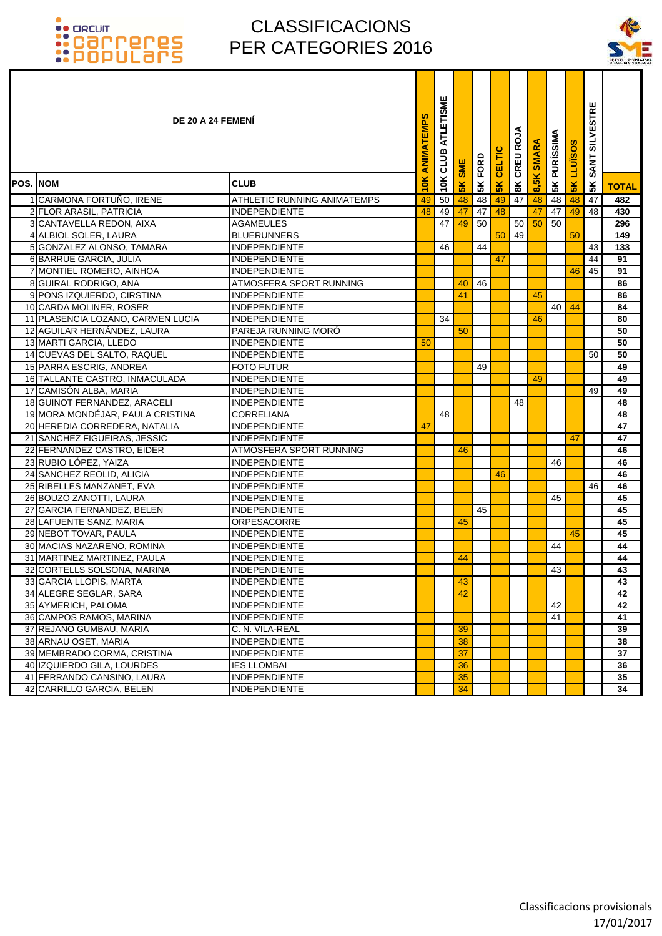

|                  | DE 20 A 24 FEMENI                 |                             | ANIMATEMPS | ш<br><b>ATLETISM</b><br>CLUB | <b>SME</b> | FORD | CELTIC    | CREU ROJA      | <b>SMARA</b> | <b>PURÍSSIMA</b> | <b>LLUÏSOS</b> | <b>SILVESTRE</b><br><b>SANT</b> |              |
|------------------|-----------------------------------|-----------------------------|------------|------------------------------|------------|------|-----------|----------------|--------------|------------------|----------------|---------------------------------|--------------|
| <b>POS. INOM</b> |                                   | <b>CLUB</b>                 | 10K        | 10K                          | 5K         | 5K   | <b>5K</b> | $\frac{8}{10}$ | 8,5K         | 5K               | 5 <sub>K</sub> | 5K                              | <b>TOTAL</b> |
|                  | 1 CARMONA FORTUÑO, IRENE          | ATHLETIC RUNNING ANIMATEMPS | 49         | 50                           | 48         | 48   | 49        | 47             | 48           | 48               | 48             | 47                              | 482          |
|                  | 2 FLOR ARASIL, PATRICIA           | <b>INDEPENDIENTE</b>        | 48         | 49                           | 47         | 47   | 48        |                | 47           | 47               | 49             | 48                              | 430          |
|                  | 3 CANTAVELLA REDON, AIXA          | AGAMEULES                   |            | 47                           | 49         | 50   |           | 50             | 50           | 50               |                |                                 | 296          |
|                  | 4 ALBIOL SOLER, LAURA             | <b>BLUERUNNERS</b>          |            |                              |            |      | 50        | 49             |              |                  | 50             |                                 | 149          |
|                  | 5 GONZALEZ ALONSO, TAMARA         | <b>INDEPENDIENTE</b>        |            | 46                           |            | 44   |           |                |              |                  |                | 43                              | 133          |
|                  | 6 BARRUE GARCIA, JULIA            | <b>INDEPENDIENTE</b>        |            |                              |            |      | 47        |                |              |                  |                | 44                              | 91           |
|                  | 7 MONTIEL ROMERO, AINHOA          | <b>INDEPENDIENTE</b>        |            |                              |            |      |           |                |              |                  | 46             | 45                              | 91           |
|                  | 8 GUIRAL RODRIGO, ANA             | ATMOSFERA SPORT RUNNING     |            |                              | 40         | 46   |           |                |              |                  |                |                                 | 86           |
|                  | 9 PONS IZQUIERDO, CIRSTINA        | <b>INDEPENDIENTE</b>        |            |                              | 41         |      |           |                | 45           |                  |                |                                 | 86           |
|                  | 10 CARDA MOLINER, ROSER           | <b>INDEPENDIENTE</b>        |            |                              |            |      |           |                |              | 40               | 44             |                                 | 84           |
|                  | 11 PLASENCIA LOZANO, CARMEN LUCIA | <b>INDEPENDIENTE</b>        |            | 34                           |            |      |           |                | 46           |                  |                |                                 | 80           |
|                  | 12 AGUILAR HERNÁNDEZ. LAURA       | PAREJA RUNNING MORÓ         |            |                              | 50         |      |           |                |              |                  |                |                                 | 50           |
|                  | 13 MARTI GARCIA, LLEDO            | <b>INDEPENDIENTE</b>        | 50         |                              |            |      |           |                |              |                  |                |                                 | 50           |
|                  | 14 CUEVAS DEL SALTO, RAQUEL       | <b>INDEPENDIENTE</b>        |            |                              |            |      |           |                |              |                  |                | 50                              | 50           |
|                  | 15 PARRA ESCRIG, ANDREA           | <b>FOTO FUTUR</b>           |            |                              |            | 49   |           |                |              |                  |                |                                 | 49           |
|                  | 16 TALLANTE CASTRO, INMACULADA    | <b>INDEPENDIENTE</b>        |            |                              |            |      |           |                | 49           |                  |                |                                 | 49           |
|                  | 17 CAMISÓN ALBA, MARIA            | <b>INDEPENDIENTE</b>        |            |                              |            |      |           |                |              |                  |                | 49                              | 49           |
|                  | 18 GUINOT FERNANDEZ, ARACELI      | <b>INDEPENDIENTE</b>        |            |                              |            |      |           | 48             |              |                  |                |                                 | 48           |
|                  | 19 MORA MONDÉJAR, PAULA CRISTINA  | <b>CORRELIANA</b>           |            | 48                           |            |      |           |                |              |                  |                |                                 | 48           |
|                  | 20 HEREDIA CORREDERA, NATALIA     | <b>INDEPENDIENTE</b>        | 47         |                              |            |      |           |                |              |                  |                |                                 | 47           |
|                  | 21 SANCHEZ FIGUEIRAS, JESSIC      | <b>INDEPENDIENTE</b>        |            |                              |            |      |           |                |              |                  | 47             |                                 | 47           |
|                  | 22 FERNANDEZ CASTRO, EIDER        | ATMOSFERA SPORT RUNNING     |            |                              | 46         |      |           |                |              |                  |                |                                 | 46           |
|                  | 23 RUBIO LÓPEZ, YAIZA             | <b>INDEPENDIENTE</b>        |            |                              |            |      |           |                |              | 46               |                |                                 | 46           |
|                  | 24 SANCHEZ REOLID, ALICIA         | <b>INDEPENDIENTE</b>        |            |                              |            |      | 46        |                |              |                  |                |                                 | 46           |
|                  | 25 RIBELLES MANZANET, EVA         | <b>INDEPENDIENTE</b>        |            |                              |            |      |           |                |              |                  |                | 46                              | 46           |
|                  | 26 BOUZÓ ZANOTTI, LAURA           | <b>INDEPENDIENTE</b>        |            |                              |            |      |           |                |              | 45               |                |                                 | 45           |
|                  | 27 GARCIA FERNANDEZ, BELEN        | <b>INDEPENDIENTE</b>        |            |                              |            | 45   |           |                |              |                  |                |                                 | 45           |
|                  | 28 LAFUENTE SANZ, MARIA           | ORPESACORRE                 |            |                              | 45         |      |           |                |              |                  |                |                                 | 45           |
|                  | 29 NEBOT TOVAR, PAULA             | <b>INDEPENDIENTE</b>        |            |                              |            |      |           |                |              |                  | 45             |                                 | 45           |
|                  | 30 MACIAS NAZARENO, ROMINA        | <b>INDEPENDIENTE</b>        |            |                              |            |      |           |                |              | 44               |                |                                 | 44           |
|                  | 31 MARTINEZ MARTINEZ, PAULA       | <b>INDEPENDIENTE</b>        |            |                              | 44         |      |           |                |              |                  |                |                                 | 44           |
|                  | 32 CORTELLS SOLSONA, MARINA       | <b>INDEPENDIENTE</b>        |            |                              |            |      |           |                |              | 43               |                |                                 | 43           |
|                  | 33 GARCIA LLOPIS, MARTA           | <b>INDEPENDIENTE</b>        |            |                              | 43         |      |           |                |              |                  |                |                                 | 43           |
|                  | 34 ALEGRE SEGLAR, SARA            | <b>INDEPENDIENTE</b>        |            |                              | 42         |      |           |                |              |                  |                |                                 | 42           |
|                  | 35 AYMERICH, PALOMA               | <b>INDEPENDIENTE</b>        |            |                              |            |      |           |                |              | 42               |                |                                 | 42           |
|                  | 36 CAMPOS RAMOS, MARINA           | <b>INDEPENDIENTE</b>        |            |                              |            |      |           |                |              | 41               |                |                                 | 41           |
|                  | 37 REJANO GUMBAU, MARIA           | C. N. VILA-REAL             |            |                              | 39         |      |           |                |              |                  |                |                                 | 39           |
|                  | 38 ARNAU OSET, MARIA              | <b>INDEPENDIENTE</b>        |            |                              | 38         |      |           |                |              |                  |                |                                 | 38           |
|                  | 39 MEMBRADO CORMA, CRISTINA       | <b>INDEPENDIENTE</b>        |            |                              | 37         |      |           |                |              |                  |                |                                 | 37           |
|                  | 40 IZQUIERDO GILA, LOURDES        | <b>IES LLOMBAI</b>          |            |                              | 36         |      |           |                |              |                  |                |                                 | 36           |
|                  | 41 FERRANDO CANSINO, LAURA        | <b>INDEPENDIENTE</b>        |            |                              | 35         |      |           |                |              |                  |                |                                 | 35           |
|                  | 42 CARRILLO GARCIA, BELEN         | <b>INDEPENDIENTE</b>        |            |                              | 34         |      |           |                |              |                  |                |                                 | 34           |
|                  |                                   |                             |            |                              |            |      |           |                |              |                  |                |                                 |              |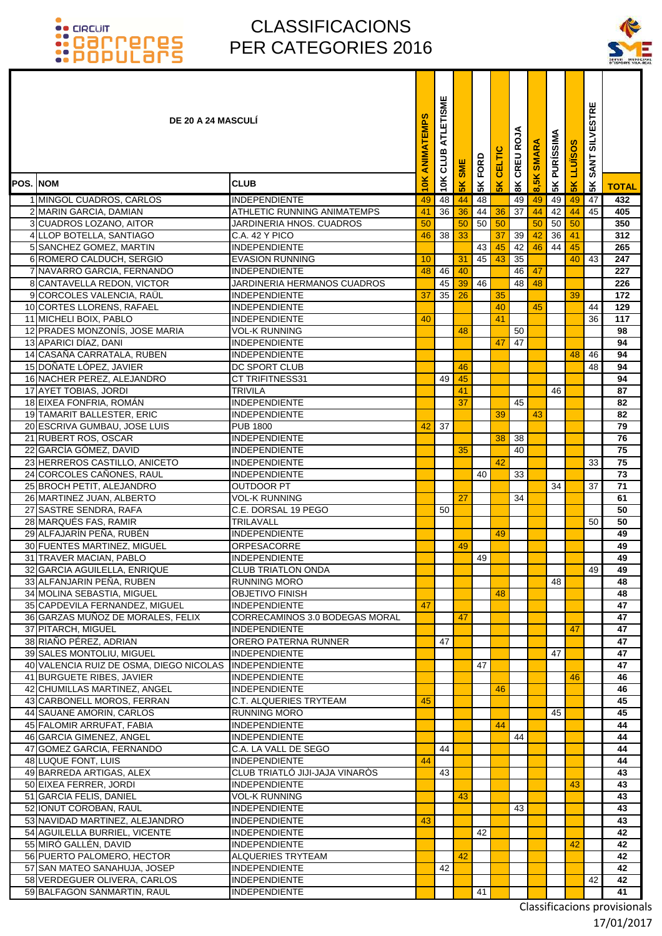### **OO CIRCUIT**

### CLASSIFICACIONS PER CATEGORIES 2016

T ٦



|                 | <b>DE 20 A 24 MASCULI</b>                              |                                              | ANIMATEMPS | ATLETISME<br>CLUB | <b>SME</b>    | FORD | <b>CELTIC</b>  | CREU ROJA      | <b>SMARA</b> | <b>PURÍSSIMA</b> | <b>LLUISOS</b> | <b>SILVESTRE</b><br><b>SANT</b> |                 |
|-----------------|--------------------------------------------------------|----------------------------------------------|------------|-------------------|---------------|------|----------------|----------------|--------------|------------------|----------------|---------------------------------|-----------------|
| <b>POS. NOM</b> |                                                        | <b>CLUB</b>                                  | 10K        | 10K               | $\frac{1}{2}$ | 5K   | 5 <sub>K</sub> | $\frac{8}{10}$ | 8,5K         | 5K               | $\frac{2}{3}$  | 5K                              | <b>TOTAL</b>    |
|                 | 1 MINGOL CUADROS, CARLOS                               | <b>INDEPENDIENTE</b>                         | 49         | 48                | 44            | 48   |                | 49             | 49           | 49               | 49             | 47                              | 432             |
|                 | 2 MARIN GARCIA, DAMIAN                                 | <b>ATHLETIC RUNNING ANIMATEMPS</b>           | 41         | 36                | 36            | 44   | 36             | 37             | 44           | 42               | 44             | 45                              | 405             |
|                 | 3 CUADROS LOZANO, AITOR                                | JARDINERIA HNOS, CUADROS                     | 50         |                   | 50            | 50   | 50             |                | 50           | 50               | 50             |                                 | 350             |
|                 | 4 LLOP BOTELLA, SANTIAGO                               | C.A. 42 Y PICO                               | 46         | 38                | 33            |      | 37             | 39             | 42           | 36               | 41             |                                 | 312             |
|                 | 5 SANCHEZ GOMEZ, MARTIN                                | <b>INDEPENDIENTE</b>                         |            |                   |               | 43   | 45             | 42             | 46           | 44               | 45             |                                 | 265             |
|                 | 6 ROMERO CALDUCH, SERGIO                               | <b>EVASION RUNNING</b>                       | 10         |                   | 31            | 45   | 43             | 35             |              |                  | 40             | 43                              | 247             |
|                 | 7 NAVARRO GARCIA, FERNANDO                             | <b>INDEPENDIENTE</b>                         | 48         | 46                | 40            |      |                | 46             | 47           |                  |                |                                 | 227             |
|                 | 8 CANTAVELLA REDON, VICTOR                             | JARDINERIA HERMANOS CUADROS                  |            | 45                | 39            | 46   |                | 48             | 48           |                  |                |                                 | 226             |
|                 | 9 CORCOLES VALENCIA, RAÜL                              | <b>INDEPENDIENTE</b>                         | 37         | 35                | 26            |      | 35             |                |              |                  | 39             |                                 | 172             |
|                 | 10 CORTES LLORENS, RAFAEL                              | <b>INDEPENDIENTE</b>                         |            |                   |               |      | 40             |                | 45           |                  |                | 44                              | 129             |
|                 | 11 MICHELI BOIX, PABLO                                 | <b>INDEPENDIENTE</b>                         | 40         |                   |               |      | 41             |                |              |                  |                | 36                              | 117             |
|                 | 12 PRADES MONZONÍS, JOSE MARIA                         | <b>VOL-K RUNNING</b>                         |            |                   | 48            |      |                | 50             |              |                  |                |                                 | 98              |
|                 | 13 APARICI DÍAZ, DANI                                  | <b>INDEPENDIENTE</b>                         |            |                   |               |      | 47             | 47             |              |                  |                |                                 | 94              |
|                 | 14 CASAÑA CARRATALA, RUBEN                             | <b>INDEPENDIENTE</b>                         |            |                   |               |      |                |                |              |                  | 48             | 46                              | 94              |
|                 | 15 DOÑATE LÓPEZ, JAVIER                                | DC SPORT CLUB                                |            |                   | 46            |      |                |                |              |                  |                | 48                              | 94              |
|                 | 16 NACHER PEREZ, ALEJANDRO                             | <b>CT TRIFITNESS31</b>                       |            | 49                | 45            |      |                |                |              |                  |                |                                 | 94              |
|                 | 17 AYET TOBIAS, JORDI                                  | <b>TRIVILA</b>                               |            |                   | 41            |      |                |                |              | 46               |                |                                 | 87              |
|                 | 18 EIXEA FONFRIA, ROMÁN                                | <b>INDEPENDIENTE</b>                         |            |                   | 37            |      |                | 45             |              |                  |                |                                 | 82              |
|                 | 19 TAMARIT BALLESTER, ERIC                             | <b>INDEPENDIENTE</b>                         |            |                   |               |      | 39             |                | 43           |                  |                |                                 | 82              |
|                 | 20 ESCRIVA GUMBAU, JOSE LUIS                           | <b>PUB 1800</b>                              | 42         | 37                |               |      |                |                |              |                  |                |                                 | $\overline{79}$ |
|                 | 21 RUBERT ROS, OSCAR                                   | <b>INDEPENDIENTE</b>                         |            |                   |               |      | 38             | 38             |              |                  |                |                                 | 76              |
| 22              | GARCÍA GÓMEZ, DAVID                                    | <b>INDEPENDIENTE</b>                         |            |                   | 35            |      |                | 40             |              |                  |                |                                 | $\overline{75}$ |
|                 | 23 HERREROS CASTILLO, ANICETO                          | <b>INDEPENDIENTE</b>                         |            |                   |               |      | 42             |                |              |                  |                | 33                              | 75<br>73        |
|                 | 24 CORCOLES CAÑONES, RAUL<br>25 BROCH PETIT, ALEJANDRO | <b>INDEPENDIENTE</b><br>OUTDOOR PT           |            |                   |               | 40   |                | 33             |              | 34               |                | 37                              | 71              |
|                 | 26 MARTINEZ JUAN, ALBERTO                              | <b>VOL-K RUNNING</b>                         |            |                   | 27            |      |                | 34             |              |                  |                |                                 | 61              |
|                 | 27 SASTRE SENDRA, RAFA                                 | C.E. DORSAL 19 PEGO                          |            | 50                |               |      |                |                |              |                  |                |                                 | 50              |
|                 | 28 MARQUÉS FAS, RAMIR                                  | TRILAVALL                                    |            |                   |               |      |                |                |              |                  |                | 50                              | 50              |
|                 | 29 ALFAJARÍN PEÑA, RUBÉN                               | <b>INDEPENDIENTE</b>                         |            |                   |               |      | 49             |                |              |                  |                |                                 | 49              |
|                 | 30 FUENTES MARTINEZ, MIGUEL                            | <b>ORPESACORRE</b>                           |            |                   | 49            |      |                |                |              |                  |                |                                 | 49              |
|                 | 31 TRAVER MACIAN, PABLO                                | <b>INDEPENDIENTE</b>                         |            |                   |               | 49   |                |                |              |                  |                |                                 | 49              |
| 32              | <b>GARCIA AGUILELLA, ENRIQUE</b>                       | <b>CLUB TRIATLON ONDA</b>                    |            |                   |               |      |                |                |              |                  |                | 49                              | 49              |
|                 | 33 ALFANJARIN PENA, RUBEN                              | <b>RUNNING MORO</b>                          |            |                   |               |      |                |                |              | 48               |                |                                 | 48              |
|                 | 34 MOLINA SEBASTIA, MIGUEL                             | <b>OBJETIVO FINISH</b>                       |            |                   |               |      | 48             |                |              |                  |                |                                 | 48              |
|                 | 35 CAPDEVILA FERNANDEZ, MIGUEL                         | <b>INDEPENDIENTE</b>                         | 47         |                   |               |      |                |                |              |                  |                |                                 | 47              |
|                 | 36 GARZAS MUÑOZ DE MORALES, FELIX                      | CORRECAMINOS 3.0 BODEGAS MORAL               |            |                   | 47            |      |                |                |              |                  |                |                                 | 47              |
|                 | 37 PITARCH, MIGUEL                                     | <b>INDEPENDIENTE</b>                         |            |                   |               |      |                |                |              |                  | 47             |                                 | 47              |
|                 | 38 RIAÑO PÉREZ, ADRIAN                                 | ORERO PATERNA RUNNER                         |            | 47                |               |      |                |                |              |                  |                |                                 | 47              |
|                 | 39 SALES MONTOLIU, MIGUEL                              | INDEPENDIENTE                                |            |                   |               |      |                |                |              | 47               |                |                                 | 47              |
|                 | 40 VALENCIA RUIZ DE OSMA, DIEGO NICOLAS INDEPENDIENTE  |                                              |            |                   |               | 47   |                |                |              |                  |                |                                 | 47              |
|                 | 41 BURGUETE RIBES, JAVIER                              | <b>INDEPENDIENTE</b>                         |            |                   |               |      |                |                |              |                  | 46             |                                 | 46              |
|                 | 42 CHUMILLAS MARTINEZ, ANGEL                           | <b>INDEPENDIENTE</b>                         |            |                   |               |      | 46             |                |              |                  |                |                                 | 46              |
|                 | 43 CARBONELL MOROS, FERRAN                             | <b>C.T. ALQUERIES TRYTEAM</b>                | 45         |                   |               |      |                |                |              |                  |                |                                 | 45              |
|                 | 44 SAUANE AMORIN, CARLOS                               | <b>RUNNING MORO</b>                          |            |                   |               |      |                |                |              | 45               |                |                                 | 45              |
|                 | 45 FALOMIR ARRUFAT, FABIA                              | <b>INDEPENDIENTE</b>                         |            |                   |               |      | 44             |                |              |                  |                |                                 | 44              |
|                 | 46 GARCIA GIMENEZ, ANGEL                               | <b>INDEPENDIENTE</b>                         |            |                   |               |      |                | 44             |              |                  |                |                                 | 44              |
|                 | 47 GOMEZ GARCIA, FERNANDO<br>48 LUQUE FONT, LUIS       | C.A. LA VALL DE SEGO<br><b>INDEPENDIENTE</b> | 44         | 44                |               |      |                |                |              |                  |                |                                 | 44<br>44        |
|                 | 49 BARREDA ARTIGAS, ALEX                               | CLUB TRIATLÓ JIJI-JAJA VINARÒS               |            | 43                |               |      |                |                |              |                  |                |                                 | 43              |
|                 | 50 EIXEA FERRER, JORDI                                 | <b>INDEPENDIENTE</b>                         |            |                   |               |      |                |                |              |                  | 43             |                                 | 43              |
|                 | 51 GARCIA FELIS, DANIEL                                | <b>VOL-K RUNNING</b>                         |            |                   | 43            |      |                |                |              |                  |                |                                 | 43              |
|                 | 52 IONUT COROBAN, RAUL                                 | <b>INDEPENDIENTE</b>                         |            |                   |               |      |                | 43             |              |                  |                |                                 | 43              |
|                 | 53 NAVIDAD MARTINEZ, ALEJANDRO                         | <b>INDEPENDIENTE</b>                         | 43         |                   |               |      |                |                |              |                  |                |                                 | 43              |
|                 | 54 AGUILELLA BURRIEL, VICENTE                          | <b>INDEPENDIENTE</b>                         |            |                   |               | 42   |                |                |              |                  |                |                                 | 42              |
|                 | 55 MIRÓ GALLÉN, DAVID                                  | <b>INDEPENDIENTE</b>                         |            |                   |               |      |                |                |              |                  | 42             |                                 | 42              |
|                 | 56 PUERTO PALOMERO, HECTOR                             | <b>ALQUERIES TRYTEAM</b>                     |            |                   | 42            |      |                |                |              |                  |                |                                 | 42              |
|                 | 57 SAN MATEO SANAHUJA, JOSEP                           | <b>INDEPENDIENTE</b>                         |            | 42                |               |      |                |                |              |                  |                |                                 | 42              |
|                 | 58 VERDEGUER OLIVERA, CARLOS                           | <b>INDEPENDIENTE</b>                         |            |                   |               |      |                |                |              |                  |                | 42                              | 42              |
|                 | 59 BALFAGON SANMARTIN, RAUL                            | <b>INDEPENDIENTE</b>                         |            |                   |               | 41   |                |                |              |                  |                |                                 | 41              |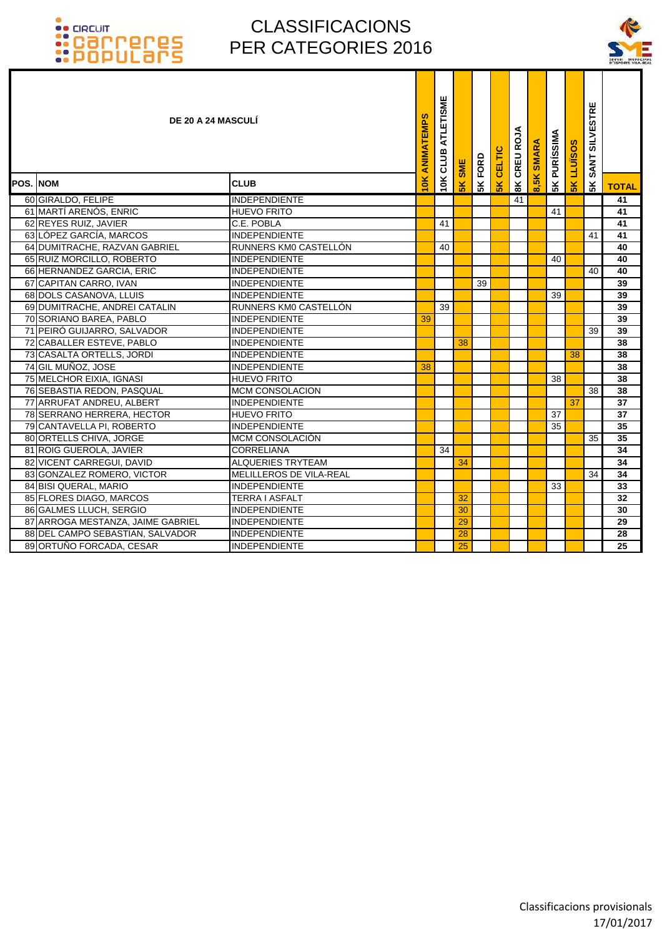

|                  | <b>DE 20 A 24 MASCULI</b>         |                          | ANIMATEMPS | ATLETISME<br>CLUB | SME            | FORD | CELTIC        | CREU ROJA      | <b>SMARA</b> | <b>PURÍSSIMA</b> | <b>SOSINTI</b> | <b>SILVESTRE</b><br><b>SANT</b> |                 |
|------------------|-----------------------------------|--------------------------|------------|-------------------|----------------|------|---------------|----------------|--------------|------------------|----------------|---------------------------------|-----------------|
| <b>POS. INOM</b> |                                   | <b>CLUB</b>              | 1OK        | 10K               | 5 <sub>K</sub> | 5K   | $\frac{2}{5}$ | $\frac{8}{10}$ | 8,5K         | 5K               | $\frac{8}{5}$  | 5K                              | <b>TOTAL</b>    |
|                  | 60 GIRALDO, FELIPE                | <b>INDEPENDIENTE</b>     |            |                   |                |      |               | 41             |              |                  |                |                                 | 41              |
|                  | 61 MARTÍ ARENÓS, ENRIC            | <b>HUEVO FRITO</b>       |            |                   |                |      |               |                |              | 41               |                |                                 | 41              |
|                  | 62 REYES RUIZ, JAVIER             | C.E. POBLA               |            | 41                |                |      |               |                |              |                  |                |                                 | $\overline{41}$ |
|                  | 63 LÓPEZ GARCÍA, MARCOS           | <b>INDEPENDIENTE</b>     |            |                   |                |      |               |                |              |                  |                | 41                              | 41              |
|                  | 64 DUMITRACHE, RAZVAN GABRIEL     | RUNNERS KMO CASTELLON    |            | 40                |                |      |               |                |              |                  |                |                                 | 40              |
|                  | 65 RUIZ MORCILLO, ROBERTO         | <b>INDEPENDIENTE</b>     |            |                   |                |      |               |                |              | 40               |                |                                 | 40              |
|                  | 66 HERNANDEZ GARCIA, ERIC         | <b>INDEPENDIENTE</b>     |            |                   |                |      |               |                |              |                  |                | 40                              | 40              |
|                  | 67 CAPITAN CARRO, IVAN            | <b>INDEPENDIENTE</b>     |            |                   |                | 39   |               |                |              |                  |                |                                 | 39              |
|                  | 68 DOLS CASANOVA, LLUIS           | <b>INDEPENDIENTE</b>     |            |                   |                |      |               |                |              | 39               |                |                                 | 39              |
|                  | 69 DUMITRACHE, ANDREI CATALIN     | RUNNERS KMO CASTELLÓN    |            | 39                |                |      |               |                |              |                  |                |                                 | 39              |
|                  | 70 SORIANO BAREA, PABLO           | <b>INDEPENDIENTE</b>     | 39         |                   |                |      |               |                |              |                  |                |                                 | 39              |
|                  | 71 PEIRÓ GUIJARRO, SALVADOR       | <b>INDEPENDIENTE</b>     |            |                   |                |      |               |                |              |                  |                | 39                              | 39              |
|                  | 72 CABALLER ESTEVE, PABLO         | <b>INDEPENDIENTE</b>     |            |                   | 38             |      |               |                |              |                  |                |                                 | 38              |
|                  | 73 CASALTA ORTELLS, JORDI         | <b>INDEPENDIENTE</b>     |            |                   |                |      |               |                |              |                  | 38             |                                 | 38              |
|                  | 74 GIL MUÑOZ, JOSE                | <b>INDEPENDIENTE</b>     | 38         |                   |                |      |               |                |              |                  |                |                                 | 38              |
|                  | 75 MELCHOR EIXIA, IGNASI          | <b>HUEVO FRITO</b>       |            |                   |                |      |               |                |              | 38               |                |                                 | 38              |
|                  | 76 SEBASTIA REDON, PASQUAL        | <b>MCM CONSOLACION</b>   |            |                   |                |      |               |                |              |                  |                | 38                              | 38              |
|                  | 77 ARRUFAT ANDREU, ALBERT         | <b>INDEPENDIENTE</b>     |            |                   |                |      |               |                |              |                  | 37             |                                 | 37              |
|                  | 78 SERRANO HERRERA, HECTOR        | <b>HUEVO FRITO</b>       |            |                   |                |      |               |                |              | 37               |                |                                 | 37              |
|                  | 79 CANTAVELLA PI, ROBERTO         | <b>INDEPENDIENTE</b>     |            |                   |                |      |               |                |              | 35               |                |                                 | 35              |
|                  | 80 ORTELLS CHIVA, JORGE           | MCM CONSOLACIÓN          |            |                   |                |      |               |                |              |                  |                | 35                              | 35              |
|                  | 81 ROIG GUEROLA, JAVIER           | <b>CORRELIANA</b>        |            | 34                |                |      |               |                |              |                  |                |                                 | 34              |
|                  | 82 VICENT CARREGUI, DAVID         | <b>ALQUERIES TRYTEAM</b> |            |                   | 34             |      |               |                |              |                  |                |                                 | 34              |
|                  | 83 GONZALEZ ROMERO, VICTOR        | MELILLEROS DE VILA-REAL  |            |                   |                |      |               |                |              |                  |                | 34                              | 34              |
|                  | 84 BISI QUERAL, MARIO             | <b>INDEPENDIENTE</b>     |            |                   |                |      |               |                |              | 33               |                |                                 | 33              |
|                  | 85 FLORES DIAGO, MARCOS           | <b>TERRA I ASFALT</b>    |            |                   | 32             |      |               |                |              |                  |                |                                 | 32              |
|                  | 86 GALMES LLUCH, SERGIO           | <b>INDEPENDIENTE</b>     |            |                   | 30             |      |               |                |              |                  |                |                                 | 30              |
|                  | 87 ARROGA MESTANZA, JAIME GABRIEL | <b>INDEPENDIENTE</b>     |            |                   | 29             |      |               |                |              |                  |                |                                 | 29              |
|                  | 88 DEL CAMPO SEBASTIAN, SALVADOR  | <b>INDEPENDIENTE</b>     |            |                   | 28             |      |               |                |              |                  |                |                                 | 28              |
|                  | 89 ORTUÑO FORCADA, CESAR          | <b>INDEPENDIENTE</b>     |            |                   | 25             |      |               |                |              |                  |                |                                 | 25              |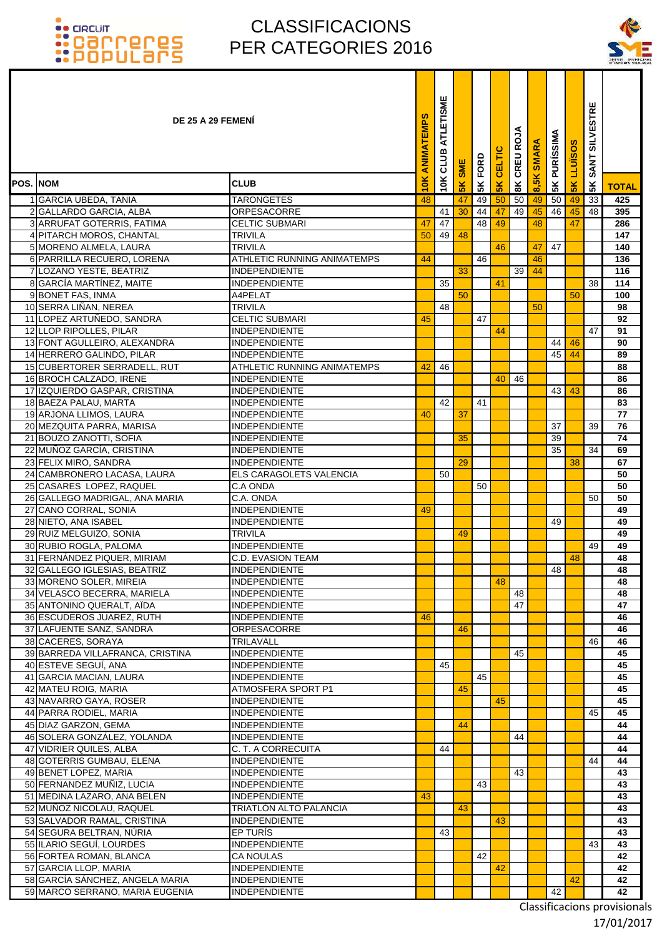### CLASSIFICACIONS PER CATEGORIES 2016

ī ۰ Т т



|                 | DE 25 A 29 FEMENI                                          |                                            | <b>ANIMATEMPS</b> | ATLETISME<br>CLUB | SME            | FORD | CELTIC | CREU ROJA              | <b>SMARA</b> | <b>PURÍSSIMA</b> | <b>LLUÏSOS</b> | <b>SILVESTRE</b><br><b>SANT</b> |              |
|-----------------|------------------------------------------------------------|--------------------------------------------|-------------------|-------------------|----------------|------|--------|------------------------|--------------|------------------|----------------|---------------------------------|--------------|
| <b>POS. NOM</b> |                                                            | <b>CLUB</b>                                | 10K               | 10K               | 5 <sub>K</sub> | 5K   | 5K     | $\mathsf{g}\mathsf{K}$ | 8,5K         | 5K               | <b>5K</b>      | 5K                              | <b>TOTAL</b> |
|                 | 1 GARCIA UBEDA, TANIA                                      | <b>TARONGETES</b>                          | 48                |                   | 47             | 49   | 50     | 50                     | 49           | 50               | 49             | $\overline{33}$                 | 425          |
|                 | 2 GALLARDO GARCIA, ALBA                                    | ORPESACORRE                                |                   | 41                | 30             | 44   | 47     | 49                     | 45           | 46               | 45             | 48                              | 395          |
|                 | 3 ARRUFAT GOTERRIS, FATIMA                                 | <b>CELTIC SUBMARI</b>                      | 47                | 47                |                | 48   | 49     |                        | 48           |                  | 47             |                                 | 286          |
|                 | 4 PITARCH MOROS, CHANTAL                                   | <b>TRIVILA</b>                             | 50                | 49                | 48             |      |        |                        |              |                  |                |                                 | 147          |
|                 | 5 MORENO ALMELA, LAURA                                     | <b>TRIVILA</b>                             |                   |                   |                |      | 46     |                        | 47           | 47               |                |                                 | 140          |
|                 | 6 PARRILLA RECUERO, LORENA                                 | ATHLETIC RUNNING ANIMATEMPS                | 44                |                   |                | 46   |        |                        | 46           |                  |                |                                 | 136          |
|                 | 7 LOZANO YESTE, BEATRIZ                                    | INDEPENDIENTE                              |                   |                   | 33             |      |        | 39                     | 44           |                  |                |                                 | 116          |
|                 | 8 GARCÍA MARTÍNEZ, MAITE                                   | <b>INDEPENDIENTE</b>                       |                   | 35                |                |      | 41     |                        |              |                  |                | 38                              | 114          |
|                 | 9 BONET FAS, INMA                                          | A4PELAT                                    |                   |                   | 50             |      |        |                        |              |                  | 50             |                                 | 100          |
|                 | 10 SERRA LIÑAN, NEREA                                      | <b>TRIVILA</b>                             |                   | 48                |                |      |        |                        | 50           |                  |                |                                 | 98           |
|                 | 11 LOPEZ ARTUÑEDO, SANDRA                                  | <b>CELTIC SUBMARI</b>                      | 45                |                   |                | 47   |        |                        |              |                  |                |                                 | 92           |
|                 | 12 LLOP RIPOLLES, PILAR                                    | INDEPENDIENTE                              |                   |                   |                |      | 44     |                        |              |                  |                | 47                              | 91           |
|                 | 13 FONT AGULLEIRO, ALEXANDRA                               | INDEPENDIENTE                              |                   |                   |                |      |        |                        |              | 44               | 46             |                                 | 90           |
|                 | 14 HERRERO GALINDO, PILAR                                  | <b>INDEPENDIENTE</b>                       |                   |                   |                |      |        |                        |              | 45               | 44             |                                 | 89           |
|                 | 15 CUBERTORER SERRADELL, RUT                               | ATHLETIC RUNNING ANIMATEMPS                | 42                | 46                |                |      |        |                        |              |                  |                |                                 | 88           |
|                 | 16 BROCH CALZADO, IRENE                                    | INDEPENDIENTE                              |                   |                   |                |      | 40     | 46                     |              |                  |                |                                 | 86           |
|                 | 17 IZQUIERDO GASPAR, CRISTINA                              | INDEPENDIENTE                              |                   |                   |                |      |        |                        |              | 43 <sup>1</sup>  | 43             |                                 | 86           |
|                 | 18 BAEZA PALAU, MARTA                                      | <b>INDEPENDIENTE</b>                       |                   | 42                |                | 41   |        |                        |              |                  |                |                                 | 83           |
|                 | 19 ARJONA LLIMOS, LAURA                                    | INDEPENDIENTE                              | 40                |                   | 37             |      |        |                        |              |                  |                |                                 | 77           |
|                 | 20 MEZQUITA PARRA, MARISA                                  | INDEPENDIENTE                              |                   |                   |                |      |        |                        |              | 37               |                | 39                              | 76           |
|                 | 21 BOUZO ZANOTTI, SOFIA                                    | INDEPENDIENTE                              |                   |                   | 35             |      |        |                        |              | 39               |                |                                 | 74           |
|                 | 22 MUÑOZ GARCÍA, CRISTINA                                  | INDEPENDIENTE                              |                   |                   |                |      |        |                        |              | $\overline{35}$  |                | 34                              | 69           |
|                 | 23 FELIX MIRO, SANDRA                                      | <b>INDEPENDIENTE</b>                       |                   |                   | 29             |      |        |                        |              |                  | 38             |                                 | 67           |
|                 | 24 CAMBRONERO LACASA, LAURA                                | ELS CARAGOLETS VALENCIA                    |                   | 50                |                |      |        |                        |              |                  |                |                                 | 50           |
|                 | 25 CASARES LOPEZ, RAQUEL<br>26 GALLEGO MADRIGAL, ANA MARIA | C.A ONDA<br>C.A. ONDA                      |                   |                   |                | 50   |        |                        |              |                  |                | 50                              | 50<br>50     |
|                 | 27 CANO CORRAL, SONIA                                      | <b>INDEPENDIENTE</b>                       | 49                |                   |                |      |        |                        |              |                  |                |                                 | 49           |
|                 | 28 NIETO, ANA ISABEL                                       | <b>INDEPENDIENTE</b>                       |                   |                   |                |      |        |                        |              | 49               |                |                                 | 49           |
|                 | 29 RUIZ MELGUIZO, SONIA                                    | <b>TRIVILA</b>                             |                   |                   | 49             |      |        |                        |              |                  |                |                                 | 49           |
|                 | 30 RUBIO ROGLA, PALOMA                                     | INDEPENDIENTE                              |                   |                   |                |      |        |                        |              |                  |                | 49                              | 49           |
|                 | 31 FERNANDEZ PIQUER, MIRIAM                                | C.D. EVASION TEAM                          |                   |                   |                |      |        |                        |              |                  | 48             |                                 | 48           |
|                 | 32 GALLEGO IGLESIAS, BEATRIZ                               | INDEPENDIENTE                              |                   |                   |                |      |        |                        |              | 48               |                |                                 | 48           |
|                 | 33 MORENO SOLER, MIREIA                                    | <b>INDEPENDIENTE</b>                       |                   |                   |                |      | 48     |                        |              |                  |                |                                 | 48           |
|                 | 34 VELASCO BECERRA, MARIELA                                | INDEPENDIENTE                              |                   |                   |                |      |        | 48                     |              |                  |                |                                 | 48           |
|                 | 35 ANTONINO QUERALT, AÏDA                                  | INDEPENDIENTE                              |                   |                   |                |      |        | 47                     |              |                  |                |                                 | 47           |
|                 | 36 ESCUDEROS JUAREZ, RUTH                                  | <b>INDEPENDIENTE</b>                       | 46                |                   |                |      |        |                        |              |                  |                |                                 | 46           |
|                 | 37 LAFUENTE SANZ, SANDRA                                   | <b>ORPESACORRE</b>                         |                   |                   | 46             |      |        |                        |              |                  |                |                                 | 46           |
|                 | 38 CACERES, SORAYA                                         | TRILAVALL                                  |                   |                   |                |      |        |                        |              |                  |                | 46                              | 46           |
|                 | 39 BARREDA VILLAFRANCA, CRISTINA                           | <b>INDEPENDIENTE</b>                       |                   |                   |                |      |        | 45                     |              |                  |                |                                 | 45           |
|                 | 40 ESTEVE SEGUÍ, ANA                                       | <b>INDEPENDIENTE</b>                       |                   | 45                |                |      |        |                        |              |                  |                |                                 | 45           |
|                 | 41 GARCIA MACIAN, LAURA                                    | <b>INDEPENDIENTE</b>                       |                   |                   |                | 45   |        |                        |              |                  |                |                                 | 45           |
|                 | 42 MATEU ROIG, MARIA                                       | ATMOSFERA SPORT P1                         |                   |                   | 45             |      |        |                        |              |                  |                |                                 | 45           |
|                 | 43 NAVARRO GAYA, ROSER                                     | <b>INDEPENDIENTE</b>                       |                   |                   |                |      | 45     |                        |              |                  |                |                                 | 45           |
|                 | 44 PARRA RODIEL, MARIA                                     | <b>INDEPENDIENTE</b>                       |                   |                   |                |      |        |                        |              |                  |                | 45                              | 45           |
|                 | 45 DIAZ GARZON, GEMA                                       | <b>INDEPENDIENTE</b>                       |                   |                   | 44             |      |        |                        |              |                  |                |                                 | 44           |
|                 | 46 SOLERA GONZÁLEZ, YOLANDA                                | <b>INDEPENDIENTE</b>                       |                   |                   |                |      |        | 44                     |              |                  |                |                                 | 44           |
|                 | 47 VIDRIER QUILES, ALBA                                    | C. T. A CORRECUITA<br><b>INDEPENDIENTE</b> |                   | 44                |                |      |        |                        |              |                  |                |                                 | 44           |
|                 | 48 GOTERRIS GUMBAU, ELENA<br>49 BENET LOPEZ, MARIA         | <b>INDEPENDIENTE</b>                       |                   |                   |                |      |        | 43                     |              |                  |                | 44                              | 44<br>43     |
|                 | 50 FERNANDEZ MUÑIZ, LUCIA                                  | <b>INDEPENDIENTE</b>                       |                   |                   |                | 43   |        |                        |              |                  |                |                                 | 43           |
|                 | 51 MEDINA LAZARO, ANA BELEN                                | <b>INDEPENDIENTE</b>                       | 43                |                   |                |      |        |                        |              |                  |                |                                 | 43           |
|                 | 52 MUÑOZ NICOLAU, RAQUEL                                   | TRIATLÓN ALTO PALANCIA                     |                   |                   | 43             |      |        |                        |              |                  |                |                                 | 43           |
|                 | 53 SALVADOR RAMAL, CRISTINA                                | <b>INDEPENDIENTE</b>                       |                   |                   |                |      | 43     |                        |              |                  |                |                                 | 43           |
|                 | 54 SEGURA BELTRAN, NÚRIA                                   | EP TURÍS                                   |                   | 43                |                |      |        |                        |              |                  |                |                                 | 43           |
|                 | 55 ILARIO SEGUÍ, LOURDES                                   | <b>INDEPENDIENTE</b>                       |                   |                   |                |      |        |                        |              |                  |                | 43                              | 43           |
|                 | 56 FORTEA ROMAN, BLANCA                                    | <b>CA NOULAS</b>                           |                   |                   |                | 42   |        |                        |              |                  |                |                                 | 42           |
|                 | 57 GARCIA LLOP, MARIA                                      | <b>INDEPENDIENTE</b>                       |                   |                   |                |      | 42     |                        |              |                  |                |                                 | 42           |
|                 | 58 GARCÍA SÁNCHEZ, ANGELA MARIA                            | <b>INDEPENDIENTE</b>                       |                   |                   |                |      |        |                        |              |                  | 42             |                                 | 42           |
|                 | 59 MARCO SERRANO, MARIA EUGENIA                            | <b>INDEPENDIENTE</b>                       |                   |                   |                |      |        |                        |              | 42               |                |                                 | 42           |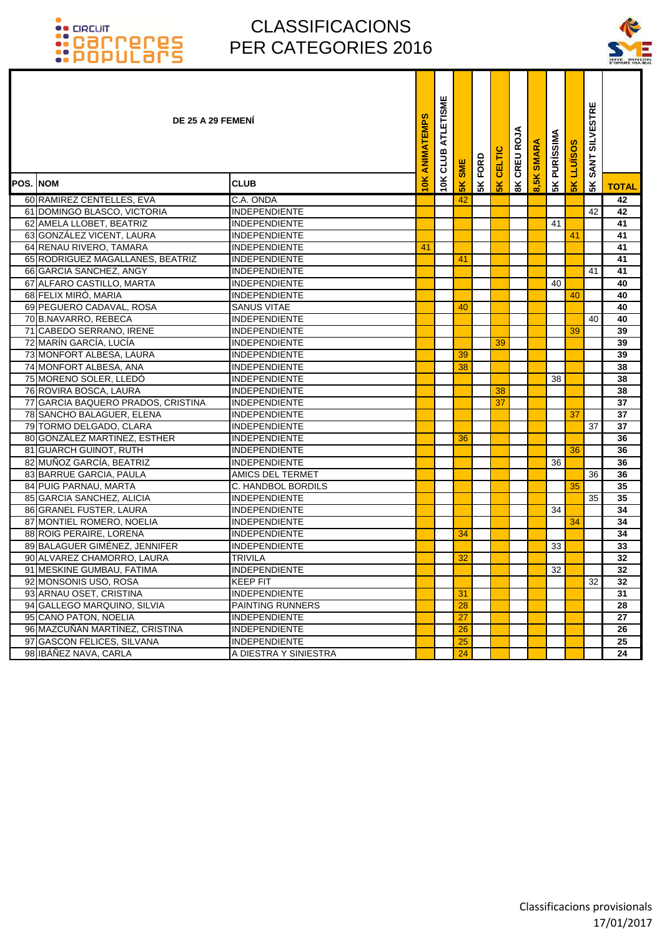

|                  | DE 25 A 29 FEMENI                  |                       | ANIMATEMPS | ATLETISME<br>CLUB | <b>SME</b>     | FORD | CELTIC        | CREU ROJA              | <b>SMARA</b> | <b>PURÍSSIMA</b> | ဖာ<br>LLUÏSO   | <b>SILVESTRE</b><br><b>SANT</b> |              |
|------------------|------------------------------------|-----------------------|------------|-------------------|----------------|------|---------------|------------------------|--------------|------------------|----------------|---------------------------------|--------------|
| <b>POS. INOM</b> |                                    | <b>CLUB</b>           | 10K        | 10K               | 5 <sub>K</sub> | 5K   | $\frac{2}{5}$ | $\mathsf{g}\mathsf{K}$ | 8,5K         | 5K               | 5 <sub>K</sub> | 5K                              | <b>TOTAL</b> |
|                  | 60 RAMIREZ CENTELLES, EVA          | C.A. ONDA             |            |                   | 42             |      |               |                        |              |                  |                |                                 | 42           |
|                  | 61 DOMINGO BLASCO, VICTORIA        | <b>INDEPENDIENTE</b>  |            |                   |                |      |               |                        |              |                  |                | 42                              | 42           |
|                  | 62 AMELA LLOBET, BEATRIZ           | <b>INDEPENDIENTE</b>  |            |                   |                |      |               |                        |              | 41               |                |                                 | 41           |
|                  | 63 GONZÁLEZ VICENT, LAURA          | <b>INDEPENDIENTE</b>  |            |                   |                |      |               |                        |              |                  | 41             |                                 | 41           |
|                  | 64 RENAU RIVERO, TAMARA            | <b>INDEPENDIENTE</b>  | 41         |                   |                |      |               |                        |              |                  |                |                                 | 41           |
|                  | 65 RODRIGUEZ MAGALLANES, BEATRIZ   | <b>INDEPENDIENTE</b>  |            |                   | 41             |      |               |                        |              |                  |                |                                 | 41           |
|                  | 66 GARCIA SANCHEZ, ANGY            | <b>INDEPENDIENTE</b>  |            |                   |                |      |               |                        |              |                  |                | 41                              | 41           |
|                  | 67 ALFARO CASTILLO, MARTA          | <b>INDEPENDIENTE</b>  |            |                   |                |      |               |                        |              | 40               |                |                                 | 40           |
|                  | 68 FELIX MIRÓ, MARIA               | <b>INDEPENDIENTE</b>  |            |                   |                |      |               |                        |              |                  | 40             |                                 | 40           |
|                  | 69 PEGUERO CADAVAL, ROSA           | <b>SANUS VITAE</b>    |            |                   | 40             |      |               |                        |              |                  |                |                                 | 40           |
|                  | 70 B.NAVARRO, REBECA               | <b>INDEPENDIENTE</b>  |            |                   |                |      |               |                        |              |                  |                | 40                              | 40           |
|                  | 71 CABEDO SERRANO, IRENE           | <b>INDEPENDIENTE</b>  |            |                   |                |      |               |                        |              |                  | 39             |                                 | 39           |
|                  | 72 MARÍN GARCÍA, LUCÍA             | <b>INDEPENDIENTE</b>  |            |                   |                |      | 39            |                        |              |                  |                |                                 | 39           |
|                  | 73 MONFORT ALBESA, LAURA           | <b>INDEPENDIENTE</b>  |            |                   | 39             |      |               |                        |              |                  |                |                                 | 39           |
|                  | 74 MONFORT ALBESA, ANA             | <b>INDEPENDIENTE</b>  |            |                   | 38             |      |               |                        |              |                  |                |                                 | 38           |
|                  | 75 MORENO SOLER, LLEDÓ             | <b>INDEPENDIENTE</b>  |            |                   |                |      |               |                        |              | 38               |                |                                 | 38           |
|                  | 76 ROVIRA BOSCA, LAURA             | <b>INDEPENDIENTE</b>  |            |                   |                |      | 38            |                        |              |                  |                |                                 | 38           |
|                  | 77 GARCIA BAQUERO PRADOS, CRISTINA | <b>INDEPENDIENTE</b>  |            |                   |                |      | 37            |                        |              |                  |                |                                 | 37           |
|                  | 78 SANCHO BALAGUER, ELENA          | <b>INDEPENDIENTE</b>  |            |                   |                |      |               |                        |              |                  | 37             |                                 | 37           |
|                  | 79 TORMO DELGADO, CLARA            | <b>INDEPENDIENTE</b>  |            |                   |                |      |               |                        |              |                  |                | 37                              | 37           |
|                  | 80 GONZÁLEZ MARTINEZ, ESTHER       | <b>INDEPENDIENTE</b>  |            |                   | 36             |      |               |                        |              |                  |                |                                 | 36           |
|                  | 81 GUARCH GUINOT, RUTH             | <b>INDEPENDIENTE</b>  |            |                   |                |      |               |                        |              |                  | 36             |                                 | 36           |
|                  | 82 MUÑOZ GARCÍA, BEATRIZ           | <b>INDEPENDIENTE</b>  |            |                   |                |      |               |                        |              | 36               |                |                                 | 36           |
|                  | 83 BARRUE GARCIA, PAULA            | AMICS DEL TERMET      |            |                   |                |      |               |                        |              |                  |                | 36                              | 36           |
|                  | 84 PUIG PARNAU, MARTA              | C. HANDBOL BORDILS    |            |                   |                |      |               |                        |              |                  | 35             |                                 | 35           |
|                  | 85 GARCIA SANCHEZ, ALICIA          | <b>INDEPENDIENTE</b>  |            |                   |                |      |               |                        |              |                  |                | 35                              | 35           |
|                  | 86 GRANEL FUSTER, LAURA            | <b>INDEPENDIENTE</b>  |            |                   |                |      |               |                        |              | 34               |                |                                 | 34           |
|                  | 87 MONTIEL ROMERO, NOELIA          | <b>INDEPENDIENTE</b>  |            |                   |                |      |               |                        |              |                  | 34             |                                 | 34           |
|                  | 88 ROIG PERAIRE, LORENA            | <b>INDEPENDIENTE</b>  |            |                   | 34             |      |               |                        |              |                  |                |                                 | 34           |
|                  | 89 BALAGUER GIMÉNEZ, JENNIFER      | <b>INDEPENDIENTE</b>  |            |                   |                |      |               |                        |              | 33               |                |                                 | 33           |
|                  | 90 ALVAREZ CHAMORRO, LAURA         | <b>TRIVILA</b>        |            |                   | 32             |      |               |                        |              |                  |                |                                 | 32           |
|                  | 91 MESKINE GUMBAU, FATIMA          | INDEPENDIENTE         |            |                   |                |      |               |                        |              | 32 <sub>1</sub>  |                |                                 | 32           |
|                  | 92 MONSONIS USO, ROSA              | <b>KEEP FIT</b>       |            |                   |                |      |               |                        |              |                  |                | 32                              | 32           |
|                  | 93 ARNAU OSET, CRISTINA            | <b>INDEPENDIENTE</b>  |            |                   | 31             |      |               |                        |              |                  |                |                                 | 31           |
|                  | 94 GALLEGO MARQUINO, SILVIA        | PAINTING RUNNERS      |            |                   | 28             |      |               |                        |              |                  |                |                                 | 28           |
|                  | 95 CANO PATON, NOELIA              | <b>INDEPENDIENTE</b>  |            |                   | 27             |      |               |                        |              |                  |                |                                 | 27           |
|                  | 96 MAZCUÑÁN MARTÍNEZ, CRISTINA     | <b>INDEPENDIENTE</b>  |            |                   | 26             |      |               |                        |              |                  |                |                                 | 26           |
|                  | 97 GASCON FELICES, SILVANA         | <b>INDEPENDIENTE</b>  |            |                   | 25             |      |               |                        |              |                  |                |                                 | 25           |
|                  | 98 IBÁÑEZ NAVA, CARLA              | A DIESTRA Y SINIESTRA |            |                   | 24             |      |               |                        |              |                  |                |                                 | 24           |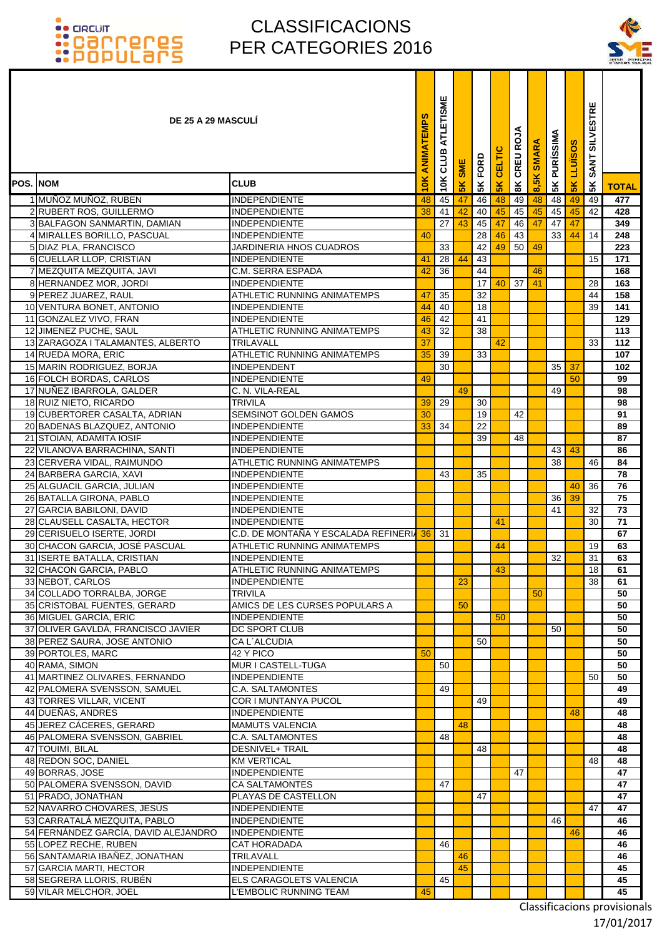### CLASSIFICACIONS PER CATEGORIES 2016



|          | <b>DE 25 A 29 MASCULI</b>                                            |                                              | ANIMATEMPS | ATLETISME<br>10K CLUB | <b>SME</b>     | FORD     | CELTIC    | CREU ROJA   | <b>SMARA</b> | <b>5K PURÍSSIMA</b> | <b>SOSINTI</b> | <b>SILVESTRE</b><br><b>SANT</b> |              |
|----------|----------------------------------------------------------------------|----------------------------------------------|------------|-----------------------|----------------|----------|-----------|-------------|--------------|---------------------|----------------|---------------------------------|--------------|
| POS. NOM |                                                                      | <b>CLUB</b>                                  | 10K        |                       | 5 <sub>K</sub> | 5K       | <b>5K</b> | $rac{8}{8}$ | 8,5K         |                     | <b>5K</b>      | 5K                              | <b>TOTAL</b> |
|          | 1 MUÑOZ MUÑOZ, RUBEN                                                 | <b>INDEPENDIENTE</b>                         | 48         | 45                    | 47             | 46       | 48        | 49          | 48           | 48                  | 49             | 49                              | 477          |
|          | 2 RUBERT ROS, GUILLERMO                                              | <b>INDEPENDIENTE</b>                         | 38         | 41                    | 42             | 40       | 45        | 45          | 45           | 45                  | 45             | 42                              | 428          |
|          | 3 BALFAGON SANMARTIN, DAMIAN                                         | <b>INDEPENDIENTE</b>                         |            | $\overline{27}$       | 43             | 45       | 47        | 46          | 47           | 47                  | 47             |                                 | 349          |
|          | 4 MIRALLES BORILLO, PASCUAL                                          | <b>INDEPENDIENTE</b>                         | 40         |                       |                | 28       | 46        | 43          |              | 33                  | 44             | 14                              | 248          |
|          | 5 DIAZ PLA, FRANCISCO                                                | JARDINERIA HNOS CUADROS                      |            | 33                    |                | 42<br>43 | 49        | 50          | 49           |                     |                |                                 | 223          |
|          | 6 CUELLAR LLOP, CRISTIAN<br>7 MEZQUITA MEZQUITA, JAVI                | <b>INDEPENDIENTE</b><br>C.M. SERRA ESPADA    | 41<br>42   | 28<br>36              | 44             | 44       |           |             | 46           |                     |                | 15                              | 171<br>168   |
|          | 8 HERNANDEZ MOR, JORDI                                               | <b>INDEPENDIENTE</b>                         |            |                       |                | 17       | 40        | 37          | 41           |                     |                | 28                              | 163          |
|          | 9 PEREZ JUAREZ, RAUL                                                 | ATHLETIC RUNNING ANIMATEMPS                  | 47         | 35                    |                | 32       |           |             |              |                     |                | 44                              | 158          |
|          | 10 VENTURA BONET, ANTONIO                                            | <b>INDEPENDIENTE</b>                         | 44         | 40                    |                | 18       |           |             |              |                     |                | 39                              | 141          |
|          | 11 GONZALEZ VIVO, FRAN                                               | <b>INDEPENDIENTE</b>                         | 46         | 42                    |                | 41       |           |             |              |                     |                |                                 | 129          |
|          | 12 JIMENEZ PUCHE, SAUL                                               | <b>ATHLETIC RUNNING ANIMATEMPS</b>           | 43         | 32                    |                | 38       |           |             |              |                     |                |                                 | 113          |
|          | 13 ZARAGOZA I TALAMANTES, ALBERTO                                    | TRILAVALL                                    | 37         |                       |                |          | 42        |             |              |                     |                | 33                              | 112          |
|          | 14 RUEDA MORA, ERIC                                                  | ATHLETIC RUNNING ANIMATEMPS                  | 35         | 39                    |                | 33       |           |             |              |                     |                |                                 | 107          |
|          | 15 MARIN RODRIGUEZ, BORJA                                            | <b>INDEPENDENT</b>                           | 49         | 30                    |                |          |           |             |              | 35 <sub>1</sub>     | 37<br>50       |                                 | 102          |
|          | 16 FOLCH BORDAS, CARLOS<br>17 NUÑEZ IBARROLA, GALDER                 | <b>INDEPENDIENTE</b><br>C. N. VILA-REAL      |            |                       | 49             |          |           |             |              | 49                  |                |                                 | 99<br>98     |
|          | 18 RUIZ NIETO, RICARDO                                               | <b>TRIVILA</b>                               | 39         | 29                    |                | 30       |           |             |              |                     |                |                                 | 98           |
|          | 19 CUBERTORER CASALTA, ADRIAN                                        | SEMSINOT GOLDEN GAMOS                        | 30         |                       |                | 19       |           | 42          |              |                     |                |                                 | 91           |
|          | 20 BADENAS BLAZQUEZ, ANTONIO                                         | <b>INDEPENDIENTE</b>                         | 33         | 34                    |                | 22       |           |             |              |                     |                |                                 | 89           |
|          | 21 STOIAN, ADAMITA IOSIF                                             | <b>INDEPENDIENTE</b>                         |            |                       |                | 39       |           | 48          |              |                     |                |                                 | 87           |
|          | 22 VILANOVA BARRACHINA, SANTI                                        | <b>INDEPENDIENTE</b>                         |            |                       |                |          |           |             |              | 43                  | 43             |                                 | 86           |
|          | 23 CERVERA VIDAL, RAIMUNDO                                           | ATHLETIC RUNNING ANIMATEMPS                  |            |                       |                |          |           |             |              | 38                  |                | 46                              | 84           |
|          | 24 BARBERA GARCIA, XAVI                                              | <b>INDEPENDIENTE</b>                         |            | 43                    |                | 35       |           |             |              |                     |                |                                 | 78           |
|          | 25 ALGUACIL GARCIA, JULIAN<br>26 BATALLA GIRONA, PABLO               | <b>INDEPENDIENTE</b><br><b>INDEPENDIENTE</b> |            |                       |                |          |           |             |              | 36                  | 40<br>39       | 36                              | 76<br>75     |
|          | 27 GARCIA BABILONI, DAVID                                            | <b>INDEPENDIENTE</b>                         |            |                       |                |          |           |             |              | 41                  |                | 32                              | 73           |
|          | 28 CLAUSELL CASALTA, HECTOR                                          | <b>INDEPENDIENTE</b>                         |            |                       |                |          | 41        |             |              |                     |                | 30                              | 71           |
|          | 29 CERISUELO ISERTE, JORDI                                           | C.D. DE MONTAÑA Y ESCALADA REFINERIA 36      |            | 31                    |                |          |           |             |              |                     |                |                                 | 67           |
|          | 30 CHACON GARCIA, JOSÉ PASCUAL                                       | ATHLETIC RUNNING ANIMATEMPS                  |            |                       |                |          | 44        |             |              |                     |                | 19                              | 63           |
|          | 31 ISERTE BATALLA, CRISTIAN                                          | <b>INDEPENDIENTE</b>                         |            |                       |                |          |           |             |              | 32                  |                | 31                              | 63           |
|          | 32 CHACON GARCIA, PABLO                                              | <b>ATHLETIC RUNNING ANIMATEMPS</b>           |            |                       |                |          | 43        |             |              |                     |                | 18                              | 61           |
|          | 33 NEBOT, CARLOS                                                     | <b>INDEPENDIENTE</b>                         |            |                       | 23             |          |           |             |              |                     |                | 38                              | 61           |
|          | 34 COLLADO TORRALBA, JORGE                                           | TRIVILA<br>AMICS DE LES CURSES POPULARS A    |            |                       | 50             |          |           |             | 50           |                     |                |                                 | 50           |
|          | 35 CRISTOBAL FUENTES, GERARD<br>36 MIGUEL GARCÍA. ERIC               | <b>INDEPENDIENTE</b>                         |            |                       |                |          | 50        |             |              |                     |                |                                 | 50<br>50     |
|          | 37 OLIVER GAVLDÁ, FRANCISCO JAVIER                                   | <b>DC SPORT CLUB</b>                         |            |                       |                |          |           |             |              | 50                  |                |                                 | 50           |
|          | 38 PEREZ SAURA, JOSE ANTONIO                                         | CA L'ALCUDIA                                 |            |                       |                | 50       |           |             |              |                     |                |                                 | 50           |
|          | 39 PORTOLES, MARC                                                    | 42 Y PICO                                    | 50         |                       |                |          |           |             |              |                     |                |                                 | 50           |
|          | 40 RAMA, SIMON                                                       | MUR I CASTELL-TUGA                           |            | 50                    |                |          |           |             |              |                     |                |                                 | 50           |
|          | 41 MARTINEZ OLIVARES, FERNANDO                                       | <b>INDEPENDIENTE</b>                         |            |                       |                |          |           |             |              |                     |                | 50                              | 50           |
|          | 42 PALOMERA SVENSSON, SAMUEL                                         | C.A. SALTAMONTES                             |            | 49                    |                |          |           |             |              |                     |                |                                 | 49           |
|          | 43 TORRES VILLAR, VICENT<br>44 DUEÑAS, ANDRES                        | COR I MUNTANYA PUCOL<br>INDEPENDIENTE        |            |                       |                | 49       |           |             |              |                     | 48             |                                 | 49<br>48     |
|          | 45 JEREZ CÁCERES, GERARD                                             | MAMUTS VALENCIA                              |            |                       | 48             |          |           |             |              |                     |                |                                 | 48           |
|          | 46 PALOMERA SVENSSON, GABRIEL                                        | C.A. SALTAMONTES                             |            | 48                    |                |          |           |             |              |                     |                |                                 | 48           |
|          | 47 TOUIMI, BILAL                                                     | <b>DESNIVEL+ TRAIL</b>                       |            |                       |                | 48       |           |             |              |                     |                |                                 | 48           |
|          | 48 REDON SOC, DANIEL                                                 | <b>KM VERTICAL</b>                           |            |                       |                |          |           |             |              |                     |                | 48                              | 48           |
|          | 49 BORRAS, JOSE                                                      | <b>INDEPENDIENTE</b>                         |            |                       |                |          |           | 47          |              |                     |                |                                 | 47           |
|          | 50 PALOMERA SVENSSON, DAVID                                          | <b>CA SALTAMONTES</b>                        |            | 47                    |                |          |           |             |              |                     |                |                                 | 47           |
|          | 51 PRADO, JONATHAN                                                   | PLAYAS DE CASTELLON                          |            |                       |                | 47       |           |             |              |                     |                |                                 | 47           |
|          | 52 NAVARRO CHOVARES, JESÚS                                           | INDEPENDIENTE                                |            |                       |                |          |           |             |              |                     |                | 47                              | 47           |
|          | 53 CARRATALÁ MEZQUITA, PABLO<br>54 FERNÁNDEZ GARCÍA, DAVID ALEJANDRO | INDEPENDIENTE<br>INDEPENDIENTE               |            |                       |                |          |           |             |              | 46                  | 46             |                                 | 46<br>46     |
|          | 55 LOPEZ RECHE, RUBEN                                                | <b>CAT HORADADA</b>                          |            | 46                    |                |          |           |             |              |                     |                |                                 | 46           |
|          | 56 SANTAMARIA IBAÑEZ, JONATHAN                                       | TRILAVALL                                    |            |                       | 46             |          |           |             |              |                     |                |                                 | 46           |
|          | 57 GARCIA MARTI, HECTOR                                              | <b>INDEPENDIENTE</b>                         |            |                       | 45             |          |           |             |              |                     |                |                                 | 45           |
|          | 58 SEGRERA LLORIS, RUBÉN                                             | ELS CARAGOLETS VALENCIA                      |            | 45                    |                |          |           |             |              |                     |                |                                 | 45           |
|          | 59 VILAR MELCHOR, JOEL                                               | L'EMBOLIC RUNNING TEAM                       | 45         |                       |                |          |           |             |              |                     |                |                                 | 45           |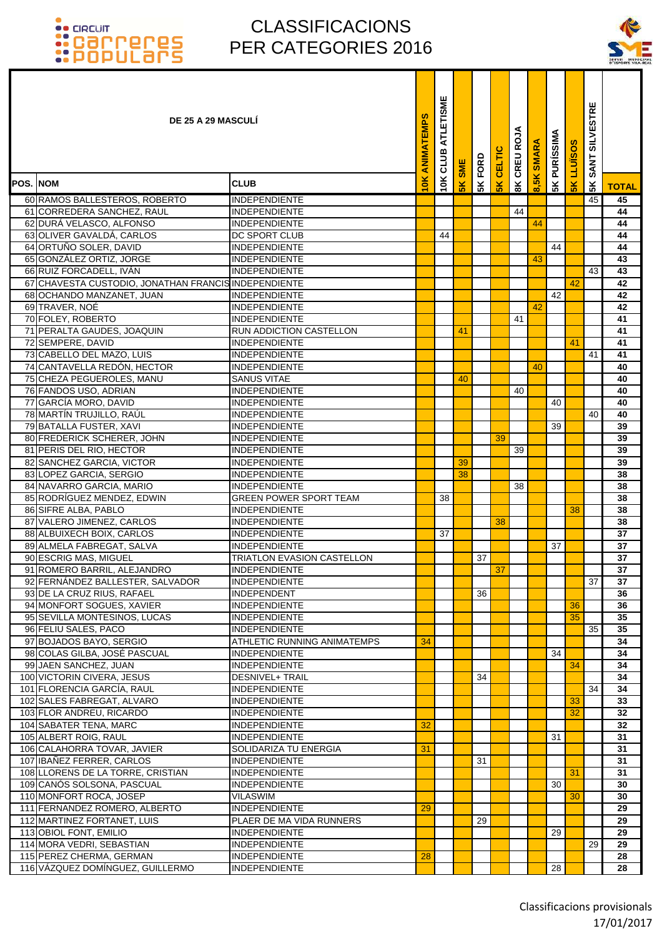### CLASSIFICACIONS PER CATEGORIES 2016

۰ Т Т



|                  | <b>DE 25 A 29 MASCULI</b>                              |                                              | ANIMATEMPS | ATLETISME<br>CLUB | <b>SME</b>     | FORD | CELTIC        | CREU ROJA     | <b>SMARA</b> | <b>PURÍSSIMA</b> | <b>LLUISOS</b> | <b>SILVESTRE</b><br><b>SANT</b> |              |
|------------------|--------------------------------------------------------|----------------------------------------------|------------|-------------------|----------------|------|---------------|---------------|--------------|------------------|----------------|---------------------------------|--------------|
| <b>POS. INOM</b> |                                                        | <b>CLUB</b>                                  | 10K        | 10K               | 5 <sub>K</sub> | 5K   | $\frac{1}{5}$ | $\frac{8}{3}$ | ထဲ           | 5K               | $\frac{1}{2}$  | 5K                              | <b>TOTAL</b> |
|                  | 60 RAMOS BALLESTEROS, ROBERTO                          | <b>INDEPENDIENTE</b>                         |            |                   |                |      |               |               |              |                  |                | 45                              | 45           |
|                  | 61 CORREDERA SANCHEZ, RAUL                             | <b>INDEPENDIENTE</b>                         |            |                   |                |      |               | 44            |              |                  |                |                                 | 44           |
|                  | 62 DURÁ VELASCO, ALFONSO                               | <b>INDEPENDIENTE</b>                         |            |                   |                |      |               |               | 44           |                  |                |                                 | 44           |
|                  | 63 OLIVER GAVALDÁ, CARLOS                              | <b>DC SPORT CLUB</b>                         |            | 44                |                |      |               |               |              |                  |                |                                 | 44           |
|                  | 64 ORTUÑO SOLER, DAVID                                 | <b>INDEPENDIENTE</b>                         |            |                   |                |      |               |               |              | 44               |                |                                 | 44           |
|                  | 65 GONZÁLEZ ORTIZ, JORGE                               | <b>INDEPENDIENTE</b>                         |            |                   |                |      |               |               | 43           |                  |                |                                 | 43           |
|                  | 66 RUIZ FORCADELL, IVÁN                                | <b>INDEPENDIENTE</b>                         |            |                   |                |      |               |               |              |                  |                | 43                              | 43           |
|                  | 67 CHAVESTA CUSTODIO, JONATHAN FRANCIS INDEPENDIENTE   |                                              |            |                   |                |      |               |               |              |                  | 42             |                                 | 42           |
|                  | 68 OCHANDO MANZANET, JUAN                              | <b>INDEPENDIENTE</b>                         |            |                   |                |      |               |               |              | 42               |                |                                 | 42           |
|                  | 69 TRAVER, NOÉ                                         | <b>INDEPENDIENTE</b>                         |            |                   |                |      |               |               | 42           |                  |                |                                 | 42           |
|                  | 70 FOLEY, ROBERTO                                      | <b>INDEPENDIENTE</b>                         |            |                   |                |      |               | 41            |              |                  |                |                                 | 41           |
|                  | 71 PERALTA GAUDES, JOAQUIN                             | <b>RUN ADDICTION CASTELLON</b>               |            |                   | 41             |      |               |               |              |                  |                |                                 | 41           |
|                  | 72 SEMPERE, DAVID                                      | <b>INDEPENDIENTE</b>                         |            |                   |                |      |               |               |              |                  | 41             |                                 | 41           |
|                  | 73 CABELLO DEL MAZO, LUIS                              | <b>INDEPENDIENTE</b>                         |            |                   |                |      |               |               |              |                  |                | 41                              | 41           |
|                  | 74 CANTAVELLA REDÓN, HECTOR                            | <b>INDEPENDIENTE</b>                         |            |                   |                |      |               |               | 40           |                  |                |                                 | 40           |
|                  | 75 CHEZA PEGUEROLES, MANU                              | <b>SANUS VITAE</b>                           |            |                   | 40             |      |               |               |              |                  |                |                                 | 40           |
|                  | 76 FANDOS USO, ADRIAN                                  | <b>INDEPENDIENTE</b>                         |            |                   |                |      |               | 40            |              |                  |                |                                 | 40           |
|                  | 77 GARCÍA MORO, DAVID                                  | <b>INDEPENDIENTE</b>                         |            |                   |                |      |               |               |              | 40               |                |                                 | 40           |
|                  | 78 MARTÍN TRUJILLO, RAÚL                               | <b>INDEPENDIENTE</b>                         |            |                   |                |      |               |               |              |                  |                | 40                              | 40           |
|                  | 79 BATALLA FUSTER, XAVI                                | <b>INDEPENDIENTE</b>                         |            |                   |                |      |               |               |              | 39               |                |                                 | 39           |
|                  | 80 FREDERICK SCHERER, JOHN<br>81 PERIS DEL RIO, HECTOR | <b>INDEPENDIENTE</b><br>IINDEPENDIENTE       |            |                   |                |      | 39            |               |              |                  |                |                                 | 39<br>39     |
|                  | 82 SANCHEZ GARCIA, VICTOR                              | <b>INDEPENDIENTE</b>                         |            |                   | 39             |      |               | 39            |              |                  |                |                                 | 39           |
|                  | 83 LOPEZ GARCIA, SERGIO                                | <b>INDEPENDIENTE</b>                         |            |                   | 38             |      |               |               |              |                  |                |                                 | 38           |
|                  | 84 NAVARRO GARCIA, MARIO                               | <b>INDEPENDIENTE</b>                         |            |                   |                |      |               | 38            |              |                  |                |                                 | 38           |
|                  | 85 RODRÍGUEZ MENDEZ, EDWIN                             | <b>GREEN POWER SPORT TEAM</b>                |            | 38                |                |      |               |               |              |                  |                |                                 | 38           |
|                  | 86 SIFRE ALBA, PABLO                                   | <b>INDEPENDIENTE</b>                         |            |                   |                |      |               |               |              |                  | 38             |                                 | 38           |
|                  | 87 VALERO JIMENEZ, CARLOS                              | <b>INDEPENDIENTE</b>                         |            |                   |                |      | 38            |               |              |                  |                |                                 | 38           |
|                  | 88 ALBUIXECH BOIX, CARLOS                              | <b>INDEPENDIENTE</b>                         |            | 37                |                |      |               |               |              |                  |                |                                 | 37           |
|                  | 89 ALMELA FABREGAT, SALVA                              | <b>INDEPENDIENTE</b>                         |            |                   |                |      |               |               |              | 37               |                |                                 | 37           |
|                  | 90 ESCRIG MAS, MIGUEL                                  | <b>TRIATLON EVASION CASTELLON</b>            |            |                   |                | 37   |               |               |              |                  |                |                                 | 37           |
|                  | 91 ROMERO BARRIL, ALEJANDRO                            | <b>INDEPENDIENTE</b>                         |            |                   |                |      | 37            |               |              |                  |                |                                 | 37           |
|                  | 92 FERNÁNDEZ BALLESTER, SALVADOR                       | <b>INDEPENDIENTE</b>                         |            |                   |                |      |               |               |              |                  |                | 37                              | 37           |
|                  | 93 DE LA CRUZ RIUS, RAFAEL                             | <b>INDEPENDENT</b>                           |            |                   |                | 36   |               |               |              |                  |                |                                 | 36           |
|                  | 94 MONFORT SOGUES, XAVIER                              | <b>INDEPENDIENTE</b>                         |            |                   |                |      |               |               |              |                  | 36             |                                 | 36           |
|                  | 95 SEVILLA MONTESINOS, LUCAS                           | <b>INDEPENDIENTE</b>                         |            |                   |                |      |               |               |              |                  | 35             |                                 | 35           |
|                  | 96 FELIU SALES, PACO                                   | <b>INDEPENDIENTE</b>                         |            |                   |                |      |               |               |              |                  |                | 35                              | 35           |
|                  | 97 BOJADOS BAYO, SERGIO                                | ATHLETIC RUNNING ANIMATEMPS                  | 34         |                   |                |      |               |               |              |                  |                |                                 | 34           |
|                  | 98 COLAS GILBA, JOSÉ PASCUAL                           | <b>INDEPENDIENTE</b>                         |            |                   |                |      |               |               |              | 34               |                |                                 | 34           |
|                  | 99 JAEN SANCHEZ, JUAN                                  | <b>INDEPENDIENTE</b>                         |            |                   |                |      |               |               |              |                  | 34             |                                 | 34           |
|                  | 100 VICTORIN CIVERA, JESUS                             | <b>DESNIVEL+ TRAIL</b>                       |            |                   |                | 34   |               |               |              |                  |                |                                 | 34           |
|                  | 101 FLORENCIA GARCÍA, RAUL                             | <b>INDEPENDIENTE</b>                         |            |                   |                |      |               |               |              |                  |                | 34                              | 34           |
|                  | 102 SALES FABREGAT, ALVARO                             | <b>INDEPENDIENTE</b>                         |            |                   |                |      |               |               |              |                  | 33<br>32       |                                 | 33           |
|                  | 103 FLOR ANDREU, RICARDO                               | <b>INDEPENDIENTE</b>                         | 32         |                   |                |      |               |               |              |                  |                |                                 | 32           |
|                  | 104 SABATER TENA, MARC<br>105 ALBERT ROIG, RAUL        | <b>INDEPENDIENTE</b><br><b>INDEPENDIENTE</b> |            |                   |                |      |               |               |              | 31               |                |                                 | 32<br>31     |
|                  | 106 CALAHORRA TOVAR, JAVIER                            | SOLIDARIZA TU ENERGIA                        | 31         |                   |                |      |               |               |              |                  |                |                                 | 31           |
|                  | 107 IBAÑEZ FERRER, CARLOS                              | <b>INDEPENDIENTE</b>                         |            |                   |                | 31   |               |               |              |                  |                |                                 | 31           |
|                  | 108 LLORENS DE LA TORRE, CRISTIAN                      | <b>INDEPENDIENTE</b>                         |            |                   |                |      |               |               |              |                  | 31             |                                 | 31           |
|                  | 109 CANOS SOLSONA, PASCUAL                             | <b>INDEPENDIENTE</b>                         |            |                   |                |      |               |               |              | 30               |                |                                 | 30           |
|                  | 110 MONFORT ROCA, JOSEP                                | <b>VILASWIM</b>                              |            |                   |                |      |               |               |              |                  | 30             |                                 | 30           |
|                  | 111 FERNANDEZ ROMERO, ALBERTO                          | <b>INDEPENDIENTE</b>                         | 29         |                   |                |      |               |               |              |                  |                |                                 | 29           |
|                  | 112 MARTINEZ FORTANET, LUIS                            | PLAER DE MA VIDA RUNNERS                     |            |                   |                | 29   |               |               |              |                  |                |                                 | 29           |
|                  | 113 OBIOL FONT, EMILIO                                 | <b>INDEPENDIENTE</b>                         |            |                   |                |      |               |               |              | 29               |                |                                 | 29           |
|                  | 114 MORA VEDRI, SEBASTIAN                              | <b>INDEPENDIENTE</b>                         |            |                   |                |      |               |               |              |                  |                | 29                              | 29           |
|                  | 115 PEREZ CHERMA, GERMAN                               | <b>INDEPENDIENTE</b>                         | 28         |                   |                |      |               |               |              |                  |                |                                 | 28           |
|                  | 116 VÁZQUEZ DOMÍNGUEZ, GUILLERMO                       | <b>INDEPENDIENTE</b>                         |            |                   |                |      |               |               |              | 28               |                |                                 | 28           |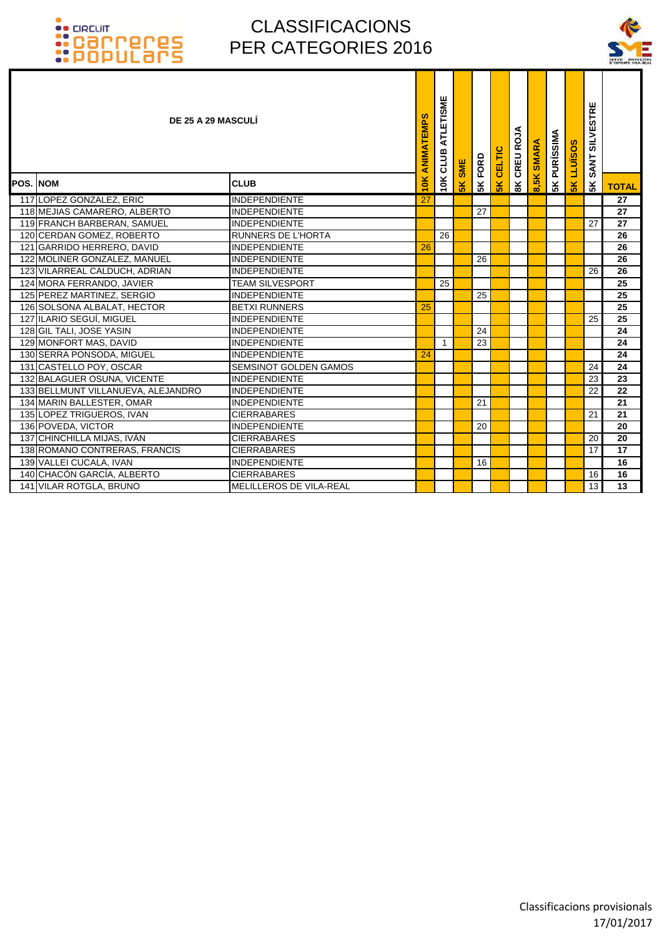

|                  | DE 25 A 29 MASCULÍ                 |                                | ANIMATEMPS | ATLETISME<br><b>10K CLUB</b> | <b>SME</b>     | FORD | <b>CELTIC</b> | CREU ROJA      | <b>SMARA</b> | <b>5K PURÍSSIMA</b> | <b>LLUISOS</b> | <b>SILVESTRE</b><br><b>SANT</b> |                 |
|------------------|------------------------------------|--------------------------------|------------|------------------------------|----------------|------|---------------|----------------|--------------|---------------------|----------------|---------------------------------|-----------------|
| <b>POS. INOM</b> |                                    | <b>CLUB</b>                    | 10K        |                              | 5 <sub>K</sub> | 5K   | $\frac{1}{2}$ | $\frac{8}{10}$ | 8,5K         |                     | 5K             | 5 <sup>K</sup>                  | <b>TOTAL</b>    |
|                  | 117 LOPEZ GONZALEZ, ERIC           | <b>INDEPENDIENTE</b>           | 27         |                              |                |      |               |                |              |                     |                |                                 | $\overline{27}$ |
|                  | 118 MEJIAS CAMARERO, ALBERTO       | <b>INDEPENDIENTE</b>           |            |                              |                | 27   |               |                |              |                     |                |                                 | 27              |
|                  | 119 FRANCH BARBERAN, SAMUEL        | <b>INDEPENDIENTE</b>           |            |                              |                |      |               |                |              |                     |                | 27                              | 27              |
|                  | 120 CERDAN GOMEZ, ROBERTO          | <b>RUNNERS DE L'HORTA</b>      |            | 26                           |                |      |               |                |              |                     |                |                                 | 26              |
|                  | 121 GARRIDO HERRERO, DAVID         | <b>INDEPENDIENTE</b>           | 26         |                              |                |      |               |                |              |                     |                |                                 | 26              |
|                  | 122 MOLINER GONZALEZ, MANUEL       | <b>INDEPENDIENTE</b>           |            |                              |                | 26   |               |                |              |                     |                |                                 | 26              |
|                  | 123 VILARREAL CALDUCH, ADRIAN      | <b>INDEPENDIENTE</b>           |            |                              |                |      |               |                |              |                     |                | 26                              | 26              |
|                  | 124 MORA FERRANDO, JAVIER          | <b>TEAM SILVESPORT</b>         |            | 25                           |                |      |               |                |              |                     |                |                                 | 25              |
|                  | 125 PEREZ MARTINEZ, SERGIO         | <b>INDEPENDIENTE</b>           |            |                              |                | 25   |               |                |              |                     |                |                                 | 25              |
|                  | 126 SOLSONA ALBALAT, HECTOR        | <b>BETXI RUNNERS</b>           | 25         |                              |                |      |               |                |              |                     |                |                                 | 25              |
|                  | 127 ILARIO SEGUÍ, MIGUEL           | <b>INDEPENDIENTE</b>           |            |                              |                |      |               |                |              |                     |                | 25                              | 25              |
|                  | 128 GIL TALI, JOSE YASIN           | <b>INDEPENDIENTE</b>           |            |                              |                | 24   |               |                |              |                     |                |                                 | 24              |
|                  | 129 MONFORT MAS, DAVID             | <b>INDEPENDIENTE</b>           |            | $\mathbf 1$                  |                | 23   |               |                |              |                     |                |                                 | 24              |
|                  | 130 SERRA PONSODA, MIGUEL          | <b>INDEPENDIENTE</b>           | 24         |                              |                |      |               |                |              |                     |                |                                 | 24              |
|                  | 131 CASTELLO POY, OSCAR            | <b>SEMSINOT GOLDEN GAMOS</b>   |            |                              |                |      |               |                |              |                     |                | 24                              | 24              |
|                  | 132 BALAGUER OSUNA, VICENTE        | <b>INDEPENDIENTE</b>           |            |                              |                |      |               |                |              |                     |                | 23                              | 23              |
|                  | 133 BELLMUNT VILLANUEVA, ALEJANDRO | <b>INDEPENDIENTE</b>           |            |                              |                |      |               |                |              |                     |                | 22                              | 22              |
|                  | 134 MARIN BALLESTER, OMAR          | <b>INDEPENDIENTE</b>           |            |                              |                | 21   |               |                |              |                     |                |                                 | 21              |
|                  | 135 LOPEZ TRIGUEROS, IVAN          | <b>CIERRABARES</b>             |            |                              |                |      |               |                |              |                     |                | 21                              | 21              |
|                  | 136 POVEDA, VICTOR                 | <b>INDEPENDIENTE</b>           |            |                              |                | 20   |               |                |              |                     |                |                                 | 20              |
|                  | 137 CHINCHILLA MIJAS, IVÁN         | <b>CIERRABARES</b>             |            |                              |                |      |               |                |              |                     |                | 20                              | 20              |
|                  | 138 ROMANO CONTRERAS, FRANCIS      | <b>CIERRABARES</b>             |            |                              |                |      |               |                |              |                     |                | 17                              | 17              |
|                  | 139 VALLEI CUCALA, IVAN            | <b>INDEPENDIENTE</b>           |            |                              |                | 16   |               |                |              |                     |                |                                 | 16              |
|                  | 140 CHACÓN GARCÍA, ALBERTO         | <b>CIERRABARES</b>             |            |                              |                |      |               |                |              |                     |                | 16                              | 16              |
|                  | 141 VILAR ROTGLA, BRUNO            | <b>MELILLEROS DE VILA-REAL</b> |            |                              |                |      |               |                |              |                     |                | 13 <sup>1</sup>                 | $\overline{13}$ |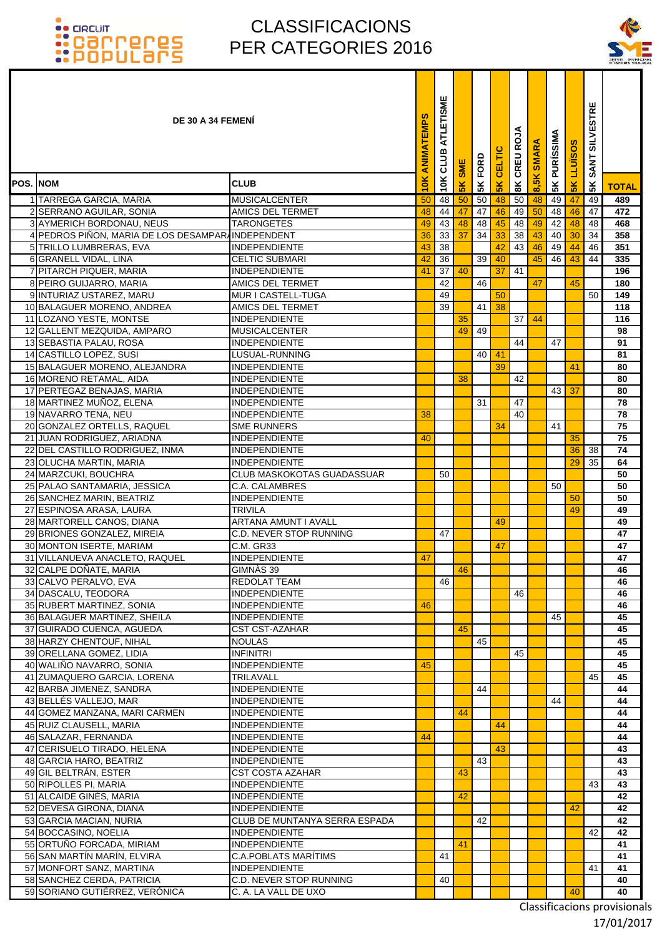### CLASSIFICACIONS PER CATEGORIES 2016



|                 | <b>DE 30 A 34 FEMENI</b>                                  |                                               | ANIMATEMPS    | ATLETISME<br>CLUB | <b>SME</b> | 5K FORD | CELTIC   | 8K CREU ROJA | 8,5K SMARA | <b>5K PURÍSSIMA</b> | LLUISO | SILVESTRE<br><b>SANT</b> |              |
|-----------------|-----------------------------------------------------------|-----------------------------------------------|---------------|-------------------|------------|---------|----------|--------------|------------|---------------------|--------|--------------------------|--------------|
| <b>POS. NOM</b> |                                                           | <b>CLUB</b>                                   | $\frac{1}{2}$ | 10K               | 5K         |         | 5K       |              |            |                     | 5K     | 5К                       | <b>TOTAL</b> |
|                 | 1 TARREGA GARCIA, MARIA                                   | <b>MUSICALCENTER</b>                          | 50            | 48                | 50         | 50      | 48       | 50           | 48         | 49                  | 47     | 49                       | 489          |
|                 | 2 SERRANO AGUILAR, SONIA                                  | AMICS DEL TERMET                              | 48            | 44                | 47         | 47      | 46       | 49           | 50         | 48                  | 46     | 47                       | 472          |
|                 | 3 AYMERICH BORDONAU, NEUS                                 | <b>TARONGETES</b>                             | 49            | 43                | 48         | 48      | 45       | 48           | 49         | 42                  | 48     | 48                       | 468          |
|                 | 4 PEDROS PIÑON, MARIA DE LOS DESAMPARAINDEPENDENT         |                                               | 36            | 33                | 37         | 34      | 33       | 38           | 43         | 40                  | 30     | 34                       | 358          |
|                 | 5 TRILLO LUMBRERAS, EVA                                   | <b>INDEPENDIENTE</b>                          | 43            | 38                |            |         | 42       | 43           | 46         | 49                  | 44     | 46                       | 351          |
|                 | 6 GRANELL VIDAL, LINA                                     | <b>CELTIC SUBMARI</b><br><b>INDEPENDIENTE</b> | 42<br>41      | 36                | 40         | 39      | 40<br>37 | 41           | 45         | 46                  | 43     | 44                       | 335<br>196   |
|                 | 7 PITARCH PIQUER, MARIA<br>8 PEIRO GUIJARRO, MARIA        | AMICS DEL TERMET                              |               | 37<br>42          |            | 46      |          |              | 47         |                     | 45     |                          | 180          |
|                 | 9 INTURIAZ USTAREZ, MARU                                  | MUR I CASTELL-TUGA                            |               | 49                |            |         | 50       |              |            |                     |        | 50                       | 149          |
|                 | 10 BALAGUER MORENO, ANDREA                                | <b>AMICS DEL TERMET</b>                       |               | 39                |            | 41      | 38       |              |            |                     |        |                          | 118          |
|                 | 11 LOZANO YESTE, MONTSE                                   | <b>INDEPENDIENTE</b>                          |               |                   | 35         |         |          | 37           | 44         |                     |        |                          | 116          |
|                 | 12 GALLENT MEZQUIDA, AMPARO                               | <b>MUSICALCENTER</b>                          |               |                   | 49         | 49      |          |              |            |                     |        |                          | 98           |
|                 | 13 SEBASTIA PALAU, ROSA                                   | <b>INDEPENDIENTE</b>                          |               |                   |            |         |          | 44           |            | 47                  |        |                          | 91           |
|                 | 14 CASTILLO LOPEZ, SUSI                                   | LUSUAL-RUNNING                                |               |                   |            | 40      | 41       |              |            |                     |        |                          | 81           |
|                 | 15 BALAGUER MORENO, ALEJANDRA                             | <b>INDEPENDIENTE</b>                          |               |                   |            |         | 39       |              |            |                     | 41     |                          | 80           |
|                 | 16 MORENO RETAMAL, AIDA<br>17 PERTEGAZ BENAJAS, MARIA     | <b>INDEPENDIENTE</b><br><b>INDEPENDIENTE</b>  |               |                   | 38         |         |          | 42           |            | 43 <sup>1</sup>     | 37     |                          | 80<br>80     |
|                 | 18 MARTINEZ MUÑOZ, ELENA                                  | <b>INDEPENDIENTE</b>                          |               |                   |            | 31      |          | 47           |            |                     |        |                          | 78           |
|                 | 19 NAVARRO TENA, NEU                                      | <b>INDEPENDIENTE</b>                          | 38            |                   |            |         |          | 40           |            |                     |        |                          | 78           |
|                 | 20 GONZALEZ ORTELLS, RAQUEL                               | <b>SME RUNNERS</b>                            |               |                   |            |         | 34       |              |            | 41                  |        |                          | 75           |
|                 | 21 JUAN RODRIGUEZ, ARIADNA                                | <b>INDEPENDIENTE</b>                          | 40            |                   |            |         |          |              |            |                     | 35     |                          | 75           |
|                 | 22 DEL CASTILLO RODRIGUEZ, INMA                           | <b>INDEPENDIENTE</b>                          |               |                   |            |         |          |              |            |                     | 36     | 38                       | 74           |
|                 | 23 OLUCHA MARTIN, MARIA                                   | <b>INDEPENDIENTE</b>                          |               |                   |            |         |          |              |            |                     | 29     | 35                       | 64           |
|                 | 24 MARZCUKI, BOUCHRA                                      | <b>CLUB MASKOKOTAS GUADASSUAR</b>             |               | 50                |            |         |          |              |            |                     |        |                          | 50           |
|                 | 25 PALAO SANTAMARIA, JESSICA<br>26 SANCHEZ MARIN, BEATRIZ | <b>C.A. CALAMBRES</b><br><b>INDEPENDIENTE</b> |               |                   |            |         |          |              |            | 50                  | 50     |                          | 50<br>50     |
|                 | 27 ESPINOSA ARASA, LAURA                                  | <b>TRIVILA</b>                                |               |                   |            |         |          |              |            |                     | 49     |                          | 49           |
|                 | 28 MARTORELL CANOS, DIANA                                 | <b>ARTANA AMUNT I AVALL</b>                   |               |                   |            |         | 49       |              |            |                     |        |                          | 49           |
|                 | 29 BRIONES GONZALEZ, MIREIA                               | C.D. NEVER STOP RUNNING                       |               | 47                |            |         |          |              |            |                     |        |                          | 47           |
|                 | 30 MONTON ISERTE, MARIAM                                  | <b>C.M. GR33</b>                              |               |                   |            |         | 47       |              |            |                     |        |                          | 47           |
|                 | 31 VILLANUEVA ANACLETO, RAQUEL                            | <b>INDEPENDIENTE</b>                          | 47            |                   |            |         |          |              |            |                     |        |                          | 47           |
|                 | 32 CALPE DOÑATE, MARIA                                    | GIMNAS 39                                     |               |                   | 46         |         |          |              |            |                     |        |                          | 46           |
|                 | 33 CALVO PERALVO, EVA                                     | REDOLAT TEAM<br><b>INDEPENDIENTE</b>          |               | 46                |            |         |          | 46           |            |                     |        |                          | 46<br>46     |
|                 | 34 DASCALU, TEODORA<br>35 RUBERT MARTINEZ, SONIA          | <b>INDEPENDIENTE</b>                          | 46            |                   |            |         |          |              |            |                     |        |                          | 46           |
|                 | 36 BALAGUER MARTINEZ, SHEILA                              | <b>INDEPENDIENTE</b>                          |               |                   |            |         |          |              |            | 45                  |        |                          | 45           |
|                 | 37 GUIRADO CUENCA, AGUEDA                                 | <b>CST CST-AZAHAR</b>                         |               |                   | 45         |         |          |              |            |                     |        |                          | 45           |
|                 | 38 HARZY CHENTOUF, NIHAL                                  | <b>NOULAS</b>                                 |               |                   |            | 45      |          |              |            |                     |        |                          | 45           |
|                 | 39 ORELLANA GOMEZ, LIDIA                                  | <b>INFINITRI</b>                              |               |                   |            |         |          | 45           |            |                     |        |                          | 45           |
|                 | 40 WALIÑO NAVARRO, SONIA                                  | <b>INDEPENDIENTE</b>                          | 45            |                   |            |         |          |              |            |                     |        |                          | 45           |
|                 | 41 ZUMAQUERO GARCIA, LORENA                               | TRILAVALL                                     |               |                   |            |         |          |              |            |                     |        | 45                       | 45           |
|                 | 42 BARBA JIMENEZ, SANDRA<br>43 BELLÉS VALLEJO, MAR        | <b>INDEPENDIENTE</b><br>INDEPENDIENTE         |               |                   |            | 44      |          |              |            | 44                  |        |                          | 44<br>44     |
|                 | 44 GOMEZ MANZANA, MARI CARMEN                             | <b>INDEPENDIENTE</b>                          |               |                   | 44         |         |          |              |            |                     |        |                          | 44           |
|                 | 45 RUIZ CLAUSELL, MARIA                                   | <b>INDEPENDIENTE</b>                          |               |                   |            |         | 44       |              |            |                     |        |                          | 44           |
|                 | 46 SALAZAR, FERNANDA                                      | <b>INDEPENDIENTE</b>                          | 44            |                   |            |         |          |              |            |                     |        |                          | 44           |
|                 | 47 CERISUELO TIRADO, HELENA                               | INDEPENDIENTE                                 |               |                   |            |         | 43       |              |            |                     |        |                          | 43           |
|                 | 48 GARCIA HARO, BEATRIZ                                   | INDEPENDIENTE                                 |               |                   |            | 43      |          |              |            |                     |        |                          | 43           |
|                 | 49 GIL BELTRÁN, ESTER                                     | <b>CST COSTA AZAHAR</b>                       |               |                   | 43         |         |          |              |            |                     |        |                          | 43           |
|                 | 50 RIPOLLES PI, MARIA                                     | <b>INDEPENDIENTE</b>                          |               |                   |            |         |          |              |            |                     |        | 43                       | 43<br>42     |
|                 | 51 ALCAIDE GINÉS, MARIA<br>52 DEVESA GIRONA, DIANA        | INDEPENDIENTE<br><b>INDEPENDIENTE</b>         |               |                   | 42         |         |          |              |            |                     | 42     |                          | 42           |
|                 | 53 GARCIA MACIAN, NURIA                                   | CLUB DE MUNTANYA SERRA ESPADA                 |               |                   |            | 42      |          |              |            |                     |        |                          | 42           |
|                 | 54 BOCCASINO, NOELIA                                      | <b>INDEPENDIENTE</b>                          |               |                   |            |         |          |              |            |                     |        | 42                       | 42           |
|                 | 55 ORTUÑO FORCADA, MIRIAM                                 | <b>INDEPENDIENTE</b>                          |               |                   | 41         |         |          |              |            |                     |        |                          | 41           |
|                 | 56 SAN MARTÍN MARÍN, ELVIRA                               | C.A.POBLATS MARÍTIMS                          |               | 41                |            |         |          |              |            |                     |        |                          | 41           |
|                 | 57 MONFORT SANZ, MARTINA                                  | <b>INDEPENDIENTE</b>                          |               |                   |            |         |          |              |            |                     |        | 41                       | 41           |
|                 | 58 SANCHEZ CERDA, PATRICIA                                | C.D. NEVER STOP RUNNING                       |               | 40                |            |         |          |              |            |                     |        |                          | 40           |
|                 | 59 SORIANO GUTIÉRREZ, VERÓNICA                            | C. A. LA VALL DE UXO                          |               |                   |            |         |          |              |            |                     | 40     |                          | 40           |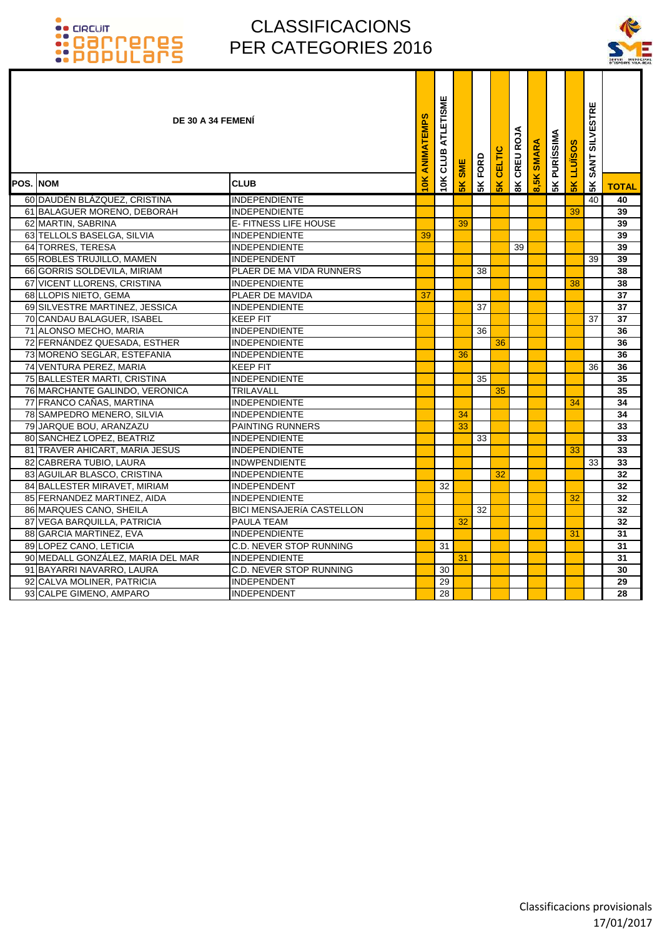

|                 | DE 30 A 34 FEMENI                 |                                  | ANIMATEMPS | ATLETISME<br>CLUB | SME | 5K FORD | <b>CELTIC</b> | CREU ROJA      | <b>SMARA</b> | <b>5K PURÍSSIMA</b> | <b>LLUISOS</b> | SANT SILVESTRE |              |
|-----------------|-----------------------------------|----------------------------------|------------|-------------------|-----|---------|---------------|----------------|--------------|---------------------|----------------|----------------|--------------|
| <b>POS. NOM</b> |                                   | <b>CLUB</b>                      | $\leq$     | 10K               | 5K  |         | $\frac{2}{5}$ | $\frac{8}{10}$ | 8,5K         |                     | 5K             | 5K             | <b>TOTAL</b> |
|                 | 60 DAUDÉN BLÁZQUEZ, CRISTINA      | <b>INDEPENDIENTE</b>             |            |                   |     |         |               |                |              |                     |                | 40             | 40           |
|                 | 61 BALAGUER MORENO, DEBORAH       | <b>INDEPENDIENTE</b>             |            |                   |     |         |               |                |              |                     | 39             |                | 39           |
|                 | 62 MARTIN, SABRINA                | E- FITNESS LIFE HOUSE            |            |                   | 39  |         |               |                |              |                     |                |                | 39           |
|                 | 63 TELLOLS BASELGA, SILVIA        | <b>INDEPENDIENTE</b>             | 39         |                   |     |         |               |                |              |                     |                |                | 39           |
|                 | 64 TORRES, TERESA                 | <b>INDEPENDIENTE</b>             |            |                   |     |         |               | 39             |              |                     |                |                | 39           |
|                 | 65 ROBLES TRUJILLO, MAMEN         | <b>INDEPENDENT</b>               |            |                   |     |         |               |                |              |                     |                | 39             | 39           |
|                 | 66 GORRIS SOLDEVILA, MIRIAM       | PLAER DE MA VIDA RUNNERS         |            |                   |     | 38      |               |                |              |                     |                |                | 38           |
|                 | 67 VICENT LLORENS, CRISTINA       | <b>INDEPENDIENTE</b>             |            |                   |     |         |               |                |              |                     | 38             |                | 38           |
|                 | 68 LLOPIS NIETO, GEMA             | PLAER DE MAVIDA                  | 37         |                   |     |         |               |                |              |                     |                |                | 37           |
|                 | 69 SILVESTRE MARTINEZ, JESSICA    | <b>INDEPENDIENTE</b>             |            |                   |     | 37      |               |                |              |                     |                |                | 37           |
|                 | 70 CANDAU BALAGUER, ISABEL        | <b>KEEP FIT</b>                  |            |                   |     |         |               |                |              |                     |                | 37             | 37           |
|                 | 71 ALONSO MECHO, MARIA            | <b>INDEPENDIENTE</b>             |            |                   |     | 36      |               |                |              |                     |                |                | 36           |
|                 | 72 FERNÁNDEZ QUESADA, ESTHER      | <b>INDEPENDIENTE</b>             |            |                   |     |         | 36            |                |              |                     |                |                | 36           |
|                 | 73 MORENO SEGLAR, ESTEFANIA       | <b>INDEPENDIENTE</b>             |            |                   | 36  |         |               |                |              |                     |                |                | 36           |
|                 | 74 VENTURA PEREZ, MARIA           | <b>KEEP FIT</b>                  |            |                   |     |         |               |                |              |                     |                | 36             | 36           |
|                 | 75 BALLESTER MARTI, CRISTINA      | <b>INDEPENDIENTE</b>             |            |                   |     | 35      |               |                |              |                     |                |                | 35           |
|                 | 76 MARCHANTE GALINDO, VERONICA    | TRILAVALL                        |            |                   |     |         | 35            |                |              |                     |                |                | 35           |
|                 | 77 FRANCO CAÑAS, MARTINA          | <b>INDEPENDIENTE</b>             |            |                   |     |         |               |                |              |                     | 34             |                | 34           |
|                 | 78 SAMPEDRO MENERO, SILVIA        | <b>INDEPENDIENTE</b>             |            |                   | 34  |         |               |                |              |                     |                |                | 34           |
|                 | 79 JARQUE BOU, ARANZAZU           | <b>PAINTING RUNNERS</b>          |            |                   | 33  |         |               |                |              |                     |                |                | 33           |
|                 | 80 SANCHEZ LOPEZ, BEATRIZ         | <b>INDEPENDIENTE</b>             |            |                   |     | 33      |               |                |              |                     |                |                | 33           |
|                 | 81 TRAVER AHICART, MARIA JESUS    | <b>INDEPENDIENTE</b>             |            |                   |     |         |               |                |              |                     | 33             |                | 33           |
|                 | 82 CABRERA TUBIO, LAURA           | <b>INDWPENDIENTE</b>             |            |                   |     |         |               |                |              |                     |                | 33             | 33           |
|                 | 83 AGUILAR BLASCO, CRISTINA       | <b>INDEPENDIENTE</b>             |            |                   |     |         | 32            |                |              |                     |                |                | 32           |
|                 | 84 BALLESTER MIRAVET, MIRIAM      | <b>INDEPENDENT</b>               |            | 32                |     |         |               |                |              |                     |                |                | 32           |
|                 | 85 FERNANDEZ MARTINEZ, AIDA       | <b>INDEPENDIENTE</b>             |            |                   |     |         |               |                |              |                     | 32             |                | 32           |
|                 | 86 MARQUES CANO, SHEILA           | <b>BICI MENSAJERÍA CASTELLON</b> |            |                   |     | 32      |               |                |              |                     |                |                | 32           |
|                 | 87 VEGA BARQUILLA, PATRICIA       | PAULA TEAM                       |            |                   | 32  |         |               |                |              |                     |                |                | 32           |
|                 | 88 GARCIA MARTINEZ, EVA           | <b>INDEPENDIENTE</b>             |            |                   |     |         |               |                |              |                     | 31             |                | 31           |
|                 | 89 LOPEZ CANO, LETICIA            | C.D. NEVER STOP RUNNING          |            | 31                |     |         |               |                |              |                     |                |                | 31           |
|                 | 90 MEDALL GONZÁLEZ, MARIA DEL MAR | <b>INDEPENDIENTE</b>             |            |                   | 31  |         |               |                |              |                     |                |                | 31           |
|                 | 91 BAYARRI NAVARRO, LAURA         | C.D. NEVER STOP RUNNING          |            | 30                |     |         |               |                |              |                     |                |                | 30           |
|                 | 92 CALVA MOLINER, PATRICIA        | <b>INDEPENDENT</b>               |            | 29                |     |         |               |                |              |                     |                |                | 29           |
|                 | 93 CALPE GIMENO, AMPARO           | <b>INDEPENDENT</b>               |            | 28                |     |         |               |                |              |                     |                |                | 28           |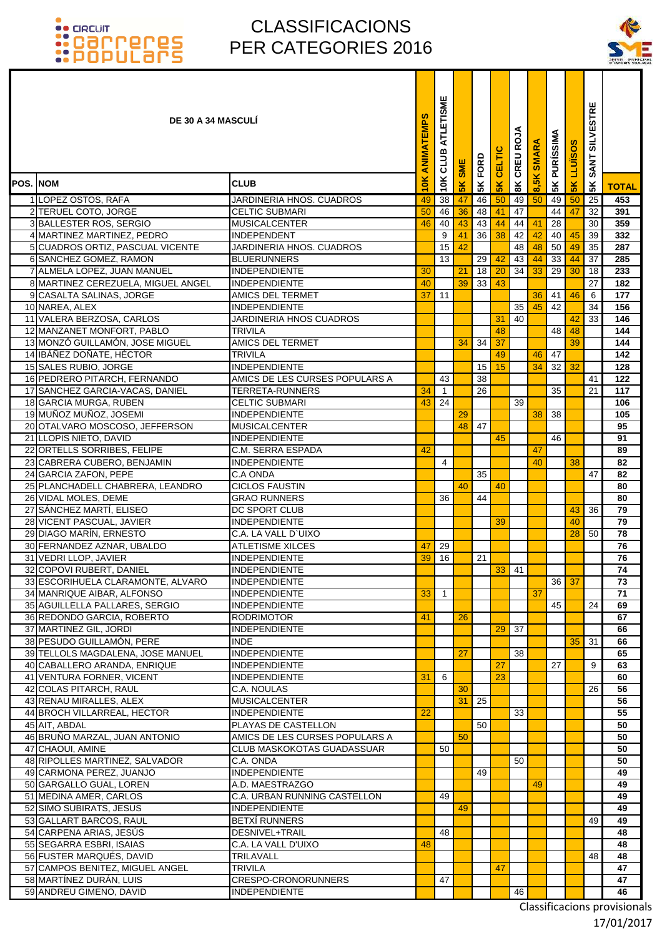T

### CLASSIFICACIONS PER CATEGORIES 2016



|                 | <b>DE 30 A 34 MASCULI</b>                                       |                                                        | ANIMATEMPS      | ATLETISME<br>CLUB | <b>SME</b>     | FORD     | CELTIC         | 8K CREU ROJA | <b>SMARA</b> | <b>PURÍSSIMA</b> | <b>LLUISOS</b> | <b>SILVESTRE</b><br><b>SANT</b> |              |
|-----------------|-----------------------------------------------------------------|--------------------------------------------------------|-----------------|-------------------|----------------|----------|----------------|--------------|--------------|------------------|----------------|---------------------------------|--------------|
| <b>POS. NOM</b> |                                                                 | <b>CLUB</b>                                            | $\frac{10}{10}$ | 10K               | $\frac{8}{10}$ | 5K       | $\frac{8}{10}$ |              | 8,5K         | 5K               | $\frac{8}{5}$  | 5K                              | <b>TOTAL</b> |
|                 | 1 LOPEZ OSTOS, RAFA                                             | JARDINERIA HNOS. CUADROS                               | 49              | 38                | 47             | 46       | 50             | 49           | 50           | 49               | 50             | 25                              | 453          |
|                 | 2 TERUEL COTO, JORGE                                            | <b>CELTIC SUBMARI</b>                                  | 50              | 46                | 36             | 48       | 41             | 47           |              | 44               | 47             | 32                              | 391          |
|                 | 3 BALLESTER ROS, SERGIO                                         | <b>MUSICALCENTER</b>                                   | 46              | 40                | 43             | 43       | 44             | 44           | 41           | 28               |                | 30                              | 359          |
|                 | 4 MARTINEZ MARTINEZ, PEDRO                                      | <b>INDEPENDENT</b>                                     |                 | 9                 | 41             | 36       | 38             | 42           | 42           | 40 <sup>1</sup>  | 45             | 39                              | 332          |
|                 | 5 CUADROS ORTIZ, PASCUAL VICENTE                                | JARDINERIA HNOS. CUADROS                               |                 | 15                | 42             |          |                | 48           | 48           | 50               | 49             | 35                              | 287          |
|                 | 6 SANCHEZ GOMEZ, RAMON                                          | <b>BLUERUNNERS</b>                                     |                 | 13                |                | 29       | 42             | 43           | 44           | 33               | 44             | 37                              | 285          |
|                 | 7 ALMELA LOPEZ, JUAN MANUEL                                     | <b>INDEPENDIENTE</b>                                   | 30              |                   | 21             | 18       | 20             | 34           | 33           | 29               | 30             | 18                              | 233          |
|                 | 8 MARTINEZ CEREZUELA, MIGUEL ANGEL                              | <b>INDEPENDIENTE</b>                                   | 40              |                   | 39             | 33       | 43             |              |              |                  |                | 27                              | 182          |
|                 | 9 CASALTA SALINAS, JORGE                                        | <b>AMICS DEL TERMET</b>                                | 37              | 11                |                |          |                |              | 36           | 41               | 46             | 6                               | 177          |
|                 | 10 NAREA, ALEX                                                  | <b>INDEPENDIENTE</b>                                   |                 |                   |                |          |                | 35           | 45           | 42               |                | 34                              | 156          |
|                 | 11 VALERA BERZOSA, CARLOS                                       | JARDINERIA HNOS CUADROS                                |                 |                   |                |          | 31             | 40           |              |                  | 42             | 33                              | 146          |
|                 | 12 MANZANET MONFORT, PABLO                                      | <b>TRIVILA</b>                                         |                 |                   |                |          | 48             |              |              | 48               | 48             |                                 | 144          |
|                 | 13 MONZÓ GUILLAMÓN, JOSE MIGUEL                                 | <b>AMICS DEL TERMET</b>                                |                 |                   | 34             | 34       | 37             |              |              |                  | 39             |                                 | 144          |
|                 | 14 IBÁÑEZ DOÑATE, HÉCTOR                                        | <b>TRIVILA</b>                                         |                 |                   |                |          | 49             |              | 46           | 47               |                |                                 | 142          |
|                 | 15 SALES RUBIO, JORGE                                           | <b>INDEPENDIENTE</b><br>AMICS DE LES CURSES POPULARS A |                 | 43                |                | 15<br>38 | 15             |              | 34           | 32               | 32             |                                 | 128          |
|                 | 16 PEDRERO PITARCH, FERNANDO<br>17 SANCHEZ GARCIA-VACAS, DANIEL | <b>TERRETA-RUNNERS</b>                                 | 34              | $\overline{1}$    |                | 26       |                |              |              | 35               |                | 41<br>21                        | 122<br>117   |
|                 | 18 GARCIA MURGA, RUBEN                                          | <b>CELTIC SUBMARI</b>                                  | 43              | 24                |                |          |                | 39           |              |                  |                |                                 | 106          |
|                 | 19 MUÑOZ MUÑOZ, JOSEMI                                          | <b>INDEPENDIENTE</b>                                   |                 |                   | 29             |          |                |              | 38           | 38               |                |                                 | 105          |
|                 | 20 OTALVARO MOSCOSO, JEFFERSON                                  | <b>MUSICALCENTER</b>                                   |                 |                   | 48             | 47       |                |              |              |                  |                |                                 | 95           |
|                 | 21 LLOPIS NIETO, DAVID                                          | <b>INDEPENDIENTE</b>                                   |                 |                   |                |          | 45             |              |              | 46               |                |                                 | 91           |
|                 | 22 ORTELLS SORRIBES, FELIPE                                     | C.M. SERRA ESPADA                                      | 42              |                   |                |          |                |              | 47           |                  |                |                                 | 89           |
|                 | 23 CABRERA CUBERO, BENJAMIN                                     | <b>INDEPENDIENTE</b>                                   |                 | 4                 |                |          |                |              | 40           |                  | 38             |                                 | 82           |
|                 | 24 GARCIA ZAFON, PEPE                                           | C.A ONDA                                               |                 |                   |                | 35       |                |              |              |                  |                | 47                              | 82           |
|                 | 25 PLANCHADELL CHABRERA, LEANDRO                                | <b>CICLOS FAUSTIN</b>                                  |                 |                   | 40             |          | 40             |              |              |                  |                |                                 | 80           |
|                 | 26 VIDAL MOLES, DEME                                            | <b>GRAO RUNNERS</b>                                    |                 | 36                |                | 44       |                |              |              |                  |                |                                 | 80           |
|                 | 27 SÁNCHEZ MARTÍ, ELISEO                                        | <b>DC SPORT CLUB</b>                                   |                 |                   |                |          |                |              |              |                  | 43             | 36                              | 79           |
|                 | 28 VICENT PASCUAL, JAVIER                                       | <b>INDEPENDIENTE</b>                                   |                 |                   |                |          | 39             |              |              |                  | 40             |                                 | 79           |
|                 | 29 DIAGO MARÍN, ERNESTO                                         | C.A. LA VALL D'UIXO                                    |                 |                   |                |          |                |              |              |                  | 28             | 50                              | 78           |
|                 | 30 FERNANDEZ AZNAR, UBALDO                                      | <b>ATLETISME XILCES</b>                                | 47              | 29                |                |          |                |              |              |                  |                |                                 | 76           |
|                 | 31 VEDRI LLOP, JAVIER                                           | <b>INDEPENDIENTE</b>                                   | 39              | 16                |                | 21       |                |              |              |                  |                |                                 | 76           |
|                 | 32 COPOVI RUBERT, DANIEL                                        | <b>INDEPENDIENTE</b>                                   |                 |                   |                |          | 33             | 41           |              |                  |                |                                 | 74           |
|                 | 33 ESCORIHUELA CLARAMONTE, ALVARO                               | <b>INDEPENDIENTE</b><br><b>INDEPENDIENTE</b>           |                 | $\overline{1}$    |                |          |                |              | 37           |                  | $36$ 37        |                                 | 73<br>71     |
|                 | 34 MANRIQUE AIBAR, ALFONSO<br>35 AGUILLELLA PALLARES, SERGIO    | <b>INDEPENDIENTE</b>                                   | 33              |                   |                |          |                |              |              | 45               |                | 24                              | 69           |
|                 | 36 REDONDO GARCIA, ROBERTO                                      | <b>RODRIMOTOR</b>                                      | 41              |                   | 26             |          |                |              |              |                  |                |                                 | 67           |
|                 | 37 MARTINEZ GIL, JORDI                                          | <b>INDEPENDIENTE</b>                                   |                 |                   |                |          | 29             | 37           |              |                  |                |                                 | 66           |
|                 | 38 PESUDO GUILLAMÓN, PERE                                       | <b>INDE</b>                                            |                 |                   |                |          |                |              |              |                  | 35             | 31                              | 66           |
|                 | 39 TELLOLS MAGDALENA, JOSE MANUEL                               | <b>INDEPENDIENTE</b>                                   |                 |                   | 27             |          |                | 38           |              |                  |                |                                 | 65           |
|                 | 40 CABALLERO ARANDA, ENRIQUE                                    | <b>INDEPENDIENTE</b>                                   |                 |                   |                |          | 27             |              |              | 27               |                | 9                               | 63           |
|                 | 41 VENTURA FORNER, VICENT                                       | <b>INDEPENDIENTE</b>                                   | 31              | 6                 |                |          | 23             |              |              |                  |                |                                 | 60           |
|                 | 42 COLAS PITARCH, RAUL                                          | C.A. NOULAS                                            |                 |                   | 30             |          |                |              |              |                  |                | 26                              | 56           |
|                 | 43 RENAU MIRALLES, ALEX                                         | <b>MUSICALCENTER</b>                                   |                 |                   | 31             | 25       |                |              |              |                  |                |                                 | 56           |
|                 | 44 BROCH VILLARREAL, HECTOR                                     | <b>INDEPENDIENTE</b>                                   | 22              |                   |                |          |                | 33           |              |                  |                |                                 | 55           |
|                 | 45 AIT, ABDAL                                                   | PLAYAS DE CASTELLON                                    |                 |                   |                | 50       |                |              |              |                  |                |                                 | 50           |
|                 | 46 BRUÑO MARZAL, JUAN ANTONIO                                   | AMICS DE LES CURSES POPULARS A                         |                 |                   | 50             |          |                |              |              |                  |                |                                 | 50           |
|                 | 47 CHAOUI, AMINE                                                | <b>CLUB MASKOKOTAS GUADASSUAR</b>                      |                 | 50                |                |          |                |              |              |                  |                |                                 | 50           |
|                 | 48 RIPOLLES MARTINEZ, SALVADOR<br>49 CARMONA PEREZ, JUANJO      | C.A. ONDA<br><b>INDEPENDIENTE</b>                      |                 |                   |                | 49       |                | 50           |              |                  |                |                                 | 50<br>49     |
|                 | 50 GARGALLO GUAL, LOREN                                         | A.D. MAESTRAZGO                                        |                 |                   |                |          |                |              | 49           |                  |                |                                 | 49           |
|                 | 51 MEDINA AMER, CARLOS                                          | C.A. URBAN RUNNING CASTELLON                           |                 | 49                |                |          |                |              |              |                  |                |                                 | 49           |
|                 | 52 SIMO SUBIRATS, JESUS                                         | <b>INDEPENDIENTE</b>                                   |                 |                   | 49             |          |                |              |              |                  |                |                                 | 49           |
|                 | 53 GALLART BARCOS, RAUL                                         | <b>BETXÍ RUNNERS</b>                                   |                 |                   |                |          |                |              |              |                  |                | 49                              | 49           |
|                 | 54 CARPENA ARIAS, JESÚS                                         | DESNIVEL+TRAIL                                         |                 | 48                |                |          |                |              |              |                  |                |                                 | 48           |
|                 | 55 SEGARRA ESBRI, ISAIAS                                        | C.A. LA VALL D'UIXO                                    | 48              |                   |                |          |                |              |              |                  |                |                                 | 48           |
|                 | 56 FUSTER MARQUÉS, DAVID                                        | TRILAVALL                                              |                 |                   |                |          |                |              |              |                  |                | 48                              | 48           |
|                 | 57 CAMPOS BENITEZ, MIGUEL ANGEL                                 | <b>TRIVILA</b>                                         |                 |                   |                |          | 47             |              |              |                  |                |                                 | 47           |
|                 | 58 MARTÍNEZ DURÁN, LUIS                                         | CRESPO-CRONORUNNERS                                    |                 | 47                |                |          |                |              |              |                  |                |                                 | 47           |
|                 | 59 ANDREU GIMENO, DAVID                                         | <b>INDEPENDIENTE</b>                                   |                 |                   |                |          |                | 46           |              |                  |                |                                 | 46           |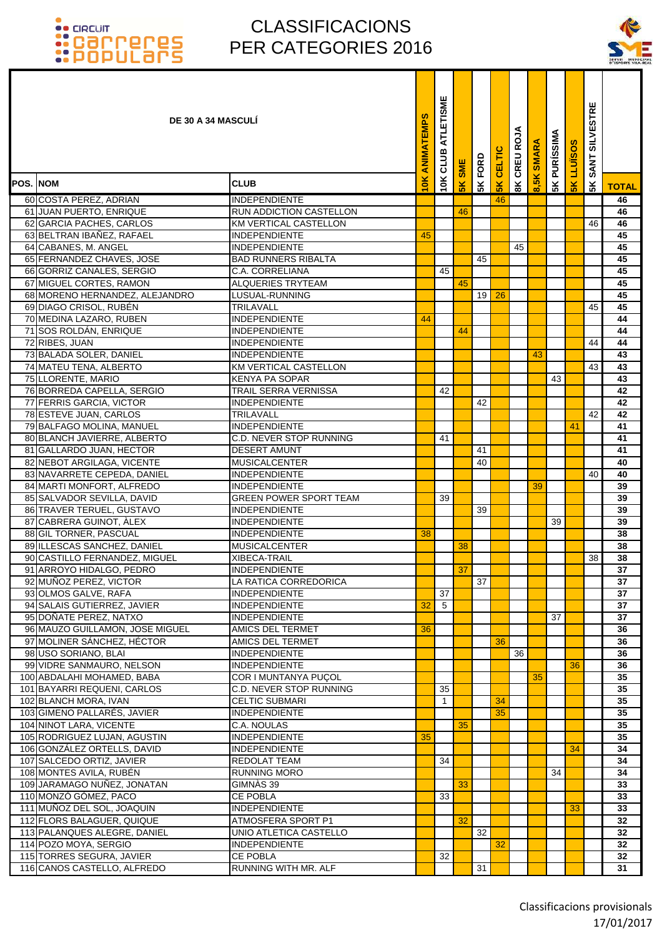### CLASSIFICACIONS PER CATEGORIES 2016

T ٦



|                 | <b>DE 30 A 34 MASCULI</b>                              |                                                | ANIMATEMPS | ATLETISME<br>10K CLUB | <b>SK SME</b> | FORD            | CELTIC        | CREU ROJA      | <b>SMARA</b>        | <b>PURÍSSIMA</b> | LLUÏSOS       | <b>SILVESTRE</b><br><b>SANT</b> |              |
|-----------------|--------------------------------------------------------|------------------------------------------------|------------|-----------------------|---------------|-----------------|---------------|----------------|---------------------|------------------|---------------|---------------------------------|--------------|
| <b>POS. NOM</b> |                                                        | <b>CLUB</b>                                    | 10K        |                       |               | 5K              | $\frac{8}{5}$ | $\frac{8}{10}$ | $\frac{8}{5}$<br>ၹႄ | 5K               | $\frac{8}{5}$ | 5 <sub>K</sub>                  | <b>TOTAL</b> |
|                 | 60 COSTA PEREZ, ADRIAN                                 | <b>INDEPENDIENTE</b>                           |            |                       |               |                 | 46            |                |                     |                  |               |                                 | 46           |
|                 | 61 JUAN PUERTO, ENRIQUE                                | RUN ADDICTION CASTELLON                        |            |                       | 46            |                 |               |                |                     |                  |               |                                 | 46           |
|                 | 62 GARCIA PACHES, CARLOS                               | <b>KM VERTICAL CASTELLON</b>                   |            |                       |               |                 |               |                |                     |                  |               | 46                              | 46           |
|                 | 63 BELTRAN IBAÑEZ, RAFAEL                              | <b>INDEPENDIENTE</b>                           | 45         |                       |               |                 |               |                |                     |                  |               |                                 | 45           |
|                 | 64 CABANES, M. ANGEL                                   | <b>INDEPENDIENTE</b>                           |            |                       |               |                 |               | 45             |                     |                  |               |                                 | 45           |
|                 | 65 FERNANDEZ CHAVES, JOSE                              | <b>BAD RUNNERS RIBALTA</b>                     |            |                       |               | 45              |               |                |                     |                  |               |                                 | 45           |
|                 | 66 GORRIZ CANALES, SERGIO                              | C.A. CORRELIANA                                |            | 45                    |               |                 |               |                |                     |                  |               |                                 | 45           |
|                 | 67 MIGUEL CORTES, RAMON                                | <b>ALQUERIES TRYTEAM</b>                       |            |                       | 45            |                 |               |                |                     |                  |               |                                 | 45           |
|                 | 68 MORENO HERNANDEZ, ALEJANDRO                         | LUSUAL-RUNNING                                 |            |                       |               | 19 <sup>1</sup> | 26            |                |                     |                  |               |                                 | 45           |
|                 | 69 DIAGO CRISOL, RUBÉN                                 | TRILAVALL                                      |            |                       |               |                 |               |                |                     |                  |               | 45                              | 45           |
|                 | 70 MEDINA LAZARO, RUBEN                                | <b>INDEPENDIENTE</b>                           | 44         |                       |               |                 |               |                |                     |                  |               |                                 | 44           |
|                 | 71 SOS ROLDÁN, ENRIQUE                                 | INDEPENDIENTE                                  |            |                       | 44            |                 |               |                |                     |                  |               |                                 | 44           |
|                 | 72 RIBES, JUAN                                         | <b>INDEPENDIENTE</b>                           |            |                       |               |                 |               |                |                     |                  |               | 44                              | 44           |
|                 | 73 BALADA SOLER, DANIEL                                | INDEPENDIENTE                                  |            |                       |               |                 |               |                | 43                  |                  |               |                                 | 43           |
|                 | 74 MATEU TENA, ALBERTO                                 | KM VERTICAL CASTELLON                          |            |                       |               |                 |               |                |                     |                  |               | 43                              | 43           |
|                 | 75 LLORENTE, MARIO                                     | <b>KENYA PA SOPAR</b>                          |            |                       |               |                 |               |                |                     | 43               |               |                                 | 43           |
|                 | 76 BORREDA CAPELLA, SERGIO                             | TRAIL SERRA VERNISSA                           |            | 42                    |               |                 |               |                |                     |                  |               |                                 | 42           |
|                 | 77 FERRIS GARCIA, VICTOR                               | <b>INDEPENDIENTE</b>                           |            |                       |               | 42              |               |                |                     |                  |               |                                 | 42           |
|                 | 78 ESTEVE JUAN, CARLOS                                 | TRILAVALL                                      |            |                       |               |                 |               |                |                     |                  |               | 42                              | 42           |
|                 | 79 BALFAGO MOLINA, MANUEL                              | INDEPENDIENTE                                  |            |                       |               |                 |               |                |                     |                  | 41            |                                 | 41           |
|                 | 80 BLANCH JAVIERRE, ALBERTO                            | C.D. NEVER STOP RUNNING<br><b>DESERT AMUNT</b> |            | 41                    |               | 41              |               |                |                     |                  |               |                                 | 41<br>41     |
|                 | 81 GALLARDO JUAN, HECTOR<br>82 NEBOT ARGILAGA, VICENTE | <b>MUSICALCENTER</b>                           |            |                       |               | 40              |               |                |                     |                  |               |                                 | 40           |
|                 | 83 NAVARRETE CEPEDA, DANIEL                            | INDEPENDIENTE                                  |            |                       |               |                 |               |                |                     |                  |               | 40                              | 40           |
|                 | 84 MARTI MONFORT, ALFREDO                              | INDEPENDIENTE                                  |            |                       |               |                 |               |                | 39                  |                  |               |                                 | 39           |
|                 | 85 SALVADOR SEVILLA, DAVID                             | GREEN POWER SPORT TEAM                         |            | 39                    |               |                 |               |                |                     |                  |               |                                 | 39           |
|                 | 86 TRAVER TERUEL, GUSTAVO                              | <b>INDEPENDIENTE</b>                           |            |                       |               | 39              |               |                |                     |                  |               |                                 | 39           |
|                 | 87 CABRERA GUINOT, ÀLEX                                | <b>INDEPENDIENTE</b>                           |            |                       |               |                 |               |                |                     | 39               |               |                                 | 39           |
|                 | 88 GIL TORNER, PASCUAL                                 | <b>INDEPENDIENTE</b>                           | 38         |                       |               |                 |               |                |                     |                  |               |                                 | 38           |
|                 | 89 ILLESCAS SANCHEZ, DANIEL                            | <b>MUSICALCENTER</b>                           |            |                       | 38            |                 |               |                |                     |                  |               |                                 | 38           |
|                 | 90 CASTILLO FERNANDEZ, MIGUEL                          | XIBECA-TRAIL                                   |            |                       |               |                 |               |                |                     |                  |               | 38                              | 38           |
|                 | 91 ARROYO HIDALGO, PEDRO                               | <b>INDEPENDIENTE</b>                           |            |                       | 37            |                 |               |                |                     |                  |               |                                 | 37           |
|                 | 92 MUÑOZ PEREZ, VICTOR                                 | LA RATICA CORREDORICA                          |            |                       |               | 37              |               |                |                     |                  |               |                                 | 37           |
|                 | 93 OLMOS GALVE, RAFA                                   | <b>INDEPENDIENTE</b>                           |            | 37                    |               |                 |               |                |                     |                  |               |                                 | 37           |
|                 | 94 SALAIS GUTIERREZ, JAVIER                            | <b>INDEPENDIENTE</b>                           | 32         | 5                     |               |                 |               |                |                     |                  |               |                                 | 37           |
|                 | 95 DOÑATE PEREZ, NATXO                                 | <b>INDEPENDIENTE</b>                           |            |                       |               |                 |               |                |                     | 37               |               |                                 | 37           |
|                 | 96 MAUZO GUILLAMON, JOSE MIGUEL                        | AMICS DEL TERMET                               | 36         |                       |               |                 |               |                |                     |                  |               |                                 | 36           |
|                 | 97 MOLINER SÁNCHEZ, HÉCTOR                             | AMICS DEL TERMET                               |            |                       |               |                 | 36            |                |                     |                  |               |                                 | 36           |
|                 | 98 USO SORIANO, BLAI                                   | <b>INDEPENDIENTE</b>                           |            |                       |               |                 |               | 36             |                     |                  |               |                                 | 36           |
|                 | 99 VIDRE SANMAURO, NELSON                              | <b>INDEPENDIENTE</b>                           |            |                       |               |                 |               |                |                     |                  | 36            |                                 | 36           |
|                 | 100 ABDALAHI MOHAMED, BABA                             | COR I MUNTANYA PUÇOL                           |            |                       |               |                 |               |                | 35                  |                  |               |                                 | 35           |
|                 | 101 BAYARRI REQUENI, CARLOS                            | C.D. NEVER STOP RUNNING                        |            | 35                    |               |                 |               |                |                     |                  |               |                                 | 35           |
|                 | 102 BLANCH MORA, IVAN<br>103 GIMENO PALLARÉS, JAVIER   | CELTIC SUBMARI                                 |            | $\mathbf{1}$          |               |                 | 34            |                |                     |                  |               |                                 | 35           |
|                 | 104 NINOT LARA, VICENTE                                | <b>INDEPENDIENTE</b>                           |            |                       | 35            |                 | 35            |                |                     |                  |               |                                 | 35<br>35     |
|                 | 105 RODRIGUEZ LUJAN, AGUSTIN                           | C.A. NOULAS<br><b>INDEPENDIENTE</b>            | 35         |                       |               |                 |               |                |                     |                  |               |                                 | 35           |
|                 | 106 GONZÁLEZ ORTELLS, DAVID                            | <b>INDEPENDIENTE</b>                           |            |                       |               |                 |               |                |                     |                  | 34            |                                 | 34           |
|                 | 107 SALCEDO ORTIZ, JAVIER                              | REDOLAT TEAM                                   |            | 34                    |               |                 |               |                |                     |                  |               |                                 | 34           |
|                 | 108 MONTES AVILA, RUBÉN                                | RUNNING MORO                                   |            |                       |               |                 |               |                |                     | 34               |               |                                 | 34           |
|                 | 109 JARAMAGO NUÑEZ, JONATAN                            | GIMNÀS 39                                      |            |                       | 33            |                 |               |                |                     |                  |               |                                 | 33           |
|                 | 110 MONZÓ GÓMEZ, PACO                                  | <b>CE POBLA</b>                                |            | 33                    |               |                 |               |                |                     |                  |               |                                 | 33           |
|                 | 111 MUÑOZ DEL SOL, JOAQUIN                             | <b>INDEPENDIENTE</b>                           |            |                       |               |                 |               |                |                     |                  | 33            |                                 | 33           |
|                 | 112 FLORS BALAGUER, QUIQUE                             | ATMOSFERA SPORT P1                             |            |                       | 32            |                 |               |                |                     |                  |               |                                 | 32           |
|                 | 113 PALANQUES ALEGRE, DANIEL                           | UNIO ATLETICA CASTELLO                         |            |                       |               | 32              |               |                |                     |                  |               |                                 | 32           |
|                 | 114 POZO MOYA, SERGIO                                  | <b>INDEPENDIENTE</b>                           |            |                       |               |                 | 32            |                |                     |                  |               |                                 | 32           |
|                 | 115 TORRES SEGURA, JAVIER                              | <b>CE POBLA</b>                                |            | 32                    |               |                 |               |                |                     |                  |               |                                 | 32           |
|                 | 116 CANOS CASTELLO, ALFREDO                            | RUNNING WITH MR. ALF                           |            |                       |               | 31              |               |                |                     |                  |               |                                 | 31           |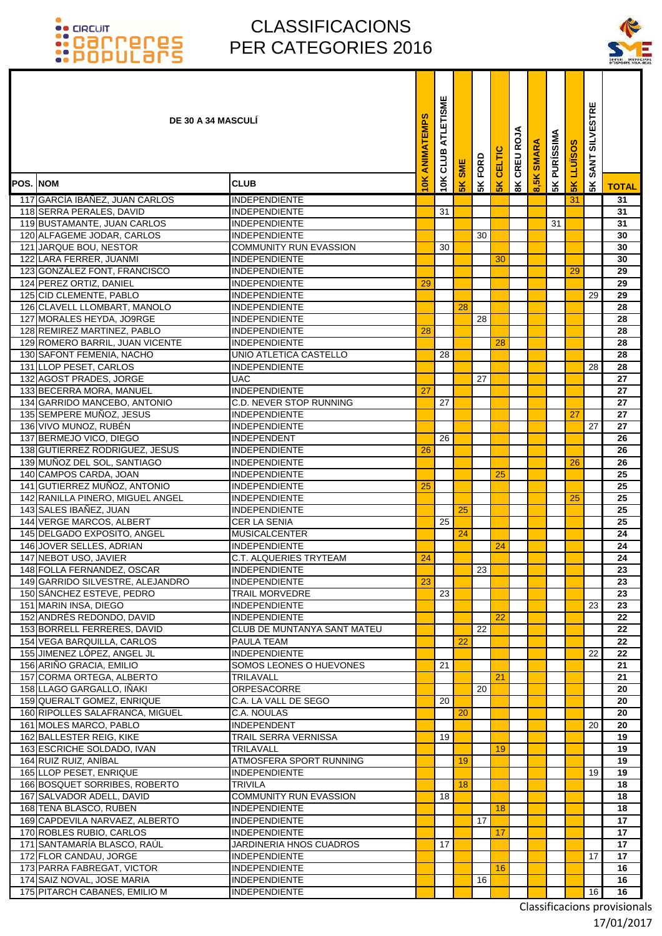### CLASSIFICACIONS PER CATEGORIES 2016

ī ۰ Т



|                 | <b>DE 30 A 34 MASCULI</b>                                  |                                                     | ANIMATEMPS | ATLETISME<br>CLUB | SME             | FORD | CELTIC        | CREU ROJA      | <b>SMARA</b> | <b>SK PURÍSSIMA</b> | <b>LLUISOS</b> | <b>SILVESTRE</b><br><b>SANT</b> |              |
|-----------------|------------------------------------------------------------|-----------------------------------------------------|------------|-------------------|-----------------|------|---------------|----------------|--------------|---------------------|----------------|---------------------------------|--------------|
| <b>POS. NOM</b> |                                                            | <b>CLUB</b>                                         | <b>IOK</b> | 10K               | $\frac{2}{\pi}$ | 5K   | $\frac{2}{5}$ | $\frac{8}{10}$ | ၹႜ           |                     | $\frac{8}{5}$  | 5K                              | <b>TOTAL</b> |
|                 | 117 GARCÍA IBÁÑEZ, JUAN CARLOS                             | <b>INDEPENDIENTE</b>                                |            |                   |                 |      |               |                |              |                     | 31             |                                 | 31           |
|                 | 118 SERRA PERALES, DAVID                                   | <b>INDEPENDIENTE</b>                                |            | 31                |                 |      |               |                |              |                     |                |                                 | 31           |
|                 | 119 BUSTAMANTE, JUAN CARLOS                                | <b>INDEPENDIENTE</b>                                |            |                   |                 |      |               |                |              | 31                  |                |                                 | 31           |
|                 | 120 ALFAGEME JODAR, CARLOS                                 | <b>INDEPENDIENTE</b>                                |            |                   |                 | 30   |               |                |              |                     |                |                                 | 30           |
|                 | 121 JARQUE BOU, NESTOR                                     | <b>COMMUNITY RUN EVASSION</b>                       |            | 30                |                 |      |               |                |              |                     |                |                                 | 30           |
|                 | 122 LARA FERRER, JUANMI<br>123 GONZÁLEZ FONT, FRANCISCO    | <b>INDEPENDIENTE</b><br><b>INDEPENDIENTE</b>        |            |                   |                 |      | 30            |                |              |                     | 29             |                                 | 30<br>29     |
|                 | 124 PEREZ ORTIZ, DANIEL                                    | <b>INDEPENDIENTE</b>                                | 29         |                   |                 |      |               |                |              |                     |                |                                 | 29           |
|                 | 125 CID CLEMENTE, PABLO                                    | <b>INDEPENDIENTE</b>                                |            |                   |                 |      |               |                |              |                     |                | 29                              | 29           |
|                 | 126 CLAVELL LLOMBART, MANOLO                               | <b>INDEPENDIENTE</b>                                |            |                   | 28              |      |               |                |              |                     |                |                                 | 28           |
|                 | 127 MORALES HEYDA, JO9RGE                                  | <b>INDEPENDIENTE</b>                                |            |                   |                 | 28   |               |                |              |                     |                |                                 | 28           |
|                 | 128 REMIREZ MARTINEZ, PABLO                                | <b>INDEPENDIENTE</b>                                | 28         |                   |                 |      |               |                |              |                     |                |                                 | 28           |
|                 | 129 ROMERO BARRIL, JUAN VICENTE                            | <b>INDEPENDIENTE</b>                                |            |                   |                 |      | 28            |                |              |                     |                |                                 | 28           |
|                 | 130 SAFONT FEMENIA, NACHO                                  | UNIO ATLETICA CASTELLO                              |            | 28                |                 |      |               |                |              |                     |                |                                 | 28           |
|                 | 131 LLOP PESET, CARLOS                                     | <b>INDEPENDIENTE</b>                                |            |                   |                 |      |               |                |              |                     |                | 28                              | 28           |
|                 | 132 AGOST PRADES, JORGE<br>133 BECERRA MORA, MANUEL        | <b>UAC</b><br><b>INDEPENDIENTE</b>                  | 27         |                   |                 | 27   |               |                |              |                     |                |                                 | 27<br>27     |
|                 | 134 GARRIDO MANCEBO, ANTONIO                               | <b>C.D. NEVER STOP RUNNING</b>                      |            | 27                |                 |      |               |                |              |                     |                |                                 | 27           |
|                 | 135 SEMPERE MUÑOZ, JESUS                                   | <b>INDEPENDIENTE</b>                                |            |                   |                 |      |               |                |              |                     | 27             |                                 | 27           |
|                 | 136 VIVO MUNOZ, RUBÉN                                      | <b>INDEPENDIENTE</b>                                |            |                   |                 |      |               |                |              |                     |                | 27                              | 27           |
|                 | 137 BERMEJO VICO, DIEGO                                    | <b>INDEPENDENT</b>                                  |            | 26                |                 |      |               |                |              |                     |                |                                 | 26           |
|                 | 138 GUTIERREZ RODRIGUEZ, JESUS                             | <b>INDEPENDIENTE</b>                                | 26         |                   |                 |      |               |                |              |                     |                |                                 | 26           |
|                 | 139 MUÑOZ DEL SOL, SANTIAGO                                | <b>INDEPENDIENTE</b>                                |            |                   |                 |      |               |                |              |                     | 26             |                                 | 26           |
|                 | 140 CAMPOS CARDA, JOAN                                     | <b>INDEPENDIENTE</b>                                |            |                   |                 |      | 25            |                |              |                     |                |                                 | 25           |
|                 | 141 GUTIERREZ MUÑOZ, ANTONIO                               | INDEPENDIENTE                                       | 25         |                   |                 |      |               |                |              |                     |                |                                 | 25           |
|                 | 142 RANILLA PINERO, MIGUEL ANGEL<br>143 SALES IBAÑEZ, JUAN | <b>INDEPENDIENTE</b>                                |            |                   | 25              |      |               |                |              |                     | 25             |                                 | 25<br>25     |
|                 | 144 VERGE MARCOS, ALBERT                                   | <b>INDEPENDIENTE</b><br><b>CER LA SENIA</b>         |            | 25                |                 |      |               |                |              |                     |                |                                 | 25           |
|                 | 145 DELGADO EXPOSITO, ANGEL                                | <b>MUSICALCENTER</b>                                |            |                   | 24              |      |               |                |              |                     |                |                                 | 24           |
|                 | 146 JOVER SELLES, ADRIAN                                   | <b>INDEPENDIENTE</b>                                |            |                   |                 |      | 24            |                |              |                     |                |                                 | 24           |
|                 | 147 NEBOT USO, JAVIER                                      | C.T. ALQUERIES TRYTEAM                              | 24         |                   |                 |      |               |                |              |                     |                |                                 | 24           |
|                 | 148 FOLLA FERNANDEZ, OSCAR                                 | <b>INDEPENDIENTE</b>                                |            |                   |                 | 23   |               |                |              |                     |                |                                 | 23           |
|                 | 149 GARRIDO SILVESTRE, ALEJANDRO                           | <b>INDEPENDIENTE</b>                                | 23         |                   |                 |      |               |                |              |                     |                |                                 | 23           |
|                 | 150 SÁNCHEZ ESTEVE, PEDRO                                  | TRAIL MORVEDRE                                      |            | 23                |                 |      |               |                |              |                     |                |                                 | 23           |
|                 | 151 MARIN INSA, DIEGO                                      | <b>INDEPENDIENTE</b>                                |            |                   |                 |      |               |                |              |                     |                | 23                              | 23           |
|                 | 152 ANDRÉS REDONDO, DAVID<br>153 BORRELL FERRERES, DAVID   | <b>INDEPENDIENTE</b><br>CLUB DE MUNTANYA SANT MATEU |            |                   |                 | 22   | 22            |                |              |                     |                |                                 | 22<br>22     |
|                 | 154 VEGA BARQUILLA, CARLOS                                 | PAULA TEAM                                          |            |                   | 22              |      |               |                |              |                     |                |                                 | 22           |
|                 | 155 JIMENEZ LÓPEZ, ANGEL JL                                | <b>INDEPENDIENTE</b>                                |            |                   |                 |      |               |                |              |                     |                | 22                              | 22           |
|                 | 156 ARIÑO GRACIA, EMILIO                                   | SOMOS LEONES O HUEVONES                             |            | 21                |                 |      |               |                |              |                     |                |                                 | 21           |
|                 | 157 CORMA ORTEGA, ALBERTO                                  | TRILAVALL                                           |            |                   |                 |      | 21            |                |              |                     |                |                                 | 21           |
|                 | 158 LLAGO GARGALLO, IÑAKI                                  | ORPESACORRE                                         |            |                   |                 | 20   |               |                |              |                     |                |                                 | 20           |
|                 | 159 QUERALT GOMEZ, ENRIQUE                                 | C.A. LA VALL DE SEGO                                |            | 20                |                 |      |               |                |              |                     |                |                                 | 20           |
|                 | 160 RIPOLLES SALAFRANCA, MIGUEL                            | C.A. NOULAS                                         |            |                   | 20              |      |               |                |              |                     |                |                                 | 20           |
|                 | 161 MOLES MARCO, PABLO<br>162 BALLESTER REIG, KIKE         | <b>INDEPENDENT</b><br>TRAIL SERRA VERNISSA          |            | 19                |                 |      |               |                |              |                     |                | 20                              | 20<br>19     |
|                 | 163 ESCRICHE SOLDADO, IVAN                                 | TRILAVALL                                           |            |                   |                 |      | 19            |                |              |                     |                |                                 | 19           |
|                 | 164 RUIZ RUIZ, ANIBAL                                      | ATMOSFERA SPORT RUNNING                             |            |                   | 19              |      |               |                |              |                     |                |                                 | 19           |
|                 | 165 LLOP PESET, ENRIQUE                                    | <b>INDEPENDIENTE</b>                                |            |                   |                 |      |               |                |              |                     |                | 19                              | 19           |
|                 | 166 BOSQUET SORRIBES, ROBERTO                              | TRIVILA                                             |            |                   | 18              |      |               |                |              |                     |                |                                 | 18           |
|                 | 167 SALVADOR ADELL, DAVID                                  | COMMUNITY RUN EVASSION                              |            | 18                |                 |      |               |                |              |                     |                |                                 | 18           |
|                 | 168 TENA BLASCO, RUBEN                                     | <b>INDEPENDIENTE</b>                                |            |                   |                 |      | 18            |                |              |                     |                |                                 | 18           |
|                 | 169 CAPDEVILA NARVAEZ, ALBERTO                             | <b>INDEPENDIENTE</b>                                |            |                   |                 | 17   |               |                |              |                     |                |                                 | 17           |
|                 | 170 ROBLES RUBIO, CARLOS                                   | <b>INDEPENDIENTE</b>                                |            |                   |                 |      | 17            |                |              |                     |                |                                 | 17           |
|                 | 171 SANTAMARÍA BLASCO, RAÚL<br>172 FLOR CANDAU, JORGE      | JARDINERIA HNOS CUADROS<br><b>INDEPENDIENTE</b>     |            | 17                |                 |      |               |                |              |                     |                | 17                              | 17<br>17     |
|                 | 173 PARRA FABREGAT, VICTOR                                 | <b>INDEPENDIENTE</b>                                |            |                   |                 |      | 16            |                |              |                     |                |                                 | 16           |
|                 | 174 SAIZ NOVAL, JOSE MARIA                                 | <b>INDEPENDIENTE</b>                                |            |                   |                 | 16   |               |                |              |                     |                |                                 | 16           |
|                 | 175 PITARCH CABANES, EMILIO M                              | <b>INDEPENDIENTE</b>                                |            |                   |                 |      |               |                |              |                     |                | 16                              | 16           |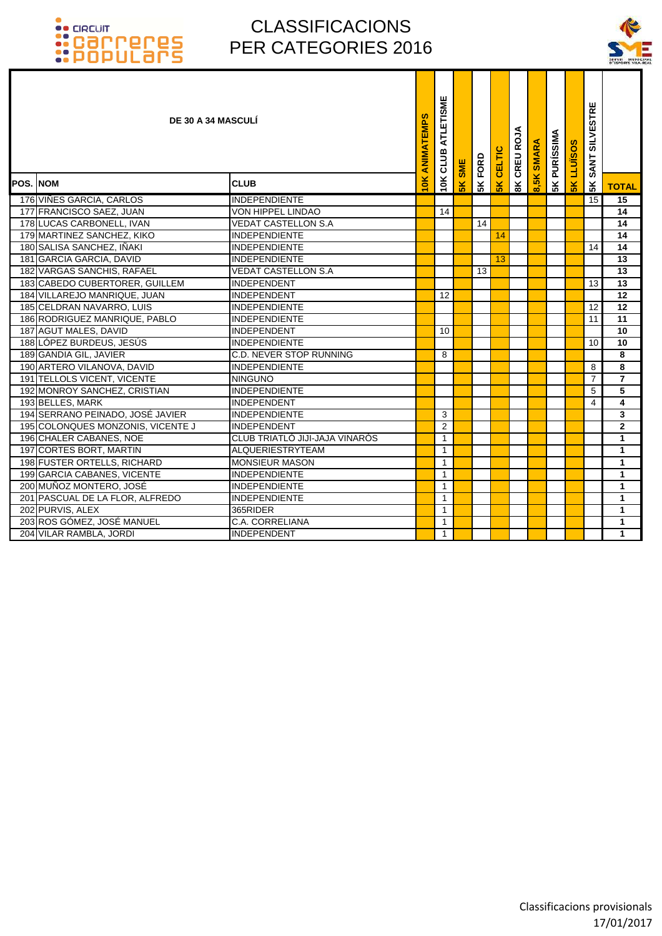

| DE 30 A 34 MASCULÍ                |                                | ANIMATEMPS | ATLETISME<br>CLUB | <b>SME</b> | FORD | CELTIC        | CREU ROJA      | <b>SMARA</b> | <b>5K PURÍSSIMA</b> | S<br>LLUISO | <b>SILVESTRE</b><br><b>SANT</b> |                |
|-----------------------------------|--------------------------------|------------|-------------------|------------|------|---------------|----------------|--------------|---------------------|-------------|---------------------------------|----------------|
| <b>POS. NOM</b>                   | <b>CLUB</b>                    | iok        | 10K               | 5K         | 5K   | $\frac{1}{2}$ | $\frac{8}{10}$ | စ            |                     | 5K          | 5K                              | <b>TOTAL</b>   |
| 176 VIÑES GARCIA, CARLOS          | <b>INDEPENDIENTE</b>           |            |                   |            |      |               |                |              |                     |             | $\overline{15}$                 | 15             |
| 177 FRANCISCO SAEZ, JUAN          | VON HIPPEL LINDAO              |            | 14                |            |      |               |                |              |                     |             |                                 | 14             |
| 178 LUCAS CARBONELL, IVAN         | <b>VEDAT CASTELLON S.A</b>     |            |                   |            | 14   |               |                |              |                     |             |                                 | 14             |
| 179 MARTINEZ SANCHEZ, KIKO        | <b>INDEPENDIENTE</b>           |            |                   |            |      | 14            |                |              |                     |             |                                 | 14             |
| 180 SALISA SANCHEZ, IÑAKI         | <b>INDEPENDIENTE</b>           |            |                   |            |      |               |                |              |                     |             | 14                              | 14             |
| 181 GARCIA GARCIA, DAVID          | <b>INDEPENDIENTE</b>           |            |                   |            |      | 13            |                |              |                     |             |                                 | 13             |
| 182 VARGAS SANCHIS, RAFAEL        | <b>VEDAT CASTELLON S.A</b>     |            |                   |            | 13   |               |                |              |                     |             |                                 | 13             |
| 183 CABEDO CUBERTORER, GUILLEM    | INDEPENDENT                    |            |                   |            |      |               |                |              |                     |             | 13                              | 13             |
| 184 VILLAREJO MANRIQUE, JUAN      | INDEPENDENT                    |            | 12                |            |      |               |                |              |                     |             |                                 | 12             |
| 185 CELDRAN NAVARRO, LUIS         | <b>INDEPENDIENTE</b>           |            |                   |            |      |               |                |              |                     |             | 12                              | 12             |
| 186 RODRIGUEZ MANRIQUE, PABLO     | <b>INDEPENDIENTE</b>           |            |                   |            |      |               |                |              |                     |             | 11                              | 11             |
| 187 AGUT MALES, DAVID             | <b>INDEPENDENT</b>             |            | 10                |            |      |               |                |              |                     |             |                                 | 10             |
| 188 LÓPEZ BURDEUS, JESÚS          | <b>INDEPENDIENTE</b>           |            |                   |            |      |               |                |              |                     |             | 10                              | 10             |
| 189 GANDIA GIL, JAVIER            | <b>C.D. NEVER STOP RUNNING</b> |            | 8                 |            |      |               |                |              |                     |             |                                 | 8              |
| 190 ARTERO VILANOVA, DAVID        | <b>INDEPENDIENTE</b>           |            |                   |            |      |               |                |              |                     |             | 8                               | 8              |
| 191 TELLOLS VICENT, VICENTE       | <b>NINGUNO</b>                 |            |                   |            |      |               |                |              |                     |             | $\overline{7}$                  | $\overline{7}$ |
| 192 MONROY SANCHEZ, CRISTIAN      | <b>INDEPENDIENTE</b>           |            |                   |            |      |               |                |              |                     |             | 5                               | 5              |
| 193 BELLES, MARK                  | INDEPENDENT                    |            |                   |            |      |               |                |              |                     |             | 4                               | 4              |
| 194 SERRANO PEINADO, JOSÉ JAVIER  | <b>INDEPENDIENTE</b>           |            | 3                 |            |      |               |                |              |                     |             |                                 | 3              |
| 195 COLONQUES MONZONIS, VICENTE J | INDEPENDENT                    |            | 2                 |            |      |               |                |              |                     |             |                                 | $\mathbf{2}$   |
| 196 CHALER CABANES, NOE           | CLUB TRIATLÓ JIJI-JAJA VINARÒS |            | $\mathbf{1}$      |            |      |               |                |              |                     |             |                                 | $\mathbf{1}$   |
| 197 CORTES BORT, MARTIN           | <b>ALQUERIESTRYTEAM</b>        |            | $\mathbf{1}$      |            |      |               |                |              |                     |             |                                 | $\mathbf{1}$   |
| 198 FUSTER ORTELLS, RICHARD       | <b>MONSIEUR MASON</b>          |            | $\mathbf{1}$      |            |      |               |                |              |                     |             |                                 | $\mathbf{1}$   |
| 199 GARCIA CABANES, VICENTE       | <b>INDEPENDIENTE</b>           |            | $\mathbf{1}$      |            |      |               |                |              |                     |             |                                 | $\mathbf{1}$   |
| 200 MUÑOZ MONTERO, JOSÉ           | <b>INDEPENDIENTE</b>           |            | $\mathbf{1}$      |            |      |               |                |              |                     |             |                                 | $\mathbf{1}$   |
| 201 PASCUAL DE LA FLOR, ALFREDO   | <b>INDEPENDIENTE</b>           |            | $\mathbf{1}$      |            |      |               |                |              |                     |             |                                 | $\mathbf{1}$   |
| 202 PURVIS, ALEX                  | 365RIDER                       |            | $\mathbf{1}$      |            |      |               |                |              |                     |             |                                 | $\mathbf{1}$   |
| 203 ROS GÓMEZ, JOSÉ MANUEL        | C.A. CORRELIANA                |            | $\mathbf{1}$      |            |      |               |                |              |                     |             |                                 | $\mathbf{1}$   |
| 204 VILAR RAMBLA, JORDI           | <b>INDEPENDENT</b>             |            | $\mathbf{1}$      |            |      |               |                |              |                     |             |                                 | $\mathbf{1}$   |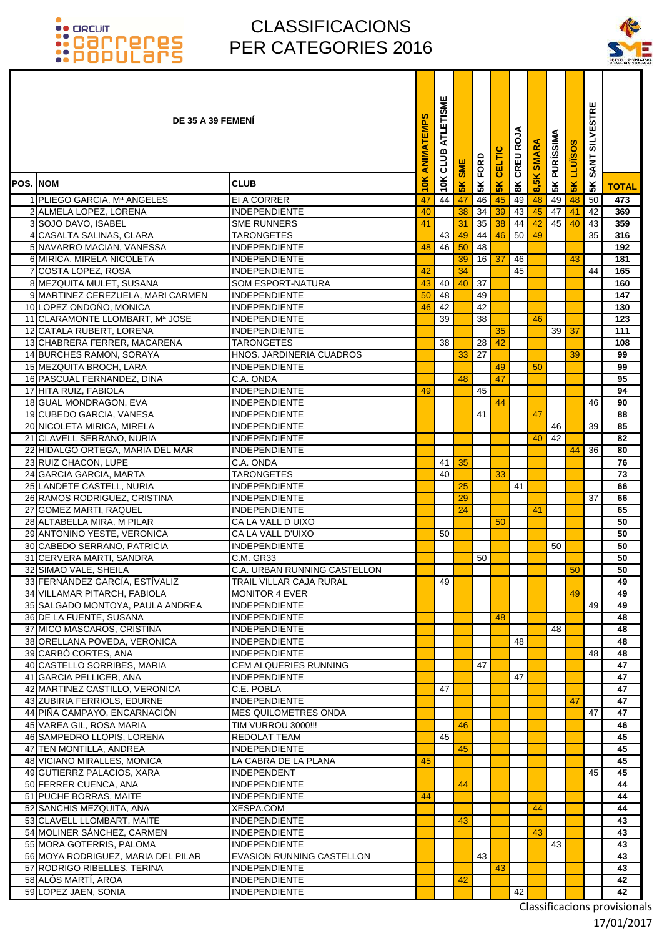### CLASSIFICACIONS PER CATEGORIES 2016

۰ Т т



|                 | DE 35 A 39 FEMENI                                            |                                                  | ANIMATEMPS | ATLETISME<br>CLUB | <b>SME</b>     | FORD            | <b>CELTIC</b> | CREU ROJA     | 8,5K SMARA | <b>PURÍSSIMA</b> | <b>LLUISOS</b> | <b>SILVESTRE</b><br><b>SANT</b> |              |
|-----------------|--------------------------------------------------------------|--------------------------------------------------|------------|-------------------|----------------|-----------------|---------------|---------------|------------|------------------|----------------|---------------------------------|--------------|
| <b>POS. NOM</b> |                                                              | <b>CLUB</b>                                      | 10K        | 10K               | 5 <sub>K</sub> | 5 <sup>K</sup>  | $\frac{1}{2}$ | $\frac{8}{3}$ |            | 5K               | 5K             | 5K                              | <b>TOTAL</b> |
|                 | 1 PLIEGO GARCIA, Mª ANGELES                                  | EI A CORRER                                      | 47         | 44                | 47             | 46              | 45            | 49            | 48         | 49               | 48             | 50                              | 473          |
|                 | 2 ALMELA LOPEZ, LORENA                                       | <b>INDEPENDIENTE</b>                             | 40         |                   | 38             | 34              | 39            | 43            | 45         | 47               | 41             | 42                              | 369          |
|                 | 3 SOJO DAVO, ISABEL                                          | <b>SME RUNNERS</b>                               | 41         |                   | 31             | 35              | 38            | 44            | 42         | 45               | 40             | 43                              | 359          |
|                 | 4 CASALTA SALINAS, CLARA                                     | TARONGETES                                       |            | 43                | 49             | 44              | 46            | 50            | 49         |                  |                | 35                              | 316          |
|                 | 5 NAVARRO MACIAN, VANESSA                                    | INDEPENDIENTE                                    | 48         | 46                | 50             | 48              |               |               |            |                  |                |                                 | 192          |
|                 | 6 MIRICA, MIRELA NICOLETA                                    | INDEPENDIENTE                                    |            |                   | 39             | 16              | 37            | 46            |            |                  | 43             |                                 | 181          |
|                 | 7 COSTA LOPEZ, ROSA                                          | <b>INDEPENDIENTE</b>                             | 42         |                   | 34             |                 |               | 45            |            |                  |                | 44                              | 165          |
|                 | 8 MEZQUITA MULET, SUSANA                                     | <b>SOM ESPORT-NATURA</b><br><b>INDEPENDIENTE</b> | 43         | 40                | 40             | 37<br>49        |               |               |            |                  |                |                                 | 160          |
|                 | 9 MARTINEZ CEREZUELA, MARI CARMEN<br>10 LOPEZ ONDOÑO, MONICA | <b>INDEPENDIENTE</b>                             | 50<br>46   | 48<br>42          |                | 42              |               |               |            |                  |                |                                 | 147<br>130   |
|                 | 11 CLARAMONTE LLOMBART, Mª JOSE                              | INDEPENDIENTE                                    |            | 39                |                | 38              |               |               | 46         |                  |                |                                 | 123          |
|                 | 12 CATALA RUBERT, LORENA                                     | INDEPENDIENTE                                    |            |                   |                |                 | 35            |               |            | 39               | 37             |                                 | 111          |
|                 | 13 CHABRERA FERRER, MACARENA                                 | <b>TARONGETES</b>                                |            | 38                |                | 28              | 42            |               |            |                  |                |                                 | 108          |
|                 | 14 BURCHES RAMON, SORAYA                                     | HNOS. JARDINERIA CUADROS                         |            |                   | 33             | $\overline{27}$ |               |               |            |                  | 39             |                                 | 99           |
|                 | 15 MEZQUITA BROCH, LARA                                      | <b>INDEPENDIENTE</b>                             |            |                   |                |                 | 49            |               | 50         |                  |                |                                 | 99           |
|                 | 16 PASCUAL FERNANDEZ, DINA                                   | C.A. ONDA                                        |            |                   | 48             |                 | 47            |               |            |                  |                |                                 | 95           |
|                 | 17 HITA RUIZ, FABIOLA                                        | <b>INDEPENDIENTE</b>                             | 49         |                   |                | 45              |               |               |            |                  |                |                                 | 94           |
|                 | 18 GUAL MONDRAGON, EVA                                       | <b>INDEPENDIENTE</b>                             |            |                   |                |                 | 44            |               |            |                  |                | 46                              | 90           |
|                 | 19 CUBEDO GARCIA, VANESA                                     | <b>INDEPENDIENTE</b>                             |            |                   |                | 41              |               |               | 47         |                  |                |                                 | 88           |
|                 | 20 NICOLETA MIRICA, MIRELA                                   | <b>INDEPENDIENTE</b>                             |            |                   |                |                 |               |               |            | 46               |                | 39                              | 85           |
|                 | 21 CLAVELL SERRANO, NURIA                                    | <b>INDEPENDIENTE</b>                             |            |                   |                |                 |               |               | 40         | 42               |                |                                 | 82           |
|                 | 22 HIDALGO ORTEGA, MARIA DEL MAR                             | INDEPENDIENTE                                    |            | 41                | 35             |                 |               |               |            |                  | 44             | 36                              | 80<br>76     |
|                 | 23 RUIZ CHACON, LUPE<br>24 GARCIA GARCIA, MARTA              | C.A. ONDA<br>TARONGETES                          |            | 40                |                |                 | 33            |               |            |                  |                |                                 | 73           |
|                 | 25 LANDETE CASTELL, NURIA                                    | INDEPENDIENTE                                    |            |                   | 25             |                 |               | 41            |            |                  |                |                                 | 66           |
|                 | 26 RAMOS RODRIGUEZ, CRISTINA                                 | INDEPENDIENTE                                    |            |                   | 29             |                 |               |               |            |                  |                | 37                              | 66           |
|                 | 27 GOMEZ MARTI, RAQUEL                                       | <b>INDEPENDIENTE</b>                             |            |                   | 24             |                 |               |               | 41         |                  |                |                                 | 65           |
|                 | 28 ALTABELLA MIRA, M PILAR                                   | CA LA VALL D UIXO                                |            |                   |                |                 | 50            |               |            |                  |                |                                 | 50           |
|                 | 29 ANTONINO YESTE, VERONICA                                  | CA LA VALL D'UIXO                                |            | 50                |                |                 |               |               |            |                  |                |                                 | 50           |
|                 | 30 CABEDO SERRANO, PATRICIA                                  | INDEPENDIENTE                                    |            |                   |                |                 |               |               |            | 50               |                |                                 | 50           |
|                 | 31 CERVERA MARTI, SANDRA                                     | C.M. GR33                                        |            |                   |                | 50              |               |               |            |                  |                |                                 | 50           |
|                 | 32 SIMAO VALE, SHEILA                                        | C.A. URBAN RUNNING CASTELLON                     |            |                   |                |                 |               |               |            |                  | 50             |                                 | 50           |
|                 | 33 FERNÁNDEZ GARCÍA, ESTÍVALIZ                               | TRAIL VILLAR CAJA RURAL                          |            | 49                |                |                 |               |               |            |                  |                |                                 | 49           |
|                 | 34 VILLAMAR PITARCH, FABIOLA                                 | <b>MONITOR 4 EVER</b>                            |            |                   |                |                 |               |               |            |                  | 49             | 49                              | 49           |
|                 | 35 SALGADO MONTOYA, PAULA ANDREA<br>36 DE LA FUENTE, SUSANA  | INDEPENDIENTE<br><b>INDEPENDIENTE</b>            |            |                   |                |                 | 48            |               |            |                  |                |                                 | 49<br>48     |
|                 | 37 MICO MASCAROS, CRISTINA                                   | <b>INDEPENDIENTE</b>                             |            |                   |                |                 |               |               |            | 48               |                |                                 | 48           |
|                 | 38 ORELLANA POVEDA, VERONICA                                 | <b>INDEPENDIENTE</b>                             |            |                   |                |                 |               | 48            |            |                  |                |                                 | 48           |
|                 | 39 CARBÓ CORTES, ANA                                         | <b>INDEPENDIENTE</b>                             |            |                   |                |                 |               |               |            |                  |                | 48                              | 48           |
|                 | 40 CASTELLO SORRIBES, MARIA                                  | <b>CEM ALQUERIES RUNNING</b>                     |            |                   |                | 47              |               |               |            |                  |                |                                 | 47           |
|                 | 41 GARCIA PELLICER, ANA                                      | <b>INDEPENDIENTE</b>                             |            |                   |                |                 |               | 47            |            |                  |                |                                 | 47           |
|                 | 42 MARTINEZ CASTILLO, VERONICA                               | C.E. POBLA                                       |            | 47                |                |                 |               |               |            |                  |                |                                 | 47           |
|                 | 43 ZUBIRIA FERRIOLS, EDURNE                                  | <b>INDEPENDIENTE</b>                             |            |                   |                |                 |               |               |            |                  | 47             |                                 | 47           |
|                 | 44 PIÑA CAMPAYO, ENCARNACIÓN                                 | <b>MES QUILOMETRES ONDA</b>                      |            |                   |                |                 |               |               |            |                  |                | 47                              | 47           |
|                 | 45 VAREA GIL, ROSA MARIA                                     | TIM VURROU 3000!!!<br><b>REDOLAT TEAM</b>        |            | 45                | 46             |                 |               |               |            |                  |                |                                 | 46<br>45     |
|                 | 46 SAMPEDRO LLOPIS, LORENA<br>47 TEN MONTILLA, ANDREA        | <b>INDEPENDIENTE</b>                             |            |                   | 45             |                 |               |               |            |                  |                |                                 | 45           |
|                 | 48 VICIANO MIRALLES, MONICA                                  | LA CABRA DE LA PLANA                             | 45         |                   |                |                 |               |               |            |                  |                |                                 | 45           |
|                 | 49 GUTIERRZ PALACIOS, XARA                                   | <b>INDEPENDENT</b>                               |            |                   |                |                 |               |               |            |                  |                | 45                              | 45           |
|                 | 50 FERRER CUENCA, ANA                                        | <b>INDEPENDIENTE</b>                             |            |                   | 44             |                 |               |               |            |                  |                |                                 | 44           |
|                 | 51 PUCHE BORRAS, MAITE                                       | <b>INDEPENDIENTE</b>                             | 44         |                   |                |                 |               |               |            |                  |                |                                 | 44           |
|                 | 52 SANCHIS MEZQUITA, ANA                                     | XESPA.COM                                        |            |                   |                |                 |               |               | 44         |                  |                |                                 | 44           |
|                 | 53 CLAVELL LLOMBART, MAITE                                   | <b>INDEPENDIENTE</b>                             |            |                   | 43             |                 |               |               |            |                  |                |                                 | 43           |
|                 | 54 MOLINER SÁNCHEZ, CARMEN                                   | <b>INDEPENDIENTE</b>                             |            |                   |                |                 |               |               | 43         |                  |                |                                 | 43           |
|                 | 55 MORA GOTERRIS, PALOMA                                     | <b>INDEPENDIENTE</b>                             |            |                   |                |                 |               |               |            | 43               |                |                                 | 43           |
|                 | 56 MOYA RODRIGUEZ, MARIA DEL PILAR                           | <b>EVASION RUNNING CASTELLON</b>                 |            |                   |                | 43              |               |               |            |                  |                |                                 | 43           |
|                 | 57 RODRIGO RIBELLES, TERINA                                  | <b>INDEPENDIENTE</b>                             |            |                   |                |                 | 43            |               |            |                  |                |                                 | 43           |
|                 | 58 ALÓS MARTÍ, AROA                                          | <b>INDEPENDIENTE</b>                             |            |                   | 42             |                 |               |               |            |                  |                |                                 | 42           |
|                 | 59 LOPEZ JAEN, SONIA                                         | <b>INDEPENDIENTE</b>                             |            |                   |                |                 |               | 42            |            |                  |                |                                 | 42           |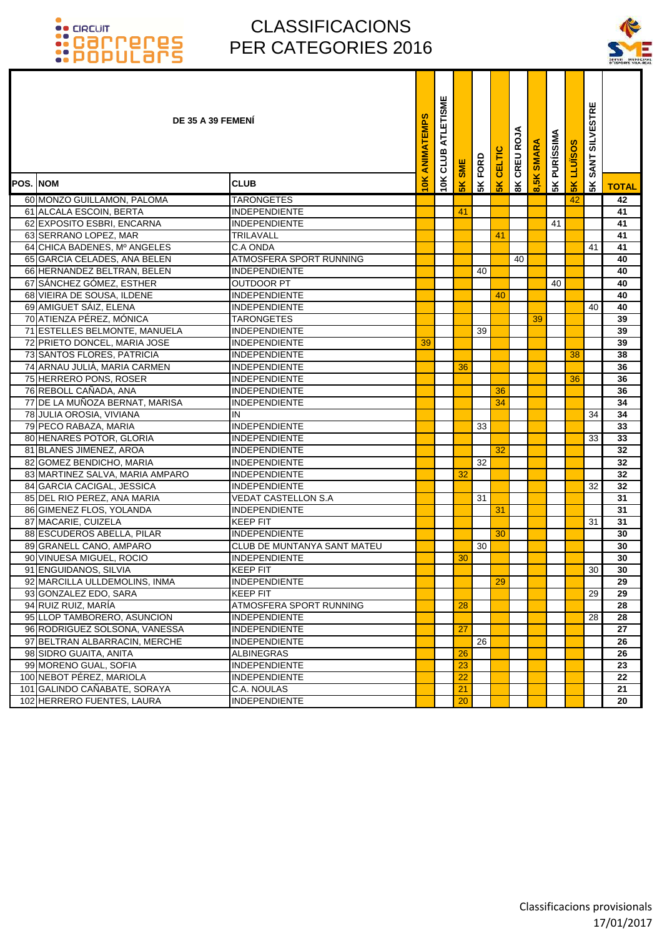

| DE 35 A 39 FEMENI               |                                    | ANIMATEMPS    | ATLETISME<br>CLUB | <b>SME</b>     | FORD | CELTIC        | CREU ROJ      | <b>SMARA</b> | <b>PURÍSSIMA</b> | S<br>LLUÏSO    | <b>SILVESTRE</b><br><b>SANT</b> |              |
|---------------------------------|------------------------------------|---------------|-------------------|----------------|------|---------------|---------------|--------------|------------------|----------------|---------------------------------|--------------|
| <b>POS. NOM</b>                 | <b>CLUB</b>                        | $\frac{1}{2}$ | 10K               | $\frac{8}{10}$ | 5K   | $\frac{1}{2}$ | $\frac{8}{3}$ | 8,5K         | 5K               | 5 <sub>K</sub> | 5 <sub>K</sub>                  | <b>TOTAL</b> |
| 60 MONZO GUILLAMON, PALOMA      | <b>TARONGETES</b>                  |               |                   |                |      |               |               |              |                  | 42             |                                 | 42           |
| 61 ALCALA ESCOIN, BERTA         | <b>INDEPENDIENTE</b>               |               |                   | 41             |      |               |               |              |                  |                |                                 | 41           |
| 62 EXPOSITO ESBRI, ENCARNA      | <b>INDEPENDIENTE</b>               |               |                   |                |      |               |               |              | 41               |                |                                 | 41           |
| 63 SERRANO LOPEZ, MAR           | TRILAVALL                          |               |                   |                |      | 41            |               |              |                  |                |                                 | 41           |
| 64 CHICA BADENES, Mº ANGELES    | C.A ONDA                           |               |                   |                |      |               |               |              |                  |                | 41                              | 41           |
| 65 GARCIA CELADES, ANA BELEN    | ATMOSFERA SPORT RUNNING            |               |                   |                |      |               | 40            |              |                  |                |                                 | 40           |
| 66 HERNANDEZ BELTRAN, BELEN     | <b>INDEPENDIENTE</b>               |               |                   |                | 40   |               |               |              |                  |                |                                 | 40           |
| 67 SÁNCHEZ GÓMEZ, ESTHER        | <b>OUTDOOR PT</b>                  |               |                   |                |      |               |               |              | 40               |                |                                 | 40           |
| 68 VIEIRA DE SOUSA, ILDENE      | <b>INDEPENDIENTE</b>               |               |                   |                |      | 40            |               |              |                  |                |                                 | 40           |
| 69 AMIGUET SÁIZ, ELENA          | <b>INDEPENDIENTE</b>               |               |                   |                |      |               |               |              |                  |                | 40                              | 40           |
| 70 ATIENZA PÉREZ, MÓNICA        | <b>TARONGETES</b>                  |               |                   |                |      |               |               | 39           |                  |                |                                 | 39           |
| 71 ESTELLES BELMONTE, MANUELA   | <b>INDEPENDIENTE</b>               |               |                   |                | 39   |               |               |              |                  |                |                                 | 39           |
| 72 PRIETO DONCEL, MARIA JOSE    | <b>INDEPENDIENTE</b>               | 39            |                   |                |      |               |               |              |                  |                |                                 | 39           |
| 73 SANTOS FLORES, PATRICIA      | <b>INDEPENDIENTE</b>               |               |                   |                |      |               |               |              |                  | 38             |                                 | 38           |
| 74 ARNAU JULIÀ, MARIA CARMEN    | <b>INDEPENDIENTE</b>               |               |                   | 36             |      |               |               |              |                  |                |                                 | 36           |
| 75 HERRERO PONS, ROSER          | <b>INDEPENDIENTE</b>               |               |                   |                |      |               |               |              |                  | 36             |                                 | 36           |
| 76 REBOLL CAÑADA, ANA           | <b>INDEPENDIENTE</b>               |               |                   |                |      | 36            |               |              |                  |                |                                 | 36           |
| 77 DE LA MUÑOZA BERNAT, MARISA  | <b>INDEPENDIENTE</b>               |               |                   |                |      | 34            |               |              |                  |                |                                 | 34           |
| 78 JULIA OROSIA, VIVIANA        | IN                                 |               |                   |                |      |               |               |              |                  |                | 34                              | 34           |
| 79 PECO RABAZA, MARIA           | <b>INDEPENDIENTE</b>               |               |                   |                | 33   |               |               |              |                  |                |                                 | 33           |
| 80 HENARES POTOR, GLORIA        | <b>INDEPENDIENTE</b>               |               |                   |                |      |               |               |              |                  |                | 33                              | 33           |
| 81 BLANES JIMENEZ, AROA         | <b>INDEPENDIENTE</b>               |               |                   |                |      | 32            |               |              |                  |                |                                 | 32           |
| 82 GOMEZ BENDICHO, MARIA        | <b>INDEPENDIENTE</b>               |               |                   |                | 32   |               |               |              |                  |                |                                 | 32           |
| 83 MARTINEZ SALVA, MARIA AMPARO | <b>INDEPENDIENTE</b>               |               |                   | 32             |      |               |               |              |                  |                |                                 | 32           |
| 84 GARCIA CACIGAL, JESSICA      | <b>INDEPENDIENTE</b>               |               |                   |                |      |               |               |              |                  |                | 32                              | 32           |
| 85 DEL RIO PEREZ, ANA MARIA     | <b>VEDAT CASTELLON S.A</b>         |               |                   |                | 31   |               |               |              |                  |                |                                 | 31           |
| 86 GIMENEZ FLOS, YOLANDA        | <b>INDEPENDIENTE</b>               |               |                   |                |      | 31            |               |              |                  |                |                                 | 31           |
| 87 MACARIE, CUIZELA             | <b>KEEP FIT</b>                    |               |                   |                |      |               |               |              |                  |                | 31                              | 31           |
| 88 ESCUDEROS ABELLA, PILAR      | <b>INDEPENDIENTE</b>               |               |                   |                |      | 30            |               |              |                  |                |                                 | 30           |
| 89 GRANELL CANO, AMPARO         | <b>CLUB DE MUNTANYA SANT MATEU</b> |               |                   |                | 30   |               |               |              |                  |                |                                 | 30           |
| 90 VINUESA MIGUEL, ROCIO        | <b>INDEPENDIENTE</b>               |               |                   | 30             |      |               |               |              |                  |                |                                 | 30           |
| 91 ENGUIDANOS, SILVIA           | <b>KEEP FIT</b>                    |               |                   |                |      |               |               |              |                  |                | 30 <sub>1</sub>                 | 30           |
| 92 MARCILLA ULLDEMOLINS, INMA   | <b>INDEPENDIENTE</b>               |               |                   |                |      | 29            |               |              |                  |                |                                 | 29           |
| 93 GONZALEZ EDO, SARA           | <b>KEEP FIT</b>                    |               |                   |                |      |               |               |              |                  |                | 29                              | 29           |
| 94 RUIZ RUIZ, MARÍA             | ATMOSFERA SPORT RUNNING            |               |                   | 28             |      |               |               |              |                  |                |                                 | 28           |
| 95 LLOP TAMBORERO. ASUNCION     | <b>INDEPENDIENTE</b>               |               |                   |                |      |               |               |              |                  |                | 28                              | 28           |
| 96 RODRIGUEZ SOLSONA, VANESSA   | <b>INDEPENDIENTE</b>               |               |                   | 27             |      |               |               |              |                  |                |                                 | 27           |
| 97 BELTRAN ALBARRACIN, MERCHE   | <b>INDEPENDIENTE</b>               |               |                   |                | 26   |               |               |              |                  |                |                                 | 26           |
| 98 SIDRO GUAITA, ANITA          | <b>ALBINEGRAS</b>                  |               |                   | 26             |      |               |               |              |                  |                |                                 | 26           |
| 99 MORENO GUAL, SOFIA           | <b>INDEPENDIENTE</b>               |               |                   | 23             |      |               |               |              |                  |                |                                 | 23           |
| 100 NEBOT PÉREZ, MARIOLA        | <b>INDEPENDIENTE</b>               |               |                   | 22             |      |               |               |              |                  |                |                                 | 22           |
| 101 GALINDO CAÑABATE, SORAYA    | C.A. NOULAS                        |               |                   | 21             |      |               |               |              |                  |                |                                 | 21           |
| 102 HERRERO FUENTES, LAURA      | <b>INDEPENDIENTE</b>               |               |                   | 20             |      |               |               |              |                  |                |                                 | 20           |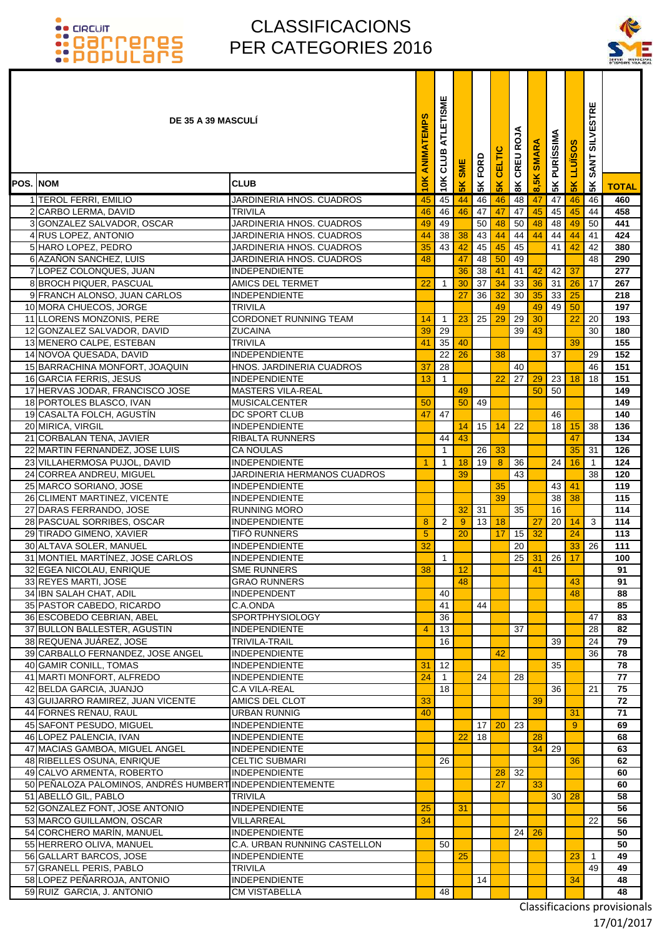### CLASSIFICACIONS PER CATEGORIES 2016



|                 | <b>DE 35 A 39 MASCULI</b>                                  |                                                 | <b>ANIMATEMPS</b> | ATLETISME<br>CLUB  | <b>SME</b>    | 5K FORD         | <b>5K CELTIC</b> | <b>BK CREU ROJA</b> | <b>SMARA</b> | <b>PURÍSSIMA</b> | <b>LLUISOS</b> | <b>SILVESTRE</b><br><b>SANT</b> |              |
|-----------------|------------------------------------------------------------|-------------------------------------------------|-------------------|--------------------|---------------|-----------------|------------------|---------------------|--------------|------------------|----------------|---------------------------------|--------------|
| <b>POS. NOM</b> |                                                            | <b>CLUB</b>                                     | 10K               | 10K                | $\frac{8}{5}$ |                 |                  |                     | 8,5K         | 5K               | $\frac{8}{5}$  | 5K                              | <b>TOTAL</b> |
|                 | 1 TEROL FERRI, EMILIO                                      | <b>JARDINERIA HNOS. CUADROS</b>                 | 45                | 45                 | 44            | 46              | 46               | 48                  | 47           | 47               | 46             | 46                              | 460          |
|                 | 2 CARBO LERMA, DAVID                                       | <b>TRIVILA</b>                                  | 46                | 46                 | 46            | 47              | 47               | 47                  | 45           | 45               | 45             | 44                              | 458          |
|                 | 3 GONZALEZ SALVADOR, OSCAR                                 | JARDINERIA HNOS. CUADROS                        | 49                | 49                 |               | 50              | 48               | 50                  | 48           | 48               | 49             | 50                              | 441          |
|                 | 4 RUS LOPEZ, ANTONIO                                       | JARDINERIA HNOS. CUADROS                        | 44                | 38                 | 38            | 43              | 44               | 44                  | 44           | 44               | 44             | 41                              | 424          |
|                 | 5 HARO LOPEZ, PEDRO                                        | JARDINERIA HNOS. CUADROS                        | 35                | 43                 | 42            | 45              | 45               | 45                  |              | 41 <b>I</b>      | 42             | 42                              | 380          |
|                 | 6 AZAÑON SANCHEZ, LUIS                                     | JARDINERIA HNOS. CUADROS                        | 48                |                    | 47            | 48              | 50               | 49                  |              |                  |                | 48                              | 290          |
|                 | 7 LOPEZ COLONQUES, JUAN                                    | <b>INDEPENDIENTE</b>                            | 22                |                    | 36            | 38<br>37        | 41               | 41                  | 42           | 42               | 37<br>26       |                                 | 277<br>267   |
|                 | 8 BROCH PIQUER, PASCUAL<br>9 FRANCH ALONSO, JUAN CARLOS    | <b>AMICS DEL TERMET</b><br><b>INDEPENDIENTE</b> |                   | $\overline{1}$     | 30<br>27      | 36              | 34<br>32         | 33<br>30            | 36<br>35     | 31<br>33         | 25             | 17                              | 218          |
|                 | 10 MORA CHUECOS, JORGE                                     | <b>TRIVILA</b>                                  |                   |                    |               |                 | 49               |                     | 49           | 49               | 50             |                                 | 197          |
|                 | 11 LLORENS MONZONIS, PERE                                  | CORDONET RUNNING TEAM                           | 14                | $\overline{1}$     | 23            | 25              | 29               | 29                  | 30           |                  | 22             | 20                              | 193          |
|                 | 12 GONZALEZ SALVADOR, DAVID                                | <b>ZUCAINA</b>                                  | 39                | 29                 |               |                 |                  | 39                  | 43           |                  |                | 30                              | 180          |
|                 | 13 MENERO CALPE, ESTEBAN                                   | <b>TRIVILA</b>                                  | 41                | 35                 | 40            |                 |                  |                     |              |                  | 39             |                                 | 155          |
|                 | 14 NOVOA QUESADA, DAVID                                    | <b>INDEPENDIENTE</b>                            |                   | 22                 | 26            |                 | 38               |                     |              | 37               |                | 29                              | 152          |
|                 | 15 BARRACHINA MONFORT, JOAQUIN                             | HNOS. JARDINERIA CUADROS                        | 37                | 28                 |               |                 |                  | 40                  |              |                  |                | 46                              | 151          |
|                 | 16 GARCIA FERRIS, JESUS                                    | <b>INDEPENDIENTE</b>                            | 13                | $\overline{1}$     |               |                 | 22               | 27                  | 29           | 23               | 18             | 18                              | 151          |
|                 | 17 HERVAS JODAR, FRANCISCO JOSE                            | <b>MASTERS VILA-REAL</b>                        |                   |                    | 49            |                 |                  |                     | 50           | 50               |                |                                 | 149          |
|                 | 18 PORTOLES BLASCO, IVAN                                   | <b>MUSICALCENTER</b>                            | 50                |                    | 50            | 49              |                  |                     |              |                  |                |                                 | 149          |
|                 | 19 CASALTA FOLCH, AGUSTÍN                                  | <b>DC SPORT CLUB</b>                            | 47                | 47                 |               |                 |                  |                     |              | 46               |                |                                 | 140          |
|                 | 20 MIRICA, VIRGIL                                          | <b>INDEPENDIENTE</b>                            |                   |                    | 14            | 15              | 14               | 22                  |              | 18 <sup>1</sup>  | 15             | 38                              | 136          |
|                 | 21 CORBALAN TENA, JAVIER<br>22 MARTIN FERNANDEZ, JOSE LUIS | <b>RIBALTA RUNNERS</b><br><b>CA NOULAS</b>      |                   | 44<br>$\mathbf{1}$ | 43            | 26              | 33               |                     |              |                  | 47<br>35       | 31                              | 134<br>126   |
|                 | 23 VILLAHERMOSA PUJOL, DAVID                               | <b>INDEPENDIENTE</b>                            | -1                | -1                 | 18            | 19              | 8                | 36                  |              | 24               | 16             | $\mathbf{1}$                    | 124          |
|                 | 24 CORREA ANDREU, MIGUEL                                   | JARDINERIA HERMANOS CUADROS                     |                   |                    | 39            |                 |                  | 43                  |              |                  |                | 38                              | 120          |
|                 | 25 MARCO SORIANO, JOSE                                     | <b>INDEPENDIENTE</b>                            |                   |                    |               |                 | 35               |                     |              | 43 <sup>1</sup>  | 41             |                                 | 119          |
|                 | 26 CLIMENT MARTINEZ, VICENTE                               | <b>INDEPENDIENTE</b>                            |                   |                    |               |                 | 39               |                     |              | 38               | 38             |                                 | 115          |
|                 | 27 DARAS FERRANDO, JOSE                                    | <b>RUNNING MORO</b>                             |                   |                    | 32            | 31              |                  | 35                  |              | 16               |                |                                 | 114          |
|                 | 28 PASCUAL SORRIBES, OSCAR                                 | <b>INDEPENDIENTE</b>                            | 8                 | $\overline{2}$     | -9            | 13              | 18               |                     | 27           | 20               | 14             | 3                               | 114          |
|                 | 29 TIRADO GIMENO, XAVIER                                   | <b>TIFÓ RUNNERS</b>                             | 5                 |                    | 20            |                 | 17               | 15                  | 32           |                  | 24             |                                 | 113          |
|                 | 30 ALTAVA SOLER, MANUEL                                    | <b>INDEPENDIENTE</b>                            | 32                |                    |               |                 |                  | 20                  |              |                  | 33             | 26                              | 111          |
|                 | 31 MONTIEL MARTÍNEZ, JOSE CARLOS                           | <b>INDEPENDIENTE</b>                            |                   | $\mathbf{1}$       |               |                 |                  | 25                  | 31           | 26               | 17             |                                 | 100          |
|                 | 32 EGEA NICOLAU, ENRIQUE                                   | <b>SME RUNNERS</b>                              | 38                |                    | 12            |                 |                  |                     | 41           |                  |                |                                 | 91           |
|                 | 33 REYES MARTI, JOSE<br>34 IBN SALAH CHAT, ADIL            | <b>GRAO RUNNERS</b><br><b>INDEPENDENT</b>       |                   | 40                 | 48            |                 |                  |                     |              |                  | 43<br>48       |                                 | 91<br>88     |
|                 | 35 PASTOR CABEDO, RICARDO                                  | C.A.ONDA                                        |                   | 41                 |               | 44              |                  |                     |              |                  |                |                                 | 85           |
|                 | 36 ESCOBEDO CEBRIAN, ABEL                                  | <b>SPORTPHYSIOLOGY</b>                          |                   | 36                 |               |                 |                  |                     |              |                  |                | 47                              | 83           |
|                 | 37 BULLON BALLESTER, AGUSTIN                               | <b>INDEPENDIENTE</b>                            | 4                 | 13                 |               |                 |                  | 37                  |              |                  |                | 28                              | 82           |
|                 | 38 REQUENA JUÁREZ, JOSE                                    | <b>TRIVILA-TRAIL</b>                            |                   | 16                 |               |                 |                  |                     |              | 39               |                | 24                              | 79           |
|                 | 39 CARBALLO FERNANDEZ, JOSE ANGEL                          | <b>INDEPENDIENTE</b>                            |                   |                    |               |                 | 42               |                     |              |                  |                | 36                              | 78           |
|                 | 40 GAMIR CONILL, TOMAS                                     | <b>INDEPENDIENTE</b>                            | 31                | 12                 |               |                 |                  |                     |              | 35               |                |                                 | 78           |
|                 | 41 MARTI MONFORT, ALFREDO                                  | <b>INDEPENDIENTE</b>                            | 24                | $\overline{1}$     |               | 24              |                  | 28                  |              |                  |                |                                 | 77           |
|                 | 42 BELDA GARCIA, JUANJO                                    | C.A VILA-REAL                                   |                   | 18                 |               |                 |                  |                     |              | 36               |                | 21                              | 75           |
|                 | 43 GUIJARRO RAMIREZ, JUAN VICENTE                          | AMICS DEL CLOT                                  | 33                |                    |               |                 |                  |                     | 39           |                  |                |                                 | 72           |
|                 | 44 FORNES RENAU, RAUL<br>45 SAFONT PESUDO, MIGUEL          | <b>URBAN RUNNIG</b><br><b>INDEPENDIENTE</b>     | 40                |                    |               | 17 <sup>1</sup> | 20               | 23                  |              |                  | 31<br>9        |                                 | 71<br>69     |
|                 | 46 LOPEZ PALENCIA, IVAN                                    | <b>INDEPENDIENTE</b>                            |                   |                    | 22            | 18              |                  |                     | 28           |                  |                |                                 | 68           |
|                 | 47 MACIAS GAMBOA, MIGUEL ANGEL                             | <b>INDEPENDIENTE</b>                            |                   |                    |               |                 |                  |                     | 34           | 29               |                |                                 | 63           |
|                 | 48 RIBELLES OSUNA, ENRIQUE                                 | <b>CELTIC SUBMARI</b>                           |                   | 26                 |               |                 |                  |                     |              |                  | 36             |                                 | 62           |
|                 | 49 CALVO ARMENTA, ROBERTO                                  | <b>INDEPENDIENTE</b>                            |                   |                    |               |                 | 28               | 32                  |              |                  |                |                                 | 60           |
|                 | 50 PEÑALOZA PALOMINOS, ANDRÉS HUMBERT INDEPENDIENTEMENTE   |                                                 |                   |                    |               |                 | 27               |                     | 33           |                  |                |                                 | 60           |
|                 | 51 ABELLÓ GIL, PABLO                                       | <b>TRIVILA</b>                                  |                   |                    |               |                 |                  |                     |              |                  | $30 \mid 28$   |                                 | 58           |
|                 | 52 GONZALEZ FONT, JOSE ANTONIO                             | <b>INDEPENDIENTE</b>                            | 25                |                    | 31            |                 |                  |                     |              |                  |                |                                 | 56           |
|                 | 53 MARCO GUILLAMON, OSCAR                                  | VILLARREAL                                      | 34                |                    |               |                 |                  |                     |              |                  |                | 22                              | 56           |
|                 | 54 CORCHERO MARIN, MANUEL                                  | <b>INDEPENDIENTE</b>                            |                   |                    |               |                 |                  |                     | $24 \mid 26$ |                  |                |                                 | 50           |
|                 | 55 HERRERO OLIVA, MANUEL                                   | C.A. URBAN RUNNING CASTELLON                    |                   | 50                 |               |                 |                  |                     |              |                  |                |                                 | 50           |
|                 | 56 GALLART BARCOS, JOSE<br>57 GRANELL PERIS, PABLO         | <b>INDEPENDIENTE</b><br><b>TRIVILA</b>          |                   |                    | 25            |                 |                  |                     |              |                  | 23             | 1<br>49                         | 49<br>49     |
|                 | 58 LOPEZ PEÑARROJA, ANTONIO                                | <b>INDEPENDIENTE</b>                            |                   |                    |               | 14              |                  |                     |              |                  | 34             |                                 | 48           |
|                 | 59 RUIZ GARCIA, J. ANTONIO                                 | <b>CM VISTABELLA</b>                            |                   | 48                 |               |                 |                  |                     |              |                  |                |                                 | 48           |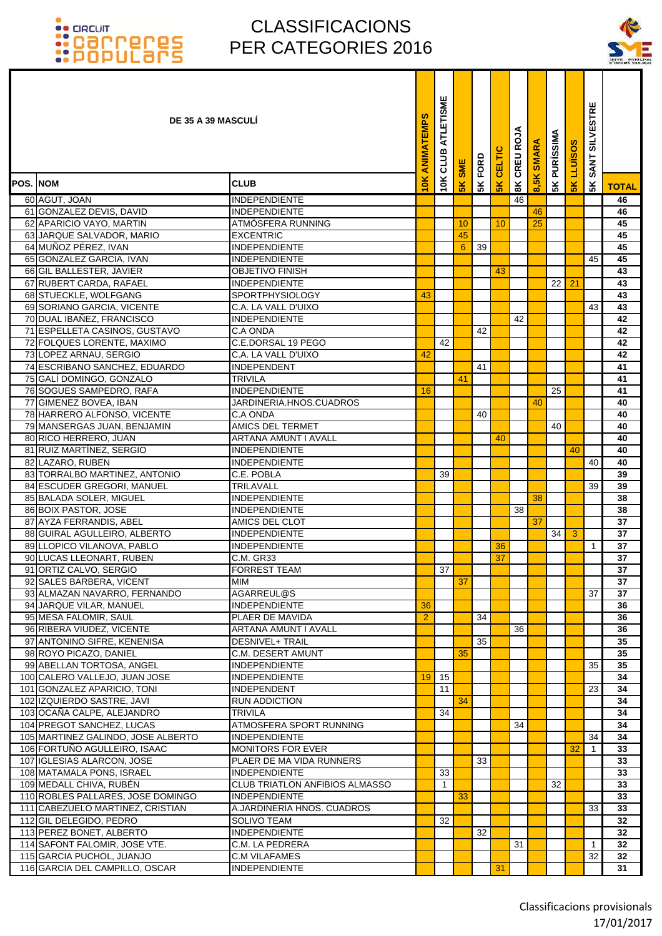### CLASSIFICACIONS PER CATEGORIES 2016

т T



|                  | <b>DE 35 A 39 MASCULI</b>                           |                                                    | ANIMATEMPS     | ATLETISME<br>10K CLUB | <b>SME</b>     | FORD | CELTIC        | CREU ROJA     | <b>SMARA</b> | <b>5K PURÍSSIMA</b> | <b>LLUISOS</b> | <b>SILVESTRE</b><br><b>SANT</b> |              |
|------------------|-----------------------------------------------------|----------------------------------------------------|----------------|-----------------------|----------------|------|---------------|---------------|--------------|---------------------|----------------|---------------------------------|--------------|
| <b>POS. INOM</b> |                                                     | <b>CLUB</b>                                        | $\leq$         |                       | $\frac{8}{10}$ | 5K   | $\frac{1}{2}$ | $\frac{8}{3}$ | 8,5K         |                     | 5K             | 5K                              | <b>TOTAL</b> |
|                  | 60 AGUT, JOAN                                       | <b>INDEPENDIENTE</b>                               |                |                       |                |      |               | 46            |              |                     |                |                                 | 46           |
|                  | 61 GONZALEZ DEVIS, DAVID                            | <b>INDEPENDIENTE</b>                               |                |                       |                |      |               |               | 46           |                     |                |                                 | 46           |
|                  | 62 APARICIO VAYO, MARTIN                            | ATMÓSFERA RUNNING                                  |                |                       | 10             |      | 10            |               | 25           |                     |                |                                 | 45           |
|                  | 63 JARQUE SALVADOR, MARIO                           | <b>EXCENTRIC</b>                                   |                |                       | 45             |      |               |               |              |                     |                |                                 | 45           |
|                  | 64 MUÑOZ PÉREZ, IVAN                                | <b>INDEPENDIENTE</b>                               |                |                       | 6              | 39   |               |               |              |                     |                |                                 | 45           |
|                  | 65 GONZALEZ GARCIA, IVAN                            | <b>INDEPENDIENTE</b>                               |                |                       |                |      |               |               |              |                     |                | 45                              | 45           |
|                  | 66 GIL BALLESTER, JAVIER                            | <b>OBJETIVO FINISH</b>                             |                |                       |                |      | 43            |               |              |                     |                |                                 | 43           |
|                  | 67 RUBERT CARDA, RAFAEL                             | <b>INDEPENDIENTE</b>                               |                |                       |                |      |               |               |              | 22 <sub>1</sub>     | 21             |                                 | 43           |
|                  | 68 STUECKLE, WOLFGANG                               | <b>SPORTPHYSIOLOGY</b>                             | 43             |                       |                |      |               |               |              |                     |                |                                 | 43           |
|                  | 69 SORIANO GARCIA, VICENTE                          | C.A. LA VALL D'UIXO                                |                |                       |                |      |               |               |              |                     |                | 43                              | 43           |
|                  | 70 DUAL IBAÑEZ, FRANCISCO                           | <b>INDEPENDIENTE</b>                               |                |                       |                |      |               | 42            |              |                     |                |                                 | 42           |
|                  | 71 ESPELLETA CASINOS, GUSTAVO                       | C.A ONDA                                           |                |                       |                | 42   |               |               |              |                     |                |                                 | 42           |
|                  | 72 FOLQUES LORENTE, MAXIMO                          | C.E.DORSAL 19 PEGO                                 |                | 42                    |                |      |               |               |              |                     |                |                                 | 42           |
|                  | 73 LOPEZ ARNAU, SERGIO                              | C.A. LA VALL D'UIXO                                | 42             |                       |                |      |               |               |              |                     |                |                                 | 42           |
|                  | 74 ESCRIBANO SANCHEZ, EDUARDO                       | <b>INDEPENDENT</b>                                 |                |                       |                | 41   |               |               |              |                     |                |                                 | 41           |
|                  | 75 GALI DOMINGO, GONZALO                            | <b>TRIVILA</b>                                     |                |                       | 41             |      |               |               |              |                     |                |                                 | 41           |
|                  | 76 SOGUES SAMPEDRO, RAFA<br>77 GIMENEZ BOVEA, IBAN  | <b>INDEPENDIENTE</b><br>JARDINERIA.HNOS.CUADROS    | 16             |                       |                |      |               |               | 40           | 25                  |                |                                 | 41           |
|                  | 78 HARRERO ALFONSO, VICENTE                         | C.A ONDA                                           |                |                       |                | 40   |               |               |              |                     |                |                                 | 40<br>40     |
|                  | 79 MANSERGAS JUAN, BENJAMIN                         | <b>AMICS DEL TERMET</b>                            |                |                       |                |      |               |               |              | 40                  |                |                                 | 40           |
|                  | 80 RICO HERRERO, JUAN                               | ARTANA AMUNT I AVALL                               |                |                       |                |      | 40            |               |              |                     |                |                                 | 40           |
|                  | 81 RUIZ MARTÍNEZ, SERGIO                            | <b>INDEPENDIENTE</b>                               |                |                       |                |      |               |               |              |                     | 40             |                                 | 40           |
|                  | 82 LAZARO, RUBEN                                    | <b>INDEPENDIENTE</b>                               |                |                       |                |      |               |               |              |                     |                | 40                              | 40           |
|                  | 83 TORRALBO MARTINEZ, ANTONIO                       | C.E. POBLA                                         |                | 39                    |                |      |               |               |              |                     |                |                                 | 39           |
|                  | 84 ESCUDER GREGORI, MANUEL                          | TRILAVALL                                          |                |                       |                |      |               |               |              |                     |                | 39                              | 39           |
|                  | 85 BALADA SOLER, MIGUEL                             | <b>INDEPENDIENTE</b>                               |                |                       |                |      |               |               | 38           |                     |                |                                 | 38           |
|                  | 86 BOIX PASTOR, JOSE                                | <b>INDEPENDIENTE</b>                               |                |                       |                |      |               | 38            |              |                     |                |                                 | 38           |
|                  | 87 AYZA FERRANDIS, ABEL                             | AMICS DEL CLOT                                     |                |                       |                |      |               |               | 37           |                     |                |                                 | 37           |
|                  | 88 GUIRAL AGULLEIRO, ALBERTO                        | <b>INDEPENDIENTE</b>                               |                |                       |                |      |               |               |              | 34 I                | 3              |                                 | 37           |
|                  | 89 LLOPICO VILANOVA, PABLO                          | <b>INDEPENDIENTE</b>                               |                |                       |                |      | 36            |               |              |                     |                | 1                               | 37           |
|                  | 90 LUCAS LLEONART, RUBEN                            | <b>C.M. GR33</b>                                   |                |                       |                |      | 37            |               |              |                     |                |                                 | 37           |
|                  | 91 ORTIZ CALVO, SERGIO                              | <b>FORREST TEAM</b>                                |                | 37                    |                |      |               |               |              |                     |                |                                 | 37           |
|                  | 92 SALES BARBERA, VICENT                            | <b>MIM</b>                                         |                |                       | 37             |      |               |               |              |                     |                |                                 | 37           |
|                  | 93 ALMAZAN NAVARRO, FERNANDO                        | AGARREUL@S                                         |                |                       |                |      |               |               |              |                     |                | 37                              | 37           |
|                  | 94 JARQUE VILAR, MANUEL                             | <b>INDEPENDIENTE</b>                               | 36             |                       |                |      |               |               |              |                     |                |                                 | 36           |
|                  | 95 MESA FALOMIR, SAUL                               | PLAER DE MAVIDA                                    | $\overline{2}$ |                       |                | 34   |               |               |              |                     |                |                                 | 36           |
|                  | 96 RIBERA VIUDEZ, VICENTE                           | ARTANA AMUNT I AVALL                               |                |                       |                |      |               | 36            |              |                     |                |                                 | 36           |
|                  | 97 ANTONINO SIFRE, KENENISA                         | <b>DESNIVEL+ TRAIL</b><br><b>C.M. DESERT AMUNT</b> |                |                       |                | 35   |               |               |              |                     |                |                                 | 35           |
|                  | 98 ROYO PICAZO, DANIEL<br>99 ABELLAN TORTOSA, ANGEL | <b>INDEPENDIENTE</b>                               |                |                       | 35             |      |               |               |              |                     |                | 35                              | 35<br>35     |
|                  | 100 CALERO VALLEJO, JUAN JOSE                       | <b>INDEPENDIENTE</b>                               | 19             | 15                    |                |      |               |               |              |                     |                |                                 | 34           |
|                  | 101 GONZALEZ APARICIO, TONI                         | <b>INDEPENDENT</b>                                 |                | 11                    |                |      |               |               |              |                     |                | 23                              | 34           |
|                  | 102 IZQUIERDO SASTRE, JAVI                          | <b>RUN ADDICTION</b>                               |                |                       | 34             |      |               |               |              |                     |                |                                 | 34           |
|                  | 103 OCAÑA CALPE, ALEJANDRO                          | <b>TRIVILA</b>                                     |                | 34                    |                |      |               |               |              |                     |                |                                 | 34           |
|                  | 104 PREGOT SANCHEZ, LUCAS                           | ATMOSFERA SPORT RUNNING                            |                |                       |                |      |               | 34            |              |                     |                |                                 | 34           |
|                  | 105 MARTINEZ GALINDO, JOSE ALBERTO                  | <b>INDEPENDIENTE</b>                               |                |                       |                |      |               |               |              |                     |                | 34                              | 34           |
|                  | 106 FORTUÑO AGULLEIRO, ISAAC                        | <b>MONITORS FOR EVER</b>                           |                |                       |                |      |               |               |              |                     | 32             | $\mathbf{1}$                    | 33           |
|                  | 107 IGLESIAS ALARCON, JOSE                          | PLAER DE MA VIDA RUNNERS                           |                |                       |                | 33   |               |               |              |                     |                |                                 | 33           |
|                  | 108 MATAMALA PONS, ISRAEL                           | <b>INDEPENDIENTE</b>                               |                | 33                    |                |      |               |               |              |                     |                |                                 | 33           |
|                  | 109 MEDALL CHIVA, RUBÉN                             | <b>CLUB TRIATLON ANFIBIOS ALMASSO</b>              |                | $\mathbf{1}$          |                |      |               |               |              | 32                  |                |                                 | 33           |
|                  | 110 ROBLES PALLARES, JOSE DOMINGO                   | <b>INDEPENDIENTE</b>                               |                |                       | 33             |      |               |               |              |                     |                |                                 | 33           |
|                  | 111 CABEZUELO MARTINEZ, CRISTIAN                    | A.JARDINERIA HNOS. CUADROS                         |                |                       |                |      |               |               |              |                     |                | 33                              | 33           |
|                  | 112 GIL DELEGIDO, PEDRO                             | <b>SOLIVO TEAM</b>                                 |                | 32                    |                |      |               |               |              |                     |                |                                 | 32           |
|                  | 113 PEREZ BONET, ALBERTO                            | <b>INDEPENDIENTE</b>                               |                |                       |                | 32   |               |               |              |                     |                |                                 | 32           |
|                  | 114 SAFONT FALOMIR, JOSE VTE.                       | C.M. LA PEDRERA                                    |                |                       |                |      |               | 31            |              |                     |                | 1                               | 32           |
|                  | 115 GARCIA PUCHOL, JUANJO                           | <b>C.M VILAFAMES</b>                               |                |                       |                |      |               |               |              |                     |                | 32                              | 32           |
|                  | 116 GARCIA DEL CAMPILLO, OSCAR                      | <b>INDEPENDIENTE</b>                               |                |                       |                |      | 31            |               |              |                     |                |                                 | 31           |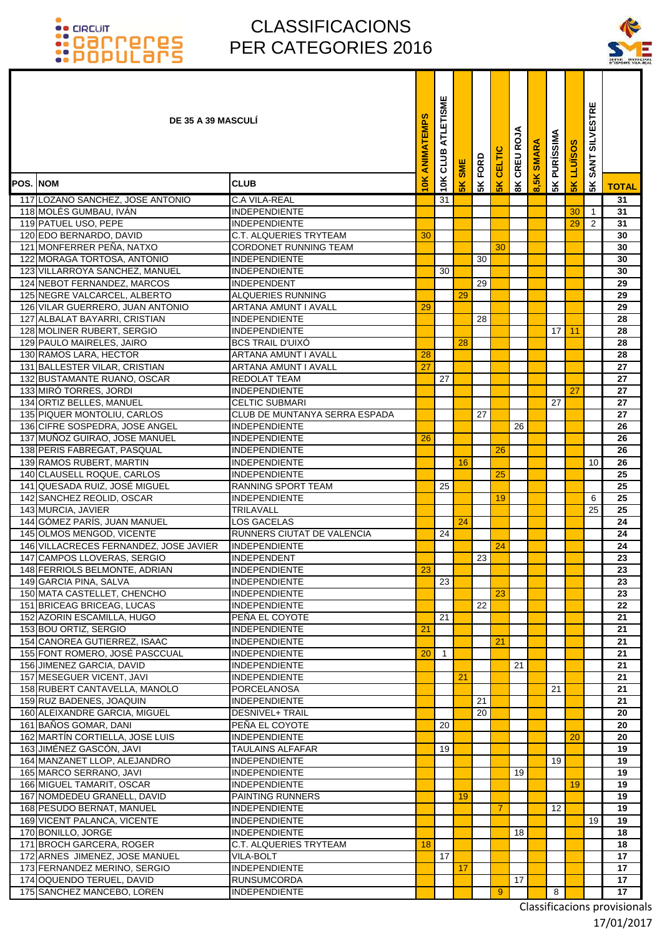### CLASSIFICACIONS PER CATEGORIES 2016

T T Т



| <b>DE 35 A 39 MASCULI</b>                                     |                                                       | ANIMATEMPS       | ATLETISME<br>CLUB | <b>SME</b>      | FORD | CELTIC         | CREU ROJA    | <b>SMARA</b> | <b>5K PURÍSSIMA</b> | <b>LLUISOS</b> | <b>SILVESTRE</b><br><b>SANT</b> |              |
|---------------------------------------------------------------|-------------------------------------------------------|------------------|-------------------|-----------------|------|----------------|--------------|--------------|---------------------|----------------|---------------------------------|--------------|
| <b>POS. NOM</b>                                               | <b>CLUB</b>                                           | $\overline{10K}$ | 10K               | 5K              | 5K   | $\frac{1}{2}$  | $\mathbf{g}$ | 8,5K         |                     | 5K             | 5K                              | <b>TOTAL</b> |
| 117 LOZANO SANCHEZ, JOSE ANTONIO                              | <b>C.A VILA-REAL</b>                                  |                  | 31                |                 |      |                |              |              |                     |                |                                 | 31           |
| 118 MOLÉS GUMBAU, IVÁN                                        | <b>INDEPENDIENTE</b>                                  |                  |                   |                 |      |                |              |              |                     | 30             | $\mathbf{1}$                    | 31           |
| 119 PATUEL USO, PEPE                                          | <b>INDEPENDIENTE</b>                                  |                  |                   |                 |      |                |              |              |                     | 29             | $\overline{2}$                  | 31           |
| 120 EDO BERNARDO, DAVID                                       | <b>C.T. ALQUERIES TRYTEAM</b>                         | 30               |                   |                 |      |                |              |              |                     |                |                                 | 30           |
| 121 MONFERRER PEÑA, NATXO                                     | CORDONET RUNNING TEAM                                 |                  |                   |                 |      | 30             |              |              |                     |                |                                 | 30           |
| 122 MORAGA TORTOSA, ANTONIO                                   | INDEPENDIENTE                                         |                  |                   |                 | 30   |                |              |              |                     |                |                                 | 30           |
| 123 VILLARROYA SANCHEZ, MANUEL                                | <b>INDEPENDIENTE</b>                                  |                  | 30                |                 |      |                |              |              |                     |                |                                 | 30           |
| 124 NEBOT FERNANDEZ, MARCOS                                   | <b>INDEPENDENT</b>                                    |                  |                   |                 | 29   |                |              |              |                     |                |                                 | 29           |
| 125 NEGRE VALCARCEL, ALBERTO                                  | <b>ALQUERIES RUNNING</b>                              |                  |                   | 29              |      |                |              |              |                     |                |                                 | 29           |
| 126 VILAR GUERRERO, JUAN ANTONIO                              | ARTANA AMUNT I AVALL                                  | 29               |                   |                 |      |                |              |              |                     |                |                                 | 29           |
| 127 ALBALAT BAYARRI, CRISTIAN                                 | <b>INDEPENDIENTE</b>                                  |                  |                   |                 | 28   |                |              |              |                     |                |                                 | 28           |
| 128 MOLINER RUBERT, SERGIO                                    | <b>INDEPENDIENTE</b>                                  |                  |                   |                 |      |                |              |              | 17 <sup>1</sup>     | 11             |                                 | 28           |
| 129 PAULO MAIRELES, JAIRO                                     | <b>BCS TRAIL D'UIXO</b>                               |                  |                   | 28              |      |                |              |              |                     |                |                                 | 28           |
| 130 RAMOS LARA, HECTOR                                        | <b>ARTANA AMUNT I AVALL</b>                           | 28               |                   |                 |      |                |              |              |                     |                |                                 | 28           |
| 131 BALLESTER VILAR, CRISTIAN                                 | ARTANA AMUNT I AVALL                                  | 27               |                   |                 |      |                |              |              |                     |                |                                 | 27           |
| 132 BUSTAMANTE RUANO, OSCAR                                   | REDOLAT TEAM                                          |                  | 27                |                 |      |                |              |              |                     |                |                                 | 27           |
| 133 MIRÓ TORRES, JORDI                                        | <b>INDEPENDIENTE</b>                                  |                  |                   |                 |      |                |              |              |                     | 27             |                                 | 27           |
| 134 ORTIZ BELLES, MANUEL                                      | <b>CELTIC SUBMARI</b>                                 |                  |                   |                 |      |                |              |              | 27                  |                |                                 | 27           |
| 135 PIQUER MONTOLIU, CARLOS<br>136 CIFRE SOSPEDRA, JOSE ANGEL | CLUB DE MUNTANYA SERRA ESPADA<br><b>INDEPENDIENTE</b> |                  |                   |                 | 27   |                | 26           |              |                     |                |                                 | 27<br>26     |
| 137 MUÑOZ GUIRAO, JOSE MANUEL                                 | <b>INDEPENDIENTE</b>                                  | 26               |                   |                 |      |                |              |              |                     |                |                                 | 26           |
| 138 PERIS FABREGAT, PASQUAL                                   | <b>INDEPENDIENTE</b>                                  |                  |                   |                 |      | 26             |              |              |                     |                |                                 | 26           |
| 139 RAMOS RUBERT, MARTIN                                      | <b>INDEPENDIENTE</b>                                  |                  |                   | 16              |      |                |              |              |                     |                | 10                              | 26           |
| 140 CLAUSELL ROQUE, CARLOS                                    | <b>INDEPENDIENTE</b>                                  |                  |                   |                 |      | 25             |              |              |                     |                |                                 | 25           |
| 141 QUESADA RUIZ, JOSE MIGUEL                                 | RANNING SPORT TEAM                                    |                  | 25                |                 |      |                |              |              |                     |                |                                 | 25           |
| 142 SANCHEZ REOLID, OSCAR                                     | <b>INDEPENDIENTE</b>                                  |                  |                   |                 |      | 19             |              |              |                     |                | 6                               | 25           |
| 143 MURCIA, JAVIER                                            | TRILAVALL                                             |                  |                   |                 |      |                |              |              |                     |                | 25                              | 25           |
| 144 GÓMEZ PARÍS, JUAN MANUEL                                  | <b>LOS GACELAS</b>                                    |                  |                   | 24              |      |                |              |              |                     |                |                                 | 24           |
| 145 OLMOS MENGOD, VICENTE                                     | RUNNERS CIUTAT DE VALENCIA                            |                  | 24                |                 |      |                |              |              |                     |                |                                 | 24           |
| 146 VILLACRECES FERNANDEZ, JOSE JAVIER                        | <b>INDEPENDIENTE</b>                                  |                  |                   |                 |      | 24             |              |              |                     |                |                                 | 24           |
| 147 CAMPOS LLOVERAS, SERGIO                                   | INDEPENDENT                                           |                  |                   |                 | 23   |                |              |              |                     |                |                                 | 23           |
| 148 FERRIOLS BELMONTE, ADRIAN                                 | <b>INDEPENDIENTE</b>                                  | 23               |                   |                 |      |                |              |              |                     |                |                                 | 23           |
| 149 GARCIA PINA, SALVA                                        | <b>INDEPENDIENTE</b>                                  |                  | 23                |                 |      |                |              |              |                     |                |                                 | 23           |
| 150 MATA CASTELLET, CHENCHO                                   | INDEPENDIENTE                                         |                  |                   |                 |      | 23             |              |              |                     |                |                                 | 23           |
| 151 BRICEAG BRICEAG, LUCAS                                    | <b>INDEPENDIENTE</b>                                  |                  |                   |                 | 22   |                |              |              |                     |                |                                 | 22           |
| 152 AZORIN ESCAMILLA, HUGO                                    | PEÑA EL COYOTE                                        |                  | 21                |                 |      |                |              |              |                     |                |                                 | 21           |
| 153 BOU ORTIZ, SERGIO                                         | <b>INDEPENDIENTE</b>                                  | 21               |                   |                 |      |                |              |              |                     |                |                                 | 21           |
| 154 CANOREA GUTIERREZ, ISAAC                                  | <b>INDEPENDIENTE</b><br><b>INDEPENDIENTE</b>          |                  |                   |                 |      | 21             |              |              |                     |                |                                 | 21           |
| 155 FONT ROMERO, JOSÉ PASCCUAL<br>156 JIMENEZ GARCIA, DAVID   | <b>INDEPENDIENTE</b>                                  | 20               | $\overline{1}$    |                 |      |                | 21           |              |                     |                |                                 | 21<br>21     |
| 157 MESEGUER VICENT, JAVI                                     | <b>INDEPENDIENTE</b>                                  |                  |                   | 21              |      |                |              |              |                     |                |                                 | 21           |
| 158 RUBERT CANTAVELLA, MANOLO                                 | PORCELANOSA                                           |                  |                   |                 |      |                |              |              | 21                  |                |                                 | 21           |
| 159 RUZ BADENES, JOAQUIN                                      | <b>INDEPENDIENTE</b>                                  |                  |                   |                 | 21   |                |              |              |                     |                |                                 | 21           |
| 160 ALEIXANDRE GARCIA, MIGUEL                                 | <b>DESNIVEL+ TRAIL</b>                                |                  |                   |                 | 20   |                |              |              |                     |                |                                 | 20           |
| 161 BAÑOS GOMAR, DANI                                         | PEÑA EL COYOTE                                        |                  | 20                |                 |      |                |              |              |                     |                |                                 | 20           |
| 162 MARTÍN CORTIELLA, JOSE LUIS                               | <b>INDEPENDIENTE</b>                                  |                  |                   |                 |      |                |              |              |                     | 20             |                                 | 20           |
| 163 JIMÉNEZ GASCÓN, JAVI                                      | TAULAINS ALFAFAR                                      |                  | 19                |                 |      |                |              |              |                     |                |                                 | 19           |
| 164 MANZANET LLOP, ALEJANDRO                                  | <b>INDEPENDIENTE</b>                                  |                  |                   |                 |      |                |              |              | 19                  |                |                                 | 19           |
| 165 MARCO SERRANO, JAVI                                       | INDEPENDIENTE                                         |                  |                   |                 |      |                | 19           |              |                     |                |                                 | 19           |
| 166 MIGUEL TAMARIT, OSCAR                                     | <b>INDEPENDIENTE</b>                                  |                  |                   |                 |      |                |              |              |                     | 19             |                                 | 19           |
| 167 NOMDEDEU GRANELL, DAVID                                   | <b>PAINTING RUNNERS</b>                               |                  |                   | 19              |      |                |              |              |                     |                |                                 | 19           |
| 168 PESUDO BERNAT, MANUEL                                     | <b>INDEPENDIENTE</b>                                  |                  |                   |                 |      | $\overline{7}$ |              |              | 12                  |                |                                 | 19           |
| 169 VICENT PALANCA, VICENTE                                   | <b>INDEPENDIENTE</b>                                  |                  |                   |                 |      |                |              |              |                     |                | 19                              | 19           |
| 170 BONILLO, JORGE                                            | <b>INDEPENDIENTE</b>                                  |                  |                   |                 |      |                | 18           |              |                     |                |                                 | 18           |
| 171 BROCH GARCERA, ROGER                                      | C.T. ALQUERIES TRYTEAM                                | 18               |                   |                 |      |                |              |              |                     |                |                                 | 18           |
| 172 ARNES JIMENEZ, JOSE MANUEL                                | VILA-BOLT                                             |                  | 17                |                 |      |                |              |              |                     |                |                                 | 17           |
| 173 FERNANDEZ MERINO, SERGIO<br>174 OQUENDO TERUEL, DAVID     | <b>INDEPENDIENTE</b><br><b>RUNSUMCORDA</b>            |                  |                   | 17 <sub>2</sub> |      |                | 17           |              |                     |                |                                 | 17<br>17     |
| 175 SANCHEZ MANCEBO, LOREN                                    | <b>INDEPENDIENTE</b>                                  |                  |                   |                 |      | 9              |              |              | 8                   |                |                                 | 17           |
|                                                               |                                                       |                  |                   |                 |      |                |              |              |                     |                |                                 |              |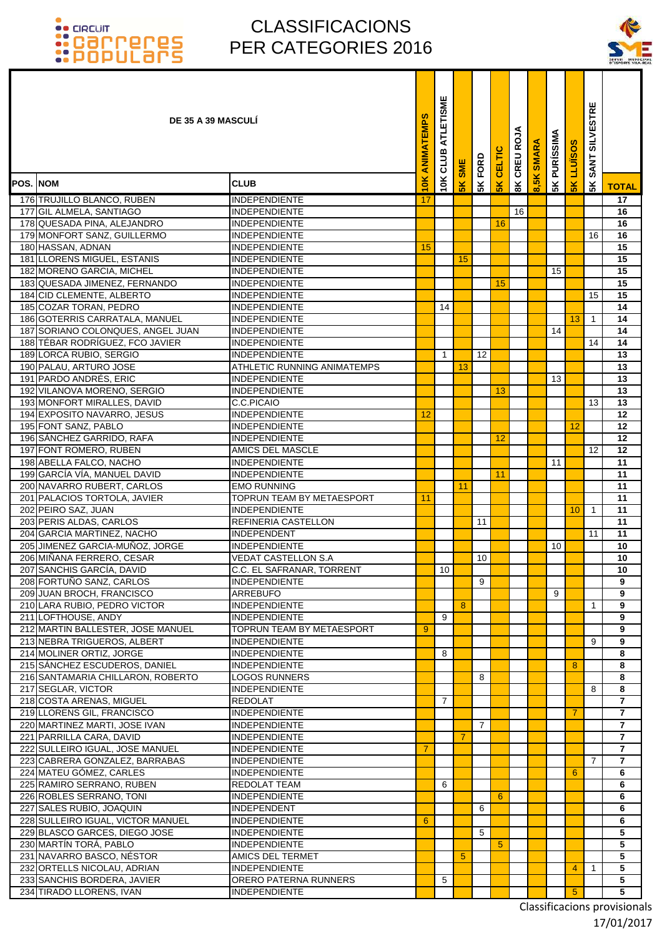### CLASSIFICACIONS PER CATEGORIES 2016



|                 | <b>DE 35 A 39 MASCULI</b>                                            |                                                   | ANIMATEMPS     | ATLETISME<br>CLUB | <b>SME</b> | <b>SKFORD</b> | CELTIC | ЗÁ<br>8K CREUR | <b>SMARA</b> | <b>PURÍSSIMA</b> | <b>LLUÏSOS</b>  | <b>SILVESTRE</b><br><b>SANT</b> |                       |
|-----------------|----------------------------------------------------------------------|---------------------------------------------------|----------------|-------------------|------------|---------------|--------|----------------|--------------|------------------|-----------------|---------------------------------|-----------------------|
| <b>POS. NOM</b> |                                                                      | <b>CLUB</b>                                       | 10K            | 10K               | 5K         |               | 5K     |                | 8,5K         | 5K               | $\frac{8}{5}$   | 5K                              | <b>TOTAL</b>          |
|                 | 176 TRUJILLO BLANCO, RUBEN                                           | <b>INDEPENDIENTE</b>                              | 17             |                   |            |               |        |                |              |                  |                 |                                 | 17                    |
|                 | 177 GIL ALMELA, SANTIAGO                                             | <b>INDEPENDIENTE</b>                              |                |                   |            |               |        | 16             |              |                  |                 |                                 | 16                    |
|                 | 178 QUESADA PINA, ALEJANDRO                                          | INDEPENDIENTE                                     |                |                   |            |               | 16     |                |              |                  |                 |                                 | 16                    |
|                 | 179 MONFORT SANZ, GUILLERMO                                          | <b>INDEPENDIENTE</b>                              |                |                   |            |               |        |                |              |                  |                 | 16                              | 16                    |
|                 | 180 HASSAN, ADNAN                                                    | <b>INDEPENDIENTE</b>                              | 15             |                   |            |               |        |                |              |                  |                 |                                 | 15                    |
|                 | 181 LLORENS MIGUEL, ESTANIS                                          | <b>INDEPENDIENTE</b>                              |                |                   | 15         |               |        |                |              |                  |                 |                                 | 15                    |
|                 | 182 MORENO GARCIA, MICHEL                                            | <b>INDEPENDIENTE</b>                              |                |                   |            |               |        |                |              | 15               |                 |                                 | 15                    |
|                 | 183 QUESADA JIMENEZ, FERNANDO                                        | <b>INDEPENDIENTE</b>                              |                |                   |            |               | 15     |                |              |                  |                 |                                 | 15                    |
|                 | 184 CID CLEMENTE, ALBERTO                                            | <b>INDEPENDIENTE</b>                              |                |                   |            |               |        |                |              |                  |                 | 15                              | 15                    |
|                 | 185 COZAR TORAN, PEDRO                                               | <b>IINDEPENDIENTE</b>                             |                | 14                |            |               |        |                |              |                  |                 |                                 | 14                    |
|                 | 186 GOTERRIS CARRATALA, MANUEL                                       | <b>INDEPENDIENTE</b>                              |                |                   |            |               |        |                |              |                  | 13              | $\mathbf{1}$                    | 14                    |
|                 | 187 SORIANO COLONQUES, ANGEL JUAN<br>188 TÉBAR RODRÍGUEZ, FCO JAVIER | <b>INDEPENDIENTE</b><br><b>INDEPENDIENTE</b>      |                |                   |            |               |        |                |              | 14               |                 | 14                              | 14<br>14              |
|                 | 189 LORCA RUBIO, SERGIO                                              | <b>INDEPENDIENTE</b>                              |                | 1                 |            | 12            |        |                |              |                  |                 |                                 | 13                    |
|                 | 190 PALAU, ARTURO JOSE                                               | <b>ATHLETIC RUNNING ANIMATEMPS</b>                |                |                   | 13         |               |        |                |              |                  |                 |                                 | 13                    |
|                 | 191 PARDO ANDRÉS, ERIC                                               | <b>INDEPENDIENTE</b>                              |                |                   |            |               |        |                |              | 13               |                 |                                 | 13                    |
|                 | 192 VILANOVA MORENO, SERGIO                                          | <b>INDEPENDIENTE</b>                              |                |                   |            |               | 13     |                |              |                  |                 |                                 | 13                    |
|                 | 193 MONFORT MIRALLES, DAVID                                          | C.C.PICAIO                                        |                |                   |            |               |        |                |              |                  |                 | 13                              | 13                    |
|                 | 194 EXPOSITO NAVARRO, JESUS                                          | <b>INDEPENDIENTE</b>                              | 12             |                   |            |               |        |                |              |                  |                 |                                 | 12                    |
|                 | 195 FONT SANZ, PABLO                                                 | <b>INDEPENDIENTE</b>                              |                |                   |            |               |        |                |              |                  | 12              |                                 | 12                    |
|                 | 196 SÁNCHEZ GARRIDO, RAFA                                            | <b>INDEPENDIENTE</b>                              |                |                   |            |               | 12     |                |              |                  |                 |                                 | 12                    |
|                 | 197 FONT ROMERO, RUBEN                                               | <b>AMICS DEL MASCLE</b>                           |                |                   |            |               |        |                |              |                  |                 | $12 \overline{ }$               | 12                    |
|                 | 198 ABELLA FALCO, NACHO                                              | <b>INDEPENDIENTE</b>                              |                |                   |            |               |        |                |              | 11               |                 |                                 | 11                    |
|                 | 199 GARCÍA VÍA, MANUEL DAVID                                         | <b>INDEPENDIENTE</b>                              |                |                   |            |               | 11     |                |              |                  |                 |                                 | 11                    |
|                 | 200 NAVARRO RUBERT, CARLOS<br>201 PALACIOS TORTOLA, JAVIER           | <b>EMO RUNNING</b><br>TOPRUN TEAM BY METAESPORT   | 11             |                   | 11         |               |        |                |              |                  |                 |                                 | $\overline{11}$<br>11 |
|                 | 202 PEIRO SAZ, JUAN                                                  | <b>INDEPENDIENTE</b>                              |                |                   |            |               |        |                |              |                  | 10 <sup>°</sup> | $\mathbf{1}$                    | 11                    |
|                 | 203 PERIS ALDAS, CARLOS                                              | REFINERIA CASTELLON                               |                |                   |            | 11            |        |                |              |                  |                 |                                 | 11                    |
|                 | 204 GARCIA MARTINEZ, NACHO                                           | <b>INDEPENDENT</b>                                |                |                   |            |               |        |                |              |                  |                 | 11                              | 11                    |
|                 | 205 JIMENEZ GARCIA-MUÑOZ, JORGE                                      | <b>INDEPENDIENTE</b>                              |                |                   |            |               |        |                |              | 10               |                 |                                 | 10                    |
|                 | 206 MIÑANA FERRERO, CESAR                                            | <b>VEDAT CASTELLON S.A</b>                        |                |                   |            | 10            |        |                |              |                  |                 |                                 | 10                    |
|                 | 207 SANCHIS GARCÍA, DAVID                                            | C.C. EL SAFRANAR, TORRENT                         |                | 10                |            |               |        |                |              |                  |                 |                                 | 10                    |
|                 | 208 FORTUÑO SANZ, CARLOS                                             | INDEPENDIENTE                                     |                |                   |            | 9             |        |                |              |                  |                 |                                 | 9                     |
|                 | 209 JUAN BROCH, FRANCISCO                                            | <b>ARREBUFO</b>                                   |                |                   |            |               |        |                |              | 9                |                 |                                 | 9                     |
|                 | 210 LARA RUBIO, PEDRO VICTOR                                         | INDEPENDIENTE                                     |                |                   | 8          |               |        |                |              |                  |                 | 1                               | 9                     |
|                 | 211 LOFTHOUSE, ANDY                                                  | <b>INDEPENDIENTE</b>                              |                | 9                 |            |               |        |                |              |                  |                 |                                 | 9                     |
|                 | 212 MARTIN BALLESTER, JOSE MANUEL                                    | TOPRUN TEAM BY METAESPORT<br><b>INDEPENDIENTE</b> | 9              |                   |            |               |        |                |              |                  |                 | 9                               | 9<br>9                |
|                 | 213 NEBRA TRIGUEROS, ALBERT<br>214 MOLINER ORTIZ, JORGE              | <b>INDEPENDIENTE</b>                              |                | 8                 |            |               |        |                |              |                  |                 |                                 | 8                     |
|                 | 215 SÁNCHEZ ESCUDEROS, DANIEL                                        | INDEPENDIENTE                                     |                |                   |            |               |        |                |              |                  | 8               |                                 | 8                     |
|                 | 216 SANTAMARIA CHILLARON, ROBERTO                                    | LOGOS RUNNERS                                     |                |                   |            | 8             |        |                |              |                  |                 |                                 | 8                     |
|                 | 217 SEGLAR, VICTOR                                                   | INDEPENDIENTE                                     |                |                   |            |               |        |                |              |                  |                 | 8                               | 8                     |
|                 | 218 COSTA ARENAS, MIGUEL                                             | <b>REDOLAT</b>                                    |                | $\overline{7}$    |            |               |        |                |              |                  |                 |                                 | $\overline{7}$        |
|                 | 219 LLORENS GIL, FRANCISCO                                           | INDEPENDIENTE                                     |                |                   |            |               |        |                |              |                  | $\overline{7}$  |                                 | $\overline{7}$        |
|                 | 220 MARTINEZ MARTI, JOSE IVAN                                        | INDEPENDIENTE                                     |                |                   |            | 7             |        |                |              |                  |                 |                                 | 7                     |
|                 | 221 PARRILLA CARA, DAVID                                             | <b>INDEPENDIENTE</b>                              |                |                   | 7          |               |        |                |              |                  |                 |                                 | 7                     |
|                 | 222 SULLEIRO IGUAL, JOSE MANUEL                                      | INDEPENDIENTE                                     | $\overline{7}$ |                   |            |               |        |                |              |                  |                 |                                 | $\overline{7}$        |
|                 | 223 CABRERA GONZALEZ, BARRABAS                                       | INDEPENDIENTE                                     |                |                   |            |               |        |                |              |                  |                 | 7                               | $\overline{7}$        |
|                 | 224 MATEU GÓMEZ, CARLES                                              | INDEPENDIENTE                                     |                |                   |            |               |        |                |              |                  | $6^{\circ}$     |                                 | 6                     |
|                 | 225 RAMIRO SERRANO, RUBEN<br>226 ROBLES SERRANO, TONI                | <b>REDOLAT TEAM</b><br><b>INDEPENDIENTE</b>       |                | 6                 |            |               | 6      |                |              |                  |                 |                                 | 6<br>6                |
|                 | 227 SALES RUBIO, JOAQUIN                                             | <b>INDEPENDENT</b>                                |                |                   |            | 6             |        |                |              |                  |                 |                                 | 6                     |
|                 | 228 SULLEIRO IGUAL, VICTOR MANUEL                                    | INDEPENDIENTE                                     | 6              |                   |            |               |        |                |              |                  |                 |                                 | 6                     |
|                 | 229 BLASCO GARCES, DIEGO JOSE                                        | INDEPENDIENTE                                     |                |                   |            | 5             |        |                |              |                  |                 |                                 | 5                     |
|                 | 230 MARTÍN TORÁ, PABLO                                               | INDEPENDIENTE                                     |                |                   |            |               | 5      |                |              |                  |                 |                                 | 5                     |
|                 | 231 NAVARRO BASCO, NÉSTOR                                            | <b>AMICS DEL TERMET</b>                           |                |                   | 5          |               |        |                |              |                  |                 |                                 | 5                     |
|                 | 232 ORTELLS NICOLAU, ADRIAN                                          | INDEPENDIENTE                                     |                |                   |            |               |        |                |              |                  | 4               | 1                               | 5                     |
|                 | 233 SANCHIS BORDERA, JAVIER                                          | <b>ORERO PATERNA RUNNERS</b>                      |                | 5                 |            |               |        |                |              |                  |                 |                                 | 5                     |
|                 | 234 TIRADO LLORENS, IVAN                                             | INDEPENDIENTE                                     |                |                   |            |               |        |                |              |                  | 5 <sup>5</sup>  |                                 | 5                     |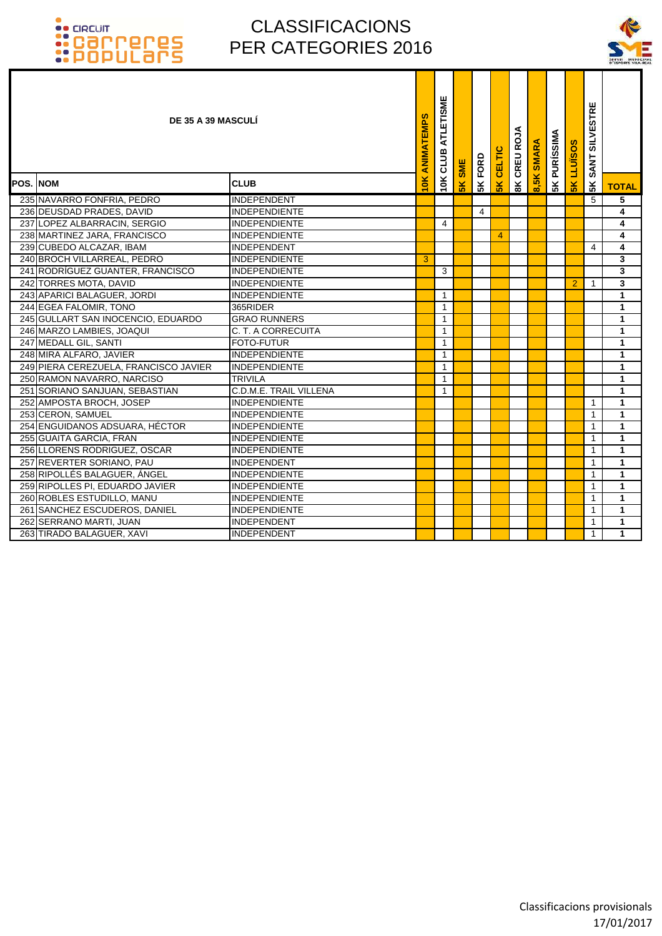

| DE 35 A 39 MASCULÍ                    |                        | ANIMATEMPS | ATLETISME<br>CLUB | <b>SME</b> | FORD | CELTIC        | CREU ROJA     | <b>SMARA</b> | <b>5K PURÍSSIMA</b> | S<br>LLUÏSO:   | <b>SILVESTRE</b><br><b>SANT</b> |              |
|---------------------------------------|------------------------|------------|-------------------|------------|------|---------------|---------------|--------------|---------------------|----------------|---------------------------------|--------------|
| <b>POS. INOM</b>                      | <b>CLUB</b>            | 10K        | 10K               | 5K         | 5K   | $\frac{2}{5}$ | $\frac{8}{3}$ | 8,5K         |                     | $\frac{1}{5}$  | 5 <sub>K</sub>                  | <b>TOTAL</b> |
| 235 NAVARRO FONFRIA, PEDRO            | <b>INDEPENDENT</b>     |            |                   |            |      |               |               |              |                     |                | 5                               | 5            |
| 236 DEUSDAD PRADES, DAVID             | <b>INDEPENDIENTE</b>   |            |                   |            | 4    |               |               |              |                     |                |                                 | 4            |
| 237 LOPEZ ALBARRACIN, SERGIO          | <b>INDEPENDIENTE</b>   |            | 4                 |            |      |               |               |              |                     |                |                                 | 4            |
| 238 MARTINEZ JARA, FRANCISCO          | <b>INDEPENDIENTE</b>   |            |                   |            |      | 4             |               |              |                     |                |                                 | 4            |
| 239 CUBEDO ALCAZAR, IBAM              | INDEPENDENT            |            |                   |            |      |               |               |              |                     |                | 4                               | 4            |
| 240 BROCH VILLARREAL, PEDRO           | <b>INDEPENDIENTE</b>   | 3          |                   |            |      |               |               |              |                     |                |                                 | 3            |
| 241 RODRÍGUEZ GUANTER, FRANCISCO      | <b>INDEPENDIENTE</b>   |            | 3                 |            |      |               |               |              |                     |                |                                 | 3            |
| 242 TORRES MOTA, DAVID                | <b>INDEPENDIENTE</b>   |            |                   |            |      |               |               |              |                     | $\overline{2}$ | $\mathbf{1}$                    | 3            |
| 243 APARICI BALAGUER, JORDI           | <b>INDEPENDIENTE</b>   |            | $\mathbf{1}$      |            |      |               |               |              |                     |                |                                 | $\mathbf{1}$ |
| 244 EGEA FALOMIR, TONO                | 365RIDER               |            | $\mathbf{1}$      |            |      |               |               |              |                     |                |                                 | $\mathbf{1}$ |
| 245 GULLART SAN INOCENCIO, EDUARDO    | <b>GRAO RUNNERS</b>    |            | $\mathbf{1}$      |            |      |               |               |              |                     |                |                                 | 1            |
| 246 MARZO LAMBIES, JOAQUI             | C. T. A CORRECUITA     |            | 1                 |            |      |               |               |              |                     |                |                                 | $\mathbf{1}$ |
| 247 MEDALL GIL, SANTI                 | <b>FOTO-FUTUR</b>      |            | $\mathbf{1}$      |            |      |               |               |              |                     |                |                                 | $\mathbf{1}$ |
| 248 MIRA ALFARO, JAVIER               | <b>INDEPENDIENTE</b>   |            | $\mathbf{1}$      |            |      |               |               |              |                     |                |                                 | $\mathbf{1}$ |
| 249 PIERA CEREZUELA, FRANCISCO JAVIER | <b>INDEPENDIENTE</b>   |            | $\mathbf{1}$      |            |      |               |               |              |                     |                |                                 | $\mathbf{1}$ |
| 250 RAMON NAVARRO, NARCISO            | <b>TRIVILA</b>         |            | $\mathbf{1}$      |            |      |               |               |              |                     |                |                                 | $\mathbf{1}$ |
| 251 SORIANO SANJUAN, SEBASTIAN        | C.D.M.E. TRAIL VILLENA |            | $\mathbf{1}$      |            |      |               |               |              |                     |                |                                 | $\mathbf{1}$ |
| 252 AMPOSTA BROCH, JOSEP              | <b>INDEPENDIENTE</b>   |            |                   |            |      |               |               |              |                     |                | $\mathbf{1}$                    | $\mathbf{1}$ |
| 253 CERON, SAMUEL                     | <b>INDEPENDIENTE</b>   |            |                   |            |      |               |               |              |                     |                | $\mathbf{1}$                    | $\mathbf{1}$ |
| 254 ENGUIDANOS ADSUARA, HÉCTOR        | <b>INDEPENDIENTE</b>   |            |                   |            |      |               |               |              |                     |                | $\mathbf{1}$                    | $\mathbf{1}$ |
| 255 GUAITA GARCIA, FRAN               | <b>INDEPENDIENTE</b>   |            |                   |            |      |               |               |              |                     |                | 1                               | 1            |
| 256 LLORENS RODRIGUEZ, OSCAR          | <b>INDEPENDIENTE</b>   |            |                   |            |      |               |               |              |                     |                | 1                               | 1            |
| 257 REVERTER SORIANO, PAU             | <b>INDEPENDENT</b>     |            |                   |            |      |               |               |              |                     |                | $\mathbf 1$                     | $\mathbf{1}$ |
| 258 RIPOLLÉS BALAGUER, ÁNGEL          | <b>INDEPENDIENTE</b>   |            |                   |            |      |               |               |              |                     |                | $\mathbf{1}$                    | $\mathbf{1}$ |
| 259 RIPOLLES PI, EDUARDO JAVIER       | <b>INDEPENDIENTE</b>   |            |                   |            |      |               |               |              |                     |                | 1                               | $\mathbf{1}$ |
| 260 ROBLES ESTUDILLO, MANU            | <b>INDEPENDIENTE</b>   |            |                   |            |      |               |               |              |                     |                | 1                               | $\mathbf{1}$ |
| 261 SANCHEZ ESCUDEROS, DANIEL         | <b>INDEPENDIENTE</b>   |            |                   |            |      |               |               |              |                     |                | 1                               | $\mathbf{1}$ |
| 262 SERRANO MARTI, JUAN               | INDEPENDENT            |            |                   |            |      |               |               |              |                     |                | 1                               | $\mathbf{1}$ |
| 263 TIRADO BALAGUER, XAVI             | INDEPENDENT            |            |                   |            |      |               |               |              |                     |                | $\mathbf{1}$                    | $\mathbf{1}$ |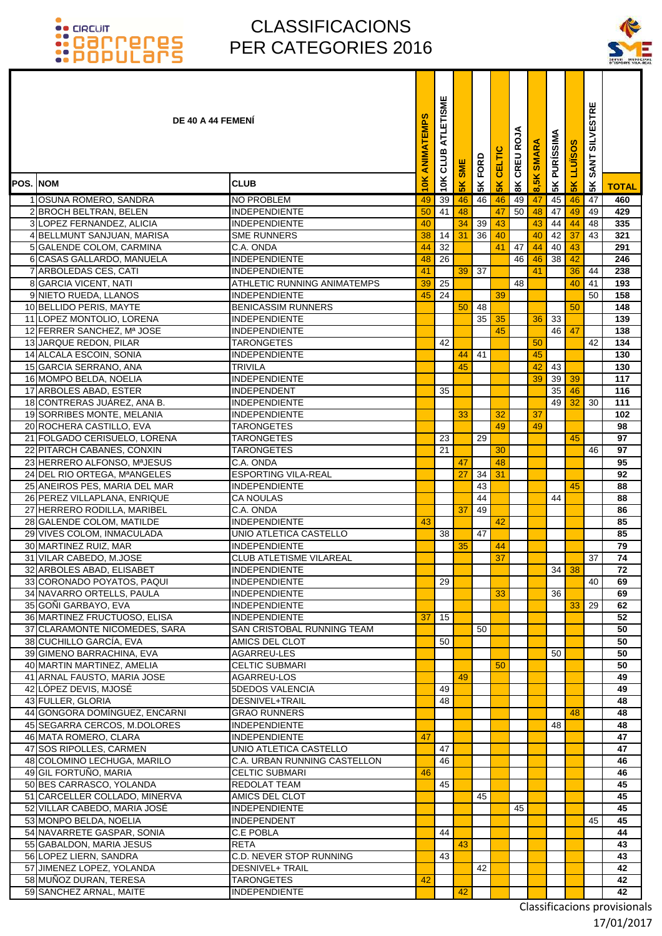### CLASSIFICACIONS PER CATEGORIES 2016



|                 | <b>DE 40 A 44 FEMENI</b>                                      |                                                    | ANIMATEMPS | ATLETISME<br>10K CLUB | <b>SME</b>     | FORD     | CELTIC          | CREU ROJA      | <b>SMARA</b> | <b>5K PURÍSSIMA</b> | <b>SOSINTI</b> | <b>SILVESTRE</b><br><b>SANT</b> |              |
|-----------------|---------------------------------------------------------------|----------------------------------------------------|------------|-----------------------|----------------|----------|-----------------|----------------|--------------|---------------------|----------------|---------------------------------|--------------|
| <b>POS. NOM</b> |                                                               | <b>CLUB</b>                                        | 10K        |                       | 5 <sub>K</sub> | 5K       | $\frac{2}{5}$   | $\frac{8}{10}$ | 8,5K         |                     | 5K             | 5K                              | <b>TOTAL</b> |
|                 | 1 OSUNA ROMERO, SANDRA                                        | <b>NO PROBLEM</b>                                  | 49         | 39                    | 46             | 46       | 46              | 49             | 47           | 45                  | 46             | 47                              | 460          |
|                 | 2 BROCH BELTRAN, BELEN                                        | INDEPENDIENTE                                      | 50         | 41                    | 48             |          | 47              | 50             | 48           | 47                  | 49             | 49                              | 429          |
|                 | 3 LOPEZ FERNANDEZ, ALICIA                                     | INDEPENDIENTE                                      | 40         |                       | 34             | 39       | 43              |                | 43           | 44                  | 44             | 48                              | 335          |
|                 | 4 BELLMUNT SANJUAN, MARISA                                    | <b>SME RUNNERS</b>                                 | 38         | 14                    | 31             | 36       | 40              |                | 40           | 42                  | 37             | 43                              | 321          |
|                 | 5 GALENDE COLOM, CARMINA                                      | C.A. ONDA                                          | 44         | 32                    |                |          | 41              | 47             | 44           | 40                  | 43             |                                 | 291          |
|                 | 6 CASAS GALLARDO, MANUELA                                     | <b>INDEPENDIENTE</b>                               | 48         | 26                    |                |          |                 | 46             | 46           | 38                  | 42             |                                 | 246          |
|                 | 7 ARBOLEDAS CES, CATI                                         | INDEPENDIENTE                                      | 41         |                       | 39             | 37       |                 |                | 41           |                     | 36             | 44                              | 238          |
|                 | 8 GARCIA VICENT, NATI                                         | ATHLETIC RUNNING ANIMATEMPS                        | 39         | 25                    |                |          |                 | 48             |              |                     | 40             | 41                              | 193          |
|                 | 9 NIETO RUEDA, LLANOS                                         | <b>INDEPENDIENTE</b>                               | 45         | 24                    |                |          | 39              |                |              |                     |                | 50                              | 158          |
|                 | 10 BELLIDO PERIS, MAYTE<br>11 LOPEZ MONTOLIO, LORENA          | <b>BENICASSIM RUNNERS</b><br><b>INDEPENDIENTE</b>  |            |                       | 50             | 48<br>35 | 35              |                | 36           | 33                  | 50             |                                 | 148<br>139   |
|                 | 12 FERRER SANCHEZ, Mª JOSE                                    | <b>INDEPENDIENTE</b>                               |            |                       |                |          | 45              |                |              | 46                  | 47             |                                 | 138          |
|                 | 13 JARQUE REDON, PILAR                                        | <b>TARONGETES</b>                                  |            | 42                    |                |          |                 |                | 50           |                     |                | 42                              | 134          |
|                 | 14 ALCALA ESCOIN, SONIA                                       | <b>INDEPENDIENTE</b>                               |            |                       | 44             | 41       |                 |                | 45           |                     |                |                                 | 130          |
|                 | 15 GARCIA SERRANO, ANA                                        | <b>TRIVILA</b>                                     |            |                       | 45             |          |                 |                | 42           | 43                  |                |                                 | 130          |
|                 | 16 MOMPO BELDA, NOELIA                                        | <b>INDEPENDIENTE</b>                               |            |                       |                |          |                 |                | 39           | 39                  | 39             |                                 | 117          |
|                 | 17 ARBOLES ABAD, ESTER                                        | <b>INDEPENDENT</b>                                 |            | 35                    |                |          |                 |                |              | 35                  | 46             |                                 | 116          |
|                 | 18 CONTRERAS JUÁREZ, ANA B.                                   | <b>INDEPENDIENTE</b>                               |            |                       |                |          |                 |                |              | 49                  | 32             | 30                              | 111          |
|                 | 19 SORRIBES MONTE, MELANIA                                    | <b>INDEPENDIENTE</b>                               |            |                       | 33             |          | 32              |                | 37           |                     |                |                                 | 102          |
|                 | 20 ROCHERA CASTILLO, EVA                                      | <b>TARONGETES</b>                                  |            |                       |                |          | 49              |                | 49           |                     |                |                                 | 98           |
|                 | 21 FOLGADO CERISUELO, LORENA                                  | <b>TARONGETES</b>                                  |            | 23                    |                | 29       |                 |                |              |                     | 45             |                                 | 97           |
| 22              | PITARCH CABANES, CONXIN                                       | <b>TARONGETES</b>                                  |            | 21                    |                |          | 30              |                |              |                     |                | 46                              | 97           |
|                 | 23 HERRERO ALFONSO, MªJESUS                                   | C.A. ONDA                                          |            |                       | 47             |          | 48              |                |              |                     |                |                                 | 95           |
|                 | 24 DEL RIO ORTEGA, MªANGELES                                  | <b>ESPORTING VILA-REAL</b><br><b>INDEPENDIENTE</b> |            |                       | 27             | 34<br>43 | 31              |                |              |                     |                |                                 | 92<br>88     |
|                 | 25 ANEIROS PES, MARIA DEL MAR<br>26 PEREZ VILLAPLANA, ENRIQUE | <b>CA NOULAS</b>                                   |            |                       |                | 44       |                 |                |              | 44                  | 45             |                                 | 88           |
| 27              | HERRERO RODILLA, MARIBEL                                      | C.A. ONDA                                          |            |                       | 37             | 49       |                 |                |              |                     |                |                                 | 86           |
|                 | 28 GALENDE COLOM, MATILDE                                     | <b>INDEPENDIENTE</b>                               | 43         |                       |                |          | 42              |                |              |                     |                |                                 | 85           |
|                 | 29 VIVES COLOM, INMACULADA                                    | UNIO ATLETICA CASTELLO                             |            | 38                    |                | 47       |                 |                |              |                     |                |                                 | 85           |
|                 | 30 MARTINEZ RUIZ, MAR                                         | <b>INDEPENDIENTE</b>                               |            |                       | 35             |          | 44              |                |              |                     |                |                                 | 79           |
|                 | 31 VILAR CABEDO, M.JOSE                                       | <b>CLUB ATLETISME VILAREAL</b>                     |            |                       |                |          | $\overline{37}$ |                |              |                     |                | 37                              | 74           |
|                 | 32 ARBOLES ABAD, ELISABET                                     | INDEPENDIENTE                                      |            |                       |                |          |                 |                |              |                     | 34 38          |                                 | 72           |
|                 | 33 CORONADO POYATOS, PAQUI                                    | <b>INDEPENDIENTE</b>                               |            | 29                    |                |          |                 |                |              |                     |                | 40                              | 69           |
|                 | 34 NAVARRO ORTELLS, PAULA                                     | INDEPENDIENTE                                      |            |                       |                |          | 33              |                |              | 36                  |                |                                 | 69           |
|                 | 35 GONI GARBAYO, EVA                                          | INDEPENDIENTE                                      |            |                       |                |          |                 |                |              |                     | 33             | 29                              | 62           |
|                 | 36 MARTINEZ FRUCTUOSO, ELISA                                  | <b>INDEPENDIENTE</b>                               | 37         | 15                    |                |          |                 |                |              |                     |                |                                 | 52           |
|                 | 37 CLARAMONTE NICOMEDES, SARA                                 | SAN CRISTOBAL RUNNING TEAM                         |            |                       |                | 50       |                 |                |              |                     |                |                                 | 50           |
|                 | 38 CUCHILLO GARCÍA, EVA<br>39 GIMENO BARRACHINA, EVA          | AMICS DEL CLOT<br>AGARREU-LES                      |            | 50                    |                |          |                 |                |              | 50                  |                |                                 | 50<br>50     |
|                 | 40 MARTIN MARTINEZ, AMELIA                                    | <b>CELTIC SUBMARI</b>                              |            |                       |                |          | 50              |                |              |                     |                |                                 | 50           |
|                 | 41 ARNAL FAUSTO, MARIA JOSE                                   | AGARREU-LOS                                        |            |                       | 49             |          |                 |                |              |                     |                |                                 | 49           |
|                 | 42 LOPEZ DEVIS, MJOSÉ                                         | <b>5DEDOS VALENCIA</b>                             |            | 49                    |                |          |                 |                |              |                     |                |                                 | 49           |
|                 | 43 FULLER, GLORIA                                             | DESNIVEL+TRAIL                                     |            | 48                    |                |          |                 |                |              |                     |                |                                 | 48           |
|                 | 44 GONGORA DOMÍNGUEZ, ENCARNI                                 | <b>GRAO RUNNERS</b>                                |            |                       |                |          |                 |                |              |                     | 48             |                                 | 48           |
|                 | 45 SEGARRA CERCOS, M.DOLORES                                  | INDEPENDIENTE                                      |            |                       |                |          |                 |                |              | 48                  |                |                                 | 48           |
|                 | 46 MATA ROMERO, CLARA                                         | <b>INDEPENDIENTE</b>                               | 47         |                       |                |          |                 |                |              |                     |                |                                 | 47           |
|                 | 47 SOS RIPOLLES, CARMEN                                       | UNIO ATLETICA CASTELLO                             |            | 47                    |                |          |                 |                |              |                     |                |                                 | 47           |
|                 | 48 COLOMINO LECHUGA, MARILO                                   | C.A. URBAN RUNNING CASTELLON                       |            | 46                    |                |          |                 |                |              |                     |                |                                 | 46           |
|                 | 49 GIL FORTUÑO, MARIA                                         | <b>CELTIC SUBMARI</b>                              | 46         |                       |                |          |                 |                |              |                     |                |                                 | 46           |
|                 | 50 BES CARRASCO, YOLANDA<br>51 CARCELLER COLLADO, MINERVA     | <b>REDOLAT TEAM</b><br>AMICS DEL CLOT              |            | 45                    |                | 45       |                 |                |              |                     |                |                                 | 45<br>45     |
|                 | 52 VILLAR CABEDO, MARIA JOSÉ                                  | <b>INDEPENDIENTE</b>                               |            |                       |                |          |                 | 45             |              |                     |                |                                 | 45           |
|                 | 53 MONPO BELDA, NOELIA                                        | <b>INDEPENDENT</b>                                 |            |                       |                |          |                 |                |              |                     |                | 45                              | 45           |
|                 | 54 NAVARRETE GASPAR, SONIA                                    | C.E POBLA                                          |            | 44                    |                |          |                 |                |              |                     |                |                                 | 44           |
|                 | 55 GABALDON, MARIA JESUS                                      | RETA                                               |            |                       | 43             |          |                 |                |              |                     |                |                                 | 43           |
|                 | 56 LOPEZ LIERN, SANDRA                                        | C.D. NEVER STOP RUNNING                            |            | 43                    |                |          |                 |                |              |                     |                |                                 | 43           |
|                 | 57 JIMENEZ LOPEZ, YOLANDA                                     | <b>DESNIVEL+ TRAIL</b>                             |            |                       |                | 42       |                 |                |              |                     |                |                                 | 42           |
|                 | 58 MUÑOZ DURAN, TERESA                                        | <b>TARONGETES</b>                                  | 42         |                       |                |          |                 |                |              |                     |                |                                 | 42           |
|                 | 59 SANCHEZ ARNAL, MAITE                                       | <b>INDEPENDIENTE</b>                               |            |                       | 42             |          |                 |                |              |                     |                |                                 | 42           |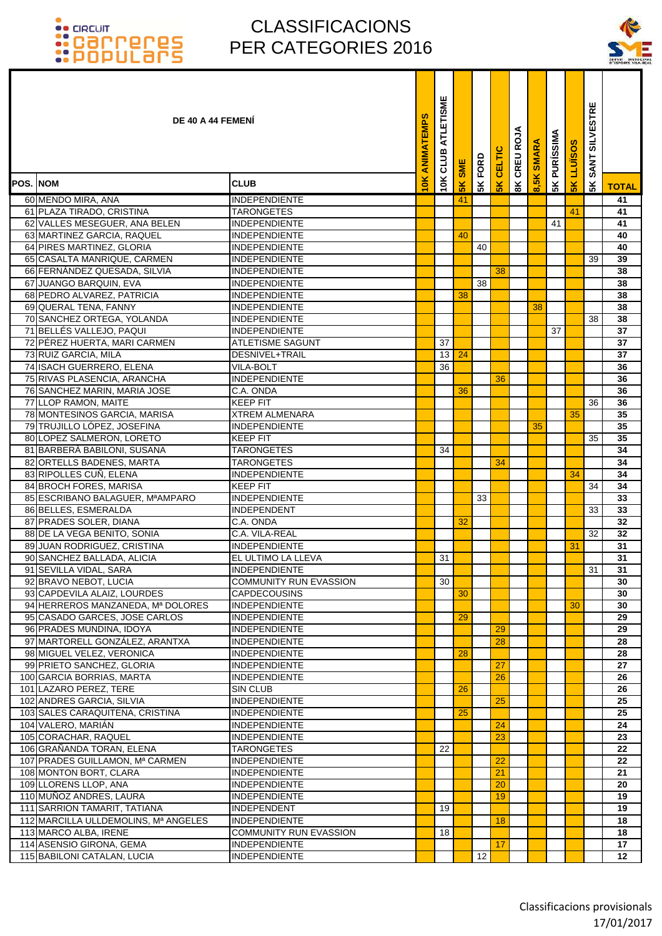

|          | <b>DE 40 A 44 FEMENI</b>                             |                                               | ATLETISME<br><b>ANIMATEMPS</b><br>CLUB | <b>SME</b>     | FORD | CELTIC        | CREU ROJA | <b>SMARA</b> | <b>5K PURÍSSIMA</b> | <b>LLUISOS</b> | <b>SILVESTRE</b><br><b>SANT</b> |              |
|----------|------------------------------------------------------|-----------------------------------------------|----------------------------------------|----------------|------|---------------|-----------|--------------|---------------------|----------------|---------------------------------|--------------|
| POS. NOM |                                                      | <b>CLUB</b>                                   | 10K<br>10K                             | 5 <sub>K</sub> | 5K   | $\frac{1}{5}$ | 8K        | 8,5K         |                     | $\frac{8}{5}$  | 5 <sup>K</sup>                  | <b>TOTAL</b> |
|          | 60 MENDO MIRA, ANA                                   | <b>INDEPENDIENTE</b>                          |                                        | 41             |      |               |           |              |                     |                |                                 | 41           |
|          | 61 PLAZA TIRADO, CRISTINA                            | <b>TARONGETES</b>                             |                                        |                |      |               |           |              |                     | 41             |                                 | 41           |
|          | 62 VALLES MESEGUER, ANA BELEN                        | <b>INDEPENDIENTE</b>                          |                                        |                |      |               |           |              | 41                  |                |                                 | 41           |
|          | 63 MARTINEZ GARCIA, RAQUEL                           | <b>INDEPENDIENTE</b>                          |                                        | 40             |      |               |           |              |                     |                |                                 | 40           |
|          | 64 PIRES MARTINEZ, GLORIA                            | <b>INDEPENDIENTE</b>                          |                                        |                | 40   |               |           |              |                     |                |                                 | 40           |
|          | 65 CASALTA MANRIQUE, CARMEN                          | <b>INDEPENDIENTE</b>                          |                                        |                |      |               |           |              |                     |                | 39                              | 39           |
|          | 66 FERNANDEZ QUESADA, SILVIA                         | <b>INDEPENDIENTE</b>                          |                                        |                |      | 38            |           |              |                     |                |                                 | 38           |
|          | 67 JUANGO BARQUIN, EVA                               | <b>INDEPENDIENTE</b>                          |                                        |                | 38   |               |           |              |                     |                |                                 | 38           |
|          | 68 PEDRO ALVAREZ, PATRICIA                           | <b>INDEPENDIENTE</b>                          |                                        | 38             |      |               |           |              |                     |                |                                 | 38           |
|          | 69 QUERAL TENA, FANNY                                | <b>INDEPENDIENTE</b>                          |                                        |                |      |               |           | 38           |                     |                |                                 | 38           |
|          | 70 SANCHEZ ORTEGA, YOLANDA                           | <b>INDEPENDIENTE</b>                          |                                        |                |      |               |           |              |                     |                | 38                              | 38           |
|          | 71 BELLÉS VALLEJO, PAQUI                             | <b>INDEPENDIENTE</b>                          |                                        |                |      |               |           |              | 37                  |                |                                 | 37           |
|          | 72 PÉREZ HUERTA, MARI CARMEN                         | <b>ATLETISME SAGUNT</b>                       | 37                                     |                |      |               |           |              |                     |                |                                 | 37           |
|          | 73 RUIZ GARCIA, MILA                                 | DESNIVEL+TRAIL                                | 13                                     | 24             |      |               |           |              |                     |                |                                 | 37           |
|          | 74 ISACH GUERRERO, ELENA                             | <b>VILA-BOLT</b>                              | 36                                     |                |      |               |           |              |                     |                |                                 | 36           |
|          | 75 RIVAS PLASENCIA, ARANCHA                          | <b>INDEPENDIENTE</b>                          |                                        |                |      | 36            |           |              |                     |                |                                 | 36           |
|          | 76 SANCHEZ MARIN, MARIA JOSE                         | C.A. ONDA                                     |                                        | 36             |      |               |           |              |                     |                |                                 | 36           |
|          | 77 LLOP RAMON, MAITE                                 | <b>KEEP FIT</b>                               |                                        |                |      |               |           |              |                     |                | 36                              | 36           |
|          | 78 MONTESINOS GARCIA, MARISA                         | <b>XTREM ALMENARA</b>                         |                                        |                |      |               |           |              |                     | 35             |                                 | 35           |
|          | 79 TRUJILLO LÓPEZ, JOSEFINA                          | <b>INDEPENDIENTE</b>                          |                                        |                |      |               |           | 35           |                     |                |                                 | 35           |
|          | 80 LOPEZ SALMERON, LORETO                            | <b>KEEP FIT</b>                               |                                        |                |      |               |           |              |                     |                | 35                              | 35           |
|          | 81 BARBERA BABILONI, SUSANA                          | <b>TARONGETES</b>                             | 34                                     |                |      |               |           |              |                     |                |                                 | 34           |
|          | 82 ORTELLS BADENES, MARTA                            | <b>TARONGETES</b>                             |                                        |                |      | 34            |           |              |                     |                |                                 | 34           |
|          | 83 RIPOLLES CUÑ, ELENA                               | <b>INDEPENDIENTE</b>                          |                                        |                |      |               |           |              |                     | 34             |                                 | 34           |
|          | 84 BROCH FORES, MARISA                               | <b>KEEP FIT</b>                               |                                        |                |      |               |           |              |                     |                | 34                              | 34           |
|          | 85 ESCRIBANO BALAGUER, MªAMPARO                      | <b>INDEPENDIENTE</b>                          |                                        |                | 33   |               |           |              |                     |                |                                 | 33           |
|          | 86 BELLES, ESMERALDA                                 | <b>INDEPENDENT</b>                            |                                        |                |      |               |           |              |                     |                | 33                              | 33           |
|          | 87 PRADES SOLER, DIANA                               | C.A. ONDA                                     |                                        | 32             |      |               |           |              |                     |                |                                 | 32           |
|          | 88 DE LA VEGA BENITO, SONIA                          | C.A. VILA-REAL                                |                                        |                |      |               |           |              |                     |                | 32                              | 32           |
|          | 89 JUAN RODRIGUEZ, CRISTINA                          | <b>INDEPENDIENTE</b>                          |                                        |                |      |               |           |              |                     | 31             |                                 | 31           |
|          | 90 SANCHEZ BALLADA, ALICIA                           | EL ULTIMO LA LLEVA                            | 31                                     |                |      |               |           |              |                     |                |                                 | 31           |
|          | 91 SEVILLA VIDAL, SARA                               | <b>INDEPENDIENTE</b>                          |                                        |                |      |               |           |              |                     |                | 31                              | 31           |
|          | 92 BRAVO NEBOT, LUCIA<br>93 CAPDEVILA ALAIZ, LOURDES | COMMUNITY RUN EVASSION<br><b>CAPDECOUSINS</b> | 30                                     | 30             |      |               |           |              |                     |                |                                 | 30<br>30     |
|          | 94 HERREROS MANZANEDA, Mª DOLORES                    | <b>INDEPENDIENTE</b>                          |                                        |                |      |               |           |              |                     | 30             |                                 | 30           |
|          | 95 CASADO GARCES, JOSE CARLOS                        | <b>INDEPENDIENTE</b>                          |                                        | 29             |      |               |           |              |                     |                |                                 | 29           |
|          | 96 PRADES MUNDINA, IDOYA                             | <b>INDEPENDIENTE</b>                          |                                        |                |      | 29            |           |              |                     |                |                                 | 29           |
|          | 97 MARTORELL GONZÁLEZ, ARANTXA                       | <b>INDEPENDIENTE</b>                          |                                        |                |      | 28            |           |              |                     |                |                                 | 28           |
|          | 98 MIGUEL VELEZ, VERONICA                            | <b>INDEPENDIENTE</b>                          |                                        | 28             |      |               |           |              |                     |                |                                 | 28           |
|          | 99 PRIETO SANCHEZ, GLORIA                            | <b>INDEPENDIENTE</b>                          |                                        |                |      | 27            |           |              |                     |                |                                 | 27           |
|          | 100 GARCIA BORRIAS, MARTA                            | <b>INDEPENDIENTE</b>                          |                                        |                |      | 26            |           |              |                     |                |                                 | 26           |
|          | 101 LAZARO PEREZ, TERE                               | SIN CLUB                                      |                                        | 26             |      |               |           |              |                     |                |                                 | 26           |
|          | 102 ANDRES GARCIA, SILVIA                            | <b>INDEPENDIENTE</b>                          |                                        |                |      | 25            |           |              |                     |                |                                 | 25           |
|          | 103 SALES CARAQUITENA, CRISTINA                      | <b>INDEPENDIENTE</b>                          |                                        | 25             |      |               |           |              |                     |                |                                 | 25           |
|          | 104 VALERO, MARIÁN                                   | <b>INDEPENDIENTE</b>                          |                                        |                |      | 24            |           |              |                     |                |                                 | 24           |
|          | 105 CORACHAR, RAQUEL                                 | <b>INDEPENDIENTE</b>                          |                                        |                |      | 23            |           |              |                     |                |                                 | 23           |
|          | 106 GRAÑANDA TORAN, ELENA                            | <b>TARONGETES</b>                             | 22                                     |                |      |               |           |              |                     |                |                                 | 22           |
|          | 107 PRADES GUILLAMON, Mª CARMEN                      | <b>INDEPENDIENTE</b>                          |                                        |                |      | 22            |           |              |                     |                |                                 | 22           |
|          | 108 MONTON BORT, CLARA                               | <b>INDEPENDIENTE</b>                          |                                        |                |      | 21            |           |              |                     |                |                                 | 21           |
|          | 109 LLORENS LLOP, ANA                                | <b>INDEPENDIENTE</b>                          |                                        |                |      | 20            |           |              |                     |                |                                 | 20           |
|          | 110 MUÑOZ ANDRES, LAURA                              | <b>INDEPENDIENTE</b>                          |                                        |                |      | 19            |           |              |                     |                |                                 | 19           |
|          | 111 SARRION TAMARIT, TATIANA                         | <b>INDEPENDENT</b>                            | 19                                     |                |      |               |           |              |                     |                |                                 | 19           |
|          | 112 MARCILLA ULLDEMOLINS, Mª ANGELES                 | <b>INDEPENDIENTE</b>                          |                                        |                |      | 18            |           |              |                     |                |                                 | 18           |
|          | 113 MARCO ALBA, IRENE                                | <b>COMMUNITY RUN EVASSION</b>                 | 18                                     |                |      |               |           |              |                     |                |                                 | 18           |
|          | 114 ASENSIO GIRONA, GEMA                             | <b>INDEPENDIENTE</b>                          |                                        |                |      | 17            |           |              |                     |                |                                 | 17           |
|          | 115 BABILONI CATALAN, LUCIA                          | <b>INDEPENDIENTE</b>                          |                                        |                | 12   |               |           |              |                     |                |                                 | 12           |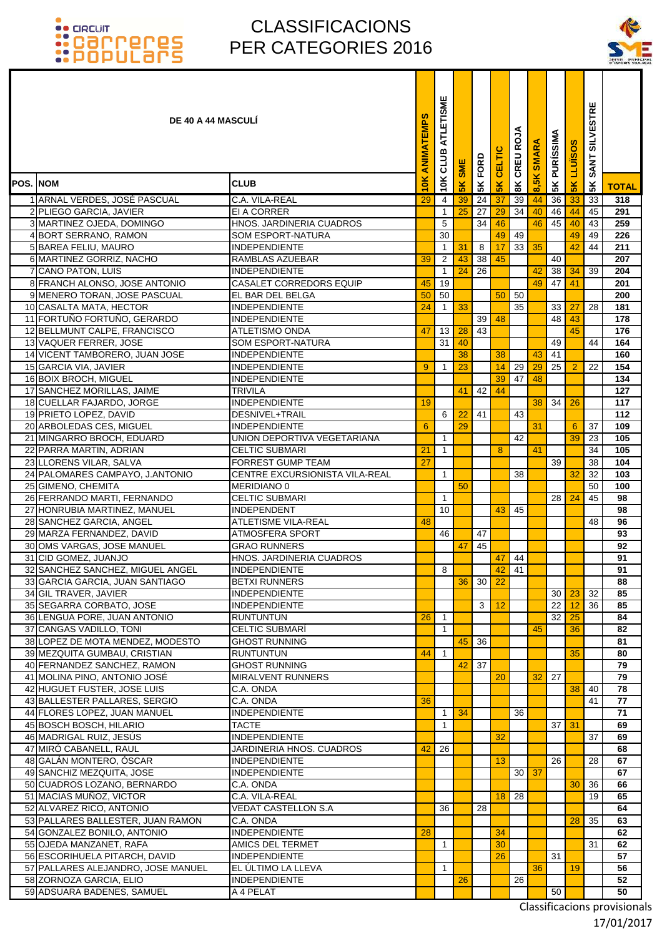### CLASSIFICACIONS PER CATEGORIES 2016



| <b>DE 40 A 44 MASCULI</b>                                   |                                                     | ANIMATEMPS      | ATLETISME<br>CLUB | <b>SME</b>     | 5K FORD | CELTIC         | 8K CREU ROJA | <b>SMARA</b> | <b>PURÍSSIMA</b> | <b>LLUÏSOS</b> | <b>SILVESTRE</b><br><b>SANT</b> |              |
|-------------------------------------------------------------|-----------------------------------------------------|-----------------|-------------------|----------------|---------|----------------|--------------|--------------|------------------|----------------|---------------------------------|--------------|
| <b>POS. NOM</b>                                             | <b>CLUB</b>                                         | 10K             | 10K               | $\frac{8}{10}$ |         | $\frac{8}{10}$ |              | 8,5K         | 5K               | <b>5K</b>      | 5K                              | <b>TOTAL</b> |
| 1 ARNAL VERDES, JOSÉ PASCUAL                                | C.A. VILA-REAL                                      | 29              | 4                 | 39             | 24      | 37             | 39           | 44           | 36               | 33             | 33                              | 318          |
| 2 PLIEGO GARCIA, JAVIER                                     | EI A CORRER                                         |                 | $\overline{1}$    | 25             | 27      | 29             | 34           | 40           | 46               | 44             | 45                              | 291          |
| 3 MARTINEZ OJEDA, DOMINGO                                   | HNOS. JARDINERIA CUADROS                            |                 | 5                 |                | 34      | 46             |              | 46           | 45               | 40             | 43                              | 259          |
| 4 BORT SERRANO, RAMON                                       | SOM ESPORT-NATURA                                   |                 | 30                |                |         | 49             | 49           |              |                  | 49             | 49                              | 226          |
| 5 BAREA FELIU, MAURO                                        | <b>INDEPENDIENTE</b>                                |                 | $\overline{1}$    | 31             | 8       | 17             | 33           | 35           |                  | 42             | 44                              | 211          |
| 6 MARTINEZ GORRIZ, NACHO                                    | RAMBLAS AZUEBAR                                     | 39              | $\overline{2}$    | 43             | 38      | 45             |              |              | 40               |                |                                 | 207          |
| 7 CANO PATON, LUIS                                          | INDEPENDIENTE                                       |                 | $\overline{1}$    | 24             | 26      |                |              | 42           | 38               | 34             | 39                              | 204          |
| 8 FRANCH ALONSO, JOSE ANTONIO                               | CASALET CORREDORS EQUIP                             | 45              | 19                |                |         |                |              | 49           | 47               | 41             |                                 | 201          |
| 9 MENERO TORAN, JOSE PASCUAL                                | EL BAR DEL BELGA<br><b>INDEPENDIENTE</b>            | 50<br>24        | 50                | 33             |         | 50             | 50<br>35     |              | 33               |                | 28                              | 200<br>181   |
| 10 CASALTA MATA, HECTOR<br>11 FORTUÑO FORTUÑO, GERARDO      | <b>INDEPENDIENTE</b>                                |                 | $\overline{1}$    |                | 39      | 48             |              |              | 48               | 27<br>43       |                                 | 178          |
| 12 BELLMUNT CALPE, FRANCISCO                                | ATLETISMO ONDA                                      | 47              | 13                | 28             | 43      |                |              |              |                  | 45             |                                 | 176          |
| 13 VAQUER FERRER, JOSE                                      | <b>SOM ESPORT-NATURA</b>                            |                 | 31                | 40             |         |                |              |              | 49               |                | 44                              | 164          |
| 14 VICENT TAMBORERO, JUAN JOSE                              | INDEPENDIENTE                                       |                 |                   | 38             |         | 38             |              | 43           | 41               |                |                                 | 160          |
| 15 GARCIA VIA, JAVIER                                       | INDEPENDIENTE                                       | 9               | -1                | 23             |         | 14             | 29           | 29           | 25               | $\overline{2}$ | 22                              | 154          |
| 16 BOIX BROCH, MIGUEL                                       | <b>INDEPENDIENTE</b>                                |                 |                   |                |         | 39             | 47           | 48           |                  |                |                                 | 134          |
| 17 SANCHEZ MORILLAS, JAIME                                  | TRIVILA                                             |                 |                   | 41             | 42      | 44             |              |              |                  |                |                                 | 127          |
| 18 CUELLAR FAJARDO, JORGE                                   | INDEPENDIENTE                                       | 19              |                   |                |         |                |              | 38           | 34               | 26             |                                 | 117          |
| 19 PRIETO LOPEZ, DAVID                                      | DESNIVEL+TRAIL                                      |                 | 6                 | 22             | 41      |                | 43           |              |                  |                |                                 | 112          |
| 20 ARBOLEDAS CES, MIGUEL<br>21 MINGARRO BROCH, EDUARD       | <b>INDEPENDIENTE</b><br>UNION DEPORTIVA VEGETARIANA | $6\phantom{1}6$ | $\overline{1}$    | 29             |         |                | 42           | 31           |                  | 6<br>39        | 37<br>23                        | 109<br>105   |
| 22 PARRA MARTIN, ADRIAN                                     | CELTIC SUBMARI                                      | 21              | $\overline{1}$    |                |         | 8              |              | 41           |                  |                | 34                              | 105          |
| 23 LLORENS VILAR, SALVA                                     | <b>FORREST GUMP TEAM</b>                            | $\overline{27}$ |                   |                |         |                |              |              | 39               |                | 38                              | 104          |
| 24 PALOMARES CAMPAYO, J.ANTONIO                             | CENTRE EXCURSIONISTA VILA-REAL                      |                 | $\mathbf{1}$      |                |         |                | 38           |              |                  | 32             | 32                              | 103          |
| 25 GIMENO, CHEMITA                                          | MERIDIANO 0                                         |                 |                   | 50             |         |                |              |              |                  |                | 50                              | 100          |
| 26 FERRANDO MARTI, FERNANDO                                 | CELTIC SUBMARI                                      |                 | $\overline{1}$    |                |         |                |              |              | 28               | 24             | 45                              | 98           |
| 27 HONRUBIA MARTINEZ, MANUEL                                | <b>INDEPENDENT</b>                                  |                 | 10                |                |         | 43             | 45           |              |                  |                |                                 | 98           |
| 28 SANCHEZ GARCIA, ANGEL                                    | ATLETISME VILA-REAL                                 | 48              |                   |                |         |                |              |              |                  |                | 48                              | 96           |
| 29 MARZA FERNANDEZ, DAVID                                   | <b>ATMOSFERA SPORT</b>                              |                 | 46                |                | 47      |                |              |              |                  |                |                                 | 93           |
| 30 OMS VARGAS, JOSE MANUEL<br>31 CID GOMEZ, JUANJO          | <b>GRAO RUNNERS</b><br>HNOS. JARDINERIA CUADROS     |                 |                   | 47             | 45      | 47             | 44           |              |                  |                |                                 | 92<br>91     |
| 32   SANCHEZ SANCHEZ, MIGUEL ANGEL                          | <b>INDEPENDIENTE</b>                                |                 | 8                 |                |         | 42             | 41           |              |                  |                |                                 | 91           |
| 33 GARCIA GARCIA, JUAN SANTIAGO                             | <b>BETXI RUNNERS</b>                                |                 |                   | 36             | 30      | 22             |              |              |                  |                |                                 | 88           |
| 34 GIL TRAVER, JAVIER                                       | <b>INDEPENDIENTE</b>                                |                 |                   |                |         |                |              |              | 30 <sup>1</sup>  | 23             | 32                              | 85           |
| 35 SEGARRA CORBATO, JOSE                                    | <b>INDEPENDIENTE</b>                                |                 |                   |                | 3       | 12             |              |              | 22 <sub>1</sub>  | 12             | 36                              | 85           |
| 36 LENGUA PORE, JUAN ANTONIO                                | <b>RUNTUNTUN</b>                                    | 26              | $\overline{1}$    |                |         |                |              |              | 32               | 25             |                                 | 84           |
| 37 CANGAS VADILLO, TONI                                     | <b>CELTIC SUBMARÍ</b>                               |                 | $\mathbf{1}$      |                |         |                |              | 45           |                  | 36             |                                 | 82           |
| 38 LOPEZ DE MOTA MENDEZ, MODESTO                            | <b>GHOST RUNNING</b>                                |                 |                   | 45             | 36      |                |              |              |                  |                |                                 | 81           |
| 39 MEZQUITA GUMBAU, CRISTIAN<br>40 FERNANDEZ SANCHEZ, RAMON | <b>RUNTUNTUN</b><br><b>GHOST RUNNING</b>            | 44              | $\overline{1}$    | 42             | 37      |                |              |              |                  | 35             |                                 | 80<br>79     |
| 41 MOLINA PINO, ANTONIO JOSÉ                                | <b>MIRALVENT RUNNERS</b>                            |                 |                   |                |         | 20             |              | 32           | 27               |                |                                 | 79           |
| 42 HUGUET FUSTER, JOSE LUIS                                 | C.A. ONDA                                           |                 |                   |                |         |                |              |              |                  | 38             | 40                              | 78           |
| 43 BALLESTER PALLARES, SERGIO                               | C.A. ONDA                                           | 36              |                   |                |         |                |              |              |                  |                | 41                              | 77           |
| 44 FLORES LOPEZ, JUAN MANUEL                                | <b>INDEPENDIENTE</b>                                |                 | $\overline{1}$    | 34             |         |                | 36           |              |                  |                |                                 | 71           |
| 45 BOSCH BOSCH, HILARIO                                     | TACTE                                               |                 | $\mathbf{1}$      |                |         |                |              |              | 37 <sup>1</sup>  | 31             |                                 | 69           |
| 46 MADRIGAL RUIZ, JESÚS                                     | INDEPENDIENTE                                       |                 |                   |                |         | 32             |              |              |                  |                | 37                              | 69           |
| 47 MIRÓ CABANELL, RAUL                                      | JARDINERIA HNOS. CUADROS                            | 42              | 26                |                |         |                |              |              |                  |                |                                 | 68           |
| 48 GALÁN MONTERO, ÓSCAR                                     | INDEPENDIENTE<br><b>INDEPENDIENTE</b>               |                 |                   |                |         | 13             |              | $30\vert 37$ | 26               |                | 28                              | 67<br>67     |
| 49 SANCHIZ MEZQUITA, JOSE<br>50 CUADROS LOZANO, BERNARDO    | C.A. ONDA                                           |                 |                   |                |         |                |              |              |                  | 30             | 36                              | 66           |
| 51 MACIAS MUÑOZ, VICTOR                                     | C.A. VILA-REAL                                      |                 |                   |                |         | 18             | 28           |              |                  |                | 19                              | 65           |
| 52 ALVAREZ RICO, ANTONIO                                    | VEDAT CASTELLON S.A                                 |                 | 36                |                | 28      |                |              |              |                  |                |                                 | 64           |
| 53 PALLARES BALLESTER, JUAN RAMON                           | C.A. ONDA                                           |                 |                   |                |         |                |              |              |                  | 28             | 35                              | 63           |
| 54 GONZALEZ BONILO, ANTONIO                                 | <b>INDEPENDIENTE</b>                                | 28              |                   |                |         | 34             |              |              |                  |                |                                 | 62           |
| 55 OJEDA MANZANET, RAFA                                     | AMICS DEL TERMET                                    |                 | $\mathbf{1}$      |                |         | 30             |              |              |                  |                | 31                              | 62           |
| 56 ESCORIHUELA PITARCH, DAVID                               | INDEPENDIENTE                                       |                 |                   |                |         | 26             |              |              | 31               |                |                                 | 57           |
| 57 PALLARES ALEJANDRO, JOSE MANUEL                          | EL ÚLTIMO LA LLEVA                                  |                 | $\mathbf{1}$      |                |         |                |              | 36           |                  | 19             |                                 | 56           |
| 58 ZORNOZA GARCIA, ELIO                                     | <b>INDEPENDIENTE</b>                                |                 |                   | 26             |         |                | 26           |              |                  |                |                                 | 52<br>50     |
| 59 ADSUARA BADENES, SAMUEL                                  | A 4 PELAT                                           |                 |                   |                |         |                |              |              | 50               |                |                                 |              |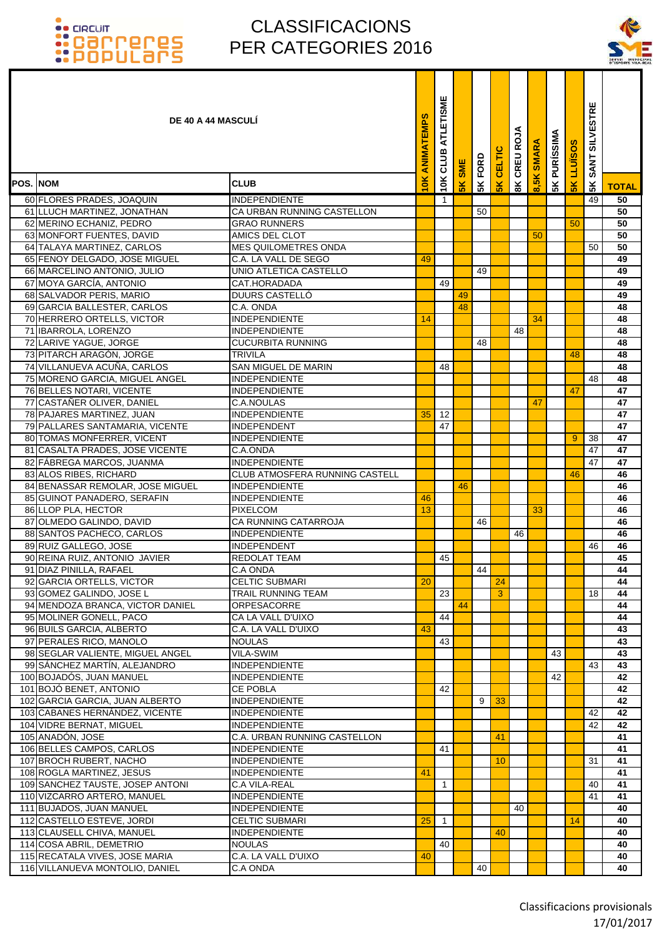

| <b>DE 40 A 44 MASCULI</b>                               |                                           | ANIMATEMPS | ATLETISME<br>CLUB | SME | FORD | CELTIC          | CREU ROJA    | <b>SMARA</b> | <b>5K PURÍSSIMA</b> | <b>SKLLUSOS</b> | SANT SILVESTRE |                       |
|---------------------------------------------------------|-------------------------------------------|------------|-------------------|-----|------|-----------------|--------------|--------------|---------------------|-----------------|----------------|-----------------------|
| POS. NOM                                                | <b>CLUB</b>                               | 10K        | 10K               | 5K  | 5K   | 5 <sub>K</sub>  | $\mathbf{R}$ | 8,5K         |                     |                 | 5K             | <b>TOTAL</b>          |
| 60 FLORES PRADES, JOAQUIN                               | <b>INDEPENDIENTE</b>                      |            | 1                 |     |      |                 |              |              |                     |                 | 49             | 50                    |
| 61 LLUCH MARTINEZ, JONATHAN                             | CA URBAN RUNNING CASTELLON                |            |                   |     | 50   |                 |              |              |                     |                 |                | 50                    |
| 62 MERINO ECHANIZ, PEDRO                                | <b>GRAO RUNNERS</b>                       |            |                   |     |      |                 |              |              |                     | 50              |                | 50                    |
| 63 MONFORT FUENTES, DAVID                               | AMICS DEL CLOT                            |            |                   |     |      |                 |              | 50           |                     |                 |                | 50                    |
| 64 TALAYA MARTINEZ, CARLOS                              | <b>MES QUILOMETRES ONDA</b>               |            |                   |     |      |                 |              |              |                     |                 | 50             | 50                    |
| 65 FENOY DELGADO, JOSE MIGUEL                           | C.A. LA VALL DE SEGO                      | 49         |                   |     |      |                 |              |              |                     |                 |                | 49                    |
| 66 MARCELINO ANTONIO, JULIO                             | UNIO ATLETICA CASTELLO                    |            |                   |     | 49   |                 |              |              |                     |                 |                | 49                    |
| 67 MOYA GARCÍA, ANTONIO                                 | CAT.HORADADA                              |            | 49                |     |      |                 |              |              |                     |                 |                | 49                    |
| 68 SALVADOR PERIS, MARIO                                | <b>DUURS CASTELLÓ</b>                     |            |                   | 49  |      |                 |              |              |                     |                 |                | 49                    |
| 69 GARCIA BALLESTER, CARLOS                             | C.A. ONDA                                 |            |                   | 48  |      |                 |              |              |                     |                 |                | 48                    |
| 70 HERRERO ORTELLS, VICTOR                              | <b>INDEPENDIENTE</b>                      | 14         |                   |     |      |                 |              | 34           |                     |                 |                | 48                    |
| 71 IBARROLA, LORENZO                                    | <b>INDEPENDIENTE</b>                      |            |                   |     |      |                 | 48           |              |                     |                 |                | 48                    |
| 72 LARIVE YAGUE, JORGE                                  | <b>CUCURBITA RUNNING</b>                  |            |                   |     | 48   |                 |              |              |                     |                 |                | 48                    |
| 73 PITARCH ARAGÓN, JORGE                                | <b>TRIVILA</b>                            |            |                   |     |      |                 |              |              |                     | 48              |                | 48                    |
| 74 VILLANUEVA ACUÑA, CARLOS                             | <b>SAN MIGUEL DE MARIN</b>                |            | 48                |     |      |                 |              |              |                     |                 |                | 48                    |
| 75 MORENO GARCIA, MIGUEL ANGEL                          | <b>INDEPENDIENTE</b>                      |            |                   |     |      |                 |              |              |                     |                 | 48             | 48<br>$\overline{47}$ |
| 76 BELLES NOTARI, VICENTE<br>77 CASTAÑER OLIVER, DANIEL | <b>INDEPENDIENTE</b><br><b>C.A.NOULAS</b> |            |                   |     |      |                 |              |              |                     | 47              |                | 47                    |
| 78 PAJARES MARTINEZ, JUAN                               | <b>INDEPENDIENTE</b>                      | 35         | 12                |     |      |                 |              | 47           |                     |                 |                | 47                    |
| 79 PALLARES SANTAMARIA, VICENTE                         | <b>INDEPENDENT</b>                        |            | 47                |     |      |                 |              |              |                     |                 |                | 47                    |
| 80 TOMAS MONFERRER, VICENT                              | <b>INDEPENDIENTE</b>                      |            |                   |     |      |                 |              |              |                     | 9               | 38             | 47                    |
| 81 CASALTA PRADES, JOSE VICENTE                         | C.A.ONDA                                  |            |                   |     |      |                 |              |              |                     |                 | 47             | 47                    |
| 82 FÁBREGA MARCOS, JUANMA                               | INDEPENDIENTE                             |            |                   |     |      |                 |              |              |                     |                 | 47             | 47                    |
| 83 ALOS RIBES, RICHARD                                  | CLUB ATMOSFERA RUNNING CASTELL            |            |                   |     |      |                 |              |              |                     | 46              |                | 46                    |
| 84 BENASSAR REMOLAR, JOSE MIGUEL                        | INDEPENDIENTE                             |            |                   | 46  |      |                 |              |              |                     |                 |                | 46                    |
| 85 GUINOT PANADERO, SERAFIN                             | INDEPENDIENTE                             | 46         |                   |     |      |                 |              |              |                     |                 |                | 46                    |
| 86 LLOP PLA, HECTOR                                     | <b>PIXELCOM</b>                           | 13         |                   |     |      |                 |              | 33           |                     |                 |                | 46                    |
| 87 OLMEDO GALINDO, DAVID                                | <b>CA RUNNING CATARROJA</b>               |            |                   |     | 46   |                 |              |              |                     |                 |                | 46                    |
| 88 SANTOS PACHECO, CARLOS                               | <b>INDEPENDIENTE</b>                      |            |                   |     |      |                 | 46           |              |                     |                 |                | 46                    |
| 89 RUIZ GALLEGO, JOSE                                   | INDEPENDENT                               |            |                   |     |      |                 |              |              |                     |                 | 46             | 46                    |
| 90 REINA RUIZ, ANTONIO JAVIER                           | <b>REDOLAT TEAM</b>                       |            | 45                |     |      |                 |              |              |                     |                 |                | 45                    |
| 91 DIAZ PINILLA, RAFAEL                                 | C.A ONDA                                  |            |                   |     | 44   |                 |              |              |                     |                 |                | 44                    |
| 92 GARCIA ORTELLS, VICTOR                               | <b>CELTIC SUBMARI</b>                     | 20         |                   |     |      | 24              |              |              |                     |                 |                | 44                    |
| 93 GOMEZ GALINDO, JOSE L                                | <b>TRAIL RUNNING TEAM</b>                 |            | 23                |     |      | 3               |              |              |                     |                 | 18             | 44                    |
| 94 MENDOZA BRANCA, VICTOR DANIEL                        | ORPESACORRE                               |            |                   | 44  |      |                 |              |              |                     |                 |                | 44                    |
| 95 MOLINER GONELL, PACO                                 | CA LA VALL D'UIXO                         |            | 44                |     |      |                 |              |              |                     |                 |                | 44                    |
| 96 BUILS GARCIA, ALBERTO                                | C.A. LA VALL D'UIXO                       | 43         |                   |     |      |                 |              |              |                     |                 |                | 43                    |
| 97 PERALES RICO, MANOLO                                 | <b>NOULAS</b>                             |            | 43                |     |      |                 |              |              |                     |                 |                | 43                    |
| 98 SEGLAR VALIENTE, MIGUEL ANGEL                        | <b>VILA-SWIM</b>                          |            |                   |     |      |                 |              |              | 43                  |                 |                | 43                    |
| 99 SÁNCHEZ MARTÍN, ALEJANDRO                            | INDEPENDIENTE<br><b>INDEPENDIENTE</b>     |            |                   |     |      |                 |              |              |                     |                 | 43             | 43                    |
| 100 BOJADÓS, JUAN MANUEL<br>101 BOJÓ BENET, ANTONIO     | <b>CE POBLA</b>                           |            | 42                |     |      |                 |              |              | 42                  |                 |                | 42<br>42              |
| 102 GARCIA GARCIA, JUAN ALBERTO                         | INDEPENDIENTE                             |            |                   |     | 9    | 33              |              |              |                     |                 |                | 42                    |
| 103 CABANES HERNÁNDEZ, VICENTE                          | INDEPENDIENTE                             |            |                   |     |      |                 |              |              |                     |                 | 42             | 42                    |
| 104 VIDRE BERNAT, MIGUEL                                | INDEPENDIENTE                             |            |                   |     |      |                 |              |              |                     |                 | 42             | 42                    |
| 105 ANADÓN, JOSE                                        | C.A. URBAN RUNNING CASTELLON              |            |                   |     |      | 41              |              |              |                     |                 |                | 41                    |
| 106 BELLES CAMPOS, CARLOS                               | <b>INDEPENDIENTE</b>                      |            | 41                |     |      |                 |              |              |                     |                 |                | 41                    |
| 107 BROCH RUBERT, NACHO                                 | <b>INDEPENDIENTE</b>                      |            |                   |     |      | 10 <sup>°</sup> |              |              |                     |                 | 31             | 41                    |
| 108 ROGLA MARTINEZ, JESUS                               | <b>INDEPENDIENTE</b>                      | 41         |                   |     |      |                 |              |              |                     |                 |                | 41                    |
| 109 SANCHEZ TAUSTE, JOSEP ANTONI                        | C.A VILA-REAL                             |            | 1                 |     |      |                 |              |              |                     |                 | 40             | 41                    |
| 110 VIZCARRO ARTERO, MANUEL                             | <b>INDEPENDIENTE</b>                      |            |                   |     |      |                 |              |              |                     |                 | 41             | 41                    |
| 111 BUJADOS, JUAN MANUEL                                | <b>INDEPENDIENTE</b>                      |            |                   |     |      |                 | 40           |              |                     |                 |                | 40                    |
| 112 CASTELLO ESTEVE, JORDI                              | <b>CELTIC SUBMARI</b>                     | 25         | $\mathbf{1}$      |     |      |                 |              |              |                     | 14              |                | 40                    |
| 113 CLAUSELL CHIVA, MANUEL                              | <b>INDEPENDIENTE</b>                      |            |                   |     |      | 40              |              |              |                     |                 |                | 40                    |
| 114 COSA ABRIL, DEMETRIO                                | <b>NOULAS</b>                             |            | 40                |     |      |                 |              |              |                     |                 |                | 40                    |
| 115 RECATALA VIVES, JOSE MARIA                          | C.A. LA VALL D'UIXO                       | 40         |                   |     |      |                 |              |              |                     |                 |                | 40                    |
| 116 VILLANUEVA MONTOLIO, DANIEL                         | C.A ONDA                                  |            |                   |     | 40   |                 |              |              |                     |                 |                | 40                    |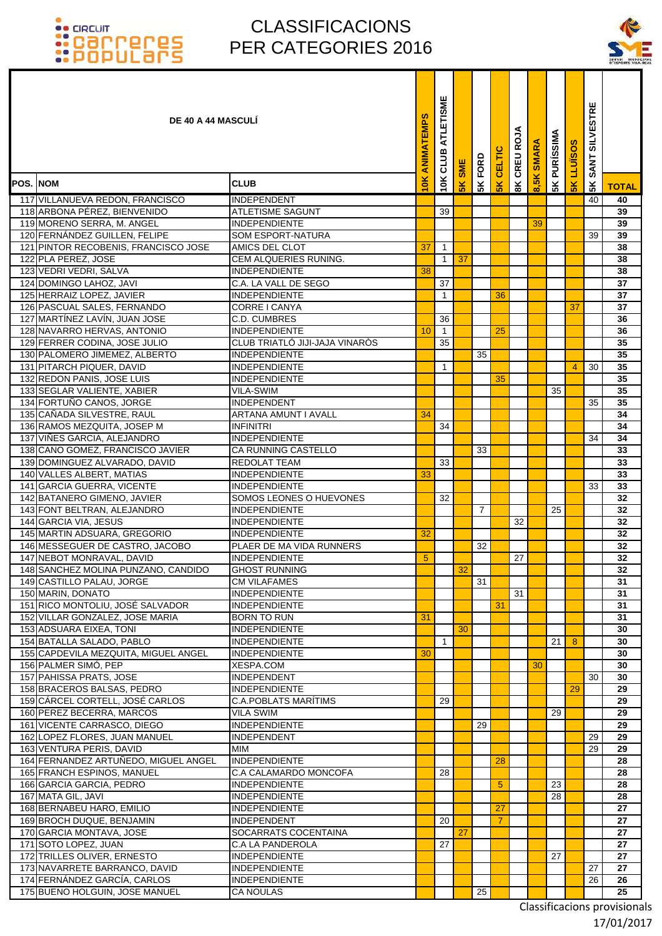### CLASSIFICACIONS PER CATEGORIES 2016



|                 | <b>DE 40 A 44 MASCULI</b>                                    |                                                 | ANIMATEMPS | ATLETISME<br>CLUB | <b>SME</b> | FORD | CELTIC        | CREU ROJA     | <b>SMARA</b> | <b>PURÍSSIMA</b> | <b>LLUÏSOS</b> | <b>SILVESTRE</b><br><b>SANT</b> |              |
|-----------------|--------------------------------------------------------------|-------------------------------------------------|------------|-------------------|------------|------|---------------|---------------|--------------|------------------|----------------|---------------------------------|--------------|
| <b>POS. NOM</b> |                                                              | <b>CLUB</b>                                     | 10K        | 10K               | 5K         | 5K   | $\frac{1}{5}$ | $\frac{8}{3}$ | 8,5K         | 5K               | 5K             | 5K                              | <b>TOTAL</b> |
|                 | 117 VILLANUEVA REDON, FRANCISCO                              | <b>INDEPENDENT</b>                              |            |                   |            |      |               |               |              |                  |                | 40                              | 40           |
|                 | 118 ARBONA PÉREZ, BIENVENIDO                                 | <b>ATLETISME SAGUNT</b>                         |            | 39                |            |      |               |               |              |                  |                |                                 | 39           |
|                 | 119 MORENO SERRA, M. ANGEL                                   | <b>INDEPENDIENTE</b>                            |            |                   |            |      |               |               | 39           |                  |                |                                 | 39           |
|                 | 120 FERNÁNDEZ GUILLEN, FELIPE                                | <b>SOM ESPORT-NATURA</b>                        |            |                   |            |      |               |               |              |                  |                | 39                              | 39           |
|                 | 121 PINTOR RECOBENIS, FRANCISCO JOSE                         | AMICS DEL CLOT<br><b>CEM ALQUERIES RUNING.</b>  | 37         | 1<br>$\mathbf{1}$ | 37         |      |               |               |              |                  |                |                                 | 38           |
|                 | 122 PLA PEREZ, JOSE<br>123 VEDRI VEDRI, SALVA                | <b>INDEPENDIENTE</b>                            | 38         |                   |            |      |               |               |              |                  |                |                                 | 38<br>38     |
|                 | 124 DOMINGO LAHOZ, JAVI                                      | C.A. LA VALL DE SEGO                            |            | 37                |            |      |               |               |              |                  |                |                                 | 37           |
|                 | 125 HERRAIZ LOPEZ, JAVIER                                    | <b>INDEPENDIENTE</b>                            |            | $\mathbf{1}$      |            |      | 36            |               |              |                  |                |                                 | 37           |
|                 | 126 PASCUAL SALES, FERNANDO                                  | CORRE I CANYA                                   |            |                   |            |      |               |               |              |                  | 37             |                                 | 37           |
|                 | 127 MARTÍNEZ LAVÍN, JUAN JOSE                                | C.D. CUMBRES                                    |            | 36                |            |      |               |               |              |                  |                |                                 | 36           |
|                 | 128 NAVARRO HERVAS, ANTONIO                                  | <b>INDEPENDIENTE</b>                            | 10         | $\overline{1}$    |            |      | 25            |               |              |                  |                |                                 | 36           |
|                 | 129 FERRER CODINA, JOSE JULIO                                | CLUB TRIATLÓ JIJI-JAJA VINARÒS                  |            | 35                |            |      |               |               |              |                  |                |                                 | 35           |
|                 | 130 PALOMERO JIMEMEZ, ALBERTO                                | <b>INDEPENDIENTE</b>                            |            |                   |            | 35   |               |               |              |                  |                |                                 | 35           |
|                 | 131 PITARCH PIQUER, DAVID<br>132 REDON PANIS, JOSE LUIS      | <b>INDEPENDIENTE</b><br><b>INDEPENDIENTE</b>    |            | 1                 |            |      | 35            |               |              |                  | 4              | 30                              | 35<br>35     |
|                 | 133 SEGLAR VALIENTE, XABIER                                  | <b>VILA-SWIM</b>                                |            |                   |            |      |               |               |              | 35               |                |                                 | 35           |
|                 | 134 FORTUÑO CANOS, JORGE                                     | <b>INDEPENDENT</b>                              |            |                   |            |      |               |               |              |                  |                | 35                              | 35           |
|                 | 135 CAÑADA SILVESTRE, RAUL                                   | <b>ARTANA AMUNT I AVALL</b>                     | 34         |                   |            |      |               |               |              |                  |                |                                 | 34           |
|                 | 136 RAMOS MEZQUITA, JOSEP M                                  | <b>INFINITRI</b>                                |            | 34                |            |      |               |               |              |                  |                |                                 | 34           |
|                 | 137 VIÑES GARCIA, ALEJANDRO                                  | INDEPENDIENTE                                   |            |                   |            |      |               |               |              |                  |                | 34                              | 34           |
|                 | 138 CANO GOMEZ, FRANCISCO JAVIER                             | <b>CA RUNNING CASTELLO</b>                      |            |                   |            | 33   |               |               |              |                  |                |                                 | 33           |
|                 | 139 DOMINGUEZ ALVARADO, DAVID                                | <b>REDOLAT TEAM</b>                             |            | 33                |            |      |               |               |              |                  |                |                                 | 33           |
|                 | 140 VALLES ALBERT, MATIAS                                    | <b>INDEPENDIENTE</b>                            | 33         |                   |            |      |               |               |              |                  |                |                                 | 33           |
|                 | 141 GARCIA GUERRA, VICENTE<br>142 BATANERO GIMENO, JAVIER    | IINDEPENDIENTE<br>SOMOS LEONES O HUEVONES       |            | 32                |            |      |               |               |              |                  |                | 33                              | 33<br>32     |
|                 | 143 FONT BELTRAN, ALEJANDRO                                  | INDEPENDIENTE                                   |            |                   |            | 7    |               |               |              | 25               |                |                                 | 32           |
|                 | 144 GARCIA VIA, JESUS                                        | <b>INDEPENDIENTE</b>                            |            |                   |            |      |               | 32            |              |                  |                |                                 | 32           |
|                 | 145 MARTIN ADSUARA, GREGORIO                                 | <b>INDEPENDIENTE</b>                            | 32         |                   |            |      |               |               |              |                  |                |                                 | 32           |
|                 | 146 MESSEGUER DE CASTRO, JACOBO                              | PLAER DE MA VIDA RUNNERS                        |            |                   |            | 32   |               |               |              |                  |                |                                 | 32           |
| 147             | NEBOT MONRAVAL, DAVID                                        | <b>INDEPENDIENTE</b>                            | 5          |                   |            |      |               | 27            |              |                  |                |                                 | 32           |
|                 | 148 SANCHEZ MOLINA PUNZANO, CANDIDO                          | <b>GHOST RUNNING</b>                            |            |                   | 32         |      |               |               |              |                  |                |                                 | 32           |
|                 | 149 CASTILLO PALAU, JORGE                                    | <b>CM VILAFAMES</b>                             |            |                   |            | 31   |               |               |              |                  |                |                                 | 31           |
|                 | 150 MARIN, DONATO<br>151 RICO MONTOLIU, JOSÉ SALVADOR        | <b>INDEPENDIENTE</b><br>INDEPENDIENTE           |            |                   |            |      | 31            | 31            |              |                  |                |                                 | 31<br>31     |
|                 | 152 VILLAR GONZALEZ, JOSE MARIA                              | <b>BORN TO RUN</b>                              | 31         |                   |            |      |               |               |              |                  |                |                                 | 31           |
|                 | 153 ADSUARA EIXEA, TONI                                      | <b>INDEPENDIENTE</b>                            |            |                   | 30         |      |               |               |              |                  |                |                                 | 30           |
|                 | 154 BATALLA SALADO, PABLO                                    | INDEPENDIENTE                                   |            | $\mathbf{1}$      |            |      |               |               |              | 21               | 8              |                                 | 30           |
|                 | 155 CAPDEVILA MEZQUITA, MIGUEL ANGEL                         | <b>INDEPENDIENTE</b>                            | 30         |                   |            |      |               |               |              |                  |                |                                 | 30           |
|                 | 156 PALMER SIMÓ, PEP                                         | <b>XESPA.COM</b>                                |            |                   |            |      |               |               | 30           |                  |                |                                 | 30           |
|                 | 157 PAHISSA PRATS, JOSE                                      | INDEPENDENT                                     |            |                   |            |      |               |               |              |                  |                | 30                              | 30           |
|                 | 158 BRACEROS BALSAS, PEDRO                                   | <b>INDEPENDIENTE</b>                            |            |                   |            |      |               |               |              |                  | 29             |                                 | 29           |
|                 | 159 CÁRCEL CORTELL, JOSÉ CARLOS<br>160 PEREZ BECERRA, MARCOS | <b>C.A.POBLATS MARITIMS</b><br><b>VILA SWIM</b> |            | 29                |            |      |               |               |              | 29               |                |                                 | 29<br>29     |
|                 | 161 VICENTE CARRASCO, DIEGO                                  | <b>INDEPENDIENTE</b>                            |            |                   |            | 29   |               |               |              |                  |                |                                 | 29           |
|                 | 162 LOPEZ FLORES, JUAN MANUEL                                | <b>INDEPENDENT</b>                              |            |                   |            |      |               |               |              |                  |                | 29                              | 29           |
|                 | 163 VENTURA PERIS, DAVID                                     | MIM                                             |            |                   |            |      |               |               |              |                  |                | 29                              | 29           |
|                 | 164 FERNANDEZ ARTUÑEDO, MIGUEL ANGEL                         | INDEPENDIENTE                                   |            |                   |            |      | 28            |               |              |                  |                |                                 | 28           |
|                 | 165 FRANCH ESPINOS, MANUEL                                   | C.A CALAMARDO MONCOFA                           |            | 28                |            |      |               |               |              |                  |                |                                 | 28           |
|                 | 166 GARCIA GARCIA, PEDRO                                     | <b>INDEPENDIENTE</b>                            |            |                   |            |      | 5             |               |              | 23               |                |                                 | 28           |
|                 | 167 MATA GIL, JAVI                                           | INDEPENDIENTE                                   |            |                   |            |      |               |               |              | 28               |                |                                 | 28           |
|                 | 168 BERNABEU HARO, EMILIO<br>169 BROCH DUQUE, BENJAMIN       | <b>INDEPENDIENTE</b><br>INDEPENDENT             |            | 20                |            |      | 27<br>7       |               |              |                  |                |                                 | 27<br>27     |
|                 | 170 GARCIA MONTAVA, JOSE                                     | SOCARRATS COCENTAINA                            |            |                   | 27         |      |               |               |              |                  |                |                                 | 27           |
|                 | 171 SOTO LOPEZ, JUAN                                         | C.A LA PANDEROLA                                |            | 27                |            |      |               |               |              |                  |                |                                 | 27           |
|                 | 172 TRILLES OLIVER, ERNESTO                                  | <b>INDEPENDIENTE</b>                            |            |                   |            |      |               |               |              | 27               |                |                                 | 27           |
|                 | 173 NAVARRETE BARRANCO, DAVID                                | <b>INDEPENDIENTE</b>                            |            |                   |            |      |               |               |              |                  |                | 27                              | 27           |
|                 | 174 FERNÁNDEZ GARCÍA, CARLOS                                 | <b>INDEPENDIENTE</b>                            |            |                   |            |      |               |               |              |                  |                | 26                              | 26           |
|                 | 175 BUENO HOLGUIN, JOSE MANUEL                               | <b>CA NOULAS</b>                                |            |                   |            | 25   |               |               |              |                  |                |                                 | 25           |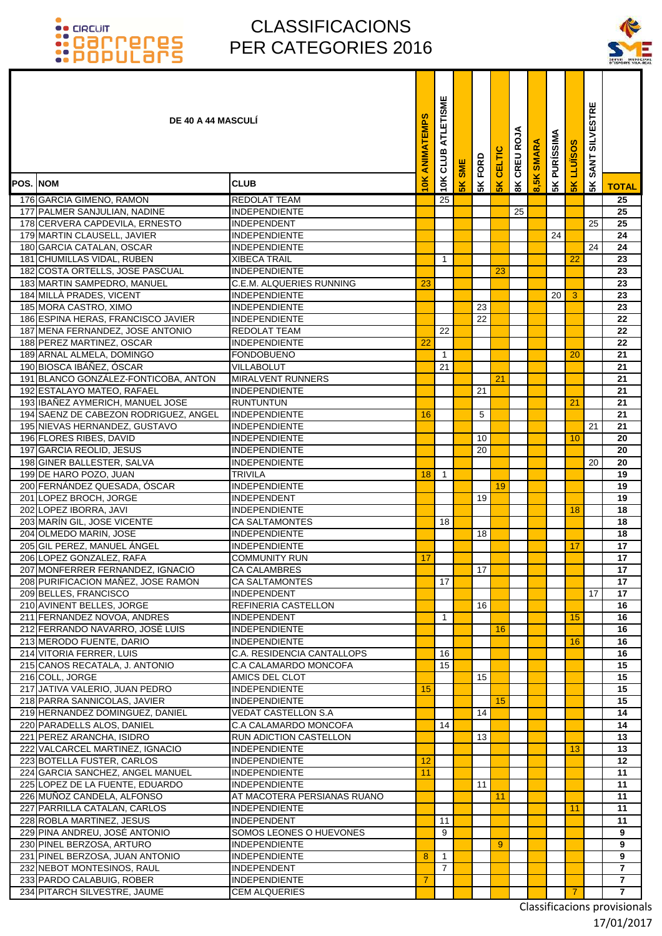### CLASSIFICACIONS PER CATEGORIES 2016



| <b>DE 40 A 44 MASCULI</b>                                              |                                                         | ANIMATEMPS | ATLETISME<br>CLUB | <b>SME</b> | FORD | CELTIC         | CREU ROJA     | <b>SMARA</b> | <b>5K PURÍSSIMA</b> | <b>LLUISOS</b> | <b>SILVESTRE</b><br><b>SANT</b> |                |
|------------------------------------------------------------------------|---------------------------------------------------------|------------|-------------------|------------|------|----------------|---------------|--------------|---------------------|----------------|---------------------------------|----------------|
| POS. NOM                                                               | <b>CLUB</b>                                             | ¥          | 10K               | <b>5K</b>  | 5K   | 5 <sub>K</sub> | $\frac{8}{3}$ | 8,5K         |                     | 5K             | 5K                              | <b>TOTAL</b>   |
| 176 GARCIA GIMENO, RAMON                                               | <b>REDOLAT TEAM</b>                                     |            | 25                |            |      |                |               |              |                     |                |                                 | 25             |
| 177 PALMER SANJULIAN, NADINE                                           | <b>INDEPENDIENTE</b>                                    |            |                   |            |      |                | 25            |              |                     |                |                                 | 25             |
| 178 CERVERA CAPDEVILA, ERNESTO                                         | <b>INDEPENDENT</b>                                      |            |                   |            |      |                |               |              |                     |                | 25                              | 25             |
| 179 MARTIN CLAUSELL, JAVIER                                            | INDEPENDIENTE                                           |            |                   |            |      |                |               |              | 24                  |                |                                 | 24             |
| 180 GARCIA CATALAN, OSCAR                                              | <b>INDEPENDIENTE</b>                                    |            |                   |            |      |                |               |              |                     |                | 24                              | 24             |
| 181 CHUMILLAS VIDAL, RUBEN                                             | <b>XIBECA TRAIL</b>                                     |            | $\mathbf{1}$      |            |      |                |               |              |                     | 22             |                                 | 23             |
| 182 COSTA ORTELLS, JOSE PASCUAL<br>183 MARTIN SAMPEDRO, MANUEL         | <b>INDEPENDIENTE</b><br><b>C.E.M. ALQUERIES RUNNING</b> | 23         |                   |            |      | 23             |               |              |                     |                |                                 | 23<br>23       |
| 184 MILLA PRADES, VICENT                                               | <b>INDEPENDIENTE</b>                                    |            |                   |            |      |                |               |              | 20 <sub>1</sub>     | 3              |                                 | 23             |
| 185 MORA CASTRO, XIMO                                                  | <b>INDEPENDIENTE</b>                                    |            |                   |            | 23   |                |               |              |                     |                |                                 | 23             |
| 186 ESPINA HERAS, FRANCISCO JAVIER                                     | <b>INDEPENDIENTE</b>                                    |            |                   |            | 22   |                |               |              |                     |                |                                 | 22             |
| 187 MENA FERNANDEZ, JOSE ANTONIO                                       | <b>REDOLAT TEAM</b>                                     |            | 22                |            |      |                |               |              |                     |                |                                 | 22             |
| 188 PEREZ MARTINEZ, OSCAR                                              | <b>INDEPENDIENTE</b>                                    | 22         |                   |            |      |                |               |              |                     |                |                                 | 22             |
| 189 ARNAL ALMELA, DOMINGO                                              | <b>FONDOBUENO</b>                                       |            | $\overline{1}$    |            |      |                |               |              |                     | 20             |                                 | 21             |
| 190 BIOSCA IBÁÑEZ, ÓSCAR                                               | VILLABOLUT                                              |            | 21                |            |      |                |               |              |                     |                |                                 | 21             |
| 191 BLANCO GONZÁLEZ-FONTICOBA, ANTON                                   | <b>MIRALVENT RUNNERS</b>                                |            |                   |            |      | 21             |               |              |                     |                |                                 | 21             |
| 192 ESTALAYO MATEO, RAFAEL                                             | <b>INDEPENDIENTE</b>                                    |            |                   |            | 21   |                |               |              |                     |                |                                 | 21             |
| 193 IBAÑEZ AYMERICH, MANUEL JOSE                                       | <b>RUNTUNTUN</b>                                        |            |                   |            |      |                |               |              |                     | 21             |                                 | 21             |
| 194 SAENZ DE CABEZON RODRIGUEZ, ANGEL                                  | <b>INDEPENDIENTE</b>                                    | 16         |                   |            | 5    |                |               |              |                     |                |                                 | 21<br>21       |
| 195 NIEVAS HERNANDEZ, GUSTAVO<br>196 FLORES RIBES, DAVID               | <b>INDEPENDIENTE</b><br><b>INDEPENDIENTE</b>            |            |                   |            | 10   |                |               |              |                     | 10             | 21                              | 20             |
| 197 GARCIA REOLID, JESUS                                               | <b>INDEPENDIENTE</b>                                    |            |                   |            | 20   |                |               |              |                     |                |                                 | 20             |
| 198 GINER BALLESTER, SALVA                                             | <b>INDEPENDIENTE</b>                                    |            |                   |            |      |                |               |              |                     |                | 20                              | 20             |
| 199 DE HARO POZO, JUAN                                                 | <b>TRIVILA</b>                                          | 18         | $\overline{1}$    |            |      |                |               |              |                     |                |                                 | 19             |
| 200 FERNÁNDEZ QUESADA, ÓSCAR                                           | <b>INDEPENDIENTE</b>                                    |            |                   |            |      | 19             |               |              |                     |                |                                 | 19             |
| 201 LOPEZ BROCH, JORGE                                                 | <b>INDEPENDENT</b>                                      |            |                   |            | 19   |                |               |              |                     |                |                                 | 19             |
| 202 LOPEZ IBORRA, JAVI                                                 | <b>INDEPENDIENTE</b>                                    |            |                   |            |      |                |               |              |                     | 18             |                                 | 18             |
| 203 MARÍN GIL, JOSE VICENTE                                            | <b>CA SALTAMONTES</b>                                   |            | 18                |            |      |                |               |              |                     |                |                                 | 18             |
| 204 OLMEDO MARIN, JOSE                                                 | <b>INDEPENDIENTE</b>                                    |            |                   |            | 18   |                |               |              |                     |                |                                 | 18             |
| 205 GIL PEREZ. MANUEL ÁNGEL                                            | INDEPENDIENTE                                           |            |                   |            |      |                |               |              |                     | 17             |                                 | 17             |
| 206 LOPEZ GONZALEZ, RAFA                                               | <b>COMMUNITY RUN</b><br><b>CA CALAMBRES</b>             | 17         |                   |            | 17   |                |               |              |                     |                |                                 | 17<br>17       |
| 207 MONFERRER FERNANDEZ, IGNACIO<br>208 PURIFICACION MANEZ, JOSE RAMON | <b>CA SALTAMONTES</b>                                   |            | 17                |            |      |                |               |              |                     |                |                                 | 17             |
| 209 BELLES, FRANCISCO                                                  | <b>INDEPENDENT</b>                                      |            |                   |            |      |                |               |              |                     |                | 17                              | 17             |
| 210 AVINENT BELLES, JORGE                                              | REFINERIA CASTELLON                                     |            |                   |            | 16   |                |               |              |                     |                |                                 | 16             |
| 211 FERNANDEZ NOVOA, ANDRES                                            | INDEPENDENT                                             |            | $\mathbf{1}$      |            |      |                |               |              |                     | 15             |                                 | 16             |
| 212 FERRANDO NAVARRO, JOSÉ LUIS                                        | <b>INDEPENDIENTE</b>                                    |            |                   |            |      | 16             |               |              |                     |                |                                 | 16             |
| 213 MERODO FUENTE, DARIO                                               | <b>INDEPENDIENTE</b>                                    |            |                   |            |      |                |               |              |                     | 16             |                                 | 16             |
| 214 VITORIA FERRER, LUIS                                               | C.A. RESIDENCIA CANTALLOPS                              |            | 16                |            |      |                |               |              |                     |                |                                 | 16             |
| 215 CANOS RECATALA, J. ANTONIO                                         | C.A CALAMARDO MONCOFA                                   |            | 15                |            |      |                |               |              |                     |                |                                 | 15             |
| 216 COLL, JORGE                                                        | AMICS DEL CLOT                                          |            |                   |            | 15   |                |               |              |                     |                |                                 | 15             |
| 217 JATIVA VALERIO, JUAN PEDRO<br>218 PARRA SANNICOLAS, JAVIER         | INDEPENDIENTE<br><b>INDEPENDIENTE</b>                   | 15         |                   |            |      | 15             |               |              |                     |                |                                 | 15<br>15       |
| 219 HERNANDEZ DOMINGUEZ, DANIEL                                        | VEDAT CASTELLON S.A                                     |            |                   |            | 14   |                |               |              |                     |                |                                 | 14             |
| 220 PARADELLS ALOS, DANIEL                                             | C.A CALAMARDO MONCOFA                                   |            | 14                |            |      |                |               |              |                     |                |                                 | 14             |
| 221 PEREZ ARANCHA, ISIDRO                                              | RUN ADICTION CASTELLON                                  |            |                   |            | 13   |                |               |              |                     |                |                                 | 13             |
| 222 VALCARCEL MARTINEZ, IGNACIO                                        | <b>INDEPENDIENTE</b>                                    |            |                   |            |      |                |               |              |                     | 13             |                                 | 13             |
| 223 BOTELLA FUSTER, CARLOS                                             | <b>INDEPENDIENTE</b>                                    | 12         |                   |            |      |                |               |              |                     |                |                                 | 12             |
| 224 GARCIA SANCHEZ, ANGEL MANUEL                                       | <b>INDEPENDIENTE</b>                                    | 11         |                   |            |      |                |               |              |                     |                |                                 | 11             |
| 225 LOPEZ DE LA FUENTE, EDUARDO                                        | <b>INDEPENDIENTE</b>                                    |            |                   |            | 11   |                |               |              |                     |                |                                 | 11             |
| 226 MUÑOZ CANDELA, ALFONSO                                             | AT MACOTERA PERSIANAS RUANO                             |            |                   |            |      | 11             |               |              |                     |                |                                 | 11             |
| 227 PARRILLA CATALAN, CARLOS                                           | <b>INDEPENDIENTE</b>                                    |            |                   |            |      |                |               |              |                     | 11             |                                 | 11             |
| 228 ROBLA MARTINEZ, JESUS<br>229 PINA ANDREU, JOSÉ ANTONIO             | INDEPENDENT<br>SOMOS LEONES O HUEVONES                  |            | 11<br>9           |            |      |                |               |              |                     |                |                                 | 11<br>9        |
| 230 PINEL BERZOSA, ARTURO                                              | <b>INDEPENDIENTE</b>                                    |            |                   |            |      | 9              |               |              |                     |                |                                 | 9              |
| 231 PINEL BERZOSA, JUAN ANTONIO                                        | <b>INDEPENDIENTE</b>                                    | 8          | $\mathbf{1}$      |            |      |                |               |              |                     |                |                                 | 9              |
| 232 NEBOT MONTESINOS, RAUL                                             | <b>INDEPENDENT</b>                                      |            | 7                 |            |      |                |               |              |                     |                |                                 | $\overline{7}$ |
| 233 PARDO CALABUIG, ROBER                                              | <b>INDEPENDIENTE</b>                                    | 7          |                   |            |      |                |               |              |                     |                |                                 | $\overline{7}$ |
| 234 PITARCH SILVESTRE, JAUME                                           | <b>CEM ALQUERIES</b>                                    |            |                   |            |      |                |               |              |                     |                |                                 | $\overline{7}$ |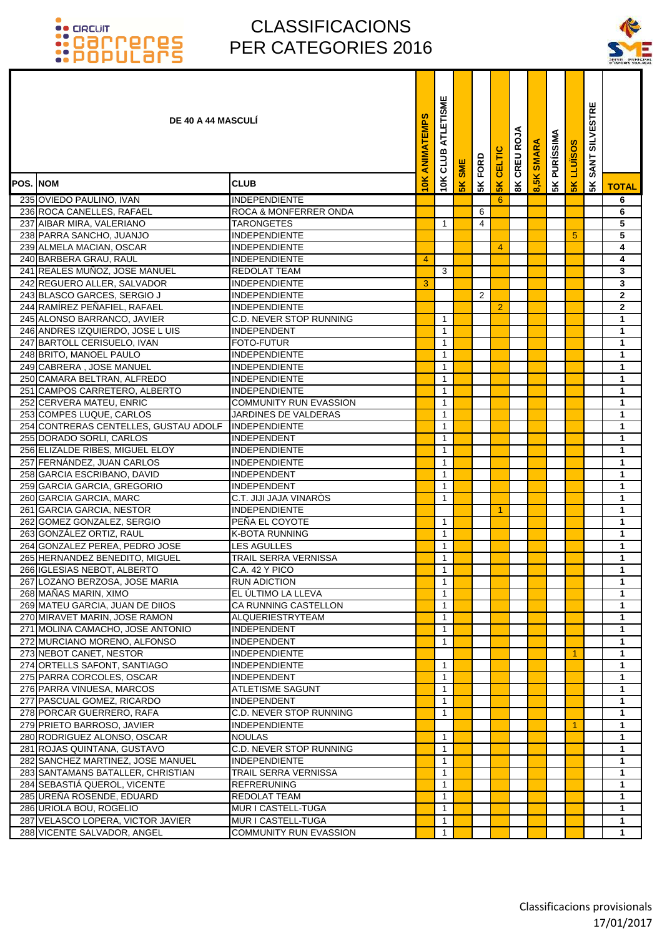

|                 | <b>DE 40 A 44 MASCULI</b>                                  |                                          | ANIMATEMPS     | ATLETISME<br>CLUB | <b>SME</b>    | FORD           | CELTIC         | 3<br>8K CREUR | ARA<br>$\overline{\text{ss}}$ | <b>PURÍSSIMA</b> | <b>SOSINT1</b> | <b>SILVESTRE</b><br><b>SANT</b> |              |
|-----------------|------------------------------------------------------------|------------------------------------------|----------------|-------------------|---------------|----------------|----------------|---------------|-------------------------------|------------------|----------------|---------------------------------|--------------|
| <b>POS. NOM</b> |                                                            | <b>CLUB</b>                              | iоk            | 10K               | $\frac{8}{5}$ | 5K             | 5K             |               |                               | 5K               | 5K             | 5K                              | <b>TOTAL</b> |
|                 | 235 OVIEDO PAULINO, IVAN                                   | <b>INDEPENDIENTE</b>                     |                |                   |               |                | 6              |               |                               |                  |                |                                 | 6            |
|                 | 236 ROCA CANELLES, RAFAEL                                  | <b>ROCA &amp; MONFERRER ONDA</b>         |                |                   |               | 6              |                |               |                               |                  |                |                                 | 6            |
|                 | 237 AIBAR MIRA, VALERIANO                                  | <b>TARONGETES</b>                        |                | 1                 |               | 4              |                |               |                               |                  |                |                                 | 5            |
|                 | 238 PARRA SANCHO, JUANJO                                   | INDEPENDIENTE                            |                |                   |               |                |                |               |                               |                  | 5              |                                 | 5            |
|                 | 239 ALMELA MACIAN, OSCAR                                   | INDEPENDIENTE                            |                |                   |               |                | 4              |               |                               |                  |                |                                 | 4            |
|                 | 240 BARBERA GRAU, RAUL                                     | <b>INDEPENDIENTE</b>                     | $\overline{4}$ |                   |               |                |                |               |                               |                  |                |                                 | 4            |
|                 | 241 REALES MUÑOZ, JOSE MANUEL                              | REDOLAT TEAM                             |                | 3                 |               |                |                |               |                               |                  |                |                                 | 3            |
|                 | 242 REGUERO ALLER, SALVADOR                                | <b>INDEPENDIENTE</b>                     | 3              |                   |               |                |                |               |                               |                  |                |                                 | 3            |
|                 | 243 BLASCO GARCES, SERGIO J                                | INDEPENDIENTE                            |                |                   |               | $\overline{2}$ |                |               |                               |                  |                |                                 | $\mathbf{2}$ |
|                 | 244 RAMÍREZ PEÑAFIEL, RAFAEL                               | <b>INDEPENDIENTE</b>                     |                |                   |               |                | $\overline{2}$ |               |                               |                  |                |                                 | $\mathbf{2}$ |
|                 | 245 ALONSO BARRANCO, JAVIER                                | <b>C.D. NEVER STOP RUNNING</b>           |                | 1                 |               |                |                |               |                               |                  |                |                                 | 1            |
|                 | 246 ANDRES IZQUIERDO, JOSE LUIS                            | <b>INDEPENDENT</b>                       |                | 1                 |               |                |                |               |                               |                  |                |                                 | 1            |
|                 | 247 BARTOLL CERISUELO, IVAN                                | <b>FOTO-FUTUR</b>                        |                | 1                 |               |                |                |               |                               |                  |                |                                 | 1            |
|                 | 248 BRITO, MANOEL PAULO                                    | <b>INDEPENDIENTE</b>                     |                | 1                 |               |                |                |               |                               |                  |                |                                 | 1            |
|                 | 249 CABRERA, JOSE MANUEL                                   | <b>INDEPENDIENTE</b>                     |                | $\mathbf{1}$      |               |                |                |               |                               |                  |                |                                 | 1            |
|                 | 250 CAMARA BELTRAN, ALFREDO                                | INDEPENDIENTE                            |                | $\mathbf{1}$      |               |                |                |               |                               |                  |                |                                 | 1            |
|                 | 251 CAMPOS CARRETERO, ALBERTO                              | <b>INDEPENDIENTE</b>                     |                | 1                 |               |                |                |               |                               |                  |                |                                 | 1            |
|                 | 252 CERVERA MATEU, ENRIC                                   | <b>COMMUNITY RUN EVASSION</b>            |                | 1                 |               |                |                |               |                               |                  |                |                                 | 1            |
|                 | 253 COMPES LUQUE, CARLOS                                   | JARDINES DE VALDERAS                     |                | $\mathbf{1}$      |               |                |                |               |                               |                  |                |                                 | 1            |
|                 | 254 CONTRERAS CENTELLES, GUSTAU ADOLF                      | <b>INDEPENDIENTE</b>                     |                | $\mathbf{1}$      |               |                |                |               |                               |                  |                |                                 | 1            |
|                 | 255 DORADO SORLI, CARLOS                                   | <b>INDEPENDENT</b>                       |                | 1                 |               |                |                |               |                               |                  |                |                                 | 1            |
|                 | 256 ELIZALDE RIBES, MIGUEL ELOY                            | <b>INDEPENDIENTE</b>                     |                | 1                 |               |                |                |               |                               |                  |                |                                 | 1            |
|                 | 257 FERNÁNDEZ, JUAN CARLOS                                 | INDEPENDIENTE                            |                | 1<br>1            |               |                |                |               |                               |                  |                |                                 | 1            |
|                 | 258 GARCIA ESCRIBANO, DAVID<br>259 GARCIA GARCIA, GREGORIO | <b>INDEPENDENT</b><br><b>INDEPENDENT</b> |                | 1                 |               |                |                |               |                               |                  |                |                                 | 1<br>1       |
|                 | 260 GARCIA GARCIA, MARC                                    | C.T. JIJI JAJA VINARÒS                   |                | 1                 |               |                |                |               |                               |                  |                |                                 | 1            |
|                 | 261 GARCIA GARCIA, NESTOR                                  | <b>INDEPENDIENTE</b>                     |                |                   |               |                | 1              |               |                               |                  |                |                                 | 1            |
|                 | 262 GOMEZ GONZALEZ, SERGIO                                 | PEÑA EL COYOTE                           |                | 1                 |               |                |                |               |                               |                  |                |                                 | 1            |
|                 | 263 GONZÁLEZ ORTIZ, RAUL                                   | <b>K-BOTA RUNNING</b>                    |                | 1                 |               |                |                |               |                               |                  |                |                                 | 1            |
|                 | 264 GONZALEZ PEREA, PEDRO JOSE                             | <b>LES AGULLES</b>                       |                | $\mathbf{1}$      |               |                |                |               |                               |                  |                |                                 | 1            |
|                 | 265 HERNANDEZ BENEDITO, MIGUEL                             | <b>TRAIL SERRA VERNISSA</b>              |                | $\mathbf{1}$      |               |                |                |               |                               |                  |                |                                 | 1            |
|                 | 266 IGLESIAS NEBOT, ALBERTO                                | C.A. 42 Y PICO                           |                | $\mathbf{1}$      |               |                |                |               |                               |                  |                |                                 | 1            |
|                 | 267 LOZANO BERZOSA, JOSE MARIA                             | <b>RUN ADICTION</b>                      |                | $\mathbf{1}$      |               |                |                |               |                               |                  |                |                                 | 1            |
|                 | 268 MAÑAS MARIN, XIMO                                      | EL ÚLTIMO LA LLEVA                       |                | $\mathbf{1}$      |               |                |                |               |                               |                  |                |                                 | 1            |
|                 | 269 MATEU GARCIA, JUAN DE DIIOS                            | CA RUNNING CASTELLON                     |                | $\mathbf{1}$      |               |                |                |               |                               |                  |                |                                 | 1            |
|                 | 270 MIRAVET MARIN, JOSE RAMON                              | ALQUERIESTRYTEAM                         |                | 1                 |               |                |                |               |                               |                  |                |                                 | 1            |
|                 | 271 MOLINA CAMACHO, JOSE ANTONIO                           | <b>INDEPENDENT</b>                       |                | 1                 |               |                |                |               |                               |                  |                |                                 | 1            |
|                 | 272 MURCIANO MORENO, ALFONSO                               | <b>INDEPENDENT</b>                       |                | $\mathbf{1}$      |               |                |                |               |                               |                  |                |                                 | 1            |
|                 | 273 NEBOT CANET, NESTOR                                    | <b>INDEPENDIENTE</b>                     |                |                   |               |                |                |               |                               |                  | 1              |                                 | 1            |
|                 | 274 ORTELLS SAFONT, SANTIAGO                               | <b>INDEPENDIENTE</b>                     |                | $\mathbf{1}$      |               |                |                |               |                               |                  |                |                                 | 1            |
|                 | 275 PARRA CORCOLES, OSCAR                                  | <b>INDEPENDENT</b>                       |                | 1                 |               |                |                |               |                               |                  |                |                                 | 1            |
|                 | 276 PARRA VINUESA, MARCOS                                  | <b>ATLETISME SAGUNT</b>                  |                | 1                 |               |                |                |               |                               |                  |                |                                 | 1            |
|                 | 277 PASCUAL GOMEZ, RICARDO                                 | <b>INDEPENDENT</b>                       |                | 1                 |               |                |                |               |                               |                  |                |                                 | 1            |
|                 | 278 PORCAR GUERRERO, RAFA                                  | <b>C.D. NEVER STOP RUNNING</b>           |                | $\mathbf{1}$      |               |                |                |               |                               |                  |                |                                 | $\mathbf{1}$ |
|                 | 279 PRIETO BARROSO, JAVIER                                 | <b>INDEPENDIENTE</b>                     |                |                   |               |                |                |               |                               |                  | 1.             |                                 | 1            |
|                 | 280 RODRIGUEZ ALONSO, OSCAR                                | <b>NOULAS</b>                            |                | 1                 |               |                |                |               |                               |                  |                |                                 | 1            |
|                 | 281 ROJAS QUINTANA, GUSTAVO                                | C.D. NEVER STOP RUNNING                  |                | $\mathbf{1}$      |               |                |                |               |                               |                  |                |                                 | 1            |
|                 | 282 SANCHEZ MARTINEZ, JOSE MANUEL                          | <b>INDEPENDIENTE</b>                     |                | $\mathbf{1}$      |               |                |                |               |                               |                  |                |                                 | 1            |
|                 | 283 SANTAMANS BATALLER, CHRISTIAN                          | TRAIL SERRA VERNISSA                     |                | 1                 |               |                |                |               |                               |                  |                |                                 | 1            |
|                 | 284 SEBASTIÁ QUEROL, VICENTE                               | <b>REFRERUNING</b>                       |                | 1                 |               |                |                |               |                               |                  |                |                                 | 1            |
|                 | 285 UREÑA ROSENDE, EDUARD                                  | <b>REDOLAT TEAM</b>                      |                | 1                 |               |                |                |               |                               |                  |                |                                 | 1            |
|                 | 286 URIOLA BOU, ROGELIO                                    | MUR I CASTELL-TUGA                       |                | 1                 |               |                |                |               |                               |                  |                |                                 | 1            |
|                 | 287 VELASCO LOPERA, VICTOR JAVIER                          | MUR I CASTELL-TUGA                       |                | $\mathbf{1}$      |               |                |                |               |                               |                  |                |                                 | $\mathbf{1}$ |
|                 | 288 VICENTE SALVADOR, ANGEL                                | COMMUNITY RUN EVASSION                   |                | $\mathbf{1}$      |               |                |                |               |                               |                  |                |                                 | $\mathbf{1}$ |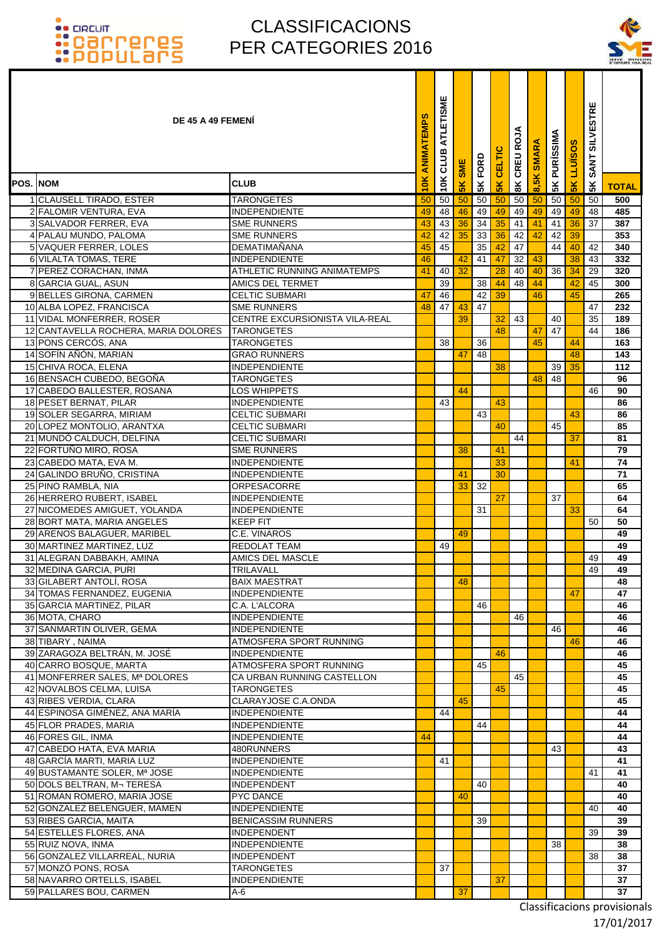### CLASSIFICACIONS PER CATEGORIES 2016



|                 | DE 45 A 49 FEMENI                                           |                                                 | ANIMATEMPS | ATLETISME<br>CLUB | SME | 5K FORD  | <b>CELTIC</b> | 8K CREU ROJA | 8,5K SMARA | <b>5K PURÍSSIMA</b> | LLUISO        | <b>SILVESTRE</b><br><b>SANT</b> |              |
|-----------------|-------------------------------------------------------------|-------------------------------------------------|------------|-------------------|-----|----------|---------------|--------------|------------|---------------------|---------------|---------------------------------|--------------|
| <b>POS. NOM</b> |                                                             | <b>CLUB</b>                                     | 10K        | 10K               | 5K  |          | 5K            |              |            |                     | 5K            | 5K                              | <b>TOTAL</b> |
|                 | 1 CLAUSELL TIRADO, ESTER                                    | <b>TARONGETES</b>                               | 50         | 50                | 50  | 50       | 50            | 50           | 50         | 50                  | 50            | 50                              | 500          |
|                 | 2 FALOMIR VENTURA, EVA                                      | INDEPENDIENTE                                   | 49         | 48                | 46  | 49       | 49            | 49           | 49         | 49                  | 49            | 48                              | 485          |
|                 | 3 SALVADOR FERRER, EVA                                      | <b>SME RUNNERS</b>                              | 43         | 43                | 36  | 34       | 35            | 41           | 41         | 41                  | 36            | 37                              | 387          |
|                 | 4 PALAU MUNDO, PALOMA                                       | <b>SME RUNNERS</b>                              | 42         | 42                | 35  | 33       | 36            | 42           | 42         | 42                  | 39            |                                 | 353          |
|                 | 5 VAQUER FERRER, LOLES<br>6 VILALTA TOMAS, TERE             | <b>DEMATIMANANA</b><br><b>INDEPENDIENTE</b>     | 45<br>46   | 45                | 42  | 35<br>41 | 42<br>47      | 47<br>32     | 43         | 44                  | 40<br>38      | 42<br>43                        | 340<br>332   |
|                 | 7 PEREZ CORACHAN, INMA                                      | <b>ATHLETIC RUNNING ANIMATEMPS</b>              | 41         | 40                | 32  |          | 28            | 40           | 40         | 36                  | 34            | 29                              | 320          |
|                 | 8 GARCIA GUAL, ASUN                                         | <b>AMICS DEL TERMET</b>                         |            | 39                |     | 38       | 44            | 48           | 44         |                     | 42            | 45                              | 300          |
|                 | 9 BELLES GIRONA, CARMEN                                     | <b>CELTIC SUBMARI</b>                           | 47         | 46                |     | 42       | 39            |              | 46         |                     | 45            |                                 | 265          |
|                 | 10 ALBA LOPEZ, FRANCISCA                                    | <b>SME RUNNERS</b>                              | 48         | 47                | 43  | 47       |               |              |            |                     |               | 47                              | 232          |
|                 | 11 VIDAL MONFERRER, ROSER                                   | CENTRE EXCURSIONISTA VILA-REAL                  |            |                   | 39  |          | 32            | 43           |            | 40                  |               | 35                              | 189          |
|                 | 12 CANTAVELLA ROCHERA, MARIA DOLORES<br>13 PONS CERCÓS, ANA | <b>TARONGETES</b><br><b>TARONGETES</b>          |            | 38                |     | 36       | 48            |              | 47<br>45   | 47                  | 44            | 44                              | 186<br>163   |
|                 | 14 SOFÍN AÑÓN, MARIAN                                       | <b>GRAO RUNNERS</b>                             |            |                   | 47  | 48       |               |              |            |                     | 48            |                                 | 143          |
|                 | 15 CHIVA ROCA, ELENA                                        | <b>INDEPENDIENTE</b>                            |            |                   |     |          | 38            |              |            |                     | $39 \vert 35$ |                                 | 112          |
|                 | 16 BENSACH CUBEDO, BEGOÑA                                   | <b>TARONGETES</b>                               |            |                   |     |          |               |              | 48         | 48                  |               |                                 | 96           |
|                 | 17 CABEDO BALLESTER, ROSANA                                 | LOS WHIPPETS                                    |            |                   | 44  |          |               |              |            |                     |               | 46                              | 90           |
|                 | 18 PESET BERNAT, PILAR                                      | <b>INDEPENDIENTE</b>                            |            | 43                |     |          | 43            |              |            |                     |               |                                 | 86           |
|                 | 19 SOLER SEGARRA, MIRIAM<br>20 LOPEZ MONTOLIO, ARANTXA      | <b>CELTIC SUBMARI</b><br><b>CELTIC SUBMARI</b>  |            |                   |     | 43       | 40            |              |            | 45                  | 43            |                                 | 86<br>85     |
|                 | 21 MUNDÓ CALDUCH, DELFINA                                   | <b>CELTIC SUBMARI</b>                           |            |                   |     |          |               | 44           |            |                     | 37            |                                 | 81           |
|                 | 22 FORTUÑO MIRO, ROSA                                       | <b>SME RUNNERS</b>                              |            |                   | 38  |          | 41            |              |            |                     |               |                                 | 79           |
|                 | 23 CABEDO MATA, EVA M.                                      | <b>INDEPENDIENTE</b>                            |            |                   |     |          | 33            |              |            |                     | 41            |                                 | 74           |
|                 | 24 GALINDO BRUÑO, CRISTINA                                  | <b>INDEPENDIENTE</b>                            |            |                   | 41  |          | 30            |              |            |                     |               |                                 | 71           |
|                 | 25 PINO RAMBLA, NIA                                         | <b>ORPESACORRE</b>                              |            |                   | 33  | 32       |               |              |            |                     |               |                                 | 65           |
|                 | 26 HERRERO RUBERT, ISABEL                                   | <b>INDEPENDIENTE</b>                            |            |                   |     |          | 27            |              |            | 37                  |               |                                 | 64           |
|                 | 27 NICOMEDES AMIGUET, YOLANDA                               | <b>INDEPENDIENTE</b>                            |            |                   |     | 31       |               |              |            |                     | 33            |                                 | 64           |
|                 | 28 BORT MATA, MARIA ANGELES                                 | <b>KEEP FIT</b>                                 |            |                   |     |          |               |              |            |                     |               | 50                              | 50           |
|                 | 29 ARENOS BALAGUER, MARIBEL<br>30 MARTINEZ MARTINEZ, LUZ    | C.E. VINAROS<br><b>REDOLAT TEAM</b>             |            | 49                | 49  |          |               |              |            |                     |               |                                 | 49<br>49     |
|                 | 31 ALEGRAN DABBAKH, AMINA                                   | AMICS DEL MASCLE                                |            |                   |     |          |               |              |            |                     |               | 49                              | 49           |
|                 | 32 MEDINA GARCIA, PURI                                      | <b>TRILAVALL</b>                                |            |                   |     |          |               |              |            |                     |               | 49                              | 49           |
|                 | 33 GILABERT ANTOLÍ, ROSA                                    | <b>BAIX MAESTRAT</b>                            |            |                   | 48  |          |               |              |            |                     |               |                                 | 48           |
|                 | 34 TOMAS FERNANDEZ, EUGENIA                                 | INDEPENDIENTE                                   |            |                   |     |          |               |              |            |                     | 47            |                                 | 47           |
|                 | 35 GARCIA MARTINEZ, PILAR                                   | C.A. L'ALCORA                                   |            |                   |     | 46       |               |              |            |                     |               |                                 | 46           |
|                 | 36 MOTA, CHARO                                              | <b>INDEPENDIENTE</b>                            |            |                   |     |          |               | 46           |            |                     |               |                                 | 46           |
|                 | 37 SANMARTIN OLIVER, GEMA                                   | INDEPENDIENTE                                   |            |                   |     |          |               |              |            | 46                  |               |                                 | 46           |
|                 | 38 TIBARY, NAIMA<br>39 ZARAGOZA BELTRÁN, M. JOSÉ            | ATMOSFERA SPORT RUNNING<br><b>INDEPENDIENTE</b> |            |                   |     |          | 46            |              |            |                     | 46            |                                 | 46<br>46     |
|                 | 40 CARRO BOSQUE, MARTA                                      | ATMOSFERA SPORT RUNNING                         |            |                   |     | 45       |               |              |            |                     |               |                                 | 45           |
|                 | 41 MONFERRER SALES, Mª DOLORES                              | CA URBAN RUNNING CASTELLON                      |            |                   |     |          |               | 45           |            |                     |               |                                 | 45           |
|                 | 42 NOVALBOS CELMA, LUISA                                    | <b>TARONGETES</b>                               |            |                   |     |          | 45            |              |            |                     |               |                                 | 45           |
|                 | 43 RIBES VERDIA, CLARA                                      | CLARAYJOSE C.A.ONDA                             |            |                   | 45  |          |               |              |            |                     |               |                                 | 45           |
|                 | 44 ESPINOSA GIMÉNEZ, ANA MARÍA                              | INDEPENDIENTE                                   |            | 44                |     |          |               |              |            |                     |               |                                 | 44           |
|                 | 45 FLOR PRADES, MARIA<br>46 FORES GIL, INMA                 | <b>INDEPENDIENTE</b><br><b>INDEPENDIENTE</b>    | 44         |                   |     | 44       |               |              |            |                     |               |                                 | 44<br>44     |
|                 | 47 CABEDO HATA, EVA MARIA                                   | 480RUNNERS                                      |            |                   |     |          |               |              |            | 43                  |               |                                 | 43           |
|                 | 48 GARCÍA MARTI, MARIA LUZ                                  | <b>INDEPENDIENTE</b>                            |            | 41                |     |          |               |              |            |                     |               |                                 | 41           |
|                 | 49 BUSTAMANTE SOLER, Mª JOSE                                | <b>INDEPENDIENTE</b>                            |            |                   |     |          |               |              |            |                     |               | 41                              | 41           |
|                 | 50 DOLS BELTRAN, M- TERESA                                  | <b>INDEPENDENT</b>                              |            |                   |     | 40       |               |              |            |                     |               |                                 | 40           |
|                 | 51 ROMAN ROMERO, MARIA JOSE                                 | <b>PYC DANCE</b>                                |            |                   | 40  |          |               |              |            |                     |               |                                 | 40           |
|                 | 52 GONZALEZ BELENGUER, MAMEN                                | <b>INDEPENDIENTE</b>                            |            |                   |     |          |               |              |            |                     |               | 40                              | 40           |
|                 | 53 RIBES GARCIA, MAITA                                      | <b>BENICASSIM RUNNERS</b>                       |            |                   |     | 39       |               |              |            |                     |               |                                 | 39           |
|                 | 54 ESTELLES FLORES, ANA<br>55 RUIZ NOVA, INMA               | <b>INDEPENDENT</b><br><b>INDEPENDIENTE</b>      |            |                   |     |          |               |              |            | 38                  |               | 39                              | 39<br>38     |
|                 | 56 GONZALEZ VILLARREAL, NURIA                               | INDEPENDENT                                     |            |                   |     |          |               |              |            |                     |               | 38                              | 38           |
|                 | 57 MONZÓ PONS, ROSA                                         | <b>TARONGETES</b>                               |            | 37                |     |          |               |              |            |                     |               |                                 | 37           |
|                 | 58 NAVARRO ORTELLS, ISABEL                                  | INDEPENDIENTE                                   |            |                   |     |          | 37            |              |            |                     |               |                                 | 37           |
|                 | 59 PALLARES BOU, CARMEN                                     | A-6                                             |            |                   | 37  |          |               |              |            |                     |               |                                 | 37           |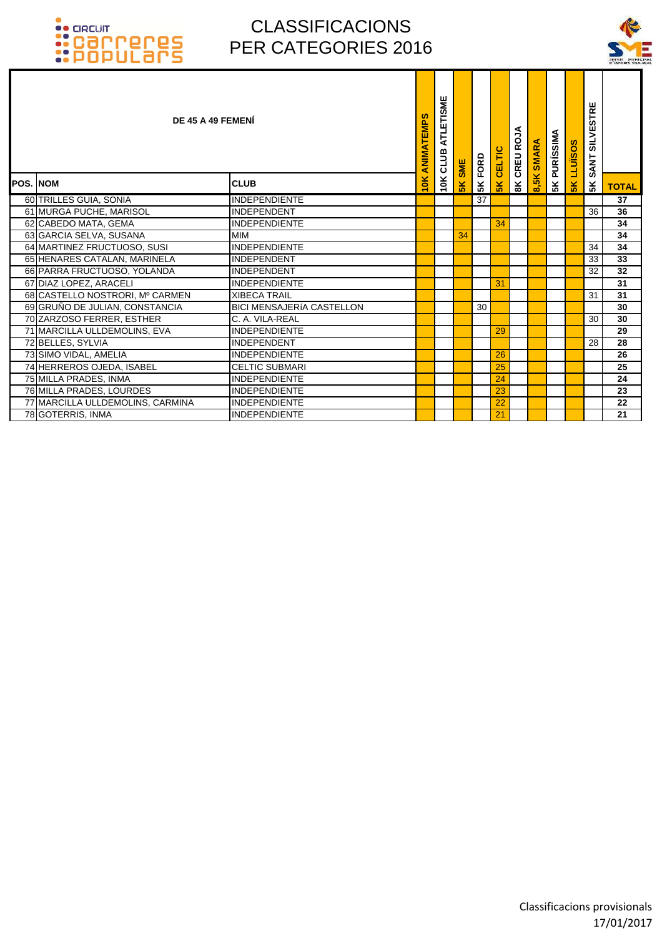

| DE 45 A 49 FEMENI                |                                  |               | ATLETISME<br>ANIMATEMPS<br>CLUB | <b>SME</b> | FORD | CELTIC | <b>BK CREU ROJA</b> | <b>SMARA</b> | <b>SK PURISSIMA</b> | S<br>LLUÏSO | <b>SILVESTRE</b><br><b>SANT</b> |                 |
|----------------------------------|----------------------------------|---------------|---------------------------------|------------|------|--------|---------------------|--------------|---------------------|-------------|---------------------------------|-----------------|
| <b>POS. NOM</b>                  | <b>CLUB</b>                      | $\frac{1}{2}$ | 10K                             | 5K         | 5K   | 5K     |                     | 8,5K         |                     | 5K          | 5K                              | <b>TOTAL</b>    |
| 60 TRILLES GUIA, SONIA           | <b>INDEPENDIENTE</b>             |               |                                 |            | 37   |        |                     |              |                     |             |                                 | $\overline{37}$ |
| 61 MURGA PUCHE, MARISOL          | <b>INDEPENDENT</b>               |               |                                 |            |      |        |                     |              |                     |             | 36                              | 36              |
| 62 CABEDO MATA, GEMA             | <b>INDEPENDIENTE</b>             |               |                                 |            |      | 34     |                     |              |                     |             |                                 | 34              |
| 63 GARCIA SELVA, SUSANA          | <b>MIM</b>                       |               |                                 | 34         |      |        |                     |              |                     |             |                                 | 34              |
| 64 MARTINEZ FRUCTUOSO, SUSI      | <b>INDEPENDIENTE</b>             |               |                                 |            |      |        |                     |              |                     |             | 34                              | 34              |
| 65 HENARES CATALAN, MARINELA     | <b>INDEPENDENT</b>               |               |                                 |            |      |        |                     |              |                     |             | 33                              | 33              |
| 66 PARRA FRUCTUOSO, YOLANDA      | <b>INDEPENDENT</b>               |               |                                 |            |      |        |                     |              |                     |             | 32                              | 32              |
| 67 DIAZ LOPEZ, ARACELI           | <b>INDEPENDIENTE</b>             |               |                                 |            |      | 31     |                     |              |                     |             |                                 | 31              |
| 68 CASTELLO NOSTRORI, Mº CARMEN  | <b>XIBECA TRAIL</b>              |               |                                 |            |      |        |                     |              |                     |             | 31                              | 31              |
| 69 GRUÑO DE JULIAN, CONSTANCIA   | <b>BICI MENSAJERÍA CASTELLON</b> |               |                                 |            | 30   |        |                     |              |                     |             |                                 | 30              |
| 70 ZARZOSO FERRER, ESTHER        | C. A. VILA-REAL                  |               |                                 |            |      |        |                     |              |                     |             | 30                              | 30              |
| 71 MARCILLA ULLDEMOLINS, EVA     | <b>INDEPENDIENTE</b>             |               |                                 |            |      | 29     |                     |              |                     |             |                                 | 29              |
| 72 BELLES, SYLVIA                | <b>INDEPENDENT</b>               |               |                                 |            |      |        |                     |              |                     |             | 28                              | 28              |
| 73 SIMO VIDAL, AMELIA            | <b>INDEPENDIENTE</b>             |               |                                 |            |      | 26     |                     |              |                     |             |                                 | 26              |
| 74 HERREROS OJEDA, ISABEL        | <b>CELTIC SUBMARI</b>            |               |                                 |            |      | 25     |                     |              |                     |             |                                 | 25              |
| 75 MILLA PRADES, INMA            | <b>INDEPENDIENTE</b>             |               |                                 |            |      | 24     |                     |              |                     |             |                                 | 24              |
| 76 MILLA PRADES, LOURDES         | <b>INDEPENDIENTE</b>             |               |                                 |            |      | 23     |                     |              |                     |             |                                 | 23              |
| 77 MARCILLA ULLDEMOLINS, CARMINA | <b>INDEPENDIENTE</b>             |               |                                 |            |      | 22     |                     |              |                     |             |                                 | 22              |
| 78 GOTERRIS, INMA                | <b>INDEPENDIENTE</b>             |               |                                 |            |      | 21     |                     |              |                     |             |                                 | 21              |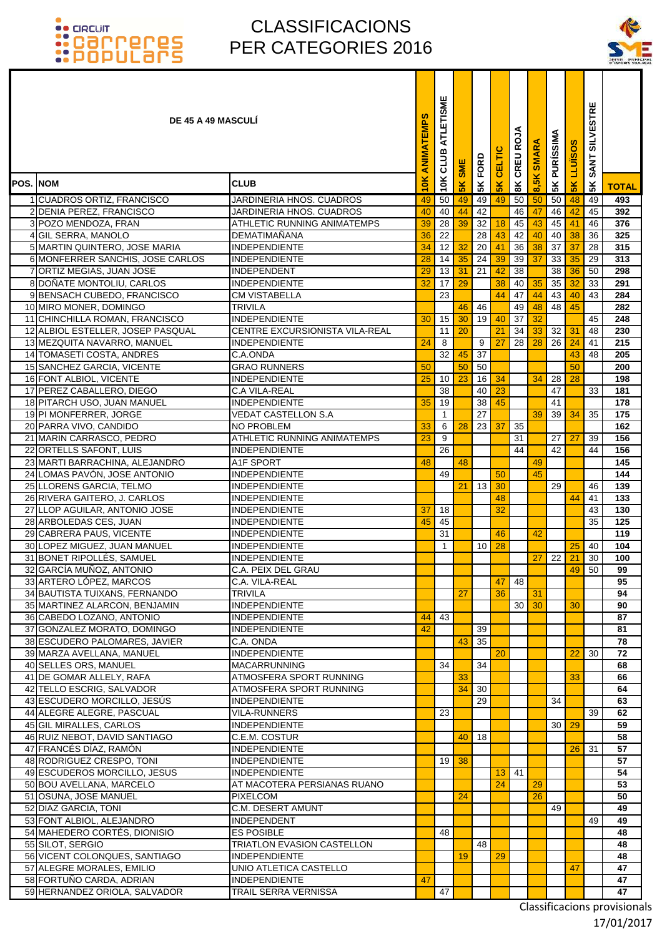### CLASSIFICACIONS PER CATEGORIES 2016



|                 | <b>DE 45 A 49 MASCULI</b>                                 |                                                  | ANIMATEMPS | ATLETISME<br>CLUB | SME           | 5K FORD  | CELTIC   | CREU ROJA       | SMARA    | <b>PURISSIMA</b> | <b>LLUISOS</b> | <b>SILVESTRE</b><br><b>SANT</b> |              |
|-----------------|-----------------------------------------------------------|--------------------------------------------------|------------|-------------------|---------------|----------|----------|-----------------|----------|------------------|----------------|---------------------------------|--------------|
| <b>POS. NOM</b> |                                                           | <b>CLUB</b>                                      | 10K        | 10K               | $\frac{8}{5}$ |          | 5K       | $\frac{8}{8}$   | 8,5K     | 5K               | 5 <sub>K</sub> | 5K                              | <b>TOTAL</b> |
|                 | 1 CUADROS ORTIZ, FRANCISCO                                | JARDINERIA HNOS. CUADROS                         | 49         | 50                | 49            | 49       | 49       | 50              | 50       | 50               | 48             | 49                              | 493          |
|                 | 2 DENIA PEREZ, FRANCISCO                                  | JARDINERIA HNOS. CUADROS                         | 40         | 40                | 44            | 42       |          | 46              | 47       | 46               | 42             | 45                              | 392          |
|                 | 3 POZO MENDOZA, FRAN                                      | ATHLETIC RUNNING ANIMATEMPS                      | 39         | $\overline{28}$   | 39            | 32       | 18       | 45              | 43       | 45               | 41             | 46                              | 376          |
|                 | 4 GIL SERRA, MANOLO                                       | DEMATIMANANA                                     | 36         | 22                |               | 28       | 43       | 42              | 40       | 40 <sup>1</sup>  | 38             | 36                              | 325          |
|                 | 5 MARTIN QUINTERO, JOSE MARIA                             | <b>INDEPENDIENTE</b>                             | 34         | 12                | 32            | 20       | 41       | 36              | 38       | 37               | 37             | 28                              | 315          |
|                 | 6 MONFERRER SANCHIS, JOSE CARLOS                          | <b>INDEPENDIENTE</b>                             | 28         | 14                | 35            | 24       | 39       | 39              | 37       | 33               | 35             | 29                              | 313          |
|                 | 7 ORTIZ MEGIAS, JUAN JOSE                                 | <b>INDEPENDENT</b>                               | 29         | 13                | 31            | 21       | 42       | $\overline{38}$ |          | 38               | 36             | 50                              | 298          |
|                 | 8 DOÑATE MONTOLIU, CARLOS                                 | INDEPENDIENTE<br><b>CM VISTABELLA</b>            | 32         | 17<br>23          | 29            |          | 38<br>44 | 40<br>47        | 35<br>44 | 35<br>43         | 32<br>40       | 33<br>43                        | 291<br>284   |
|                 | 9 BENSACH CUBEDO, FRANCISCO<br>10 MIRO MONER, DOMINGO     | <b>TRIVILA</b>                                   |            |                   | 46            | 46       |          | 49              | 48       | 48               | 45             |                                 | 282          |
|                 | 11 CHINCHILLA ROMAN, FRANCISCO                            | <b>INDEPENDIENTE</b>                             | 30         | 15                | 30            | 19       | 40       | $\overline{37}$ | 32       |                  |                | 45                              | 248          |
|                 | 12 ALBIOL ESTELLER, JOSEP PASQUAL                         | CENTRE EXCURSIONISTA VILA-REAL                   |            | 11                | 20            |          | 21       | 34              | 33       | 32               | 31             | 48                              | 230          |
|                 | 13 MEZQUITA NAVARRO, MANUEL                               | <b>INDEPENDIENTE</b>                             | 24         | 8                 |               | 9        | 27       | 28              | 28       | 26               | 24             | 41                              | 215          |
|                 | 14 TOMASETI COSTA, ANDRES                                 | C.A.ONDA                                         |            | 32                | 45            | 37       |          |                 |          |                  | 43             | 48                              | 205          |
|                 | 15 SANCHEZ GARCIA, VICENTE                                | <b>GRAO RUNNERS</b>                              | 50         |                   | 50            | 50       |          |                 |          |                  | 50             |                                 | 200          |
|                 | 16 FONT ALBIOL, VICENTE                                   | <b>INDEPENDIENTE</b>                             | 25         | 10                | 23            | 16       | 34       |                 | 34       | 28               | 28             |                                 | 198          |
|                 | 17 PEREZ CABALLERO, DIEGO                                 | C.A VILA-REAL                                    |            | 38                |               | 40       | 23       |                 |          | 47               |                | 33                              | 181          |
|                 | 18 PITARCH USO, JUAN MANUEL                               | <b>INDEPENDIENTE</b>                             | 35         | 19                |               | 38       | 45       |                 |          | 41               |                |                                 | 178          |
|                 | 19 PI MONFERRER, JORGE                                    | <b>VEDAT CASTELLON S.A</b>                       |            | $\mathbf{1}$      |               | 27       |          |                 | 39       | 39               | 34             | 35                              | 175          |
|                 | 20 PARRA VIVO, CANDIDO                                    | <b>NO PROBLEM</b><br>ATHLETIC RUNNING ANIMATEMPS | 33<br>23   | 6<br>9            | 28            | 23       | 37       | 35              |          | 27 <sup>1</sup>  | 27             |                                 | 162          |
|                 | 21 MARIN CARRASCO, PEDRO<br>22 ORTELLS SAFONT, LUIS       | INDEPENDIENTE                                    |            | 26                |               |          |          | 31<br>44        |          | 42               |                | 39<br>44                        | 156<br>156   |
|                 | 23 MARTI BARRACHINA, ALEJANDRO                            | <b>A1F SPORT</b>                                 | 48         |                   | 48            |          |          |                 | 49       |                  |                |                                 | 145          |
|                 | 24 LOMAS PAVÓN, JOSE ANTONIO                              | INDEPENDIENTE                                    |            | 49                |               |          | 50       |                 | 45       |                  |                |                                 | 144          |
|                 | 25 LLORENS GARCIA, TELMO                                  | <b>INDEPENDIENTE</b>                             |            |                   |               | $21$ 13  | 30       |                 |          | 29               |                | 46                              | 139          |
|                 | 26 RIVERA GAITERO, J. CARLOS                              | <b>INDEPENDIENTE</b>                             |            |                   |               |          | 48       |                 |          |                  | 44             | 41                              | 133          |
|                 | 27 LLOP AGUILAR, ANTONIO JOSE                             | INDEPENDIENTE                                    | 37         | 18                |               |          | 32       |                 |          |                  |                | 43                              | 130          |
|                 | 28 ARBOLEDAS CES, JUAN                                    | <b>INDEPENDIENTE</b>                             | 45         | 45                |               |          |          |                 |          |                  |                | 35                              | 125          |
|                 | 29 CABRERA PAUS, VICENTE                                  | <b>INDEPENDIENTE</b>                             |            | 31                |               |          | 46       |                 | 42       |                  |                |                                 | 119          |
|                 | 30 LOPEZ MIGUEZ, JUAN MANUEL                              | <b>INDEPENDIENTE</b>                             |            | $\mathbf{1}$      |               | 10       | 28       |                 |          |                  | 25             | 40                              | 104          |
|                 | 31 BONET RIPOLLÉS, SAMUEL                                 | <b>INDEPENDIENTE</b>                             |            |                   |               |          |          |                 | 27       | 22               | 21             | 30                              | 100          |
|                 | 32   GARCIA MUNOZ, ANTONIO<br>33 ARTERO LÓPEZ, MARCOS     | C.A. PEIX DEL GRAU<br>C.A. VILA-REAL             |            |                   |               |          |          | 48              |          |                  | 49             | 50                              | 99<br>95     |
|                 | 34 BAUTISTA TUIXANS, FERNANDO                             | TRIVILA                                          |            |                   | 27            |          | 47<br>36 |                 | 31       |                  |                |                                 | 94           |
|                 | 35 MARTINEZ ALARCON, BENJAMIN                             | <b>INDEPENDIENTE</b>                             |            |                   |               |          |          | 30              | 30       |                  | 30             |                                 | 90           |
|                 | 36 CABEDO LOZANO, ANTONIO                                 | <b>INDEPENDIENTE</b>                             | 44         | 43                |               |          |          |                 |          |                  |                |                                 | 87           |
|                 | 37 GONZALEZ MORATO, DOMINGO                               | <b>INDEPENDIENTE</b>                             | 42         |                   |               | 39       |          |                 |          |                  |                |                                 | 81           |
|                 | 38 ESCUDERO PALOMARES, JAVIER                             | C.A. ONDA                                        |            |                   | 43            | 35       |          |                 |          |                  |                |                                 | 78           |
|                 | 39 MARZA AVELLANA, MANUEL                                 | <b>INDEPENDIENTE</b>                             |            |                   |               |          | 20       |                 |          |                  | 22             | 30                              | 72           |
|                 | 40 SELLES ORS, MANUEL                                     | <b>MACARRUNNING</b>                              |            | 34                |               | 34       |          |                 |          |                  |                |                                 | 68           |
|                 | 41 DE GOMAR ALLELY, RAFA                                  | ATMOSFERA SPORT RUNNING                          |            |                   | 33            |          |          |                 |          |                  | 33             |                                 | 66           |
|                 | 42 TELLO ESCRIG, SALVADOR<br>43 ESCUDERO MORCILLO, JESÚS  | ATMOSFERA SPORT RUNNING<br><b>INDEPENDIENTE</b>  |            |                   | 34            | 30<br>29 |          |                 |          | 34               |                |                                 | 64<br>63     |
|                 | 44 ALEGRE ALEGRE, PASCUAL                                 | VILA-RUNNERS                                     |            | 23                |               |          |          |                 |          |                  |                | 39                              | 62           |
|                 | 45 GIL MIRALLES, CARLOS                                   | <b>INDEPENDIENTE</b>                             |            |                   |               |          |          |                 |          | 30 <sup>1</sup>  | 29             |                                 | 59           |
|                 | 46 RUIZ NEBOT, DAVID SANTIAGO                             | C.E.M. COSTUR                                    |            |                   |               | $40$ 18  |          |                 |          |                  |                |                                 | 58           |
|                 | 47 FRANCÉS DÍAZ, RAMÓN                                    | <b>INDEPENDIENTE</b>                             |            |                   |               |          |          |                 |          |                  | 26             | 31                              | 57           |
|                 | 48 RODRIGUEZ CRESPO, TONI                                 | <b>INDEPENDIENTE</b>                             |            | 19                | 38            |          |          |                 |          |                  |                |                                 | 57           |
|                 | 49 ESCUDEROS MORCILLO, JESUS                              | <b>INDEPENDIENTE</b>                             |            |                   |               |          | 13       | 41              |          |                  |                |                                 | 54           |
|                 | 50 BOU AVELLANA, MARCELO                                  | AT MACOTERA PERSIANAS RUANO                      |            |                   |               |          | 24       |                 | 29       |                  |                |                                 | 53           |
|                 | 51 OSUNA, JOSE MANUEL                                     | <b>PIXELCOM</b>                                  |            |                   | 24            |          |          |                 | 26       |                  |                |                                 | 50           |
|                 | 52 DIAZ GARCIA, TONI                                      | <b>C.M. DESERT AMUNT</b>                         |            |                   |               |          |          |                 |          | 49               |                |                                 | 49           |
|                 | 53 FONT ALBIOL, ALEJANDRO<br>54 MAHEDERO CORTÉS, DIONISIO | <b>INDEPENDENT</b><br><b>ES POSIBLE</b>          |            | 48                |               |          |          |                 |          |                  |                | 49                              | 49<br>48     |
|                 | 55 SILOT, SERGIO                                          | TRIATLON EVASION CASTELLON                       |            |                   |               | 48       |          |                 |          |                  |                |                                 | 48           |
|                 | 56 VICENT COLONQUES, SANTIAGO                             | <b>INDEPENDIENTE</b>                             |            |                   | 19            |          | 29       |                 |          |                  |                |                                 | 48           |
|                 | 57 ALEGRE MORALES, EMILIO                                 | UNIO ATLETICA CASTELLO                           |            |                   |               |          |          |                 |          |                  | 47             |                                 | 47           |
|                 | 58 FORTUÑO CARDA, ADRIAN                                  | <b>INDEPENDIENTE</b>                             | 47         |                   |               |          |          |                 |          |                  |                |                                 | 47           |
|                 | 59 HERNANDEZ ORIOLA, SALVADOR                             | <b>TRAIL SERRA VERNISSA</b>                      |            | 47                |               |          |          |                 |          |                  |                |                                 | 47           |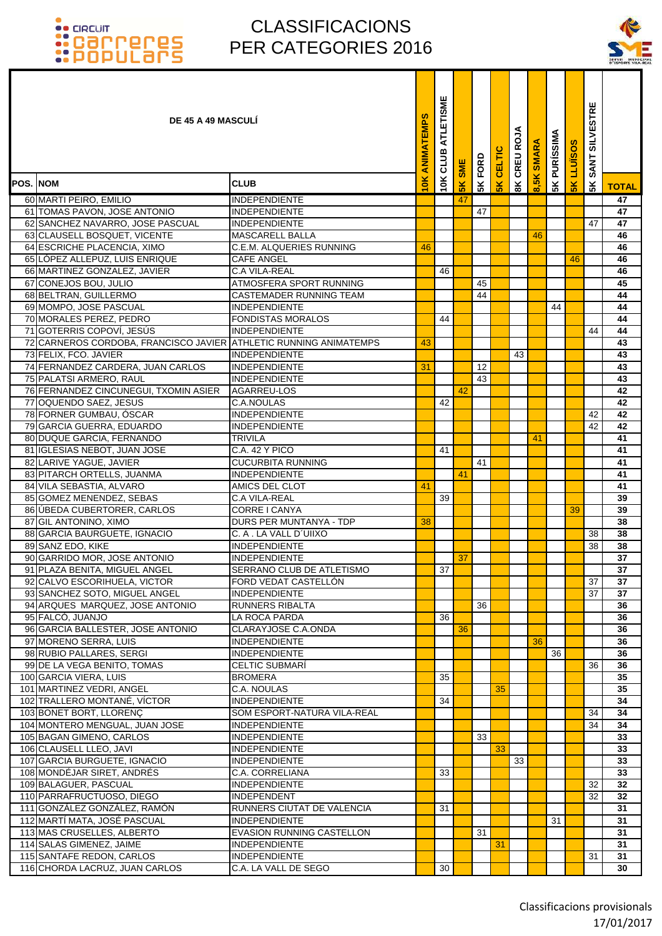

| <b>DE 45 A 49 MASCULI</b>                                         |                                    | ANIMATEMPS | ATLETISME<br>10K CLUB | <b>SME</b>     | FORD | CELTIC | ⋖<br>CREU ROJ  | <b>SMARA</b> | <b>5K PURÍSSIMA</b> | LLUISOS       | <b>SILVESTRE</b><br><b>SANT</b> |              |
|-------------------------------------------------------------------|------------------------------------|------------|-----------------------|----------------|------|--------|----------------|--------------|---------------------|---------------|---------------------------------|--------------|
| POS. NOM                                                          | <b>CLUB</b>                        | $\leq$     |                       | 5 <sub>K</sub> | 5K   | 5K     | $\frac{8}{10}$ |              |                     | $\frac{8}{5}$ | 5 <sub>K</sub>                  | <b>TOTAL</b> |
| 60 MARTI PEIRO, EMILIO                                            | INDEPENDIENTE                      |            |                       | 47             |      |        |                |              |                     |               |                                 | 47           |
| 61 TOMAS PAVON, JOSE ANTONIO                                      | INDEPENDIENTE                      |            |                       |                | 47   |        |                |              |                     |               |                                 | 47           |
| 62 SANCHEZ NAVARRO, JOSE PASCUAL                                  | <b>INDEPENDIENTE</b>               |            |                       |                |      |        |                |              |                     |               | 47                              | 47           |
| 63 CLAUSELL BOSQUET, VICENTE                                      | <b>MASCARELL BALLA</b>             |            |                       |                |      |        |                | 46           |                     |               |                                 | 46           |
| 64 ESCRICHE PLACENCIA, XIMO                                       | C.E.M. ALQUERIES RUNNING           | 46         |                       |                |      |        |                |              |                     |               |                                 | 46           |
| 65 LOPEZ ALLEPUZ, LUIS ENRIQUE                                    | <b>CAFE ANGEL</b>                  |            |                       |                |      |        |                |              |                     | 46            |                                 | 46           |
| 66 MARTINEZ GONZALEZ, JAVIER                                      | <b>C.A VILA-REAL</b>               |            | 46                    |                |      |        |                |              |                     |               |                                 | 46           |
| 67 CONEJOS BOU, JULIO                                             | ATMOSFERA SPORT RUNNING            |            |                       |                | 45   |        |                |              |                     |               |                                 | 45           |
| 68 BELTRAN, GUILLERMO                                             | CASTEMADER RUNNING TEAM            |            |                       |                | 44   |        |                |              |                     |               |                                 | 44           |
| 69 MOMPO, JOSE PASCUAL                                            | <b>INDEPENDIENTE</b>               |            |                       |                |      |        |                |              | 44                  |               |                                 | 44           |
| 70 MORALES PEREZ, PEDRO                                           | <b>FONDISTAS MORALOS</b>           |            | 44                    |                |      |        |                |              |                     |               |                                 | 44           |
| 71 GOTERRIS COPOVÍ, JESÚS                                         | <b>INDEPENDIENTE</b>               |            |                       |                |      |        |                |              |                     |               | 44                              | 44           |
| 72 CARNEROS CORDOBA, FRANCISCO JAVIER ATHLETIC RUNNING ANIMATEMPS |                                    | 43         |                       |                |      |        |                |              |                     |               |                                 | 43           |
| 73 FELIX, FCO. JAVIER                                             | <b>INDEPENDIENTE</b>               |            |                       |                |      |        | 43             |              |                     |               |                                 | 43           |
| 74 FERNANDEZ CARDERA, JUAN CARLOS                                 | <b>INDEPENDIENTE</b>               | 31         |                       |                | 12   |        |                |              |                     |               |                                 | 43           |
| 75 PALATSI ARMERO, RAUL                                           | <b>INDEPENDIENTE</b>               |            |                       |                | 43   |        |                |              |                     |               |                                 | 43<br>42     |
| 76 FERNANDEZ CINCUNEGUI, TXOMIN ASIER                             | AGARREU-LOS                        |            |                       | 42             |      |        |                |              |                     |               |                                 |              |
| 77 OQUENDO SAEZ, JESUS<br>78 FORNER GUMBAU, ÓSCAR                 | C.A.NOULAS<br><b>INDEPENDIENTE</b> |            | 42                    |                |      |        |                |              |                     |               | 42                              | 42<br>42     |
| 79 GARCIA GUERRA, EDUARDO                                         | INDEPENDIENTE                      |            |                       |                |      |        |                |              |                     |               | 42                              | 42           |
| 80 DUQUE GARCIA, FERNANDO                                         | TRIVILA                            |            |                       |                |      |        |                | 41           |                     |               |                                 | 41           |
| 81 IGLESIAS NEBOT, JUAN JOSE                                      | C.A. 42 Y PICO                     |            | 41                    |                |      |        |                |              |                     |               |                                 | 41           |
| 82 LARIVE YAGUE, JAVIER                                           | <b>CUCURBITA RUNNING</b>           |            |                       |                | 41   |        |                |              |                     |               |                                 | 41           |
| 83 PITARCH ORTELLS, JUANMA                                        | <b>INDEPENDIENTE</b>               |            |                       | 41             |      |        |                |              |                     |               |                                 | 41           |
| 84 VILA SEBASTIA, ALVARO                                          | AMICS DEL CLOT                     | 41         |                       |                |      |        |                |              |                     |               |                                 | 41           |
| 85 GOMEZ MENENDEZ, SEBAS                                          | <b>C.A VILA-REAL</b>               |            | 39                    |                |      |        |                |              |                     |               |                                 | 39           |
| 86 ÚBEDA CUBERTORER, CARLOS                                       | CORRE I CANYA                      |            |                       |                |      |        |                |              |                     | 39            |                                 | 39           |
| 87 GIL ANTONINO, XIMO                                             | DURS PER MUNTANYA - TDP            | 38         |                       |                |      |        |                |              |                     |               |                                 | 38           |
| 88 GARCIA BAURGUETE, IGNACIO                                      | C. A . LA VALL D'UIIXO             |            |                       |                |      |        |                |              |                     |               | 38                              | 38           |
| 89 SANZ EDO, KIKE                                                 | INDEPENDIENTE                      |            |                       |                |      |        |                |              |                     |               | 38                              | 38           |
| 90 GARRIDO MOR, JOSE ANTONIO                                      | INDEPENDIENTE                      |            |                       | 37             |      |        |                |              |                     |               |                                 | 37           |
| 91 PLAZA BENITA, MIGUEL ANGEL                                     | SERRANO CLUB DE ATLETISMO          |            | 37                    |                |      |        |                |              |                     |               |                                 | 37           |
| 92 CALVO ESCORIHUELA, VICTOR                                      | FORD VEDAT CASTELLON               |            |                       |                |      |        |                |              |                     |               | 37                              | 37           |
| 93 SANCHEZ SOTO, MIGUEL ANGEL                                     | INDEPENDIENTE                      |            |                       |                |      |        |                |              |                     |               | 37                              | 37           |
| 94 ARQUES MARQUEZ, JOSE ANTONIO                                   | RUNNERS RIBALTA                    |            |                       |                | 36   |        |                |              |                     |               |                                 | 36           |
| 95 FALCÓ, JUANJO                                                  | LA ROCA PARDA                      |            | 36                    |                |      |        |                |              |                     |               |                                 | 36           |
| 96 GARCIA BALLESTER, JOSE ANTONIO                                 | CLARAYJOSE C.A.ONDA                |            |                       | 36             |      |        |                |              |                     |               |                                 | 36           |
| 97 MORENO SERRA, LUIS                                             | <b>INDEPENDIENTE</b>               |            |                       |                |      |        |                | 36           |                     |               |                                 | 36           |
| 98 RUBIO PALLARES, SERGI                                          | <b>INDEPENDIENTE</b>               |            |                       |                |      |        |                |              | 36                  |               |                                 | 36           |
| 99 DE LA VEGA BENITO, TOMAS                                       | <b>CELTIC SUBMARÍ</b>              |            |                       |                |      |        |                |              |                     |               | 36                              | 36           |
| 100 GARCIA VIERA, LUIS<br>101 MARTINEZ VEDRI, ANGEL               | <b>BROMERA</b><br>C.A. NOULAS      |            | 35                    |                |      | 35     |                |              |                     |               |                                 | 35<br>35     |
| 102 TRALLERO MONTANÉ, VÍCTOR                                      | <b>INDEPENDIENTE</b>               |            | 34                    |                |      |        |                |              |                     |               |                                 | 34           |
| 103 BONET BORT, LLORENÇ                                           | SOM ESPORT-NATURA VILA-REAL        |            |                       |                |      |        |                |              |                     |               | 34                              | 34           |
| 104 MONTERO MENGUAL, JUAN JOSE                                    | <b>INDEPENDIENTE</b>               |            |                       |                |      |        |                |              |                     |               | 34                              | 34           |
| 105 BAGAN GIMENO, CARLOS                                          | <b>INDEPENDIENTE</b>               |            |                       |                | 33   |        |                |              |                     |               |                                 | 33           |
| 106 CLAUSELL LLEO, JAVI                                           | INDEPENDIENTE                      |            |                       |                |      | 33     |                |              |                     |               |                                 | 33           |
| 107 GARCIA BURGUETE, IGNACIO                                      | <b>INDEPENDIENTE</b>               |            |                       |                |      |        | 33             |              |                     |               |                                 | 33           |
| 108 MONDÉJAR SIRET, ANDRÉS                                        | C.A. CORRELIANA                    |            | 33                    |                |      |        |                |              |                     |               |                                 | 33           |
| 109 BALAGUER, PASCUAL                                             | <b>INDEPENDIENTE</b>               |            |                       |                |      |        |                |              |                     |               | 32                              | 32           |
| 110 PARRAFRUCTUOSO, DIEGO                                         | INDEPENDENT                        |            |                       |                |      |        |                |              |                     |               | 32                              | 32           |
| 111 GONZÁLEZ GONZÁLEZ, RAMÓN                                      | RUNNERS CIUTAT DE VALENCIA         |            | 31                    |                |      |        |                |              |                     |               |                                 | 31           |
| 112 MARTÍ MATA, JOSÉ PASCUAL                                      | INDEPENDIENTE                      |            |                       |                |      |        |                |              | 31                  |               |                                 | 31           |
| 113 MAS CRUSELLES, ALBERTO                                        | EVASION RUNNING CASTELLON          |            |                       |                | 31   |        |                |              |                     |               |                                 | 31           |
| 114 SALAS GIMENEZ, JAIME                                          | <b>INDEPENDIENTE</b>               |            |                       |                |      | 31     |                |              |                     |               |                                 | 31           |
| 115 SANTAFE REDON, CARLOS                                         | <b>INDEPENDIENTE</b>               |            |                       |                |      |        |                |              |                     |               | 31                              | 31           |
| 116 CHORDA LACRUZ, JUAN CARLOS                                    | C.A. LA VALL DE SEGO               |            | 30                    |                |      |        |                |              |                     |               |                                 | 30           |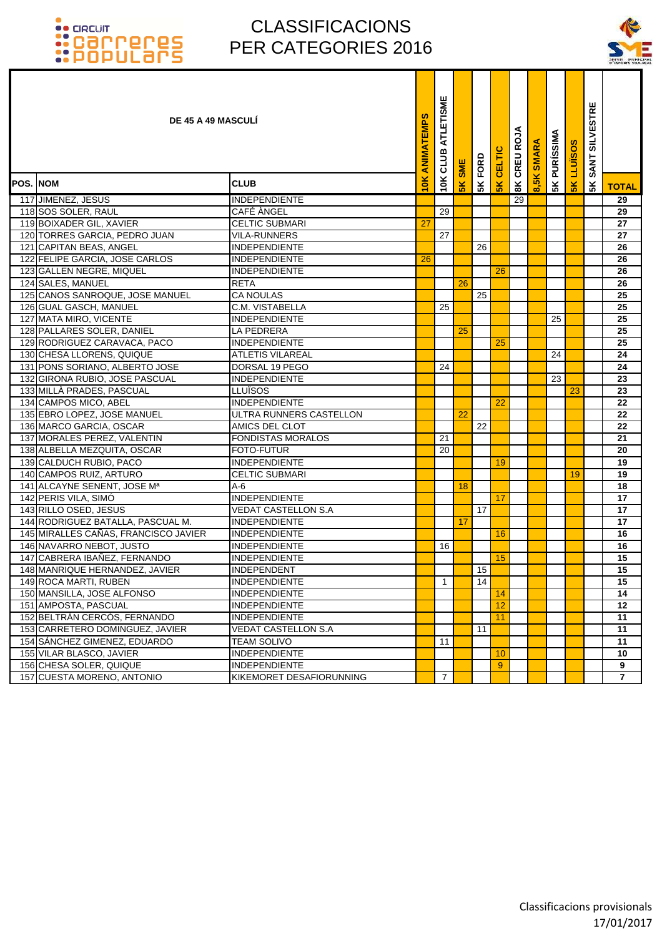

|                 | <b>DE 45 A 49 MASCULI</b>               |                            | ANIMATEMPS | ATLETISME<br>CLUB | <b>SME</b> | FORD | CELTIC        | CREU ROJA     | <b>SMARA</b>  | <b>5K PURÍSSIMA</b> | <b>LLUISOS</b> | <b>SILVESTRE</b><br><b>SANT</b> |                |
|-----------------|-----------------------------------------|----------------------------|------------|-------------------|------------|------|---------------|---------------|---------------|---------------------|----------------|---------------------------------|----------------|
| <b>POS. NOM</b> |                                         | <b>CLUB</b>                | 10K        | 10K               | 5K         | 5K   | $\frac{2}{5}$ | $\frac{8}{3}$ | $\frac{1}{2}$ |                     | 5K             | 5K                              | <b>TOTAL</b>   |
|                 | 117 JIMENEZ, JESUS                      | <b>INDEPENDIENTE</b>       |            |                   |            |      |               | 29            |               |                     |                |                                 | 29             |
|                 | 118 SOS SOLER, RAUL                     | <b>CAFÉ ÀNGEL</b>          |            | 29                |            |      |               |               |               |                     |                |                                 | 29             |
|                 | 119 BOIXADER GIL, XAVIER                | <b>CELTIC SUBMARI</b>      | 27         |                   |            |      |               |               |               |                     |                |                                 | 27             |
|                 | 120 TORRES GARCIA, PEDRO JUAN           | <b>VILA-RUNNERS</b>        |            | 27                |            |      |               |               |               |                     |                |                                 | 27             |
|                 | 121 CAPITAN BEAS, ANGEL                 | <b>INDEPENDIENTE</b>       |            |                   |            | 26   |               |               |               |                     |                |                                 | 26             |
|                 | 122 FELIPE GARCIA, JOSE CARLOS          | <b>INDEPENDIENTE</b>       | 26         |                   |            |      |               |               |               |                     |                |                                 | 26             |
|                 | 123 GALLEN NEGRE, MIQUEL                | <b>INDEPENDIENTE</b>       |            |                   |            |      | 26            |               |               |                     |                |                                 | 26             |
|                 | 124 SALES, MANUEL                       | <b>RETA</b>                |            |                   | 26         |      |               |               |               |                     |                |                                 | 26             |
|                 | 125 CANOS SANROQUE, JOSE MANUEL         | <b>CA NOULAS</b>           |            |                   |            | 25   |               |               |               |                     |                |                                 | 25             |
|                 | 126 GUAL GASCH, MANUEL                  | C.M. VISTABELLA            |            | 25                |            |      |               |               |               |                     |                |                                 | 25             |
|                 | 127 MATA MIRO, VICENTE                  | <b>INDEPENDIENTE</b>       |            |                   |            |      |               |               |               | 25                  |                |                                 | 25             |
|                 | 128 PALLARES SOLER, DANIEL              | <b>LA PEDRERA</b>          |            |                   | 25         |      |               |               |               |                     |                |                                 | 25             |
|                 | 129 RODRIGUEZ CARAVACA, PACO            | <b>INDEPENDIENTE</b>       |            |                   |            |      | 25            |               |               |                     |                |                                 | 25             |
|                 | 130 CHESA LLORENS, QUIQUE               | <b>ATLETIS VILAREAL</b>    |            |                   |            |      |               |               |               | 24                  |                |                                 | 24             |
|                 | 131 PONS SORIANO, ALBERTO JOSE          | DORSAL 19 PEGO             |            | 24                |            |      |               |               |               |                     |                |                                 | 24             |
|                 | 132 GIRONA RUBIO, JOSE PASCUAL          | <b>INDEPENDIENTE</b>       |            |                   |            |      |               |               |               | 23                  |                |                                 | 23             |
|                 | 133 MILLÀ PRADES, PASCUAL               | LLUÏSOS                    |            |                   |            |      |               |               |               |                     | 23             |                                 | 23             |
|                 | 134 CAMPOS MICO, ABEL                   | <b>INDEPENDIENTE</b>       |            |                   |            |      | 22            |               |               |                     |                |                                 | 22             |
|                 | 135 EBRO LOPEZ, JOSE MANUEL             | ULTRA RUNNERS CASTELLON    |            |                   | 22         |      |               |               |               |                     |                |                                 | 22             |
|                 | 136 MARCO GARCIA, OSCAR                 | AMICS DEL CLOT             |            |                   |            | 22   |               |               |               |                     |                |                                 | 22             |
|                 | 137 MORALES PEREZ, VALENTIN             | <b>FONDISTAS MORALOS</b>   |            | 21                |            |      |               |               |               |                     |                |                                 | 21             |
|                 | 138 ALBELLA MEZQUITA, OSCAR             | <b>FOTO-FUTUR</b>          |            | 20                |            |      |               |               |               |                     |                |                                 | 20             |
|                 | 139 CALDUCH RUBIO, PACO                 | <b>INDEPENDIENTE</b>       |            |                   |            |      | 19            |               |               |                     |                |                                 | 19             |
|                 | 140 CAMPOS RUIZ, ARTURO                 | <b>CELTIC SUBMARI</b>      |            |                   |            |      |               |               |               |                     | 19             |                                 | 19             |
|                 | 141 ALCAYNE SENENT, JOSE M <sup>a</sup> | A-6                        |            |                   | 18         |      |               |               |               |                     |                |                                 | 18             |
|                 | 142 PERIS VILA, SIMÓ                    | <b>INDEPENDIENTE</b>       |            |                   |            |      | 17            |               |               |                     |                |                                 | 17             |
|                 | 143 RILLO OSED, JESUS                   | <b>VEDAT CASTELLON S.A</b> |            |                   |            | 17   |               |               |               |                     |                |                                 | 17             |
|                 | 144 RODRIGUEZ BATALLA, PASCUAL M.       | <b>INDEPENDIENTE</b>       |            |                   | 17         |      |               |               |               |                     |                |                                 | 17             |
|                 | 145 MIRALLES CAÑAS, FRANCISCO JAVIER    | <b>INDEPENDIENTE</b>       |            |                   |            |      | 16            |               |               |                     |                |                                 | 16             |
|                 | 146 NAVARRO NEBOT, JUSTO                | <b>INDEPENDIENTE</b>       |            | 16                |            |      |               |               |               |                     |                |                                 | 16             |
|                 | 147 CABRERA IBAÑEZ, FERNANDO            | <b>INDEPENDIENTE</b>       |            |                   |            |      | 15            |               |               |                     |                |                                 | 15             |
|                 | 148 MANRIQUE HERNANDEZ, JAVIER          | <b>INDEPENDENT</b>         |            |                   |            | 15   |               |               |               |                     |                |                                 | 15             |
|                 | 149 ROCA MARTI, RUBEN                   | <b>INDEPENDIENTE</b>       |            | $\mathbf{1}$      |            | 14   |               |               |               |                     |                |                                 | 15             |
|                 | 150 MANSILLA, JOSE ALFONSO              | <b>INDEPENDIENTE</b>       |            |                   |            |      | 14            |               |               |                     |                |                                 | 14             |
|                 | 151 AMPOSTA, PASCUAL                    | <b>INDEPENDIENTE</b>       |            |                   |            |      | 12            |               |               |                     |                |                                 | 12             |
|                 | 152 BELTRÁN CERCÓS, FERNANDO            | <b>INDEPENDIENTE</b>       |            |                   |            |      | 11            |               |               |                     |                |                                 | 11             |
|                 | 153 CARRETERO DOMINGUEZ, JAVIER         | <b>VEDAT CASTELLON S.A</b> |            |                   |            | 11   |               |               |               |                     |                |                                 | 11             |
|                 | 154 SÁNCHEZ GIMENEZ, EDUARDO            | <b>TEAM SOLIVO</b>         |            | 11                |            |      |               |               |               |                     |                |                                 | 11             |
|                 | 155 VILAR BLASCO, JAVIER                | <b>INDEPENDIENTE</b>       |            |                   |            |      | 10            |               |               |                     |                |                                 | 10             |
|                 | 156 CHESA SOLER, QUIQUE                 | <b>INDEPENDIENTE</b>       |            |                   |            |      | 9             |               |               |                     |                |                                 | 9              |
|                 | 157 CUESTA MORENO, ANTONIO              | KIKEMORET DESAFIORUNNING   |            | $\overline{7}$    |            |      |               |               |               |                     |                |                                 | $\overline{7}$ |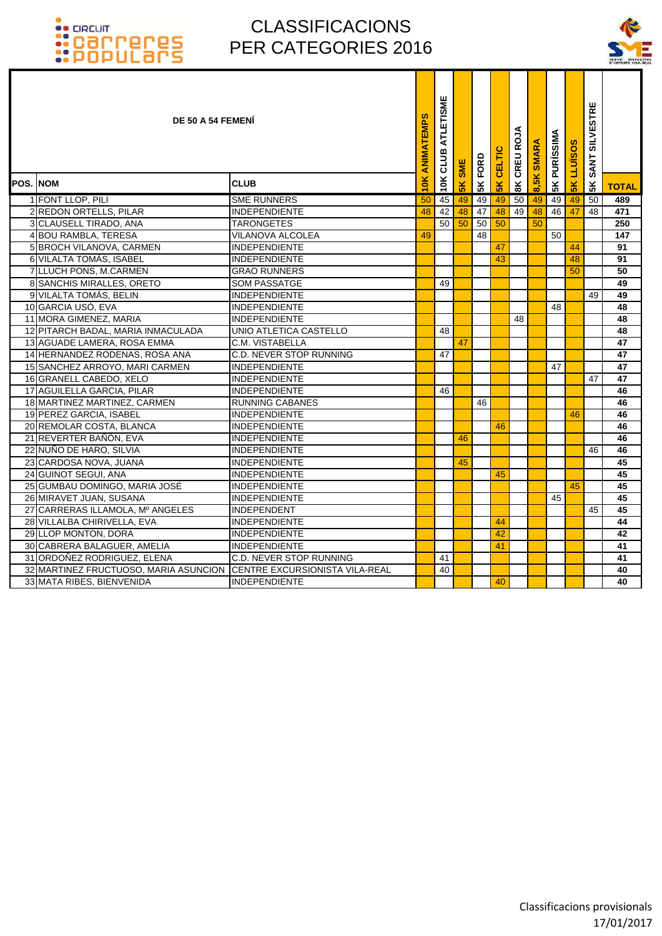

|          | DE 50 A 54 FEMENI                     |                                | ANIMATEMPS    | ATLETISME<br>10K CLUB | <b>SME</b>     | FORD | CELTIC         | CREU ROJA       | 8,5K SMARA | <b>5K PURÍSSIMA</b> | <b>LLUIS</b>  | <b>SILVESTRE</b><br><b>SANT</b> |              |
|----------|---------------------------------------|--------------------------------|---------------|-----------------------|----------------|------|----------------|-----------------|------------|---------------------|---------------|---------------------------------|--------------|
| POS. NOM |                                       | <b>CLUB</b>                    | $\frac{1}{2}$ |                       | $\frac{8}{10}$ | 5K   | 5 <sub>K</sub> | $\frac{8}{100}$ |            |                     | $\frac{1}{2}$ | 5K                              | <b>TOTAL</b> |
|          | 1 FONT LLOP, PILI                     | <b>SME RUNNERS</b>             | 50            | 45                    | 49             | 49   | 49             | 50              | 49         | 49                  | 49            | 50                              | 489          |
|          | 2 REDON ORTELLS, PILAR                | <b>INDEPENDIENTE</b>           | 48            | 42                    | 48             | 47   | 48             | 49              | 48         | 46                  | 47            | 48                              | 471          |
|          | 3 CLAUSELL TIRADO, ANA                | <b>TARONGETES</b>              |               | 50                    | 50             | 50   | 50             |                 | 50         |                     |               |                                 | 250          |
|          | 4 BOU RAMBLA, TERESA                  | <b>VILANOVA ALCOLEA</b>        | 49            |                       |                | 48   |                |                 |            | 50                  |               |                                 | 147          |
|          | 5 BROCH VILANOVA, CARMEN              | <b>INDEPENDIENTE</b>           |               |                       |                |      | 47             |                 |            |                     | 44            |                                 | 91           |
|          | 6 VILALTA TOMÁS, ISABEL               | <b>INDEPENDIENTE</b>           |               |                       |                |      | 43             |                 |            |                     | 48            |                                 | 91           |
|          | 7 LLUCH PONS, M.CARMEN                | <b>GRAO RUNNERS</b>            |               |                       |                |      |                |                 |            |                     | 50            |                                 | 50           |
|          | 8 SANCHIS MIRALLES, ORETO             | <b>SOM PASSATGE</b>            |               | 49                    |                |      |                |                 |            |                     |               |                                 | 49           |
|          | 9 VILALTA TOMÁS, BELIN                | <b>INDEPENDIENTE</b>           |               |                       |                |      |                |                 |            |                     |               | 49                              | 49           |
|          | 10 GARCIA USÓ, EVA                    | <b>INDEPENDIENTE</b>           |               |                       |                |      |                |                 |            | 48                  |               |                                 | 48           |
|          | 11 MORA GIMENEZ, MARIA                | <b>INDEPENDIENTE</b>           |               |                       |                |      |                | 48              |            |                     |               |                                 | 48           |
|          | 12 PITARCH BADAL, MARIA INMACULADA    | UNIO ATLETICA CASTELLO         |               | 48                    |                |      |                |                 |            |                     |               |                                 | 48           |
|          | 13 AGUADE LAMERA, ROSA EMMA           | C.M. VISTABELLA                |               |                       | 47             |      |                |                 |            |                     |               |                                 | 47           |
|          | 14 HERNANDEZ RODENAS, ROSA ANA        | <b>C.D. NEVER STOP RUNNING</b> |               | 47                    |                |      |                |                 |            |                     |               |                                 | 47           |
|          | 15 SANCHEZ ARROYO, MARI CARMEN        | <b>INDEPENDIENTE</b>           |               |                       |                |      |                |                 |            | 47                  |               |                                 | 47           |
|          | 16 GRANELL CABEDO, XELO               | <b>INDEPENDIENTE</b>           |               |                       |                |      |                |                 |            |                     |               | 47                              | 47           |
|          | 17 AGUILELLA GARCIA, PILAR            | <b>INDEPENDIENTE</b>           |               | 46                    |                |      |                |                 |            |                     |               |                                 | 46           |
|          | 18 MARTINEZ MARTINEZ, CARMEN          | <b>RUNNING CABANES</b>         |               |                       |                | 46   |                |                 |            |                     |               |                                 | 46           |
|          | 19 PEREZ GARCIA, ISABEL               | <b>INDEPENDIENTE</b>           |               |                       |                |      |                |                 |            |                     | 46            |                                 | 46           |
|          | 20 REMOLAR COSTA, BLANCA              | INDEPENDIENTE                  |               |                       |                |      | 46             |                 |            |                     |               |                                 | 46           |
|          | 21 REVERTER BAÑÓN, EVA                | <b>INDEPENDIENTE</b>           |               |                       | 46             |      |                |                 |            |                     |               |                                 | 46           |
|          | 22 NUÑO DE HARO, SILVIA               | <b>INDEPENDIENTE</b>           |               |                       |                |      |                |                 |            |                     |               | 46                              | 46           |
|          | 23 CARDOSA NOVA, JUANA                | <b>INDEPENDIENTE</b>           |               |                       | 45             |      |                |                 |            |                     |               |                                 | 45           |
|          | 24 GUINOT SEGUI, ANA                  | <b>INDEPENDIENTE</b>           |               |                       |                |      | 45             |                 |            |                     |               |                                 | 45           |
|          | 25 GUMBAU DOMINGO, MARIA JOSÉ         | <b>INDEPENDIENTE</b>           |               |                       |                |      |                |                 |            |                     | 45            |                                 | 45           |
|          | 26 MIRAVET JUAN, SUSANA               | <b>INDEPENDIENTE</b>           |               |                       |                |      |                |                 |            | 45                  |               |                                 | 45           |
|          | 27 CARRERAS ILLAMOLA, Mº ANGELES      | <b>INDEPENDENT</b>             |               |                       |                |      |                |                 |            |                     |               | 45                              | 45           |
|          | 28 VILLALBA CHIRIVELLA, EVA           | <b>INDEPENDIENTE</b>           |               |                       |                |      | 44             |                 |            |                     |               |                                 | 44           |
|          | 29 LLOP MONTON, DORA                  | <b>INDEPENDIENTE</b>           |               |                       |                |      | 42             |                 |            |                     |               |                                 | 42           |
|          | 30 CABRERA BALAGUER, AMELIA           | <b>INDEPENDIENTE</b>           |               |                       |                |      | 41             |                 |            |                     |               |                                 | 41           |
|          | 31 ORDOÑEZ RODRIGUEZ, ELENA           | C.D. NEVER STOP RUNNING        |               | 41                    |                |      |                |                 |            |                     |               |                                 | 41           |
|          | 32 MARTINEZ FRUCTUOSO, MARIA ASUNCION | CENTRE EXCURSIONISTA VILA-REAL |               | 40                    |                |      |                |                 |            |                     |               |                                 | 40           |
|          | 33 MATA RIBES, BIENVENIDA             | <b>INDEPENDIENTE</b>           |               |                       |                |      | 40             |                 |            |                     |               |                                 | 40           |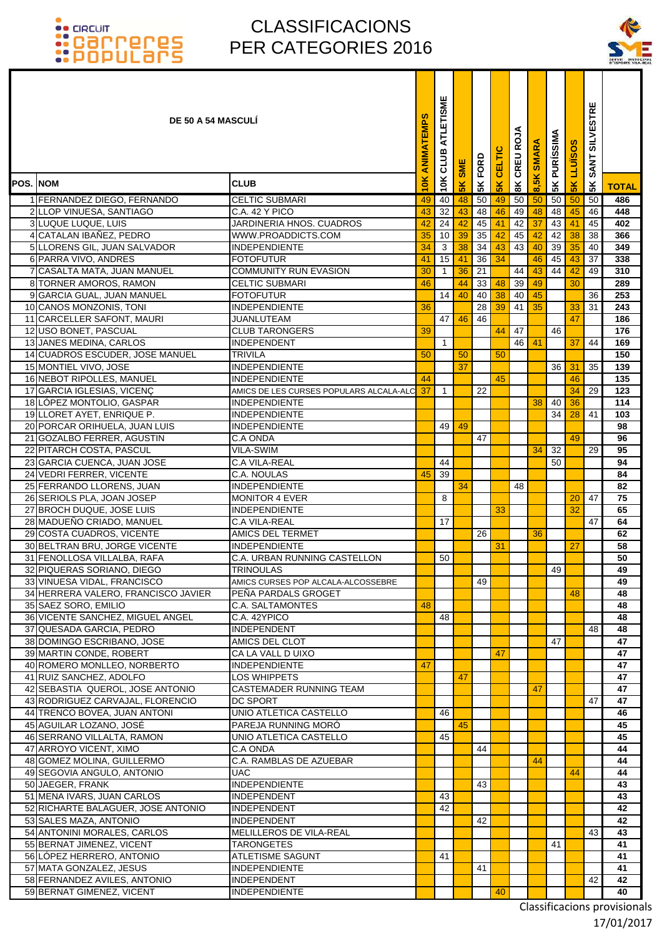### CLASSIFICACIONS PER CATEGORIES 2016



|                 | <b>DE 50 A 54 MASCULI</b>                                            |                                                  | ANIMATEMPS | ATLETISME<br>10K CLUB | <b>SME</b>     | <b>5K FORD</b> | CELTIC    | CREU ROJA      | <b>SMARA</b> | <b>5K PURÍSSIMA</b> | <b>LLUISOS</b> | <b>SILVESTRE</b><br><b>SANT</b> |              |
|-----------------|----------------------------------------------------------------------|--------------------------------------------------|------------|-----------------------|----------------|----------------|-----------|----------------|--------------|---------------------|----------------|---------------------------------|--------------|
| <b>POS. NOM</b> |                                                                      | <b>CLUB</b>                                      | 10K        |                       | 5 <sub>K</sub> |                | <b>5K</b> | $\frac{8}{10}$ | 8,5K         |                     | 5K             | 5K                              | <b>TOTAL</b> |
|                 | 1 FERNANDEZ DIEGO, FERNANDO                                          | <b>CELTIC SUBMARI</b>                            | 49         | 40                    | 48             | 50             | 49        | 50             | 50           | 50                  | 50             | 50                              | 486          |
|                 | 2 LLOP VINUESA, SANTIAGO                                             | C.A. 42 Y PICO                                   | 43         | 32                    | 43             | 48             | 46        | 49             | 48           | 48                  | 45             | 46                              | 448          |
|                 | 3 LUQUE LUQUE, LUIS                                                  | JARDINERIA HNOS. CUADROS                         | 42         | $\overline{24}$       | 42             | 45             | 41        | 42             | 37           | 43                  | 41             | 45                              | 402          |
|                 | 4 CATALAN IBAÑEZ, PEDRO                                              | WWW.PROADDICTS.COM                               | 35         | 10                    | 39             | 35             | 42        | 45             | 42           | 42                  | 38             | 38                              | 366          |
|                 | 5 LLORENS GIL, JUAN SALVADOR                                         | <b>INDEPENDIENTE</b>                             | 34         | $\mathbf{3}$          | 38             | 34             | 43        | 43             | 40           | 39                  | 35             | 40                              | 349          |
|                 | 6 PARRA VIVO, ANDRES<br>7 CASALTA MATA, JUAN MANUEL                  | <b>FOTOFUTUR</b><br><b>COMMUNITY RUN EVASION</b> | 41<br>30   | 15<br>$\overline{1}$  | 41<br>36       | 36<br>21       | 34        | 44             | 46<br>43     | 45<br>44            | 43<br>42       | 37<br>49                        | 338<br>310   |
|                 | 8 TORNER AMOROS, RAMON                                               | <b>CELTIC SUBMARI</b>                            | 46         |                       | 44             | 33             | 48        | 39             | 49           |                     | 30             |                                 | 289          |
|                 | 9 GARCIA GUAL, JUAN MANUEL                                           | <b>FOTOFUTUR</b>                                 |            | 14                    | 40             | 40             | 38        | 40             | 45           |                     |                | 36                              | 253          |
|                 | 10 CANOS MONZONIS, TONI                                              | <b>INDEPENDIENTE</b>                             | 36         |                       |                | 28             | 39        | 41             | 35           |                     | 33             | 31                              | 243          |
|                 | 11 CARCELLER SAFONT, MAURI                                           | JUANLUTEAM                                       |            | 47                    | 46             | 46             |           |                |              |                     | 47             |                                 | 186          |
|                 | 12 USO BONET, PASCUAL                                                | <b>CLUB TARONGERS</b>                            | 39         |                       |                |                | 44        | 47             |              | 46                  |                |                                 | 176          |
|                 | 13 JANES MEDINA, CARLOS                                              | INDEPENDENT                                      |            | $\overline{1}$        |                |                |           | 46             | 41           |                     | 37             | 44                              | 169          |
|                 | 14 CUADROS ESCUDER, JOSE MANUEL                                      | <b>TRIVILA</b>                                   | 50         |                       | 50             |                | 50        |                |              |                     |                |                                 | 150          |
|                 | 15 MONTIEL VIVO, JOSE                                                | <b>INDEPENDIENTE</b>                             |            |                       | 37             |                |           |                |              | 36                  | 31             | 35                              | 139          |
|                 | 16 NEBOT RIPOLLES, MANUEL                                            | <b>INDEPENDIENTE</b>                             | 44         |                       |                |                | 45        |                |              |                     | 46             |                                 | 135          |
|                 | 17 GARCIA IGLESIAS, VICENÇ                                           | AMICS DE LES CURSES POPULARS ALCALA-ALC          | 37         | $\overline{1}$        |                | 22             |           |                |              |                     | 34             | 29                              | 123          |
|                 | 18 LÓPEZ MONTOLIO, GASPAR                                            | <b>INDEPENDIENTE</b>                             |            |                       |                |                |           |                | 38           | 40                  | 36             |                                 | 114          |
|                 | 19 LLORET AYET, ENRIQUE P.<br>20 PORCAR ORIHUELA, JUAN LUIS          | <b>INDEPENDIENTE</b><br><b>INDEPENDIENTE</b>     |            | 49                    | 49             |                |           |                |              | 34                  | 28             | 41                              | 103<br>98    |
|                 | 21 GOZALBO FERRER, AGUSTIN                                           | C.A ONDA                                         |            |                       |                | 47             |           |                |              |                     | 49             |                                 | 96           |
|                 | 22 PITARCH COSTA, PASCUL                                             | <b>VILA-SWIM</b>                                 |            |                       |                |                |           |                | 34           | 32                  |                | 29                              | 95           |
|                 | 23 GARCIA CUENCA, JUAN JOSE                                          | C.A VILA-REAL                                    |            | 44                    |                |                |           |                |              | 50                  |                |                                 | 94           |
|                 | 24 VEDRI FERRER, VICENTE                                             | C.A. NOULAS                                      | 45         | 39                    |                |                |           |                |              |                     |                |                                 | 84           |
|                 | 25 FERRANDO LLORENS, JUAN                                            | <b>INDEPENDIENTE</b>                             |            |                       | 34             |                |           | 48             |              |                     |                |                                 | 82           |
|                 | 26 SERIOLS PLA, JOAN JOSEP                                           | <b>MONITOR 4 EVER</b>                            |            | 8                     |                |                |           |                |              |                     | 20             | 47                              | 75           |
|                 | 27 BROCH DUQUE, JOSE LUIS                                            | <b>INDEPENDIENTE</b>                             |            |                       |                |                | 33        |                |              |                     | 32             |                                 | 65           |
|                 | 28 MADUEÑO CRIADO, MANUEL                                            | C.A VILA-REAL                                    |            | 17                    |                |                |           |                |              |                     |                | 47                              | 64           |
|                 | 29 COSTA CUADROS, VICENTE                                            | AMICS DEL TERMET                                 |            |                       |                | 26             |           |                | 36           |                     |                |                                 | 62           |
|                 | 30 BELTRAN BRU, JORGE VICENTE                                        | <b>INDEPENDIENTE</b>                             |            |                       |                |                | 31        |                |              |                     | 27             |                                 | 58           |
|                 | 31 FENOLLOSA VILLALBA, RAFA<br>32 PIQUERAS SORIANO, DIEGO            | C.A. URBAN RUNNING CASTELLON<br><b>TRINOULAS</b> |            | 50                    |                |                |           |                |              | 49                  |                |                                 | 50<br>49     |
|                 | 33 VINUESA VIDAL, FRANCISCO                                          | AMICS CURSES POP ALCALA-ALCOSSEBRE               |            |                       |                | 49             |           |                |              |                     |                |                                 | 49           |
|                 | 34 HERRERA VALERO, FRANCISCO JAVIER                                  | PEÑA PARDALS GROGET                              |            |                       |                |                |           |                |              |                     | 48             |                                 | 48           |
|                 | 35 SAEZ SORO, EMILIO                                                 | <b>C.A. SALTAMONTES</b>                          | 48         |                       |                |                |           |                |              |                     |                |                                 | 48           |
|                 | 36 VICENTE SANCHEZ, MIGUEL ANGEL                                     | C.A. 42YPICO                                     |            | 48                    |                |                |           |                |              |                     |                |                                 | 48           |
|                 | 37 QUESADA GARCIA, PEDRO                                             | <b>INDEPENDENT</b>                               |            |                       |                |                |           |                |              |                     |                | 48                              | 48           |
|                 | 38 DOMINGO ESCRIBANO, JOSE                                           | AMICS DEL CLOT                                   |            |                       |                |                |           |                |              | 47                  |                |                                 | 47           |
|                 | 39 MARTIN CONDE, ROBERT                                              | CA LA VALL D UIXO                                |            |                       |                |                | 47        |                |              |                     |                |                                 | 47           |
|                 | 40 ROMERO MONLLEO, NORBERTO                                          | <b>INDEPENDIENTE</b>                             | 47         |                       |                |                |           |                |              |                     |                |                                 | 47           |
|                 | 41 RUIZ SANCHEZ, ADOLFO                                              | <b>LOS WHIPPETS</b>                              |            |                       | 47             |                |           |                |              |                     |                |                                 | 47           |
|                 | 42 SEBASTIA QUEROL, JOSE ANTONIO<br>43 RODRIGUEZ CARVAJAL, FLORENCIO | CASTEMADER RUNNING TEAM                          |            |                       |                |                |           |                | 47           |                     |                |                                 | 47           |
|                 | 44 TRENCO BOVEA, JUAN ANTONI                                         | <b>DC SPORT</b><br>UNIO ATLETICA CASTELLO        |            | 46                    |                |                |           |                |              |                     |                | 47                              | 47<br>46     |
|                 | 45 AGUILAR LOZANO, JOSÉ                                              | PAREJA RUNNING MORÓ                              |            |                       | 45             |                |           |                |              |                     |                |                                 | 45           |
|                 | 46 SERRANO VILLALTA, RAMON                                           | UNIO ATLETICA CASTELLO                           |            | 45                    |                |                |           |                |              |                     |                |                                 | 45           |
|                 | 47 ARROYO VICENT, XIMO                                               | C.A ONDA                                         |            |                       |                | 44             |           |                |              |                     |                |                                 | 44           |
|                 | 48 GOMEZ MOLINA, GUILLERMO                                           | C.A. RAMBLAS DE AZUEBAR                          |            |                       |                |                |           |                | 44           |                     |                |                                 | 44           |
|                 | 49 SEGOVIA ANGULO, ANTONIO                                           | <b>UAC</b>                                       |            |                       |                |                |           |                |              |                     | 44             |                                 | 44           |
|                 | 50 JAEGER, FRANK                                                     | INDEPENDIENTE                                    |            |                       |                | 43             |           |                |              |                     |                |                                 | 43           |
|                 | 51 MENA IVARS, JUAN CARLOS                                           | <b>INDEPENDENT</b>                               |            | 43                    |                |                |           |                |              |                     |                |                                 | 43           |
|                 | 52 RICHARTE BALAGUER, JOSE ANTONIO                                   | <b>INDEPENDENT</b>                               |            | 42                    |                |                |           |                |              |                     |                |                                 | 42           |
|                 | 53 SALES MAZA, ANTONIO                                               | <b>INDEPENDENT</b>                               |            |                       |                | 42             |           |                |              |                     |                |                                 | 42           |
|                 | 54 ANTONINI MORALES, CARLOS                                          | MELILLEROS DE VILA-REAL                          |            |                       |                |                |           |                |              |                     |                | 43                              | 43           |
|                 | 55 BERNAT JIMENEZ, VICENT<br>56 LÓPEZ HERRERO, ANTONIO               | <b>TARONGETES</b><br><b>ATLETISME SAGUNT</b>     |            | 41                    |                |                |           |                |              | 41                  |                |                                 | 41<br>41     |
|                 | 57 MATA GONZALEZ, JESUS                                              | INDEPENDIENTE                                    |            |                       |                | 41             |           |                |              |                     |                |                                 | 41           |
|                 | 58 FERNANDEZ AVILES, ANTONIO                                         | <b>INDEPENDENT</b>                               |            |                       |                |                |           |                |              |                     |                | 42                              | 42           |
|                 | 59 BERNAT GIMENEZ, VICENT                                            | <b>INDEPENDIENTE</b>                             |            |                       |                |                | 40        |                |              |                     |                |                                 | 40           |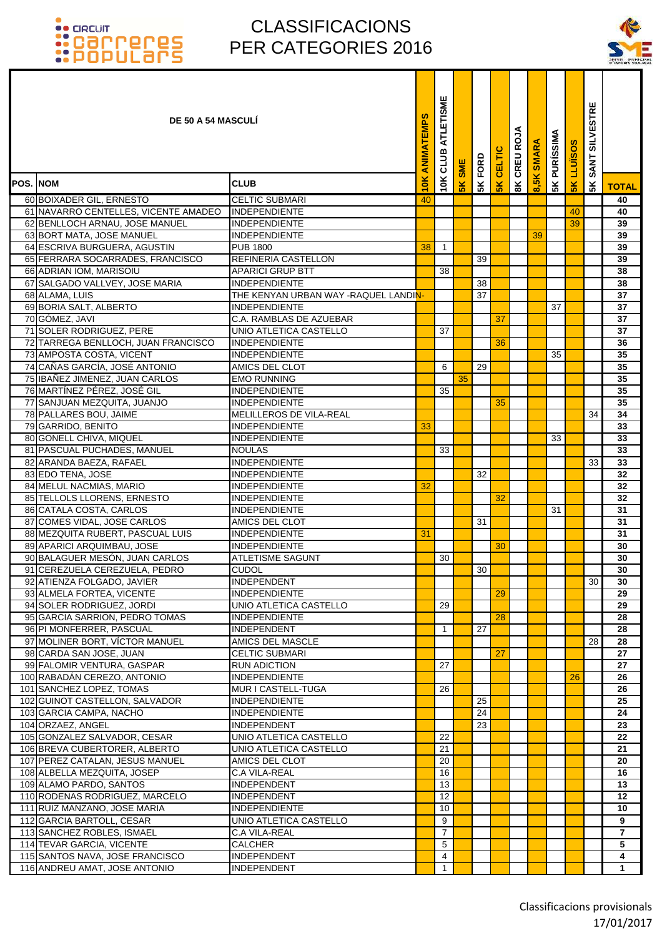### CLASSIFICACIONS PER CATEGORIES 2016

۰ Т Т



|                  | <b>DE 50 A 54 MASCULI</b>                               |                                                 | ANIMATEMPS | ATLETISME<br>10K CLUB | <b>SME</b> | FORD | CELTIC        | CREU ROJA      | <b>SMARA</b>        | <b>5K PURÍSSIMA</b> | <b>LLUISOS</b> | <b>SILVESTRE</b><br><b>SANT</b> |              |
|------------------|---------------------------------------------------------|-------------------------------------------------|------------|-----------------------|------------|------|---------------|----------------|---------------------|---------------------|----------------|---------------------------------|--------------|
| <b>POS. INOM</b> |                                                         | <b>CLUB</b>                                     | 10K        |                       | 5K         | 5K   | $\frac{1}{2}$ | $\frac{8}{10}$ | $\frac{2}{5}$<br>ၹႜ |                     | 5K             | 5K                              | <b>TOTAL</b> |
|                  | 60 BOIXADER GIL, ERNESTO                                | <b>CELTIC SUBMARI</b>                           | 40         |                       |            |      |               |                |                     |                     |                |                                 | 40           |
|                  | 61 NAVARRO CENTELLES, VICENTE AMADEO                    | <b>INDEPENDIENTE</b>                            |            |                       |            |      |               |                |                     |                     | 40             |                                 | 40           |
|                  | 62 BENLLOCH ARNAU, JOSE MANUEL                          | <b>INDEPENDIENTE</b>                            |            |                       |            |      |               |                |                     |                     | 39             |                                 | 39           |
|                  | 63 BORT MATA, JOSE MANUEL                               | <b>INDEPENDIENTE</b>                            |            |                       |            |      |               |                | 39                  |                     |                |                                 | 39           |
|                  | 64 ESCRIVA BURGUERA, AGUSTIN                            | <b>PUB 1800</b>                                 | 38         | $\mathbf{1}$          |            |      |               |                |                     |                     |                |                                 | 39           |
|                  | 65 FERRARA SOCARRADES, FRANCISCO                        | REFINERIA CASTELLON                             |            |                       |            | 39   |               |                |                     |                     |                |                                 | 39           |
|                  | 66 ADRIAN IOM, MARISOIU                                 | <b>APARICI GRUP BTT</b>                         |            | 38                    |            |      |               |                |                     |                     |                |                                 | 38           |
|                  | 67 SALGADO VALLVEY, JOSE MARIA                          | <b>INDEPENDIENTE</b>                            |            |                       |            | 38   |               |                |                     |                     |                |                                 | 38           |
|                  | 68 ALAMA, LUIS                                          | THE KENYAN URBAN WAY -RAQUEL LANDIN-            |            |                       |            | 37   |               |                |                     |                     |                |                                 | 37           |
|                  | 69 BORIA SALT, ALBERTO                                  | <b>INDEPENDIENTE</b>                            |            |                       |            |      |               |                |                     | 37                  |                |                                 | 37           |
|                  | 70 GÓMEZ, JAVI                                          | C.A. RAMBLAS DE AZUEBAR                         |            |                       |            |      | 37            |                |                     |                     |                |                                 | 37           |
|                  | 71 SOLER RODRIGUEZ, PERE                                | UNIO ATLETICA CASTELLO                          |            | 37                    |            |      |               |                |                     |                     |                |                                 | 37           |
|                  | 72 TARREGA BENLLOCH, JUAN FRANCISCO                     | INDEPENDIENTE                                   |            |                       |            |      | 36            |                |                     |                     |                |                                 | 36           |
|                  | 73 AMPOSTA COSTA, VICENT                                | <b>INDEPENDIENTE</b>                            |            |                       |            |      |               |                |                     | 35                  |                |                                 | 35           |
|                  | 74 CAÑAS GARCÍA, JOSÉ ANTONIO                           | AMICS DEL CLOT                                  |            | 6                     |            | 29   |               |                |                     |                     |                |                                 | 35           |
|                  | 75 IBAÑEZ JIMENEZ, JUAN CARLOS                          | <b>EMO RUNNING</b>                              |            |                       | 35         |      |               |                |                     |                     |                |                                 | 35           |
|                  | 76 MARTÍNEZ PÉREZ, JOSÉ GIL                             | <b>INDEPENDIENTE</b>                            |            | 35                    |            |      |               |                |                     |                     |                |                                 | 35           |
|                  | 77 SANJUAN MEZQUITA, JUANJO                             | <b>INDEPENDIENTE</b>                            |            |                       |            |      | 35            |                |                     |                     |                |                                 | 35           |
|                  | 78 PALLARES BOU, JAIME<br>79 GARRIDO, BENITO            | MELILLEROS DE VILA-REAL<br><b>INDEPENDIENTE</b> | 33         |                       |            |      |               |                |                     |                     |                | 34                              | 34           |
|                  | 80 GONELL CHIVA, MIQUEL                                 | <b>INDEPENDIENTE</b>                            |            |                       |            |      |               |                |                     | 33                  |                |                                 | 33<br>33     |
|                  | 81 PASCUAL PUCHADES, MANUEL                             | <b>NOULAS</b>                                   |            | 33                    |            |      |               |                |                     |                     |                |                                 | 33           |
|                  | 82 ARANDA BAEZA, RAFAEL                                 | <b>INDEPENDIENTE</b>                            |            |                       |            |      |               |                |                     |                     |                | 33                              | 33           |
|                  | 83 EDO TENA, JOSE                                       | <b>INDEPENDIENTE</b>                            |            |                       |            | 32   |               |                |                     |                     |                |                                 | 32           |
|                  | 84 MELUL NACMIAS, MARIO                                 | <b>INDEPENDIENTE</b>                            | 32         |                       |            |      |               |                |                     |                     |                |                                 | 32           |
|                  | 85 TELLOLS LLORENS, ERNESTO                             | <b>INDEPENDIENTE</b>                            |            |                       |            |      | 32            |                |                     |                     |                |                                 | 32           |
|                  | 86 CATALA COSTA, CARLOS                                 | <b>INDEPENDIENTE</b>                            |            |                       |            |      |               |                |                     | 31                  |                |                                 | 31           |
|                  | 87 COMES VIDAL, JOSE CARLOS                             | AMICS DEL CLOT                                  |            |                       |            | 31   |               |                |                     |                     |                |                                 | 31           |
|                  | 88 MEZQUITA RUBERT, PASCUAL LUIS                        | <b>INDEPENDIENTE</b>                            | 31         |                       |            |      |               |                |                     |                     |                |                                 | 31           |
|                  | 89 APARICI ARQUIMBAU, JOSE                              | <b>INDEPENDIENTE</b>                            |            |                       |            |      | 30            |                |                     |                     |                |                                 | 30           |
|                  | 90 BALAGUER MESÓN, JUAN CARLOS                          | <b>ATLETISME SAGUNT</b>                         |            | 30                    |            |      |               |                |                     |                     |                |                                 | 30           |
|                  | 91 CEREZUELA CEREZUELA, PEDRO                           | <b>CUDOL</b>                                    |            |                       |            | 30   |               |                |                     |                     |                |                                 | 30           |
|                  | 92 ATIENZA FOLGADO, JAVIER                              | <b>INDEPENDENT</b>                              |            |                       |            |      |               |                |                     |                     |                | 30 l                            | 30           |
|                  | 93 ALMELA FORTEA, VICENTE                               | <b>INDEPENDIENTE</b>                            |            |                       |            |      | 29            |                |                     |                     |                |                                 | 29           |
|                  | 94 SOLER RODRIGUEZ, JORDI                               | UNIO ATLETICA CASTELLO                          |            | 29                    |            |      |               |                |                     |                     |                |                                 | 29           |
|                  | 95 GARCIA SARRION, PEDRO TOMAS                          | <b>INDEPENDIENTE</b>                            |            |                       |            |      | 28            |                |                     |                     |                |                                 | 28           |
|                  | 96 PI MONFERRER, PASCUAL                                | <b>INDEPENDENT</b>                              |            | $\mathbf{1}$          |            | 27   |               |                |                     |                     |                |                                 | 28           |
|                  | 97 MOLINER BORT, VÍCTOR MANUEL                          | AMICS DEL MASCLE                                |            |                       |            |      |               |                |                     |                     |                | 28                              | 28           |
|                  | 98 CARDA SAN JOSE, JUAN                                 | <b>CELTIC SUBMARI</b>                           |            |                       |            |      | 27            |                |                     |                     |                |                                 | 27           |
|                  | 99 FALOMIR VENTURA, GASPAR                              | <b>RUN ADICTION</b><br><b>INDEPENDIENTE</b>     |            | 27                    |            |      |               |                |                     |                     |                |                                 | 27           |
|                  | 100 RABADÁN CEREZO, ANTONIO<br>101 SANCHEZ LOPEZ, TOMAS | MUR I CASTELL-TUGA                              |            | 26                    |            |      |               |                |                     |                     | 26             |                                 | 26<br>26     |
|                  | 102 GUINOT CASTELLON, SALVADOR                          | <b>INDEPENDIENTE</b>                            |            |                       |            | 25   |               |                |                     |                     |                |                                 | 25           |
|                  | 103 GARCIA CAMPA, NACHO                                 | <b>INDEPENDIENTE</b>                            |            |                       |            | 24   |               |                |                     |                     |                |                                 | 24           |
|                  | 104 ORZAEZ, ANGEL                                       | <b>INDEPENDENT</b>                              |            |                       |            | 23   |               |                |                     |                     |                |                                 | 23           |
|                  | 105 GONZALEZ SALVADOR, CESAR                            | UNIO ATLETICA CASTELLO                          |            | 22                    |            |      |               |                |                     |                     |                |                                 | 22           |
|                  | 106 BREVA CUBERTORER, ALBERTO                           | UNIO ATLETICA CASTELLO                          |            | 21                    |            |      |               |                |                     |                     |                |                                 | 21           |
|                  | 107 PEREZ CATALAN, JESUS MANUEL                         | AMICS DEL CLOT                                  |            | 20                    |            |      |               |                |                     |                     |                |                                 | 20           |
|                  | 108 ALBELLA MEZQUITA, JOSEP                             | C.A VILA-REAL                                   |            | 16                    |            |      |               |                |                     |                     |                |                                 | 16           |
|                  | 109 ALAMO PARDO, SANTOS                                 | <b>INDEPENDENT</b>                              |            | 13                    |            |      |               |                |                     |                     |                |                                 | 13           |
|                  | 110 RODENAS RODRIGUEZ, MARCELO                          | <b>INDEPENDENT</b>                              |            | 12                    |            |      |               |                |                     |                     |                |                                 | 12           |
|                  | 111 RUIZ MANZANO, JOSE MARIA                            | <b>INDEPENDIENTE</b>                            |            | 10                    |            |      |               |                |                     |                     |                |                                 | 10           |
|                  | 112 GARCIA BARTOLL, CESAR                               | UNIO ATLETICA CASTELLO                          |            | 9                     |            |      |               |                |                     |                     |                |                                 | 9            |
|                  | 113 SANCHEZ ROBLES, ISMAEL                              | <b>C.A VILA-REAL</b>                            |            | 7                     |            |      |               |                |                     |                     |                |                                 | 7            |
|                  | 114 TEVAR GARCIA, VICENTE                               | <b>CALCHER</b>                                  |            | 5                     |            |      |               |                |                     |                     |                |                                 | 5            |
|                  | 115 SANTOS NAVA, JOSE FRANCISCO                         | <b>INDEPENDENT</b>                              |            | 4                     |            |      |               |                |                     |                     |                |                                 | 4            |
|                  | 116 ANDREU AMAT, JOSE ANTONIO                           | <b>INDEPENDENT</b>                              |            | $\overline{1}$        |            |      |               |                |                     |                     |                |                                 | $\mathbf{1}$ |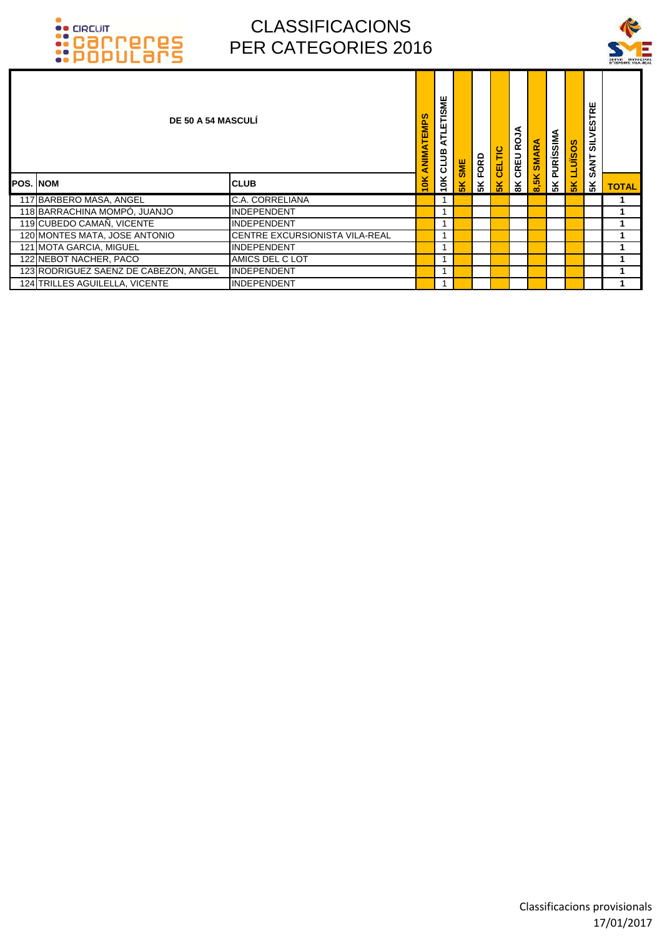



|                 | <b>DE 50 A 54 MASCULI</b>             |                                | <b>TEMPS</b><br>≦<br>NIM⊅ | ATLETISME<br>10K CLUB | <b>SME</b>     | FORD | CELTIC         | CREU ROJA      | 8,5K SMARA | ⋖<br><b>PURÍSSIM</b> | <b>LLUISOS</b> | 뷙<br>ᄐ<br><b>in</b><br>ÿ<br>a∟<br><b>SANT</b> |              |
|-----------------|---------------------------------------|--------------------------------|---------------------------|-----------------------|----------------|------|----------------|----------------|------------|----------------------|----------------|-----------------------------------------------|--------------|
| <b>POS. NOM</b> |                                       | <b>CLUB</b>                    | ¥                         |                       | 5 <sub>K</sub> | 5K   | 5 <sub>K</sub> | $\frac{8}{10}$ |            | 5K                   | 5K             | 5 <sup>K</sup>                                | <b>TOTAL</b> |
|                 | 117 BARBERO MASA, ANGEL               | <b>C.A. CORRELIANA</b>         |                           |                       |                |      |                |                |            |                      |                |                                               |              |
|                 | 118 BARRACHINA MOMPÓ, JUANJO          | <b>INDEPENDENT</b>             |                           |                       |                |      |                |                |            |                      |                |                                               |              |
|                 | 119 CUBEDO CAMAÑ, VICENTE             | <b>INDEPENDENT</b>             |                           |                       |                |      |                |                |            |                      |                |                                               |              |
|                 | 120 MONTES MATA, JOSE ANTONIO         | CENTRE EXCURSIONISTA VILA-REAL |                           |                       |                |      |                |                |            |                      |                |                                               |              |
|                 | 121 MOTA GARCIA, MIGUEL               | <b>INDEPENDENT</b>             |                           |                       |                |      |                |                |            |                      |                |                                               |              |
|                 | 122 NEBOT NACHER, PACO                | AMICS DEL C LOT                |                           |                       |                |      |                |                |            |                      |                |                                               |              |
|                 | 123 RODRIGUEZ SAENZ DE CABEZON, ANGEL | <b>INDEPENDENT</b>             |                           |                       |                |      |                |                |            |                      |                |                                               |              |
|                 | 124 TRILLES AGUILELLA, VICENTE        | <b>INDEPENDENT</b>             |                           |                       |                |      |                |                |            |                      |                |                                               |              |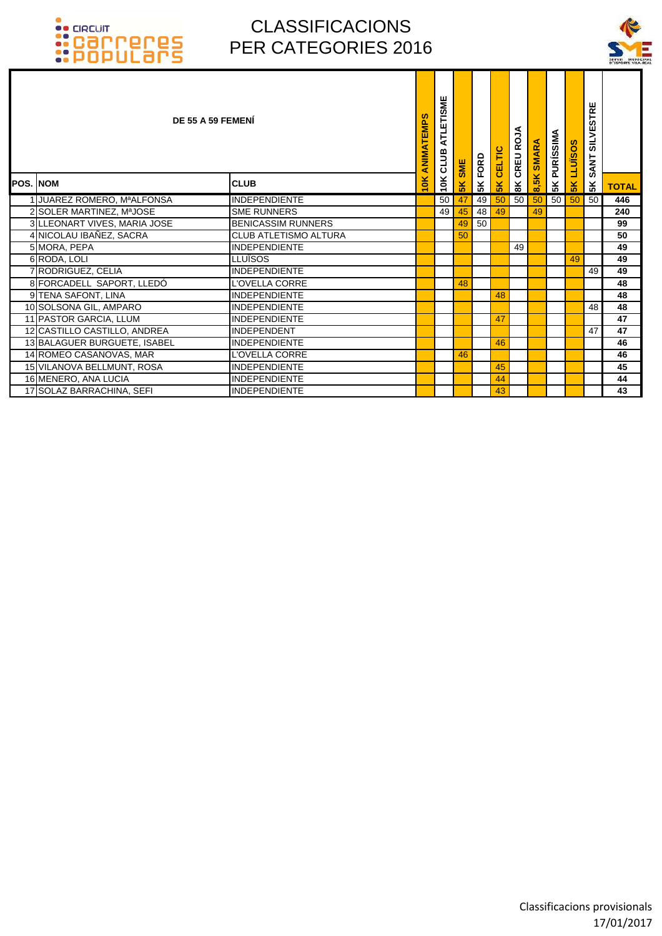

|                              | DE 55 A 59 FEMENI            | ATLETISME<br>ANIMATEMPS<br>10K CLUB | <b>SME</b>    | FORD            | CELTIC | CREU ROJA      | 8,5K SMARA | <b>5K PURÍSSIMA</b> | <b>LLUISOS</b> | <b>SILVESTRE</b><br><b>SANT</b> |              |
|------------------------------|------------------------------|-------------------------------------|---------------|-----------------|--------|----------------|------------|---------------------|----------------|---------------------------------|--------------|
| <b>POS. NOM</b>              | <b>CLUB</b>                  | $\frac{1}{2}$                       | $\frac{1}{2}$ | 5K              | 5K     | $\frac{8}{10}$ |            |                     | $\frac{2}{3}$  | 5K                              | <b>TOTAL</b> |
| 1 JUAREZ ROMERO, MªALFONSA   | <b>INDEPENDIENTE</b>         | 50                                  | 47            | 49              | 50     | 50             | 50         | 50                  | 50             | 50                              | 446          |
| 2 SOLER MARTINEZ, MªJOSE     | <b>SME RUNNERS</b>           | 49                                  | 45            | 48              | 49     |                | 49         |                     |                |                                 | 240          |
| 3 LLEONART VIVES, MARIA JOSE | <b>BENICASSIM RUNNERS</b>    |                                     | 49            | 50 <sup>°</sup> |        |                |            |                     |                |                                 | 99           |
| 4 NICOLAU IBAÑEZ, SACRA      | <b>CLUB ATLETISMO ALTURA</b> |                                     | 50            |                 |        |                |            |                     |                |                                 | 50           |
| 5 MORA, PEPA                 | <b>INDEPENDIENTE</b>         |                                     |               |                 |        | 49             |            |                     |                |                                 | 49           |
| 6 RODA, LOLI                 | <b>LLUÏSOS</b>               |                                     |               |                 |        |                |            |                     | 49             |                                 | 49           |
| 7 RODRIGUEZ, CELIA           | <b>INDEPENDIENTE</b>         |                                     |               |                 |        |                |            |                     |                | 49                              | 49           |
| 8 FORCADELL SAPORT, LLEDÓ    | L'OVELLA CORRE               |                                     | 48            |                 |        |                |            |                     |                |                                 | 48           |
| 9 TENA SAFONT, LINA          | <b>INDEPENDIENTE</b>         |                                     |               |                 | 48     |                |            |                     |                |                                 | 48           |
| 10 SOLSONA GIL, AMPARO       | <b>INDEPENDIENTE</b>         |                                     |               |                 |        |                |            |                     |                | 48                              | 48           |
| 11 PASTOR GARCIA, LLUM       | <b>INDEPENDIENTE</b>         |                                     |               |                 | 47     |                |            |                     |                |                                 | 47           |
| 12 CASTILLO CASTILLO, ANDREA | <b>INDEPENDENT</b>           |                                     |               |                 |        |                |            |                     |                | 47                              | 47           |
| 13 BALAGUER BURGUETE, ISABEL | <b>INDEPENDIENTE</b>         |                                     |               |                 | 46     |                |            |                     |                |                                 | 46           |
| 14 ROMEO CASANOVAS, MAR      | L'OVELLA CORRE               |                                     | 46            |                 |        |                |            |                     |                |                                 | 46           |
| 15 VILANOVA BELLMUNT, ROSA   | <b>INDEPENDIENTE</b>         |                                     |               |                 | 45     |                |            |                     |                |                                 | 45           |
| 16 MENERO, ANA LUCIA         | <b>INDEPENDIENTE</b>         |                                     |               |                 | 44     |                |            |                     |                |                                 | 44           |
| 17 SOLAZ BARRACHINA, SEFI    | <b>INDEPENDIENTE</b>         |                                     |               |                 | 43     |                |            |                     |                |                                 | 43           |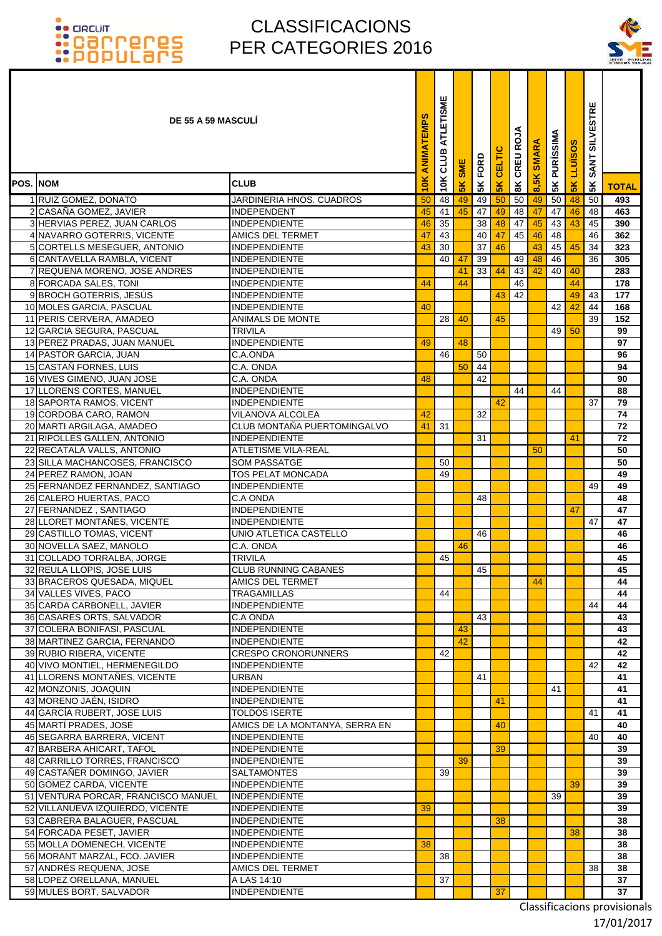### CLASSIFICACIONS PER CATEGORIES 2016

T ▔



|          | <b>DE 55 A 59 MASCULI</b>                                    |                                            | ANIMATEMPS | ATLETISME<br>CLUB | <b>SME</b>    | FORD     | CELTIC    | CREU ROJA     | <b>ARA</b><br>$\overline{\mathbf{s}}$ | <b>PURÍSSIMA</b> | <b>LLUISOS</b> | <b>SILVESTRE</b><br><b>SANT</b> |              |
|----------|--------------------------------------------------------------|--------------------------------------------|------------|-------------------|---------------|----------|-----------|---------------|---------------------------------------|------------------|----------------|---------------------------------|--------------|
| POS. NOM |                                                              | <b>CLUB</b>                                | 10K        | 10K               | $\frac{2}{5}$ | 5K       | <b>5K</b> | $\frac{8}{3}$ | 8,5K                                  | 5K               | 5 <sub>K</sub> | 5K                              | <b>TOTAL</b> |
|          | 1 RUIZ GOMEZ, DONATO                                         | <b>JARDINERIA HNOS, CUADROS</b>            | 50         | 48                | 49            | 49       | 50        | 50            | 49                                    | 50               | 48             | 50                              | 493          |
|          | 2 CASAÑA GOMEZ, JAVIER                                       | <b>INDEPENDENT</b>                         | 45         | 41                | 45            | 47       | 49        | 48            | 47                                    | 47               | 46             | 48                              | 463          |
|          | 3 HERVIAS PEREZ, JUAN CARLOS                                 | <b>INDEPENDIENTE</b>                       | 46         | 35                |               | 38       | 48        | 47            | 45                                    | 43               | 43             | 45                              | 390          |
|          | 4 NAVARRO GOTERRIS, VICENTE                                  | AMICS DEL TERMET                           | 47         | 43                |               | 40       | 47        | 45            | 46                                    | 48               |                | 46                              | 362          |
|          | 5 CORTELLS MESEGUER, ANTONIO                                 | INDEPENDIENTE                              | 43         | 30                |               | 37       | 46        |               | 43                                    | 45               | 45             | 34                              | 323          |
|          | 6 CANTAVELLA RAMBLA, VICENT                                  | <b>INDEPENDIENTE</b>                       |            | 40                | 47            | 39       |           | 49            | 48                                    | 46               |                | 36                              | 305          |
|          | 7 REQUENA MORENO, JOSE ANDRES                                | <b>INDEPENDIENTE</b>                       |            |                   | 41            | 33       | 44        | 43            | 42                                    | 40               | 40             |                                 | 283          |
|          | 8 FORCADA SALES, TONI                                        | <b>INDEPENDIENTE</b>                       | 44         |                   | 44            |          |           | 46            |                                       |                  | 44             |                                 | 178          |
|          | 9 BROCH GOTERRIS, JESUS                                      | <b>INDEPENDIENTE</b>                       |            |                   |               |          | 43        | 42            |                                       |                  | 49             | 43                              | 177          |
|          | 10 MOLES GARCIA, PASCUAL                                     | <b>INDEPENDIENTE</b>                       | 40         |                   |               |          |           |               |                                       | 42               | 42             | 44                              | 168          |
|          | 11 PERIS CERVERA, AMADEO                                     | ANIMALS DE MONTE                           |            | 28                | 40            |          | 45        |               |                                       |                  |                | 39                              | 152          |
|          | 12 GARCIA SEGURA, PASCUAL                                    | TRIVILA                                    |            |                   |               |          |           |               |                                       | 49               | 50             |                                 | 99           |
|          | 13 PEREZ PRADAS, JUAN MANUEL                                 | <b>INDEPENDIENTE</b>                       | 49         |                   | 48            |          |           |               |                                       |                  |                |                                 | 97           |
|          | 14 PASTOR GARCIA, JUAN                                       | C.A.ONDA                                   |            | 46                |               | 50       |           |               |                                       |                  |                |                                 | 96           |
|          | 15 CASTAÑ FORNES, LUIS<br>16 VIVES GIMENO, JUAN JOSE         | C.A. ONDA<br>C.A. ONDA                     | 48         |                   | 50            | 44<br>42 |           |               |                                       |                  |                |                                 | 94<br>90     |
|          | 17 LLORENS CORTES, MANUEL                                    | <b>INDEPENDIENTE</b>                       |            |                   |               |          |           | 44            |                                       | 44               |                |                                 | 88           |
|          | 18 SAPORTA RAMOS, VICENT                                     | INDEPENDIENTE                              |            |                   |               |          | 42        |               |                                       |                  |                | 37                              | 79           |
|          | 19 CORDOBA CARO, RAMON                                       | VILANOVA ALCOLEA                           | 42         |                   |               | 32       |           |               |                                       |                  |                |                                 | 74           |
|          | 20 MARTI ARGILAGA, AMADEO                                    | CLUB MONTAÑA PUERTOMINGALVO                | 41         | 31                |               |          |           |               |                                       |                  |                |                                 | 72           |
|          | 21 RIPOLLES GALLEN, ANTONIO                                  | <b>INDEPENDIENTE</b>                       |            |                   |               | 31       |           |               |                                       |                  | 41             |                                 | 72           |
|          | 22 RECATALA VALLS, ANTONIO                                   | <b>ATLETISME VILA-REAL</b>                 |            |                   |               |          |           |               | 50                                    |                  |                |                                 | 50           |
|          | 23 SILLA MACHANCOSES, FRANCISCO                              | SOM PASSATGE                               |            | 50                |               |          |           |               |                                       |                  |                |                                 | 50           |
|          | 24 PEREZ RAMON, JOAN                                         | TOS PELAT MONCADA                          |            | 49                |               |          |           |               |                                       |                  |                |                                 | 49           |
|          | 25 FERNANDEZ FERNANDEZ, SANTIAGO                             | <b>INDEPENDIENTE</b>                       |            |                   |               |          |           |               |                                       |                  |                | 49                              | 49           |
|          | 26 CALERO HUERTAS, PACO                                      | C.A ONDA                                   |            |                   |               | 48       |           |               |                                       |                  |                |                                 | 48           |
|          | 27 FERNANDEZ, SANTIAGO                                       | INDEPENDIENTE                              |            |                   |               |          |           |               |                                       |                  | 47             |                                 | 47           |
|          | 28 LLORET MONTANES, VICENTE                                  | INDEPENDIENTE                              |            |                   |               |          |           |               |                                       |                  |                | 47                              | 47           |
|          | 29 CASTILLO TOMAS, VICENT                                    | UNIO ATLETICA CASTELLO                     |            |                   |               | 46       |           |               |                                       |                  |                |                                 | 46           |
|          | 30 NOVELLA SAEZ, MANOLO                                      | C.A. ONDA                                  |            |                   | 46            |          |           |               |                                       |                  |                |                                 | 46           |
|          | 31 COLLADO TORRALBA, JORGE                                   | <b>TRIVILA</b>                             |            | 45                |               |          |           |               |                                       |                  |                |                                 | 45           |
|          | 32 REULA LLOPIS, JOSE LUIS                                   | <b>CLUB RUNNING CABANES</b>                |            |                   |               | 45       |           |               |                                       |                  |                |                                 | 45           |
|          | 33 BRACEROS QUESADA, MIQUEL<br>34 VALLES VIVES, PACO         | AMICS DEL TERMET<br>TRAGAMILLAS            |            | 44                |               |          |           |               | 44                                    |                  |                |                                 | 44<br>44     |
|          | 35 CARDA CARBONELL, JAVIER                                   | <b>INDEPENDIENTE</b>                       |            |                   |               |          |           |               |                                       |                  |                | 44                              | 44           |
|          | 36 CASARES ORTS, SALVADOR                                    | C.A ONDA                                   |            |                   |               | 43       |           |               |                                       |                  |                |                                 | 43           |
|          | 37 COLERA BONIFASI, PASCUAL                                  | <b>INDEPENDIENTE</b>                       |            |                   | 43            |          |           |               |                                       |                  |                |                                 | 43           |
|          | 38 MARTINEZ GARCIA, FERNANDO                                 | <b>INDEPENDIENTE</b>                       |            |                   | 42            |          |           |               |                                       |                  |                |                                 | 42           |
|          | 39 RUBIO RIBERA, VICENTE                                     | <b>CRESPO CRONORUNNERS</b>                 |            | 42                |               |          |           |               |                                       |                  |                |                                 | 42           |
|          | 40 VIVO MONTIEL, HERMENEGILDO                                | <b>INDEPENDIENTE</b>                       |            |                   |               |          |           |               |                                       |                  |                | 42                              | 42           |
|          | 41 LLORENS MONTAÑES, VICENTE                                 | URBAN                                      |            |                   |               | 41       |           |               |                                       |                  |                |                                 | 41           |
|          | 42 MONZONIS, JOAQUIN                                         | INDEPENDIENTE                              |            |                   |               |          |           |               |                                       | 41               |                |                                 | 41           |
|          | 43 MORENO JAÉN, ISIDRO                                       | <b>INDEPENDIENTE</b>                       |            |                   |               |          | 41        |               |                                       |                  |                |                                 | 41           |
|          | 44 GARCÍA RUBERT, JOSE LUIS                                  | <b>TOLDOS ISERTE</b>                       |            |                   |               |          |           |               |                                       |                  |                | 41                              | 41           |
|          | 45 MARTÍ PRADES, JOSÉ                                        | AMICS DE LA MONTANYA, SERRA EN             |            |                   |               |          | 40        |               |                                       |                  |                |                                 | 40           |
|          | 46 SEGARRA BARRERA, VICENT                                   | <b>INDEPENDIENTE</b>                       |            |                   |               |          |           |               |                                       |                  |                | 40                              | 40           |
|          | 47 BARBERA AHICART, TAFOL                                    | <b>INDEPENDIENTE</b>                       |            |                   | 39            |          | 39        |               |                                       |                  |                |                                 | 39           |
|          | 48 CARRILLO TORRES, FRANCISCO<br>49 CASTAÑER DOMINGO, JAVIER | <b>INDEPENDIENTE</b><br><b>SALTAMONTES</b> |            | 39                |               |          |           |               |                                       |                  |                |                                 | 39<br>39     |
|          | 50 GOMEZ CARDA, VICENTE                                      | <b>INDEPENDIENTE</b>                       |            |                   |               |          |           |               |                                       |                  | 39             |                                 | 39           |
|          | 51 VENTURA PORCAR, FRANCISCO MANUEL                          | <b>INDEPENDIENTE</b>                       |            |                   |               |          |           |               |                                       | 39               |                |                                 | 39           |
|          | 52 VILLANUEVA IZQUIERDO, VICENTE                             | <b>INDEPENDIENTE</b>                       | 39         |                   |               |          |           |               |                                       |                  |                |                                 | 39           |
|          | 53 CABRERA BALAGUER, PASCUAL                                 | <b>INDEPENDIENTE</b>                       |            |                   |               |          | 38        |               |                                       |                  |                |                                 | 38           |
|          | 54 FORCADA PESET, JAVIER                                     | <b>INDEPENDIENTE</b>                       |            |                   |               |          |           |               |                                       |                  | 38             |                                 | 38           |
|          | 55 MOLLA DOMENECH, VICENTE                                   | <b>INDEPENDIENTE</b>                       | 38         |                   |               |          |           |               |                                       |                  |                |                                 | 38           |
|          | 56 MORANT MARZAL, FCO. JAVIER                                | <b>INDEPENDIENTE</b>                       |            | 38                |               |          |           |               |                                       |                  |                |                                 | 38           |
|          | 57 ANDRÉS REQUENA, JOSE                                      | AMICS DEL TERMET                           |            |                   |               |          |           |               |                                       |                  |                | 38                              | 38           |
|          | 58 LOPEZ ORELLANA, MANUEL                                    | A LAS 14:10                                |            | 37                |               |          |           |               |                                       |                  |                |                                 | 37           |
|          | 59 MULES BORT, SALVADOR                                      | <b>INDEPENDIENTE</b>                       |            |                   |               |          | 37        |               |                                       |                  |                |                                 | 37           |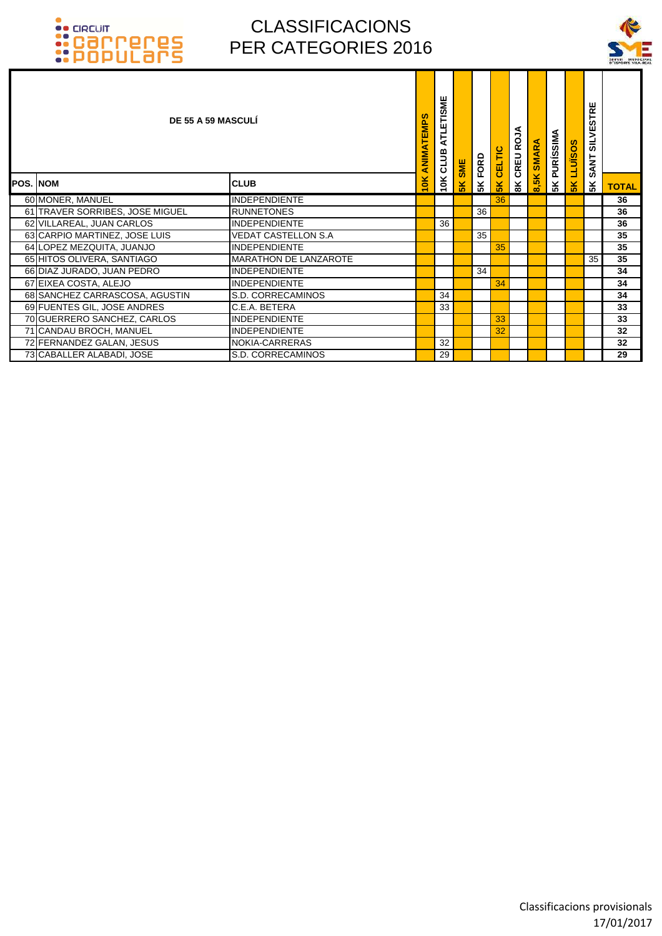

|                 |                                 | <b>DE 55 A 59 MASCULI</b>    | <b>ANIMATEMPS</b> | ATLETISME<br>10K CLUB | SME | FORD | CELTIC        | ALO<br>$\boldsymbol{\underline{\alpha}}$<br><b>CREU</b> | <b>SMARA</b> | PURÍSSIMA | <b>SOSINTT</b> | <b>SILVESTRE</b><br><b>SANT</b> |              |
|-----------------|---------------------------------|------------------------------|-------------------|-----------------------|-----|------|---------------|---------------------------------------------------------|--------------|-----------|----------------|---------------------------------|--------------|
| <b>POS. NOM</b> |                                 | <b>CLUB</b>                  | 10 <sub>K</sub>   |                       | 5K  | 5K   | $\frac{1}{5}$ | $\mathbf{R}$                                            | 8,5K         | 5K        | $\frac{8}{5}$  | 5 <sup>K</sup>                  | <b>TOTAL</b> |
|                 | 60 MONER, MANUEL                | <b>INDEPENDIENTE</b>         |                   |                       |     |      | 36            |                                                         |              |           |                |                                 | 36           |
|                 | 61 TRAVER SORRIBES, JOSE MIGUEL | <b>RUNNETONES</b>            |                   |                       |     | 36   |               |                                                         |              |           |                |                                 | 36           |
|                 | 62 VILLAREAL, JUAN CARLOS       | <b>INDEPENDIENTE</b>         |                   | 36                    |     |      |               |                                                         |              |           |                |                                 | 36           |
|                 | 63 CARPIO MARTINEZ, JOSE LUIS   | VEDAT CASTELLON S.A          |                   |                       |     | 35   |               |                                                         |              |           |                |                                 | 35           |
|                 | 64 LOPEZ MEZQUITA, JUANJO       | <b>INDEPENDIENTE</b>         |                   |                       |     |      | 35            |                                                         |              |           |                |                                 | 35           |
|                 | 65 HITOS OLIVERA, SANTIAGO      | <b>MARATHON DE LANZAROTE</b> |                   |                       |     |      |               |                                                         |              |           |                | 35                              | 35           |
|                 | 66 DIAZ JURADO, JUAN PEDRO      | <b>INDEPENDIENTE</b>         |                   |                       |     | 34   |               |                                                         |              |           |                |                                 | 34           |
|                 | 67 EIXEA COSTA, ALEJO           | <b>INDEPENDIENTE</b>         |                   |                       |     |      | 34            |                                                         |              |           |                |                                 | 34           |
|                 | 68 SANCHEZ CARRASCOSA, AGUSTIN  | S.D. CORRECAMINOS            |                   | 34                    |     |      |               |                                                         |              |           |                |                                 | 34           |
|                 | 69 FUENTES GIL, JOSE ANDRES     | C.E.A. BETERA                |                   | 33                    |     |      |               |                                                         |              |           |                |                                 | 33           |
|                 | 70 GUERRERO SANCHEZ, CARLOS     | <b>INDEPENDIENTE</b>         |                   |                       |     |      | 33            |                                                         |              |           |                |                                 | 33           |
|                 | 71 CANDAU BROCH, MANUEL         | <b>INDEPENDIENTE</b>         |                   |                       |     |      | 32            |                                                         |              |           |                |                                 | 32           |
|                 | 72 FERNANDEZ GALAN, JESUS       | NOKIA-CARRERAS               |                   | 32                    |     |      |               |                                                         |              |           |                |                                 | 32           |
|                 | 73 CABALLER ALABADI, JOSE       | S.D. CORRECAMINOS            |                   | 29                    |     |      |               |                                                         |              |           |                |                                 | 29           |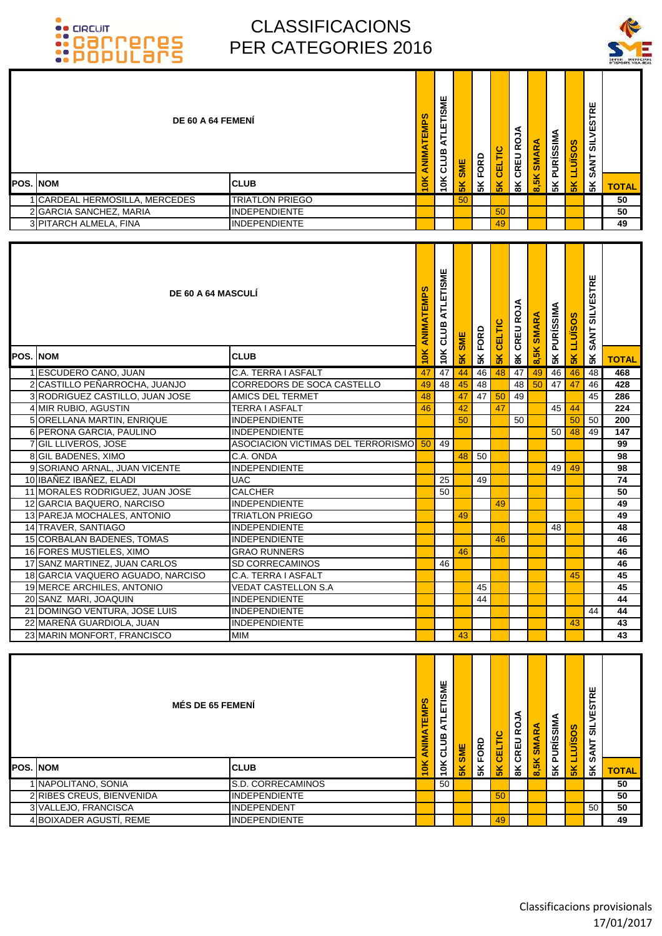



| DE 60 A 64 FEMENI                                 |                                                  | ANIMATEMPS               | ATLETISME<br>10K CLUB |                | <b>5K FORD</b>   | CELTIC              | <b>8K CREU ROJA</b> | <b>SMARA</b>        | <b>5K PURÍSSIMA</b> | <b>LLUISOS</b> | <b>SILVESTRE</b><br><b>SANT</b> |              |
|---------------------------------------------------|--------------------------------------------------|--------------------------|-----------------------|----------------|------------------|---------------------|---------------------|---------------------|---------------------|----------------|---------------------------------|--------------|
| <b>POS. NOM</b>                                   | <b>CLUB</b>                                      | 10K                      |                       | <b>5K SME</b>  |                  |                     |                     | 8,5K                |                     |                |                                 |              |
|                                                   |                                                  |                          |                       |                |                  | 5 <sub>K</sub>      |                     |                     |                     | $\frac{8}{5}$  | 5K                              | <b>TOTAL</b> |
| 1 CARDEAL HERMOSILLA, MERCEDES                    | <b>TRIATLON PRIEGO</b><br><b>INDEPENDIENTE</b>   |                          |                       | 50             |                  |                     |                     |                     |                     |                |                                 | 50           |
| 2 GARCIA SANCHEZ, MARIA<br>3 PITARCH ALMELA, FINA | <b>INDEPENDIENTE</b>                             |                          |                       |                |                  | 50<br>49            |                     |                     |                     |                |                                 | 50<br>49     |
|                                                   |                                                  |                          |                       |                |                  |                     |                     |                     |                     |                |                                 |              |
| <b>DE 60 A 64 MASCULI</b>                         |                                                  | ANIMATEMPS               | ATLETISME<br>10K CLUB | <b>SK SME</b>  | <b>5K FORD</b>   | <b>5K CELTIC</b>    | <b>BK CREU ROJA</b> | <b>SMARA</b>        | <b>5K PURÍSSIMA</b> | <b>LLUISOS</b> | <b>SILVESTRE</b><br><b>SANT</b> |              |
| POS. NOM                                          | <b>CLUB</b>                                      | 10K                      |                       |                |                  |                     |                     | 8,5K                |                     | $\frac{8}{5}$  | 5K                              | <b>TOTAL</b> |
| 1 ESCUDERO CANO, JUAN                             | C.A. TERRA I ASFALT                              | 47                       | 47                    | 44             | 46               | 48                  | 47                  | 49                  | 46                  | 46             | 48                              | 468          |
| 2 CASTILLO PEÑARROCHA, JUANJO                     | CORREDORS DE SOCA CASTELLO                       | 49                       | 48                    | 45             | 48               |                     | 48                  | 50                  | 47                  | 47             | 46                              | 428          |
| 3 RODRIGUEZ CASTILLO, JUAN JOSE                   | <b>AMICS DEL TERMET</b>                          | 48                       |                       | 47             | 47               | 50                  | 49                  |                     |                     |                | 45                              | 286          |
| 4 MIR RUBIO, AGUSTIN                              | <b>TERRA I ASFALT</b>                            | 46                       |                       | 42             |                  | 47                  |                     |                     | 45                  | 44             |                                 | 224          |
| 5 ORELLANA MARTIN, ENRIQUE                        | <b>INDEPENDIENTE</b>                             |                          |                       | 50             |                  |                     | 50                  |                     |                     | 50             | 50                              | 200          |
| 6 PERONA GARCIA, PAULINO                          | <b>INDEPENDIENTE</b>                             |                          |                       |                |                  |                     |                     |                     | 50 <sub>1</sub>     | 48             | 49                              | 147          |
| 7 GIL LLIVEROS, JOSE                              | ASOCIACION VICTIMAS DEL TERRORISMO <sup>50</sup> |                          | 49                    |                |                  |                     |                     |                     |                     |                |                                 | 99           |
| 8 GIL BADENES, XIMO                               | C.A. ONDA                                        |                          |                       | 48             | 50               |                     |                     |                     |                     |                |                                 | 98           |
| 9 SORIANO ARNAL, JUAN VICENTE                     | <b>INDEPENDIENTE</b>                             |                          |                       |                |                  |                     |                     |                     | 49 I                | 49             |                                 | 98           |
| 10 IBAÑEZ IBAÑEZ, ELADI                           | <b>UAC</b>                                       |                          | 25                    |                | 49               |                     |                     |                     |                     |                |                                 | 74           |
| 11 MORALES RODRIGUEZ, JUAN JOSE                   | <b>CALCHER</b>                                   |                          | 50                    |                |                  |                     |                     |                     |                     |                |                                 | 50           |
| 12 GARCIA BAQUERO, NARCISO                        | <b>INDEPENDIENTE</b>                             |                          |                       |                |                  | 49                  |                     |                     |                     |                |                                 | 49           |
| 13 PAREJA MOCHALES, ANTONIO                       | <b>TRIATLON PRIEGO</b>                           |                          |                       | 49             |                  |                     |                     |                     |                     |                |                                 | 49           |
| 14 TRAVER, SANTIAGO                               | <b>INDEPENDIENTE</b>                             |                          |                       |                |                  |                     |                     |                     | 48                  |                |                                 | 48           |
| 15 CORBALAN BADENES, TOMAS                        | <b>INDEPENDIENTE</b>                             |                          |                       |                |                  | 46                  |                     |                     |                     |                |                                 | 46           |
| 16 FORES MUSTIELES, XIMO                          | <b>GRAO RUNNERS</b>                              |                          |                       | 46             |                  |                     |                     |                     |                     |                |                                 | 46           |
| 17 SANZ MARTINEZ, JUAN CARLOS                     | SD CORRECAMINOS                                  |                          | 46                    |                |                  |                     |                     |                     |                     |                |                                 | 46           |
| 18 GARCIA VAQUERO AGUADO, NARCISO                 | C.A. TERRA I ASFALT                              |                          |                       |                |                  |                     |                     |                     |                     | 45             |                                 | 45           |
| 19 MERCE ARCHILES, ANTONIO                        | VEDAT CASTELLON S.A                              |                          |                       |                | 45               |                     |                     |                     |                     |                |                                 | 45           |
| 20 SANZ MARI, JOAQUIN                             | <b>INDEPENDIENTE</b>                             |                          |                       |                | 44               |                     |                     |                     |                     |                |                                 | 44           |
| 21 DOMINGO VENTURA, JOSE LUIS                     | <b>INDEPENDIENTE</b>                             |                          |                       |                |                  |                     |                     |                     |                     |                | 44                              | 44           |
| 22 MAREÑÁ GUARDIOLA, JUAN                         | <b>INDEPENDIENTE</b>                             |                          |                       |                |                  |                     |                     |                     |                     | 43             |                                 | 43           |
| 23 MARIN MONFORT, FRANCISCO                       | MIM                                              |                          |                       | 43             |                  |                     |                     |                     |                     |                |                                 | 43           |
|                                                   |                                                  |                          |                       |                |                  |                     |                     |                     |                     |                |                                 |              |
| <b>MÉS DE 65 FEMENÍ</b>                           | ANIMATEMPS                                       | ATLETISME<br><b>CLUB</b> | SME                   | <b>SK FORD</b> | <b>5K CELTIC</b> | <b>BK CREU ROJA</b> | 8,5K SMARA          | <b>5K PURÍSSIMA</b> | <b>LLUISOS</b>      | SANT SILVESTRE |                                 |              |
| <b>POS. NOM</b>                                   | <b>CLUB</b>                                      | 10K                      | 10K                   | 5K             |                  |                     |                     |                     |                     | 5K             | 5K                              | <b>TOTAL</b> |
| 1 NAPOLITANO, SONIA                               | S.D. CORRECAMINOS                                |                          | 50                    |                |                  |                     |                     |                     |                     |                |                                 | 50           |
| 2 RIBES CREUS, BIENVENIDA                         | INDEPENDIENTE                                    |                          |                       |                |                  | 50                  |                     |                     |                     |                |                                 | 50           |
| 3 VALLEJO, FRANCISCA                              | INDEPENDENT                                      |                          |                       |                |                  |                     |                     |                     |                     |                | 50                              | 50           |
| 4 BOIXADER AGUSTÍ, REME                           | <b>INDEPENDIENTE</b>                             |                          |                       |                |                  | 49                  |                     |                     |                     |                |                                 | 49           |
|                                                   |                                                  |                          |                       |                |                  |                     |                     |                     |                     |                |                                 |              |